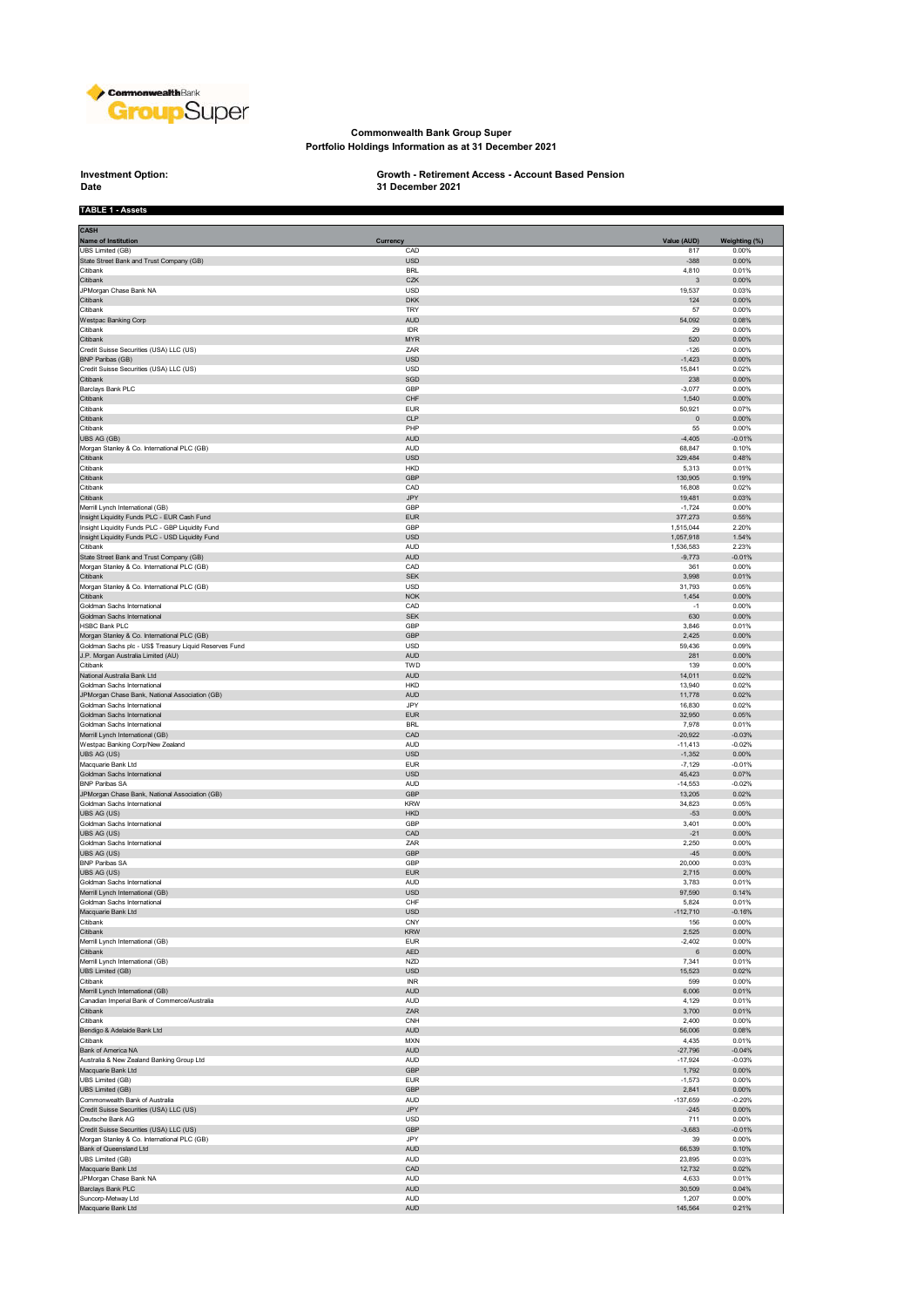

## **Commonwealth Bank Group Super Portfolio Holdings Information as at 31 December 2021**

## **Investment Option:**<br>Date

**TABLE 1 - Assets**

## **Investment Option: Growth - Retirement Access - Account Based Pension 31 December 2021**

| <b>CASH</b><br><b>Name of Institution</b><br>UBS Limited (GB)                           | Currency<br>CAD          | Value (AUD)<br>817   | Weighting (%)<br>0.00% |
|-----------------------------------------------------------------------------------------|--------------------------|----------------------|------------------------|
| State Street Bank and Trust Company (GB)                                                | <b>USD</b>               | $-388$               | 0.00%                  |
| Citibank                                                                                | <b>BRL</b>               | 4,810                | 0.01%                  |
| Citibank                                                                                | CZK                      | 3                    | 0.00%                  |
| JPMorgan Chase Bank NA<br>Citibank                                                      | <b>USD</b><br><b>DKK</b> | 19,537<br>124        | 0.03%<br>0.00%         |
| Citibank                                                                                | TRY                      | 57                   | 0.00%                  |
| Westpac Banking Corp                                                                    | <b>AUD</b>               | 54,092               | 0.08%                  |
| Citibank                                                                                | IDR                      | 29                   | 0.00%                  |
| Citibank                                                                                | <b>MYR</b>               | 520                  | 0.00%                  |
| Credit Suisse Securities (USA) LLC (US)<br><b>BNP Paribas (GB)</b>                      | ZAR<br><b>USD</b>        | $-126$<br>$-1,423$   | 0.00%<br>0.00%         |
| Credit Suisse Securities (USA) LLC (US)                                                 | <b>USD</b>               | 15,841               | 0.02%                  |
| Citibank                                                                                | SGD                      | 238                  | 0.00%                  |
| Barclays Bank PLC                                                                       | GBP                      | $-3,077$             | 0.00%                  |
| Citibank<br>Citibank                                                                    | CHF<br><b>EUR</b>        | 1,540<br>50,921      | 0.00%<br>0.07%         |
| Citibank                                                                                | <b>CLP</b>               | $\pmb{0}$            | 0.00%                  |
| Citibank                                                                                | PHP                      | 55                   | 0.00%                  |
| UBS AG (GB)                                                                             | <b>AUD</b>               | $-4,405$             | $-0.01%$               |
| Morgan Stanley & Co. International PLC (GB)<br>Citibank                                 | <b>AUD</b><br><b>USD</b> | 68,847<br>329,484    | 0.10%<br>0.48%         |
| Citibank                                                                                | <b>HKD</b>               | 5,313                | 0.01%                  |
| Citibank                                                                                | GBP                      | 130,905              | 0.19%                  |
| Citibank                                                                                | CAD                      | 16,808               | 0.02%                  |
| Citibank                                                                                | <b>JPY</b>               | 19,481               | 0.03%                  |
| Merrill Lynch International (GB)<br>Insight Liquidity Funds PLC - EUR Cash Fund         | GBP<br><b>EUR</b>        | $-1,724$<br>377,273  | 0.00%<br>0.55%         |
| Insight Liquidity Funds PLC - GBP Liquidity Fund                                        | GBP                      | 1,515,044            | 2.20%                  |
| Insight Liquidity Funds PLC - USD Liquidity Fund                                        | <b>USD</b>               | 1,057,918            | 1.54%                  |
| Citibank                                                                                | <b>AUD</b>               | 1,536,583            | 2.23%                  |
| State Street Bank and Trust Company (GB)<br>Morgan Stanley & Co. International PLC (GB) | <b>AUD</b><br>CAD        | $-9,773$<br>361      | $-0.01%$<br>0.00%      |
| Citibank                                                                                | <b>SEK</b>               | 3,998                | 0.01%                  |
| Morgan Stanley & Co. International PLC (GB)                                             | USD                      | 31,793               | 0.05%                  |
| Citibank                                                                                | <b>NOK</b>               | 1,454                | 0.00%                  |
| Goldman Sachs International                                                             | CAD                      | $-1$                 | 0.00%                  |
| Goldman Sachs International<br><b>HSBC Bank PLC</b>                                     | <b>SEK</b><br>GBP        | 630<br>3,846         | 0.00%<br>0.01%         |
| Morgan Stanley & Co. International PLC (GB)                                             | GBP                      | 2,425                | 0.00%                  |
| Goldman Sachs plc - US\$ Treasury Liquid Reserves Fund                                  | USD                      | 59,436               | 0.09%                  |
| J.P. Morgan Australia Limited (AU)                                                      | <b>AUD</b>               | 281                  | 0.00%                  |
| Citibank<br>National Australia Bank Ltd                                                 | TWD<br><b>AUD</b>        | 139<br>14,011        | 0.00%<br>0.02%         |
| Goldman Sachs International                                                             | <b>HKD</b>               | 13,940               | 0.02%                  |
| JPMorgan Chase Bank, National Association (GB)                                          | <b>AUD</b>               | 11,778               | 0.02%                  |
| Goldman Sachs International                                                             | JPY                      | 16,830               | 0.02%                  |
| Goldman Sachs International                                                             | <b>EUR</b>               | 32,950               | 0.05%                  |
| Goldman Sachs International<br>Merrill Lynch International (GB)                         | <b>BRL</b><br>CAD        | 7,978<br>$-20,922$   | 0.01%<br>$-0.03%$      |
| Westpac Banking Corp/New Zealand                                                        | <b>AUD</b>               | $-11,413$            | $-0.02%$               |
| UBS AG (US)                                                                             | <b>USD</b>               | $-1,352$             | 0.00%                  |
| Macquarie Bank Ltd                                                                      | EUR                      | $-7,129$             | $-0.01%$               |
| Goldman Sachs International<br><b>BNP Paribas SA</b>                                    | <b>USD</b><br><b>AUD</b> | 45,423<br>$-14,553$  | 0.07%<br>$-0.02%$      |
| JPMorgan Chase Bank, National Association (GB)                                          | GBP                      | 13,205               | 0.02%                  |
| Goldman Sachs International                                                             | <b>KRW</b>               | 34,823               | 0.05%                  |
| UBS AG (US)                                                                             | <b>HKD</b>               | $-53$                | 0.00%                  |
| Goldman Sachs International<br>UBS AG (US)                                              | GBP<br>CAD               | 3,401<br>$-21$       | 0.00%<br>0.00%         |
| Goldman Sachs International                                                             | ZAR                      | 2,250                | 0.00%                  |
| UBS AG (US)                                                                             | GBP                      | $-45$                | 0.00%                  |
| <b>BNP Paribas SA</b>                                                                   | GBP                      | 20,000               | 0.03%                  |
| UBS AG (US)                                                                             | <b>EUR</b>               | 2,715                | 0.00%                  |
| Goldman Sachs International<br>Merrill Lynch International (GB)                         | <b>AUD</b><br><b>USD</b> | 3,783<br>97,590      | 0.01%<br>0.14%         |
| Goldman Sachs International                                                             | CHF                      | 5,824                | 0.01%                  |
| Macquarie Bank Ltd                                                                      | <b>USD</b>               | $-112,710$           | $-0.16%$               |
| Citibank                                                                                | CNY                      | 156                  | 0.00%                  |
| Citibank<br>Merrill Lynch International (GB)                                            | <b>KRW</b><br>EUR        | 2,525<br>$-2,402$    | 0.00%<br>0.00%         |
| Citibank                                                                                | AED                      | 6                    | $0.00\%$               |
| Merrill Lynch International (GB)                                                        | <b>NZD</b>               | 7,341                | 0.01%                  |
| UBS Limited (GB)                                                                        | USD                      | 15,523               | 0.02%                  |
| Citibank<br>Merrill Lynch International (GB)                                            | <b>INR</b><br><b>AUD</b> | 599<br>6,006         | 0.00%<br>0.01%         |
| Canadian Imperial Bank of Commerce/Australia                                            | AUD                      | 4,129                | 0.01%                  |
| Citibank                                                                                | ZAR                      | 3,700                | 0.01%                  |
| Citibank                                                                                | CNH                      | 2,400                | 0.00%                  |
| Bendigo & Adelaide Bank Ltd                                                             | <b>AUD</b>               | 56,006               | 0.08%                  |
| Citibank<br>Bank of America NA                                                          | <b>MXN</b><br><b>AUD</b> | 4,435<br>$-27,796$   | 0.01%<br>$-0.04%$      |
| Australia & New Zealand Banking Group Ltd                                               | <b>AUD</b>               | $-17,924$            | $-0.03%$               |
| Macquarie Bank Ltd                                                                      | GBP                      | 1,792                | $0.00\%$               |
| <b>UBS Limited (GB)</b>                                                                 | <b>EUR</b>               | $-1,573$             | 0.00%                  |
| UBS Limited (GB)                                                                        | GBP                      | 2,841                | 0.00%                  |
| Commonwealth Bank of Australia<br>Credit Suisse Securities (USA) LLC (US)               | <b>AUD</b><br>JPY        | $-137,659$<br>$-245$ | $-0.20%$<br>$0.00\%$   |
| Deutsche Bank AG                                                                        | <b>USD</b>               | 711                  | 0.00%                  |
| Credit Suisse Securities (USA) LLC (US)                                                 | GBP                      | $-3,683$             | $-0.01%$               |
| Morgan Stanley & Co. International PLC (GB)                                             | JPY                      | 39                   | 0.00%                  |
| Bank of Queensland Ltd<br>UBS Limited (GB)                                              | <b>AUD</b><br><b>AUD</b> | 66,539<br>23,895     | 0.10%<br>0.03%         |
| Macquarie Bank Ltd                                                                      | CAD                      | 12,732               | 0.02%                  |
| JPMorgan Chase Bank NA                                                                  | <b>AUD</b>               | 4,633                | 0.01%                  |
| Barclays Bank PLC                                                                       | <b>AUD</b>               | 30,509               | 0.04%                  |
| Suncorp-Metway Ltd                                                                      | <b>AUD</b>               | 1,207                | 0.00%                  |
| Macquarie Bank Ltd                                                                      | <b>AUD</b>               | 145,564              | 0.21%                  |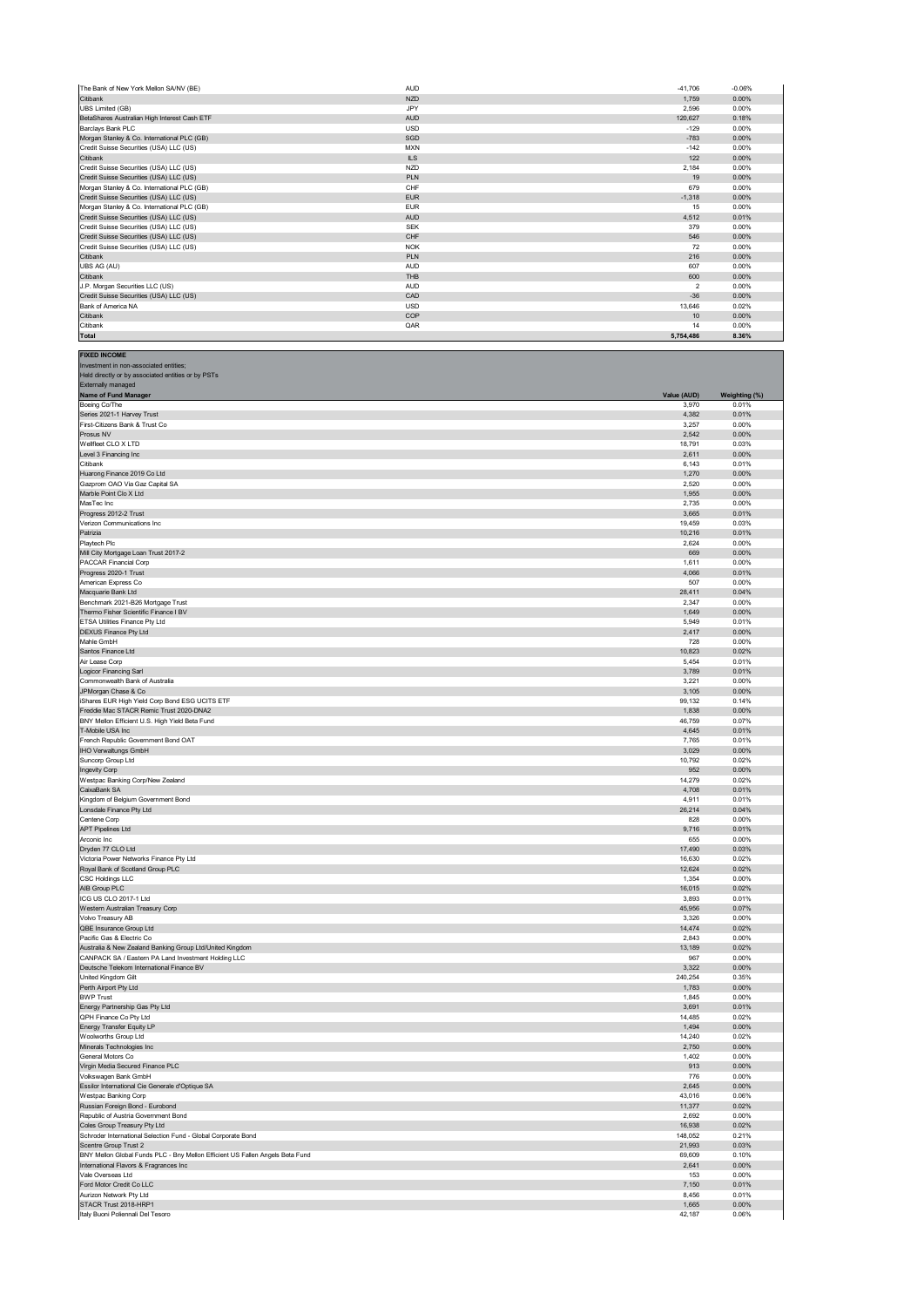| The Bank of New York Mellon SA/NV (BE)       | <b>AUD</b> | $-41.706$       | $-0.06%$ |
|----------------------------------------------|------------|-----------------|----------|
| Citibank                                     | <b>NZD</b> | 1.759           | 0.00%    |
| <b>UBS Limited (GB)</b>                      | JPY        | 2.596           | 0.00%    |
| BetaShares Australian High Interest Cash ETF | <b>AUD</b> | 120,627         | 0.18%    |
| Barclays Bank PLC                            | <b>USD</b> | $-129$          | 0.00%    |
| Morgan Stanley & Co. International PLC (GB)  | SGD        | $-783$          | 0.00%    |
| Credit Suisse Securities (USA) LLC (US)      | <b>MXN</b> | $-142$          | 0.00%    |
| Citibank                                     | <b>ILS</b> | 122             | 0.00%    |
| Credit Suisse Securities (USA) LLC (US)      | <b>NZD</b> | 2.184           | 0.00%    |
| Credit Suisse Securities (USA) LLC (US)      | PLN        | 19              | 0.00%    |
| Morgan Stanley & Co. International PLC (GB)  | CHF        | 679             | 0.00%    |
| Credit Suisse Securities (USA) LLC (US)      | <b>EUR</b> | $-1,318$        | 0.00%    |
| Morgan Stanley & Co. International PLC (GB)  | <b>EUR</b> | 15              | 0.00%    |
| Credit Suisse Securities (USA) LLC (US)      | <b>AUD</b> | 4.512           | 0.01%    |
| Credit Suisse Securities (USA) LLC (US)      | <b>SEK</b> | 379             | 0.00%    |
| Credit Suisse Securities (USA) LLC (US)      | CHF        | 546             | 0.00%    |
| Credit Suisse Securities (USA) LLC (US)      | <b>NOK</b> | 72              | 0.00%    |
| Citibank                                     | PLN        | 216             | 0.00%    |
| UBS AG (AU)                                  | <b>AUD</b> | 607             | 0.00%    |
| Citibank                                     | THB        | 600             | 0.00%    |
| J.P. Morgan Securities LLC (US)              | <b>AUD</b> | $\mathfrak{p}$  | 0.00%    |
| Credit Suisse Securities (USA) LLC (US)      | CAD        | $-36$           | 0.00%    |
| Bank of America NA                           | <b>USD</b> | 13,646          | 0.02%    |
| Citibank                                     | COP        | 10 <sup>1</sup> | 0.00%    |
| Citibank                                     | QAR        | 14              | 0.00%    |
| <b>Total</b>                                 |            | 5,754,486       | 8.36%    |

**FIXED INCOME** Investment in non-associated entities;

| Held directly or by associated entities or by PSTs                            |                  |                   |
|-------------------------------------------------------------------------------|------------------|-------------------|
| Externally managed<br>Name of Fund Manager                                    | Value (AUD)      | Weighting (%)     |
| Boeing Co/The                                                                 | 3,970            | 0.01%             |
| Series 2021-1 Harvey Trust                                                    | 4,382            | 0.01%             |
| First-Citizens Bank & Trust Co                                                | 3,257            | 0.00%             |
| Prosus NV                                                                     | 2,542            | 0.00%             |
| Wellfleet CLO X LTD                                                           | 18,791           | 0.03%             |
| Level 3 Financing Inc<br>Citibank                                             | 2,611            | 0.00%             |
| Huarong Finance 2019 Co Ltd                                                   | 6,143<br>1,270   | 0.01%<br>0.00%    |
| Gazprom OAO Via Gaz Capital SA                                                | 2,520            | 0.00%             |
| Marble Point Clo X Ltd                                                        | 1,955            | 0.00%             |
| MasTec Inc                                                                    | 2,735            | 0.00%             |
| Progress 2012-2 Trust                                                         | 3,665            | 0.01%             |
| Verizon Communications Inc                                                    | 19,459           | 0.03%             |
| Patrizia                                                                      | 10,216           | 0.01%             |
| Playtech Plc                                                                  | 2,624            | 0.00%             |
| Mill City Mortgage Loan Trust 2017-2                                          | 669              | 0.00%             |
| PACCAR Financial Corp                                                         | 1,611            | 0.00%             |
| Progress 2020-1 Trust<br>American Express Co                                  | 4,066<br>507     | 0.01%<br>0.00%    |
| Macquarie Bank Ltd                                                            | 28,411           | 0.04%             |
| Benchmark 2021-B26 Mortgage Trust                                             | 2,347            | 0.00%             |
| Thermo Fisher Scientific Finance I BV                                         | 1,649            | 0.00%             |
| ETSA Utilities Finance Pty Ltd                                                | 5,949            | 0.01%             |
| DEXUS Finance Pty Ltd                                                         | 2,417            | 0.00%             |
| Mahle GmbH                                                                    | 728              | 0.00%             |
| Santos Finance Ltd                                                            | 10,823           | 0.02%             |
| Air Lease Corp<br><b>Logicor Financing Sarl</b>                               | 5,454<br>3,789   | 0.01%<br>0.01%    |
| Commonwealth Bank of Australia                                                | 3,221            | 0.00%             |
| JPMorgan Chase & Co                                                           | 3,105            | 0.00%             |
| iShares EUR High Yield Corp Bond ESG UCITS ETF                                | 99,132           | 0.14%             |
| Freddie Mac STACR Remic Trust 2020-DNA2                                       | 1,838            | 0.00%             |
| BNY Mellon Efficient U.S. High Yield Beta Fund                                | 46,759           | 0.07%             |
| T-Mobile USA Inc                                                              | 4,645            | 0.01%             |
| French Republic Government Bond OAT                                           | 7,765            | 0.01%             |
| IHO Verwaltungs GmbH                                                          | 3,029            | 0.00%             |
| Suncorp Group Ltd                                                             | 10,792           | 0.02%             |
| Ingevity Corp<br>Westpac Banking Corp/New Zealand                             | 952<br>14,279    | 0.00%<br>0.02%    |
| CaixaBank SA                                                                  | 4,708            | 0.01%             |
| Kingdom of Belgium Government Bond                                            | 4,911            | 0.01%             |
| Lonsdale Finance Pty Ltd                                                      | 26,214           | 0.04%             |
| Centene Corp                                                                  | 828              | 0.00%             |
| <b>APT Pipelines Ltd</b>                                                      | 9,716            | 0.01%             |
| Arconic Inc                                                                   | 655              | 0.00%             |
| Dryden 77 CLO Ltd                                                             | 17,490           | 0.03%             |
| Victoria Power Networks Finance Pty Ltd                                       | 16,630           | 0.02%             |
| Royal Bank of Scotland Group PLC                                              | 12,624           | 0.02%             |
| <b>CSC Holdings LLC</b><br>AIB Group PLC                                      | 1,354<br>16,015  | 0.00%<br>0.02%    |
| ICG US CLO 2017-1 Ltd                                                         | 3,893            | 0.01%             |
| Western Australian Treasury Corp                                              | 45,956           | 0.07%             |
| Volvo Treasury AB                                                             | 3,326            | 0.00%             |
| QBE Insurance Group Ltd                                                       | 14,474           | 0.02%             |
| Pacific Gas & Electric Co                                                     | 2,843            | 0.00%             |
| Australia & New Zealand Banking Group Ltd/United Kingdom                      | 13,189           | 0.02%             |
| CANPACK SA / Eastern PA Land Investment Holding LLC                           | 967              | 0.00%             |
| Deutsche Telekom International Finance BV                                     | 3,322            | 0.00%<br>0.35%    |
| United Kingdom Gilt<br>Perth Airport Pty Ltd                                  | 240,254<br>1,783 | 0.00%             |
| <b>BWP Trust</b>                                                              | 1,845            | 0.00%             |
| Energy Partnership Gas Pty Ltd                                                | 3,691            | 0.01%             |
| QPH Finance Co Pty Ltd                                                        | 14,485           | 0.02%             |
| Energy Transfer Equity LP                                                     | 1,494            | 0.00%             |
| Woolworths Group Ltd                                                          | 14,240           | 0.02%             |
| Minerals Technologies Inc                                                     | 2,750            | 0.00%             |
| General Motors Co                                                             | 1,402            | 0.00%             |
| Virgin Media Secured Finance PLC                                              | 913              | 0.00%             |
| Volkswagen Bank GmbH                                                          | 776<br>2,645     | 0.00%<br>$0.00\%$ |
| Essilor International Cie Generale d'Optique SA<br>Westpac Banking Corp       | 43,016           | 0.06%             |
| Russian Foreign Bond - Eurobond                                               | 11,377           | 0.02%             |
| Republic of Austria Government Bond                                           | 2,692            | 0.00%             |
| Coles Group Treasury Pty Ltd                                                  | 16,938           | 0.02%             |
| Schroder International Selection Fund - Global Corporate Bond                 | 148,052          | 0.21%             |
| Scentre Group Trust 2                                                         | 21,993           | 0.03%             |
| BNY Mellon Global Funds PLC - Bny Mellon Efficient US Fallen Angels Beta Fund | 69,609           | 0.10%             |
| International Flavors & Fragrances Inc                                        | 2,641            | $0.00\%$          |
| Vale Overseas Ltd                                                             | 153              | 0.00%             |
| Ford Motor Credit Co LLC                                                      | 7,150            | 0.01%             |
| Aurizon Network Pty Ltd<br>STACR Trust 2018-HRP1                              | 8,456<br>1,665   | 0.01%<br>$0.00\%$ |
| Italy Buoni Poliennali Del Tesoro                                             | 42,187           | 0.06%             |
|                                                                               |                  |                   |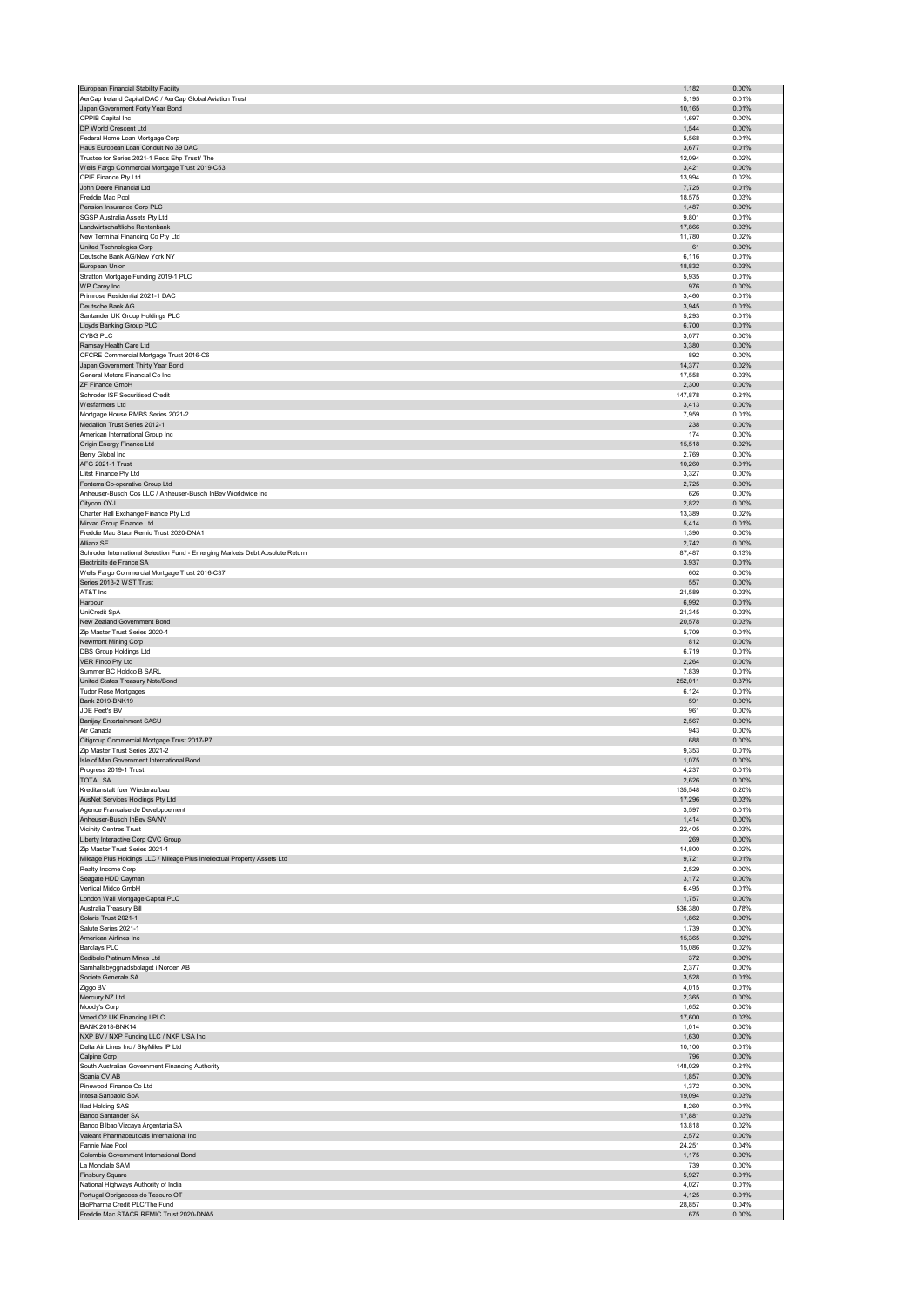|                                                                                                             | 1,182            | 0.00%             |
|-------------------------------------------------------------------------------------------------------------|------------------|-------------------|
| AerCap Ireland Capital DAC / AerCap Global Aviation Trust                                                   | 5,195            | 0.01%             |
| Japan Government Forty Year Bond                                                                            | 10,165           | 0.01%             |
| CPPIB Capital Inc<br>DP World Crescent Ltd                                                                  | 1,697<br>1,544   | 0.00%<br>0.00%    |
| Federal Home Loan Mortgage Corp                                                                             | 5,568            | 0.01%             |
| Haus European Loan Conduit No 39 DAC                                                                        | 3,677            | 0.01%             |
| Trustee for Series 2021-1 Reds Ehp Trust/ The                                                               | 12,094           | 0.02%             |
| Wells Fargo Commercial Mortgage Trust 2019-C53                                                              | 3,421            | $0.00\%$          |
| CPIF Finance Pty Ltd                                                                                        | 13,994           | 0.02%             |
| John Deere Financial Ltd<br>Freddie Mac Pool                                                                | 7,725            | 0.01%             |
| Pension Insurance Corp PLC                                                                                  | 18,575<br>1,487  | 0.03%<br>0.00%    |
| SGSP Australia Assets Pty Ltd                                                                               | 9,801            | 0.01%             |
| Landwirtschaftliche Rentenbank                                                                              | 17,866           | 0.03%             |
| New Terminal Financing Co Pty Ltd                                                                           | 11,780           | 0.02%             |
| United Technologies Corp                                                                                    | 61               | $0.00\%$          |
| Deutsche Bank AG/New York NY                                                                                | 6,116            | 0.01%             |
| European Union                                                                                              | 18,832           | 0.03%             |
| Stratton Mortgage Funding 2019-1 PLC                                                                        | 5,935            | 0.01%             |
| WP Carey Inc<br>Primrose Residential 2021-1 DAC                                                             | 976<br>3,460     | 0.00%<br>0.01%    |
| Deutsche Bank AG                                                                                            | 3,945            | 0.01%             |
| Santander UK Group Holdings PLC                                                                             | 5,293            | 0.01%             |
| Lloyds Banking Group PLC                                                                                    | 6,700            | 0.01%             |
| CYBG PLC                                                                                                    | 3,077            | 0.00%             |
| Ramsay Health Care Ltd                                                                                      | 3,380            | 0.00%             |
| CFCRE Commercial Mortgage Trust 2016-C6                                                                     | 892              | 0.00%             |
| Japan Government Thirty Year Bond                                                                           | 14,377           | 0.02%             |
| General Motors Financial Co Inc<br>ZF Finance GmbH                                                          | 17,558<br>2,300  | 0.03%<br>0.00%    |
| Schroder ISF Securitised Credit                                                                             | 147,878          | 0.21%             |
| Wesfarmers Ltd                                                                                              | 3,413            | 0.00%             |
| Mortgage House RMBS Series 2021-2                                                                           | 7,959            | 0.01%             |
| Medallion Trust Series 2012-1                                                                               | 238              | 0.00%             |
| American International Group Inc                                                                            | 174              | 0.00%             |
| Origin Energy Finance Ltd                                                                                   | 15,518           | 0.02%             |
| Berry Global Inc                                                                                            | 2,769            | 0.00%             |
| <b>AFG 2021-1 Trust</b><br>Llitst Finance Pty Ltd                                                           | 10,260           | 0.01%<br>0.00%    |
| Fonterra Co-operative Group Ltd                                                                             | 3,327<br>2,725   | 0.00%             |
| Anheuser-Busch Cos LLC / Anheuser-Busch InBev Worldwide Inc                                                 | 626              | 0.00%             |
| Citycon OYJ                                                                                                 | 2,822            | 0.00%             |
| Charter Hall Exchange Finance Pty Ltd                                                                       | 13,389           | 0.02%             |
| Mirvac Group Finance Ltd                                                                                    | 5,414            | 0.01%             |
| Freddie Mac Stacr Remic Trust 2020-DNA1                                                                     | 1,390            | 0.00%             |
| Allianz SE                                                                                                  | 2,742            | 0.00%             |
| Schroder International Selection Fund - Emerging Markets Debt Absolute Return                               | 87,487           | 0.13%             |
| Electricite de France SA<br>Wells Fargo Commercial Mortgage Trust 2016-C37                                  | 3,937<br>602     | 0.01%<br>0.00%    |
| Series 2013-2 WST Trust                                                                                     | 557              | 0.00%             |
| AT&T Inc                                                                                                    | 21,589           | 0.03%             |
| Harbour                                                                                                     | 6,992            | 0.01%             |
| UniCredit SpA                                                                                               | 21,345           | 0.03%             |
| New Zealand Government Bond                                                                                 | 20,578           | 0.03%             |
| Zip Master Trust Series 2020-1                                                                              | 5,709            | 0.01%             |
| Newmont Mining Corp<br>DBS Group Holdings Ltd                                                               | 812<br>6,719     | $0.00\%$<br>0.01% |
| VER Finco Pty Ltd                                                                                           | 2,264            | 0.00%             |
| Summer BC Holdco B SARL                                                                                     | 7,839            | 0.01%             |
| United States Treasury Note/Bond                                                                            | 252,011          | 0.37%             |
|                                                                                                             | 6,124            | 0.01%             |
| <b>Tudor Rose Mortgages</b>                                                                                 |                  |                   |
| Bank 2019-BNK19                                                                                             | 591              | 0.00%             |
| JDE Peet's BV                                                                                               | 961              | 0.00%             |
| Banijay Entertainment SASU                                                                                  | 2,567            | 0.00%             |
| Air Canada                                                                                                  | 943              | 0.00%             |
| Citigroup Commercial Mortgage Trust 2017-P7                                                                 | 688              | 0.00%             |
| Zip Master Trust Series 2021-2                                                                              | 9,353            | 0.01%             |
| Isle of Man Government International Bond                                                                   | 1,075            | 0.00%             |
| Progress 2019-1 Trust<br><b>TOTAL SA</b>                                                                    | 4,237<br>2.626   | 0.01%<br>0.00%    |
| Kreditanstalt fuer Wiederaufbau                                                                             | 135,548          | 0.20%             |
| AusNet Services Holdings Pty Ltd                                                                            | 17,296           | 0.03%             |
| Agence Francaise de Developpement                                                                           | 3,597            | 0.01%             |
| Anheuser-Busch InBev SA/NV                                                                                  | 1,414            | $0.00\%$          |
| Vicinity Centres Trust                                                                                      | 22,405           | 0.03%             |
| Liberty Interactive Corp QVC Group                                                                          | 269              | 0.00%             |
| Zip Master Trust Series 2021-1<br>Mileage Plus Holdings LLC / Mileage Plus Intellectual Property Assets Ltd | 14,800<br>9,721  | 0.02%<br>0.01%    |
| Realty Income Corp                                                                                          | 2,529            | 0.00%             |
| Seagate HDD Cayman                                                                                          | 3,172            | 0.00%             |
| Vertical Midco GmbH                                                                                         | 6,495            | 0.01%             |
| London Wall Mortgage Capital PLC                                                                            | 1,757            | $0.00\%$          |
| Australia Treasury Bill                                                                                     | 536,380          | 0.78%             |
| Solaris Trust 2021-1                                                                                        | 1,862            | 0.00%             |
| Salute Series 2021-1                                                                                        | 1,739            | 0.00%             |
| American Airlines Inc                                                                                       | 15,365           | 0.02%             |
| <b>Barclays PLC</b><br>Sedibelo Platinum Mines Ltd                                                          | 15,086<br>372    | 0.02%<br>0.00%    |
| Samhallsbyggnadsbolaget i Norden AB                                                                         | 2,377            | 0.00%             |
| Societe Generale SA                                                                                         | 3,528            | 0.01%             |
| Ziggo BV                                                                                                    | 4,015            | 0.01%             |
| Mercury NZ Ltd                                                                                              | 2,365            | 0.00%             |
| Moody's Corp                                                                                                | 1,652            | 0.00%             |
| Vmed O2 UK Financing I PLC                                                                                  | 17,600           | 0.03%             |
| <b>BANK 2018-BNK14</b><br>NXP BV / NXP Funding LLC / NXP USA Inc                                            | 1,014<br>1,630   | 0.00%<br>0.00%    |
| Delta Air Lines Inc / SkyMiles IP Ltd                                                                       | 10,100           | 0.01%             |
| Calpine Corp                                                                                                | 796              | 0.00%             |
| South Australian Government Financing Authority                                                             | 148,029          | 0.21%             |
| Scania CV AB                                                                                                | 1,857            | 0.00%             |
| Pinewood Finance Co Ltd                                                                                     | 1,372            | 0.00%             |
| Intesa Sanpaolo SpA                                                                                         | 19,094           | 0.03%             |
| Iliad Holding SAS                                                                                           | 8,260            | 0.01%             |
| Banco Santander SA                                                                                          | 17,881<br>13,818 | 0.03%<br>0.02%    |
| Banco Bilbao Vizcaya Argentaria SA<br>Valeant Pharmaceuticals International Inc                             | 2,572            | 0.00%             |
| Fannie Mae Pool                                                                                             | 24,251           | 0.04%             |
| Colombia Government International Bond                                                                      | 1,175            | 0.00%             |
| La Mondiale SAM                                                                                             | 739              | 0.00%             |
| Finsbury Square                                                                                             | 5,927            | 0.01%             |
| National Highways Authority of India                                                                        | 4,027            | 0.01%             |
| Portugal Obrigacoes do Tesouro OT<br>BioPharma Credit PLC/The Fund                                          | 4,125            | 0.01%<br>0.04%    |
| Freddie Mac STACR REMIC Trust 2020-DNA5                                                                     | 28,857<br>675    | $0.00\%$          |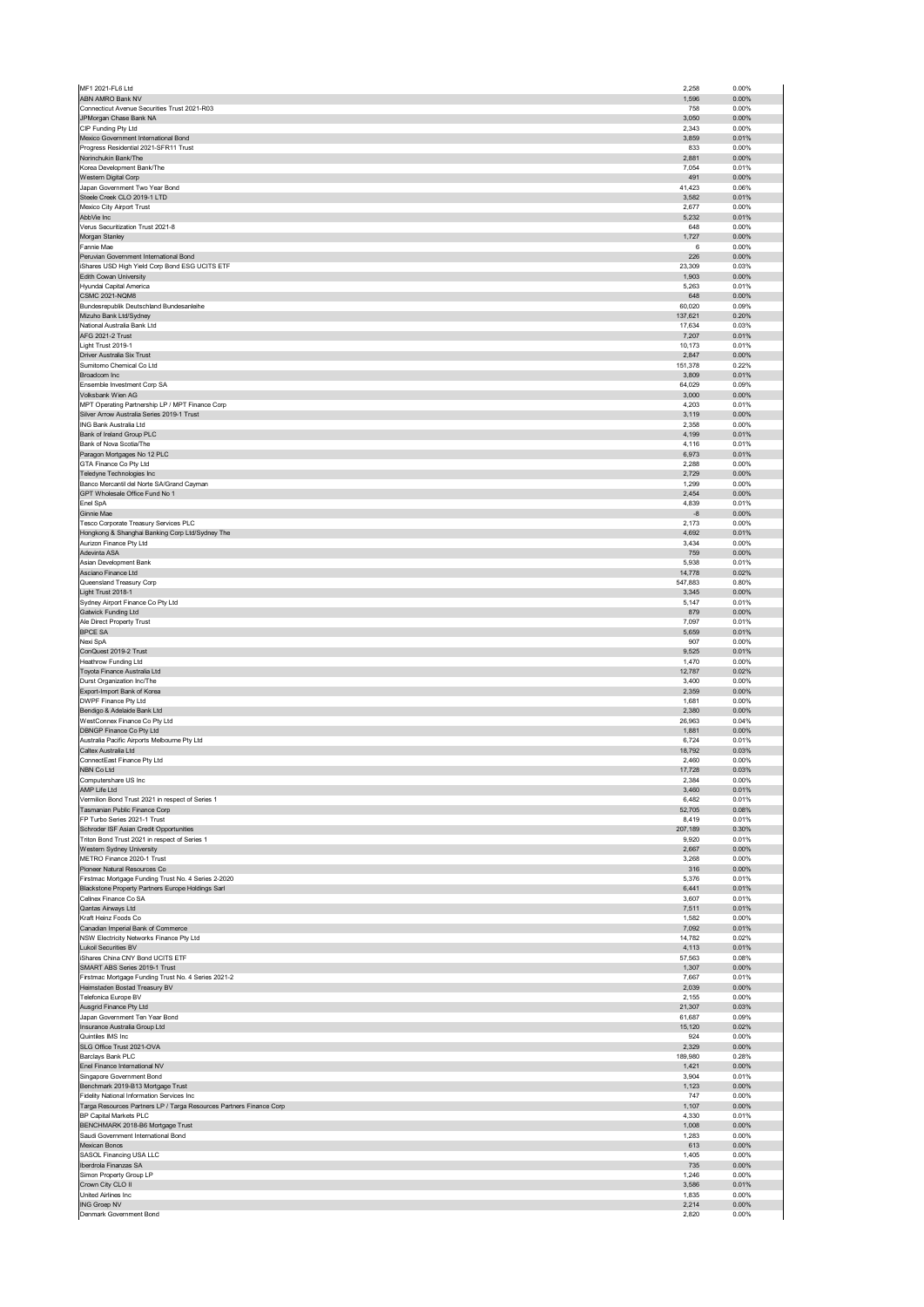| MF1 2021-FL6 Ltd                                                                              | 2,258            | 0.00%             |
|-----------------------------------------------------------------------------------------------|------------------|-------------------|
| ABN AMRO Bank NV                                                                              | 1,596            | 0.00%             |
| Connecticut Avenue Securities Trust 2021-R03                                                  | 758              | 0.00%             |
| JPMorgan Chase Bank NA<br>CIP Funding Pty Ltd                                                 | 3,050<br>2,343   | 0.00%<br>0.00%    |
| Mexico Government International Bond                                                          | 3,859            | 0.01%             |
| Progress Residential 2021-SFR11 Trust                                                         | 833              | 0.00%             |
| Norinchukin Bank/The                                                                          | 2,881            | 0.00%             |
| Korea Development Bank/The                                                                    | 7,054            | 0.01%             |
| Western Digital Corp                                                                          | 491              | 0.00%             |
| Japan Government Two Year Bond                                                                | 41,423           | 0.06%             |
| Steele Creek CLO 2019-1 LTD<br>Mexico City Airport Trust                                      | 3,582<br>2,677   | 0.01%<br>0.00%    |
| AbbVie Inc                                                                                    | 5,232            | 0.01%             |
| Verus Securitization Trust 2021-8                                                             | 648              | 0.00%             |
| Morgan Stanley                                                                                | 1,727            | 0.00%             |
| Fannie Mae                                                                                    | 6                | 0.00%             |
| Peruvian Government International Bond                                                        | 226              | 0.00%             |
| iShares USD High Yield Corp Bond ESG UCITS ETF                                                | 23,309           | 0.03%             |
| Edith Cowan University                                                                        | 1,903            | 0.00%             |
| Hyundai Capital America                                                                       | 5,263            | 0.01%             |
| <b>CSMC 2021-NQM8</b><br>Bundesrepublik Deutschland Bundesanleihe                             | 648<br>60,020    | 0.00%<br>0.09%    |
| Mizuho Bank Ltd/Sydney                                                                        | 137,621          | 0.20%             |
| National Australia Bank Ltd                                                                   | 17,634           | 0.03%             |
| AFG 2021-2 Trust                                                                              | 7,207            | 0.01%             |
| Light Trust 2019-1                                                                            | 10,173           | 0.01%             |
| Driver Australia Six Trust                                                                    | 2,847            | 0.00%             |
| Sumitomo Chemical Co Ltd                                                                      | 151,378          | 0.22%             |
| Broadcom Inc                                                                                  | 3,809            | 0.01%             |
| Ensemble Investment Corp SA                                                                   | 64,029           | 0.09%<br>0.00%    |
| Volksbank Wien AG<br>MPT Operating Partnership LP / MPT Finance Corp                          | 3,000<br>4,203   | 0.01%             |
| Silver Arrow Australia Series 2019-1 Trust                                                    | 3,119            | $0.00\%$          |
| ING Bank Australia Ltd                                                                        | 2,358            | 0.00%             |
| Bank of Ireland Group PLC                                                                     | 4,199            | 0.01%             |
| Bank of Nova Scotia/The                                                                       | 4,116            | 0.01%             |
| Paragon Mortgages No 12 PLC                                                                   | 6,973            | 0.01%             |
| GTA Finance Co Pty Ltd                                                                        | 2,288            | 0.00%             |
| Teledyne Technologies Inc                                                                     | 2,729            | 0.00%             |
| Banco Mercantil del Norte SA/Grand Cayman                                                     | 1,299            | 0.00%             |
| GPT Wholesale Office Fund No 1                                                                | 2,454            | $0.00\%$<br>0.01% |
| Enel SpA<br>Ginnie Mae                                                                        | 4,839<br>-8      | 0.00%             |
| Tesco Corporate Treasury Services PLC                                                         | 2,173            | 0.00%             |
| Hongkong & Shanghai Banking Corp Ltd/Sydney The                                               | 4,692            | 0.01%             |
| Aurizon Finance Pty Ltd                                                                       | 3,434            | 0.00%             |
| Adevinta ASA                                                                                  | 759              | 0.00%             |
| Asian Development Bank                                                                        | 5,938            | 0.01%             |
| Asciano Finance Ltd                                                                           | 14,778           | 0.02%             |
| Queensland Treasury Corp                                                                      | 547,883          | 0.80%             |
| Light Trust 2018-1                                                                            | 3,345            | 0.00%             |
| Sydney Airport Finance Co Pty Ltd                                                             | 5,147            | 0.01%             |
| Gatwick Funding Ltd<br>Ale Direct Property Trust                                              | 879<br>7,097     | 0.00%<br>0.01%    |
| <b>BPCE SA</b>                                                                                | 5,659            | 0.01%             |
| Nexi SpA                                                                                      | 907              | 0.00%             |
| ConQuest 2019-2 Trust                                                                         | 9,525            | 0.01%             |
| Heathrow Funding Ltd                                                                          | 1,470            | 0.00%             |
| Toyota Finance Australia Ltd                                                                  | 12,787           | 0.02%             |
| Durst Organization Inc/The                                                                    | 3,400            | 0.00%             |
| Export-Import Bank of Korea                                                                   | 2,359            | 0.00%             |
| DWPF Finance Pty Ltd                                                                          | 1,681            | 0.00%             |
| Bendigo & Adelaide Bank Ltd                                                                   | 2,380            | 0.00%             |
| WestConnex Finance Co Pty Ltd<br>DBNGP Finance Co Pty Ltd                                     | 26,963<br>1,881  | 0.04%<br>0.00%    |
| Australia Pacific Airports Melbourne Pty Ltd                                                  | 6,724            | 0.01%             |
| Caltex Australia Ltd                                                                          | 18,792           | 0.03%             |
| ConnectEast Finance Pty Ltd                                                                   | 2,460            | 0.00%             |
| NBN Co Ltd                                                                                    | 17,728           | 0.03%             |
| Computershare US Inc.                                                                         | 2.384            | 0.00%             |
| AMP Life Ltd                                                                                  | 3,460            | 0.01%             |
| Vermilion Bond Trust 2021 in respect of Series 1                                              | 6,482            | 0.01%             |
| Tasmanian Public Finance Corp                                                                 | 52,705           | 0.08%             |
| FP Turbo Series 2021-1 Trust                                                                  | 8,419<br>207,189 | 0.01%<br>0.30%    |
| Schroder ISF Asian Credit Opportunities<br>Triton Bond Trust 2021 in respect of Series 1      | 9,920            | 0.01%             |
| Western Sydney University                                                                     | 2,667            | 0.00%             |
| METRO Finance 2020-1 Trust                                                                    | 3,268            | 0.00%             |
| Pioneer Natural Resources Co                                                                  | 316              | 0.00%             |
|                                                                                               |                  | 0.01%             |
| Firstmac Mortgage Funding Trust No. 4 Series 2-2020                                           | 5,376            |                   |
| Blackstone Property Partners Europe Holdings Sarl                                             | 6,441            | 0.01%             |
| Cellnex Finance Co SA                                                                         | 3,607            | 0.01%             |
| Qantas Airways Ltd                                                                            | 7,511            | 0.01%             |
| Kraft Heinz Foods Co                                                                          | 1,582            | 0.00%             |
| Canadian Imperial Bank of Commerce<br>NSW Electricity Networks Finance Pty Ltd                | 7,092<br>14,782  | 0.01%<br>0.02%    |
| Lukoil Securities BV                                                                          | 4,113            | 0.01%             |
| iShares China CNY Bond UCITS ETF                                                              | 57,563           | 0.08%             |
| SMART ABS Series 2019-1 Trust                                                                 | 1,307            | 0.00%             |
| Firstmac Mortgage Funding Trust No. 4 Series 2021-2                                           | 7,667            | 0.01%             |
| Heimstaden Bostad Treasury BV                                                                 | 2,039            | $0.00\%$          |
| Telefonica Europe BV                                                                          | 2,155            | 0.00%             |
| Ausgrid Finance Pty Ltd                                                                       | 21,307           | 0.03%             |
| Japan Government Ten Year Bond<br>Insurance Australia Group Ltd                               | 61,687<br>15,120 | 0.09%<br>0.02%    |
| Quintiles IMS Inc                                                                             | 924              | 0.00%             |
| SLG Office Trust 2021-OVA                                                                     | 2,329            | 0.00%             |
| Barclays Bank PLC                                                                             | 189,980          | 0.28%             |
| Enel Finance International NV                                                                 | 1,421            | $0.00\%$          |
| Singapore Government Bond                                                                     | 3,904            | 0.01%             |
| Benchmark 2019-B13 Mortgage Trust                                                             | 1,123            | 0.00%             |
| Fidelity National Information Services Inc                                                    | 747              | 0.00%             |
| Targa Resources Partners LP / Targa Resources Partners Finance Corp<br>BP Capital Markets PLC | 1,107<br>4,330   | $0.00\%$<br>0.01% |
| BENCHMARK 2018-B6 Mortgage Trust                                                              | 1,008            | 0.00%             |
| Saudi Government International Bond                                                           | 1,283            | 0.00%             |
| Mexican Bonos                                                                                 | 613              | $0.00\%$          |
| SASOL Financing USA LLC                                                                       | 1,405            | 0.00%             |
| Iberdrola Finanzas SA                                                                         | 735              | 0.00%             |
| Simon Property Group LP                                                                       | 1,246            | 0.00%             |
| Crown City CLO II                                                                             | 3,586            | 0.01%             |
| United Airlines Inc<br><b>ING Groep NV</b>                                                    | 1,835<br>2,214   | 0.00%<br>0.00%    |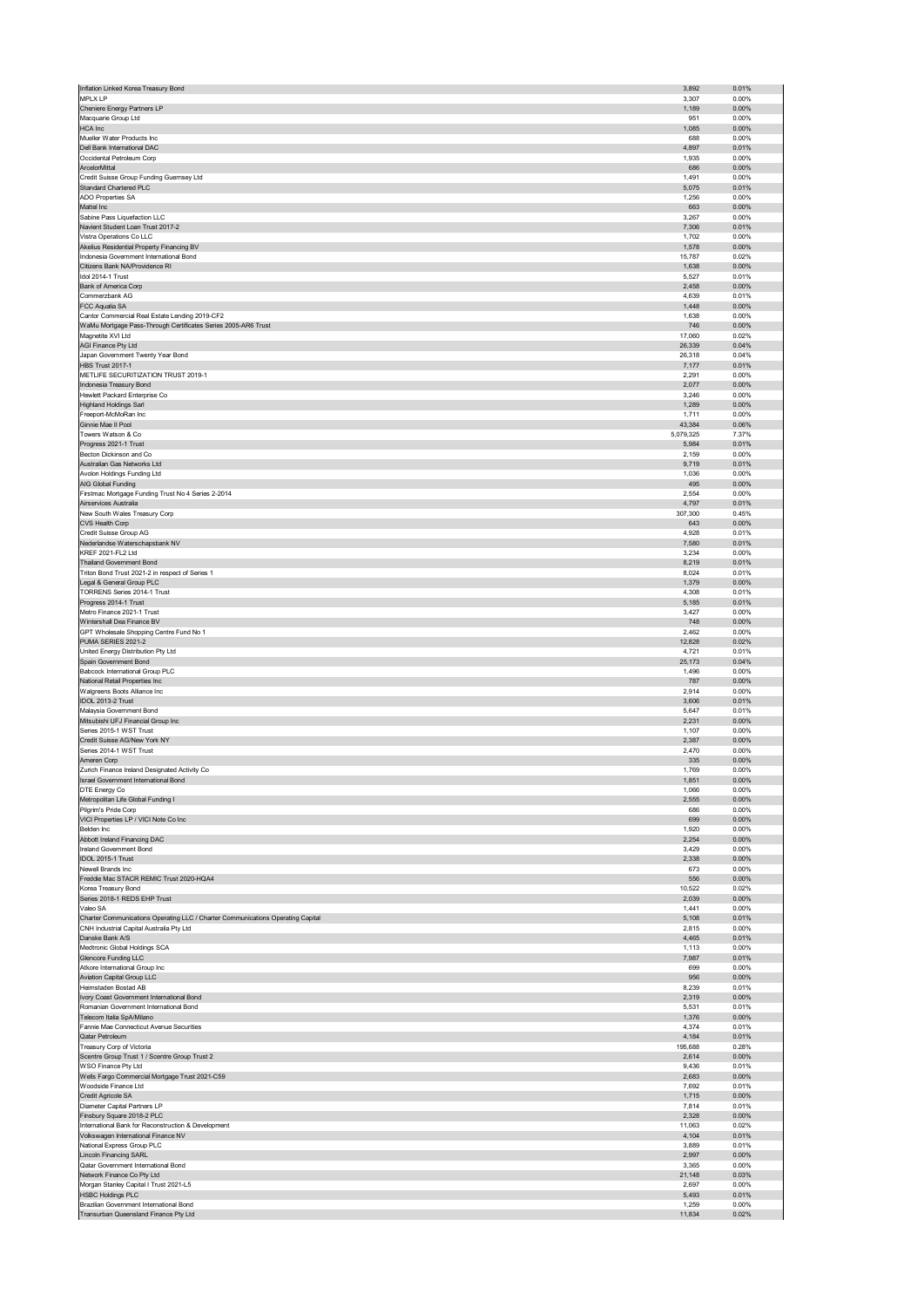| Inflation Linked Korea Treasury Bond                                             | 3,892           | 0.01%             |
|----------------------------------------------------------------------------------|-----------------|-------------------|
| <b>MPLX LP</b>                                                                   | 3,307           | 0.00%             |
| Cheniere Energy Partners LP                                                      | 1,189           | 0.00%             |
| Macquarie Group Ltd                                                              | 951             | 0.00%             |
| HCA Inc                                                                          | 1,085           | 0.00%             |
| Mueller Water Products Inc                                                       | 688             | 0.00%             |
| Dell Bank International DAC<br>Occidental Petroleum Corp                         | 4,897<br>1,935  | 0.01%<br>0.00%    |
| ArcelorMittal                                                                    | 686             | 0.00%             |
| Credit Suisse Group Funding Guernsey Ltd                                         | 1,491           | 0.00%             |
| Standard Chartered PLC                                                           | 5,075           | 0.01%             |
| ADO Properties SA                                                                | 1,256           | 0.00%             |
| Mattel Inc                                                                       | 663             | 0.00%             |
| Sabine Pass Liquefaction LLC                                                     | 3,267           | 0.00%             |
| Navient Student Loan Trust 2017-2                                                | 7,306           | 0.01%             |
| Vistra Operations Co LLC                                                         | 1,702           | 0.00%             |
| Akelius Residential Property Financing BV                                        | 1,578           | 0.00%             |
| Indonesia Government International Bond<br>Citizens Bank NA/Providence RI        | 15,787<br>1,638 | 0.02%<br>0.00%    |
| Idol 2014-1 Trust                                                                | 5,527           | 0.01%             |
| Bank of America Corp                                                             | 2,458           | 0.00%             |
| Commerzbank AG                                                                   | 4,639           | 0.01%             |
| FCC Aqualia SA                                                                   | 1,448           | $0.00\%$          |
| Cantor Commercial Real Estate Lending 2019-CF2                                   | 1,638           | 0.00%             |
| WaMu Mortgage Pass-Through Certificates Series 2005-AR6 Trust                    | 746             | 0.00%             |
| Magnetite XVI Ltd                                                                | 17,060          | 0.02%             |
| AGI Finance Pty Ltd                                                              | 26,339          | 0.04%             |
| Japan Government Twenty Year Bond<br><b>HBS Trust 2017-1</b>                     | 26,318<br>7,177 | 0.04%<br>0.01%    |
| METLIFE SECURITIZATION TRUST 2019-1                                              | 2,291           | 0.00%             |
| Indonesia Treasury Bond                                                          | 2,077           | 0.00%             |
| Hewlett Packard Enterprise Co                                                    | 3,246           | 0.00%             |
| <b>Highland Holdings Sarl</b>                                                    | 1,289           | $0.00\%$          |
| Freeport-McMoRan Inc                                                             | 1,711           | 0.00%             |
| Ginnie Mae II Pool                                                               | 43,384          | 0.06%             |
| Towers Watson & Co                                                               | 5,079,325       | 7.37%             |
| Progress 2021-1 Trust<br>Becton Dickinson and Co                                 | 5,984<br>2,159  | 0.01%<br>0.00%    |
| Australian Gas Networks Ltd                                                      | 9,719           | 0.01%             |
| Avolon Holdings Funding Ltd                                                      | 1,036           | 0.00%             |
| AIG Global Funding                                                               | 495             | 0.00%             |
| Firstmac Mortgage Funding Trust No 4 Series 2-2014                               | 2,554           | 0.00%             |
| Airservices Australia                                                            | 4,797           | 0.01%             |
| New South Wales Treasury Corp                                                    | 307,300         | 0.45%             |
| CVS Health Corp                                                                  | 643             | 0.00%             |
| Credit Suisse Group AG                                                           | 4,928           | 0.01%             |
| Nederlandse Waterschapsbank NV                                                   | 7,580           | 0.01%             |
| KREF 2021-FL2 Ltd                                                                | 3,234           | 0.00%             |
| Thailand Government Bond<br>Triton Bond Trust 2021-2 in respect of Series 1      | 8,219<br>8,024  | 0.01%<br>0.01%    |
| Legal & General Group PLC                                                        | 1,379           | 0.00%             |
| <b>TORRENS Series 2014-1 Trust</b>                                               | 4,308           | 0.01%             |
| Progress 2014-1 Trust                                                            | 5,185           | 0.01%             |
| Metro Finance 2021-1 Trust                                                       | 3,427           | 0.00%             |
| Wintershall Dea Finance BV                                                       | 748             | 0.00%             |
| GPT Wholesale Shopping Centre Fund No 1                                          | 2,462           | 0.00%             |
| PUMA SERIES 2021-2                                                               | 12,828          | 0.02%             |
| United Energy Distribution Pty Ltd                                               | 4,721           | 0.01%<br>0.04%    |
|                                                                                  | 25,173          |                   |
| Spain Government Bond                                                            |                 |                   |
| Babcock International Group PLC                                                  | 1,496           | 0.00%             |
| National Retail Properties Inc                                                   | 787             | 0.00%             |
| Walgreens Boots Alliance Inc<br>IDOL 2013-2 Trust                                | 2,914<br>3,606  | 0.00%<br>0.01%    |
| Malaysia Government Bond                                                         | 5,647           | 0.01%             |
| Mitsubishi UFJ Financial Group Inc                                               | 2,231           | 0.00%             |
| Series 2015-1 WST Trust                                                          | 1,107           | 0.00%             |
| Credit Suisse AG/New York NY                                                     | 2,387           | 0.00%             |
| Series 2014-1 WST Trust                                                          | 2,470           | 0.00%             |
| Ameren Corp                                                                      | 335             | 0.00%             |
| Zurich Finance Ireland Designated Activity Co                                    | 1,769           | 0.00%             |
| Israel Government International Bond                                             | 1.851           | 0.00%<br>0.00%    |
| DTE Energy Co<br>Metropolitan Life Global Funding I                              | 1,066<br>2,555  | 0.00%             |
| Pilgrim's Pride Corp                                                             | 686             | 0.00%             |
| VICI Properties LP / VICI Note Co Inc                                            | 699             | 0.00%             |
| <b>Belden Inc.</b>                                                               | 1,920           | 0.00%             |
| Abbott Ireland Financing DAC                                                     | 2,254           | 0.00%             |
| Ireland Government Bond                                                          | 3,429           | 0.00%             |
| IDOL 2015-1 Trust                                                                | 2,338           | 0.00%             |
| Newell Brands Inc.                                                               | 673             | 0.00%             |
| Freddie Mac STACR REMIC Trust 2020-HQA4<br>Korea Treasury Bond                   | 556<br>10,522   | 0.00%<br>0.02%    |
| Series 2018-1 REDS EHP Trust                                                     | 2,039           | 0.00%             |
| Valeo SA                                                                         | 1,441           | 0.00%             |
| Charter Communications Operating LLC / Charter Communications Operating Capital  | 5,108           | 0.01%             |
| CNH Industrial Capital Australia Pty Ltd                                         | 2,815           | 0.00%             |
| Danske Bank A/S                                                                  | 4,465           | 0.01%             |
| Medtronic Global Holdings SCA                                                    | 1,113           | 0.00%             |
| Glencore Funding LLC                                                             | 7,987           | 0.01%             |
| Atkore International Group Inc<br>Aviation Capital Group LLC                     | 699<br>956      | 0.00%<br>$0.00\%$ |
| Heimstaden Bostad AB                                                             | 8,239           | 0.01%             |
| Ivory Coast Government International Bond                                        | 2,319           | 0.00%             |
| Romanian Government International Bond                                           | 5,531           | 0.01%             |
| Telecom Italia SpA/Milano                                                        | 1,376           | $0.00\%$          |
| Fannie Mae Connecticut Avenue Securities                                         | 4,374           | 0.01%             |
| Qatar Petroleum                                                                  | 4,184           | 0.01%             |
| Treasury Corp of Victoria                                                        | 195,688         | 0.28%             |
| Scentre Group Trust 1 / Scentre Group Trust 2<br>WSO Finance Pty Ltd             | 2,614<br>9,436  | $0.00\%$<br>0.01% |
| Wells Fargo Commercial Mortgage Trust 2021-C59                                   | 2,683           | 0.00%             |
| Woodside Finance Ltd                                                             | 7,692           | 0.01%             |
| Credit Agricole SA                                                               | 1,715           | $0.00\%$          |
| Diameter Capital Partners LP                                                     | 7,814           | 0.01%             |
| Finsbury Square 2018-2 PLC                                                       | 2,328           | $0.00\%$          |
| International Bank for Reconstruction & Development                              | 11,063          | 0.02%             |
| Volkswagen International Finance NV                                              | 4,104           | 0.01%             |
| National Express Group PLC                                                       | 3,889<br>2,997  | 0.01%<br>0.00%    |
| Lincoln Financing SARL<br>Qatar Government International Bond                    | 3,365           | 0.00%             |
| Network Finance Co Pty Ltd                                                       | 21,148          | 0.03%             |
| Morgan Stanley Capital I Trust 2021-L5                                           | 2,697           | 0.00%             |
| <b>HSBC Holdings PLC</b>                                                         | 5,493           | 0.01%             |
| Brazilian Government International Bond<br>Transurban Queensland Finance Pty Ltd | 1,259<br>11,834 | 0.00%<br>0.02%    |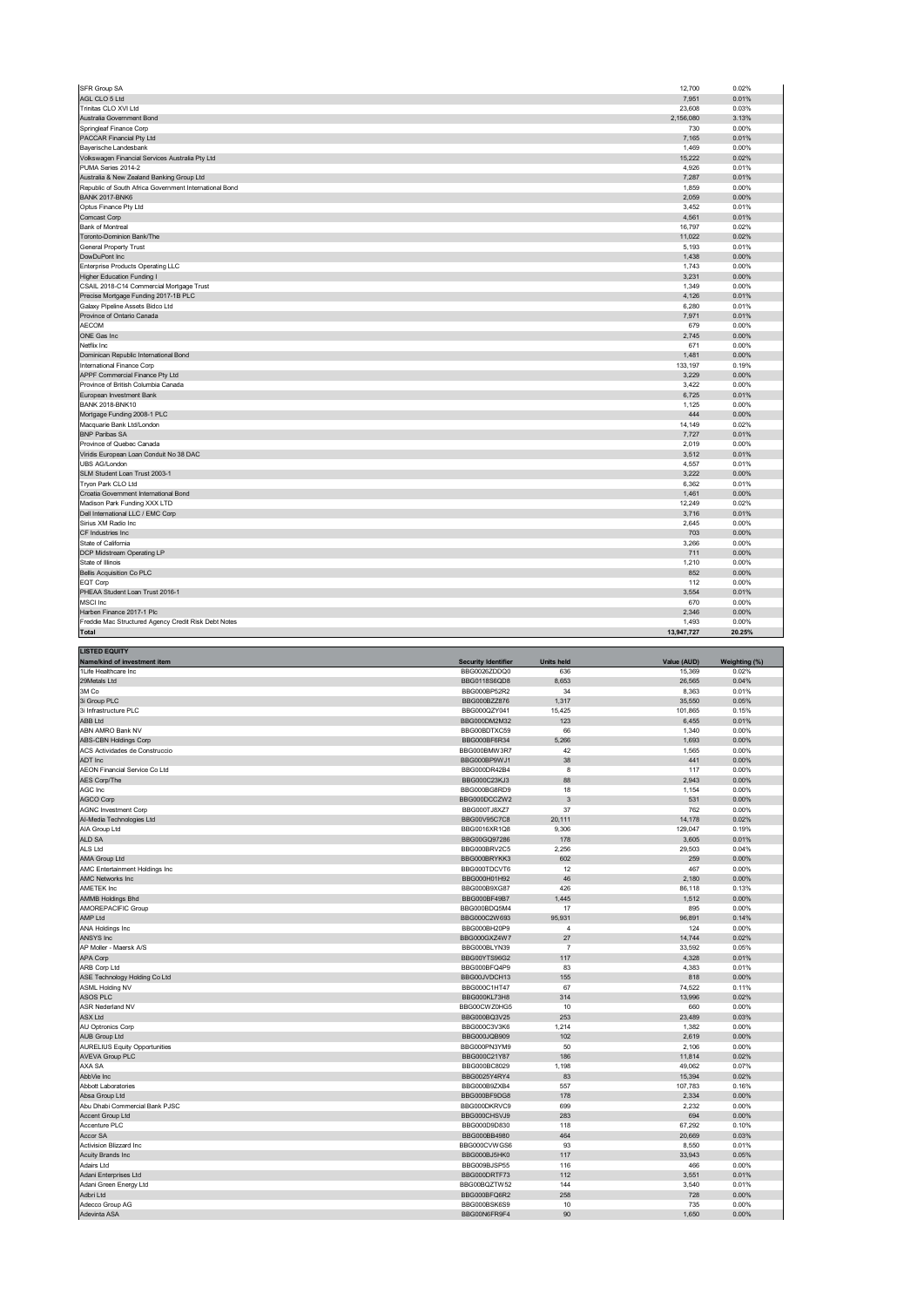| SFR Group SA                                                          | 12,700       | 0.02%  |
|-----------------------------------------------------------------------|--------------|--------|
| AGL CLO 5 Ltd                                                         | 7,951        | 0.01%  |
| Trinitas CLO XVI Ltd                                                  | 23,608       | 0.03%  |
| Australia Government Bond                                             | 2,156,080    | 3.13%  |
| Springleaf Finance Corp                                               | 730          | 0.00%  |
| PACCAR Financial Pty Ltd                                              | 7,165        | 0.01%  |
| Bayerische Landesbank                                                 | 1,469        | 0.00%  |
| Volkswagen Financial Services Australia Pty Ltd                       | 15,222       | 0.02%  |
| PUMA Series 2014-2                                                    | 4,926        | 0.01%  |
| Australia & New Zealand Banking Group Ltd                             | 7,287        | 0.01%  |
| Republic of South Africa Government International Bond                | 1,859        | 0.00%  |
| <b>BANK 2017-BNK6</b>                                                 | 2,059        | 0.00%  |
| Optus Finance Pty Ltd                                                 | 3,452        | 0.01%  |
| Comcast Corp                                                          | 4,561        | 0.01%  |
| Bank of Montreal                                                      | 16,797       | 0.02%  |
| Toronto-Dominion Bank/The                                             | 11,022       | 0.02%  |
| <b>General Property Trust</b>                                         | 5,193        | 0.01%  |
| DowDuPont Inc                                                         | 1,438        | 0.00%  |
| Enterprise Products Operating LLC                                     | 1,743        | 0.00%  |
| Higher Education Funding I                                            | 3,231        | 0.00%  |
| CSAIL 2018-C14 Commercial Mortgage Trust                              | 1,349        | 0.00%  |
| Precise Mortgage Funding 2017-1B PLC                                  | 4,126        | 0.01%  |
| Galaxy Pipeline Assets Bidco Ltd                                      | 6,280        | 0.01%  |
| Province of Ontario Canada                                            | 7,971        | 0.01%  |
| <b>AECOM</b>                                                          | 679          | 0.00%  |
| ONE Gas Inc                                                           | 2,745        | 0.00%  |
| Netflix Inc                                                           | 671          | 0.00%  |
| Dominican Republic International Bond                                 | 1,481        | 0.00%  |
| International Finance Corp                                            | 133,197      | 0.19%  |
| APPF Commercial Finance Pty Ltd                                       | 3,229        | 0.00%  |
| Province of British Columbia Canada                                   | 3,422        | 0.00%  |
| European Investment Bank                                              | 6,725        | 0.01%  |
| <b>BANK 2018-BNK10</b>                                                | 1.125        | 0.00%  |
| Mortgage Funding 2008-1 PLC                                           | 444          | 0.00%  |
| Macquarie Bank Ltd/London                                             | 14,149       | 0.02%  |
| <b>BNP Paribas SA</b>                                                 | 7,727        | 0.01%  |
| Province of Quebec Canada                                             | 2,019        | 0.00%  |
| Viridis European Loan Conduit No 38 DAC                               | 3,512        | 0.01%  |
| UBS AG/London                                                         | 4,557        | 0.01%  |
| SLM Student Loan Trust 2003-1                                         | 3,222        | 0.00%  |
|                                                                       | 6,362        | 0.01%  |
| Tryon Park CLO Ltd                                                    | 1,461        | 0.00%  |
| Croatia Government International Bond<br>Madison Park Funding XXX LTD |              |        |
|                                                                       | 12,249       | 0.02%  |
| Dell International LLC / EMC Corp                                     | 3,716        | 0.01%  |
| Sirius XM Radio Inc<br>CF Industries Inc.                             | 2,645<br>703 | 0.00%  |
|                                                                       |              | 0.00%  |
| State of California                                                   | 3,266        | 0.00%  |
| DCP Midstream Operating LP                                            | 711          | 0.00%  |
| State of Illinois                                                     | 1,210        | 0.00%  |
| <b>Bellis Acquisition Co PLC</b>                                      | 852          | 0.00%  |
| EQT Corp                                                              | 112          | 0.00%  |
| PHEAA Student Loan Trust 2016-1                                       | 3.554        | 0.01%  |
| <b>MSCI</b> Inc                                                       | 670          | 0.00%  |
| Harben Finance 2017-1 Plc                                             | 2,346        | 0.00%  |
| Freddie Mac Structured Agency Credit Risk Debt Notes                  | 1.493        | 0.00%  |
| <b>Total</b>                                                          | 13.947.727   | 20.25% |

| <b>LISTED EQUITY</b>                 |                            |                   |             |               |
|--------------------------------------|----------------------------|-------------------|-------------|---------------|
| Name/kind of investment item         | <b>Security Identifier</b> | <b>Units held</b> | Value (AUD) | Weighting (%) |
| 1Life Healthcare Inc                 | BBG0026ZDDQ0               | 636               | 15,369      | 0.02%         |
| 29Metals Ltd                         | BBG0118S6QD8               | 8,653             | 26,565      | 0.04%         |
| 3M Co                                | BBG000BP52R2               | 34                | 8,363       | 0.01%         |
| 3i Group PLC                         | BBG000BZZ876               | 1,317             | 35,550      | 0.05%         |
| 3i Infrastructure PLC                | BBG000QZY041               | 15,425            | 101,865     | 0.15%         |
| <b>ABB Ltd</b>                       | BBG000DM2M32               | 123               | 6,455       | 0.01%         |
| ABN AMRO Bank NV                     | BBG00BDTXC59               | 66                | 1,340       | 0.00%         |
| ABS-CBN Holdings Corp                | BBG000BF6R34               | 5,266             | 1,693       | 0.00%         |
| ACS Actividades de Construccio       | BBG000BMW3R7               | 42                | 1,565       | 0.00%         |
| ADT Inc                              | BBG000BP9WJ1               | 38                | 441         | 0.00%         |
| AEON Financial Service Co Ltd        | BBG000DR42B4               | 8                 | 117         | 0.00%         |
| AES Corp/The                         | BBG000C23KJ3               | 88                | 2,943       | 0.00%         |
| AGC Inc                              | BBG000BG8RD9               | 18                | 1,154       | 0.00%         |
| AGCO Corp                            | BBG000DCCZW2               | $\mathbf{3}$      | 531         | 0.00%         |
| <b>AGNC Investment Corp</b>          | BBG000TJ8XZ7               | 37                | 762         | 0.00%         |
| Al-Media Technologies Ltd            | BBG00V95C7C8               | 20,111            | 14,178      | 0.02%         |
| AIA Group Ltd                        | BBG0016XR1Q8               | 9,306             | 129,047     | 0.19%         |
| ALD SA                               | BBG00GQ97286               | 178               | 3,605       | 0.01%         |
| ALS Ltd                              | BBG000BRV2C5               | 2,256             | 29,503      | 0.04%         |
| AMA Group Ltd                        | BBG000BRYKK3               | 602               | 259         | 0.00%         |
| AMC Entertainment Holdings Inc       | BBG000TDCVT6               | 12                | 467         | 0.00%         |
| <b>AMC Networks Inc</b>              | BBG000H01H92               | 46                | 2,180       | 0.00%         |
| AMETEK Inc                           | BBG000B9XG87               | 426               | 86,118      | 0.13%         |
| <b>AMMB Holdings Bhd</b>             | BBG000BF49B7               | 1,445             | 1,512       | 0.00%         |
| AMOREPACIFIC Group                   | BBG000BDQ5M4               | 17                | 895         | 0.00%         |
| AMP Ltd                              | BBG000C2W693               | 95,931            | 96,891      | 0.14%         |
| ANA Holdings Inc                     | BBG000BH20P9               | $\overline{4}$    | 124         | 0.00%         |
| ANSYS Inc                            | BBG000GXZ4W7               | 27                | 14,744      | 0.02%         |
| AP Moller - Maersk A/S               | BBG000BLYN39               | $\overline{7}$    | 33,592      | 0.05%         |
| APA Corp                             | BBG00YTS96G2               | 117               | 4,328       | 0.01%         |
| ARB Corp Ltd                         | BBG000BFQ4P9               | 83                | 4,383       | 0.01%         |
| ASE Technology Holding Co Ltd        | BBG00JVDCH13               | 155               | 818         | 0.00%         |
| <b>ASML Holding NV</b>               | BBG000C1HT47               | 67                | 74,522      | 0.11%         |
| ASOS PLC                             | BBG000KL73H8               | 314               | 13,996      | 0.02%         |
| <b>ASR Nederland NV</b>              | BBG00CWZ0HG5               | 10                | 660         | 0.00%         |
| <b>ASX Ltd</b>                       | BBG000BQ3V25               | 253               | 23,489      | 0.03%         |
| AU Optronics Corp                    | BBG000C3V3K6               | 1,214             | 1,382       | 0.00%         |
| <b>AUB Group Ltd</b>                 | BBG000JQB909               | 102               | 2,619       | 0.00%         |
| <b>AURELIUS Equity Opportunities</b> | BBG000PN3YM9               | 50                | 2,106       | 0.00%         |
| <b>AVEVA Group PLC</b>               | BBG000C21Y87               | 186               | 11,814      | 0.02%         |
| AXA SA                               | BBG000BC8029               | 1,198             | 49,062      | 0.07%         |
| AbbVie Inc                           | BBG0025Y4RY4               | 83                | 15,394      | 0.02%         |
| Abbott Laboratories                  | BBG000B9ZXB4               | 557               | 107,783     | 0.16%         |
| Absa Group Ltd                       | BBG000BF9DG8               | 178               | 2,334       | 0.00%         |
| Abu Dhabi Commercial Bank PJSC       | BBG000DKRVC9               | 699               | 2,232       | 0.00%         |
| Accent Group Ltd                     | BBG000CHSVJ9               | 283               | 694         | 0.00%         |
| Accenture PLC                        | BBG000D9D830               | 118               | 67,292      | 0.10%         |
| Accor SA                             | BBG000BB4980               | 464               | 20,669      | 0.03%         |
| Activision Blizzard Inc              | BBG000CVWGS6               | 93                | 8,550       | 0.01%         |
| <b>Acuity Brands Inc.</b>            | BBG000BJ5HK0               | 117               | 33,943      | 0.05%         |
| Adairs Ltd                           | BBG009BJSP55               | 116               | 466         | 0.00%         |
| Adani Enterprises Ltd                | BBG000DRTF73               | 112               | 3,551       | 0.01%         |
| Adani Green Energy Ltd               | BBG00BQZTW52               | 144               | 3,540       | 0.01%         |
| Adbri Ltd                            | BBG000BFQ6R2               | 258               | 728         | 0.00%         |
| Adecco Group AG                      | BBG000BSK6S9               | 10                | 735         | 0.00%         |
| Adevinta ASA                         | BBG00N6FR9F4               | 90                | 1,650       | 0.00%         |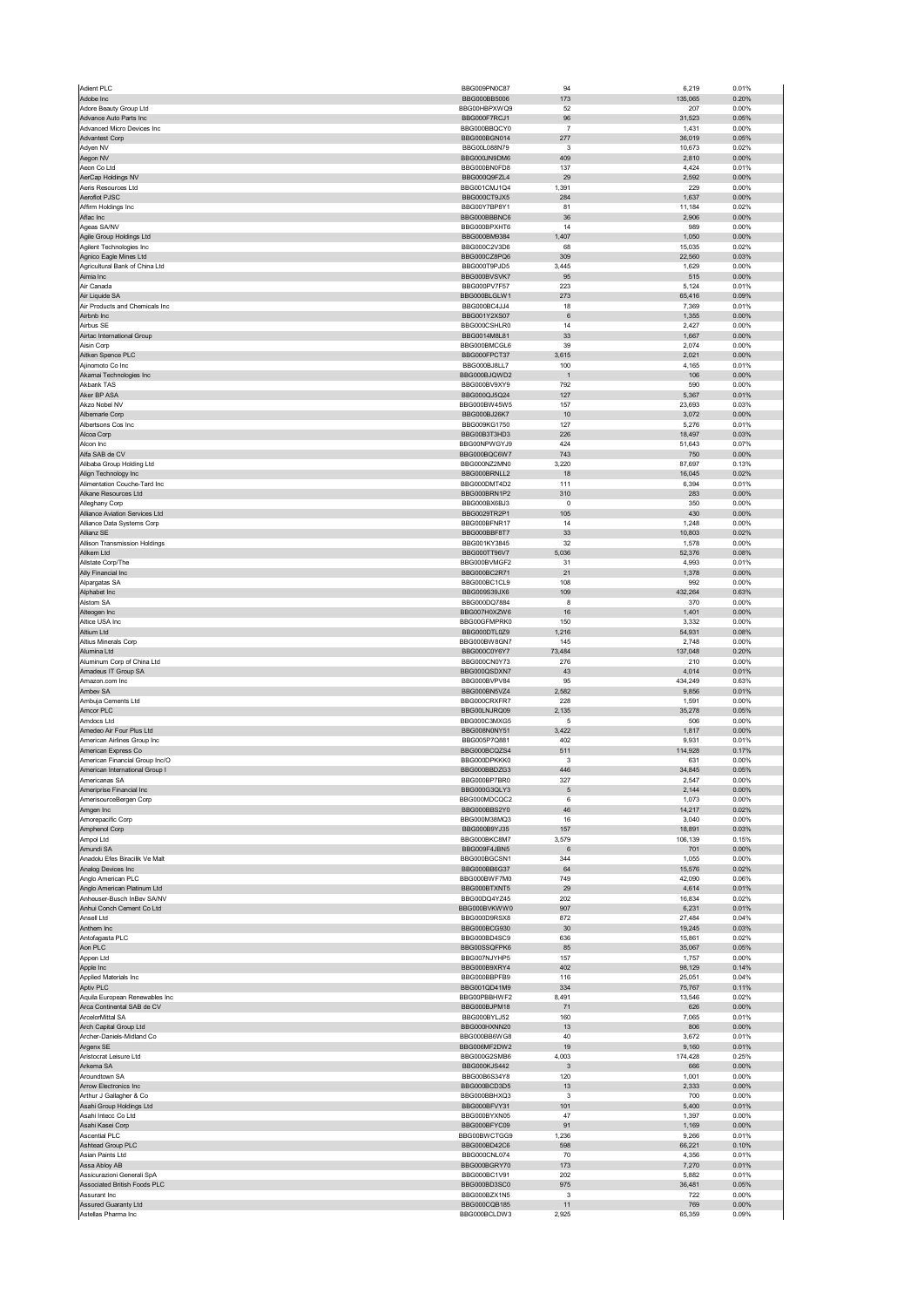| Adient PLC                                                 | BBG009PN0C87                 | 94                    | 6,219            | 0.01%          |
|------------------------------------------------------------|------------------------------|-----------------------|------------------|----------------|
| Adobe Inc                                                  | BBG000BB5006                 | 173                   | 135,065          | 0.20%          |
| Adore Beauty Group Ltd<br>Advance Auto Parts Inc           | BBG00HBPXWQ9<br>BBG000F7RCJ1 | 52<br>$96\,$          | 207<br>31,523    | 0.00%<br>0.05% |
| Advanced Micro Devices Inc                                 | BBG000BBQCY0                 | $\overline{7}$        | 1,431            | 0.00%          |
| <b>Advantest Corp</b>                                      | BBG000BGN014                 | 277                   | 36,019           | 0.05%          |
| Adyen NV                                                   | BBG00L088N79                 | 3                     | 10,673           | 0.02%          |
| Aegon NV<br>Aeon Co Ltd                                    | BBG000JN9DM6<br>BBG000BN0FD8 | 409<br>137            | 2,810<br>4,424   | 0.00%<br>0.01% |
| AerCap Holdings NV                                         | BBG000Q9FZL4                 | 29                    | 2,592            | 0.00%          |
| Aeris Resources Ltd                                        | BBG001CMJ1Q4                 | 1,391                 | 229              | 0.00%          |
| Aeroflot PJSC                                              | BBG000CT9JX5                 | 284                   | 1,637            | 0.00%          |
| Affirm Holdings Inc<br>Aflac Inc                           | BBG00Y7BP8Y1<br>BBG000BBBNC6 | 81<br>36              | 11,184<br>2,906  | 0.02%<br>0.00% |
| Ageas SA/NV                                                | BBG000BPXHT6                 | 14                    | 989              | 0.00%          |
| Agile Group Holdings Ltd                                   | BBG000BM9384                 | 1,407                 | 1,050            | 0.00%          |
| Agilent Technologies Inc                                   | BBG000C2V3D6                 | 68                    | 15,035           | 0.02%          |
| Agnico Eagle Mines Ltd                                     | BBG000CZ8PQ6                 | 309                   | 22,560           | 0.03%          |
| Agricultural Bank of China Ltd<br>Aimia Inc                | BBG000T9PJD5<br>BBG000BVSVK7 | 3,445<br>95           | 1,629<br>515     | 0.00%<br>0.00% |
| Air Canada                                                 | BBG000PV7F57                 | 223                   | 5,124            | 0.01%          |
| Air Liquide SA                                             | BBG000BLGLW1                 | 273                   | 65,416           | 0.09%          |
| Air Products and Chemicals Inc                             | BBG000BC4JJ4                 | 18                    | 7,369<br>1,355   | 0.01%<br>0.00% |
| Airbnb Inc<br>Airbus SE                                    | BBG001Y2XS07<br>BBG000CSHLR0 | $6\phantom{1}6$<br>14 | 2,427            | 0.00%          |
| Airtac International Group                                 | BBG0014M8L81                 | 33                    | 1,667            | 0.00%          |
| Aisin Corp                                                 | BBG000BMCGL6                 | 39                    | 2,074            | 0.00%          |
| Aitken Spence PLC                                          | BBG000FPCT37                 | 3,615                 | 2,021            | 0.00%          |
| Ajinomoto Co Inc<br>Akamai Technologies Inc                | BBG000BJ8LL7<br>BBG000BJQWD2 | 100<br>$\overline{1}$ | 4,165<br>106     | 0.01%<br>0.00% |
| Akbank TAS                                                 | BBG000BV9XY9                 | 792                   | 590              | 0.00%          |
| Aker BP ASA                                                | BBG000QJ5Q24                 | 127                   | 5,367            | 0.01%          |
| Akzo Nobel NV                                              | BBG000BW45W5                 | 157                   | 23,693           | 0.03%          |
| Albemarle Corp                                             | BBG000BJ26K7                 | 10                    | 3,072            | 0.00%          |
| Albertsons Cos Inc                                         | BBG009KG1750                 | 127                   | 5,276            | 0.01%<br>0.03% |
| Alcoa Corp<br>Alcon Inc                                    | BBG00B3T3HD3<br>BBG00NPWGYJ9 | 226<br>424            | 18,497<br>51,643 | 0.07%          |
| Alfa SAB de CV                                             | BBG000BQC6W7                 | 743                   | 750              | 0.00%          |
| Alibaba Group Holding Ltd                                  | BBG000NZ2MN0                 | 3,220                 | 87,697           | 0.13%          |
| Align Technology Inc                                       | BBG000BRNLL2                 | 18                    | 16,045           | 0.02%          |
| Alimentation Couche-Tard Inc                               | BBG000DMT4D2                 | 111                   | 6,394            | 0.01%          |
| Alkane Resources Ltd<br>Alleghany Corp                     | BBG000BRN1P2<br>BBG000BX6BJ3 | 310<br>$\mathbf 0$    | 283<br>350       | 0.00%<br>0.00% |
| Alliance Aviation Services Ltd                             | BBG0029TR2P1                 | 105                   | 430              | 0.00%          |
| Alliance Data Systems Corp                                 | BBG000BFNR17                 | 14                    | 1,248            | 0.00%          |
| Allianz SE                                                 | BBG000BBF8T7                 | 33                    | 10,803           | 0.02%          |
| Allison Transmission Holdings                              | BBG001KY3845                 | 32                    | 1,578            | 0.00%          |
| Allkem Ltd                                                 | BBG000TT96V7                 | 5,036                 | 52,376           | 0.08%          |
| Allstate Corp/The<br>Ally Financial Inc                    | BBG000BVMGF2<br>BBG000BC2R71 | 31<br>21              | 4,993<br>1,378   | 0.01%<br>0.00% |
| Alpargatas SA                                              | BBG000BC1CL9                 | 108                   | 992              | 0.00%          |
| Alphabet Inc                                               | BBG009S39JX6                 | 109                   | 432,264          | 0.63%          |
| Alstom SA                                                  | BBG000DQ7884                 | 8                     | 370              | 0.00%          |
| Alteogen Inc<br>Altice USA Inc                             | BBG007H0XZW6<br>BBG00GFMPRK0 | 16<br>150             | 1,401<br>3,332   | 0.00%<br>0.00% |
| Altium Ltd                                                 | BBG000DTL0Z9                 | 1,216                 | 54,931           | 0.08%          |
| Altius Minerals Corp                                       | BBG000BW8GN7                 | 145                   | 2,748            | 0.00%          |
| Alumina Ltd                                                | BBG000C0Y6Y7                 | 73,484                | 137,048          | 0.20%          |
| Aluminum Corp of China Ltd                                 | BBG000CN0Y73                 | 276                   | 210              | 0.00%          |
| Amadeus IT Group SA                                        | BBG000QSDXN7                 | 43                    | 4,014            | 0.01%          |
| Amazon.com Inc<br>Ambev SA                                 | BBG000BVPV84<br>BBG000BN5VZ4 | 95<br>2,582           | 434,249<br>9,856 | 0.63%<br>0.01% |
| Ambuja Cements Ltd                                         | BBG000CRXFR7                 | 228                   | 1,591            | 0.00%          |
| Amcor PLC                                                  | BBG00LNJRQ09                 | 2,135                 | 35,278           | 0.05%          |
| Amdocs Ltd                                                 | BBG000C3MXG5                 | 5                     | 506              | 0.00%          |
| Amedeo Air Four Plus Ltd                                   | BBG008N0NY51                 | 3,422                 | 1,817            | 0.00%          |
| American Airlines Group Inc<br>American Express Co         | BBG005P7Q881<br>BBG000BCQZS4 | 402<br>511            | 9,931<br>114,928 | 0.01%<br>0.17% |
| American Financial Group Inc/O                             | BBG000DPKKK0                 | 3                     | 631              | 0.00%          |
| American International Group I                             | BBG000BBDZG3                 | 446                   | 34,845           | 0.05%          |
| યmericanas SA                                              | <b>BRG000RL\RK0</b>          | 321                   | 2,54/            | U.UU%          |
| Ameriprise Financial Inc                                   | BBG000G3QLY3                 | 5                     | 2,144            | 0.00%          |
| AmerisourceBergen Corp<br>Amgen Inc                        | BBG000MDCQC2<br>BBG000BBS2Y0 | 6<br>46               | 1,073<br>14,217  | 0.00%<br>0.02% |
| Amorepacific Corp                                          | BBG000M38MQ3                 | 16                    | 3,040            | 0.00%          |
| Amphenol Corp                                              | BBG000B9YJ35                 | 157                   | 18,891           | 0.03%          |
| Ampol Ltd                                                  | BBG000BKC8M7                 | 3,579                 | 106,139          | 0.15%          |
| Amundi SA                                                  | BBG009F4JBN5                 | 6                     | 701              | 0.00%          |
| Anadolu Efes Biracilik Ve Malt<br>Analog Devices Inc       | BBG000BGCSN1<br>BBG000BB6G37 | 344<br>64             | 1,055<br>15,576  | 0.00%<br>0.02% |
| Anglo American PLC                                         | BBG000BWF7M0                 |                       |                  | 0.06%          |
| Anglo American Platinum Ltd                                |                              | 749                   |                  |                |
| Anheuser-Busch InBev SA/NV                                 | BBG000BTXNT5                 | 29                    | 42,090<br>4,614  | 0.01%          |
| Anhui Conch Cement Co Ltd                                  | BBG00DQ4YZ45                 | 202                   | 16,834           | 0.02%          |
|                                                            | BBG000BVKWW0                 | 907                   | 6,231            | 0.01%          |
| Ansell Ltd                                                 | BBG000D9RSX8                 | 872                   | 27,484           | 0.04%          |
| Anthem Inc<br>Antofagasta PLC                              | BBG000BCG930<br>BBG000BD4SC9 | 30<br>636             | 19,245<br>15,861 | 0.03%<br>0.02% |
| Aon PLC                                                    | BBG00SSQFPK6                 | 85                    | 35,067           | 0.05%          |
| Appen Ltd                                                  | BBG007NJYHP5                 | 157                   | 1,757            | 0.00%          |
| Apple Inc                                                  | BBG000B9XRY4                 | 402                   | 98,129           | 0.14%          |
| Applied Materials Inc                                      | BBG000BBPFB9                 | 116                   | 25,051           | 0.04%          |
| Aptiv PLC<br>Aquila European Renewables Inc                | BBG001QD41M9<br>BBG00PBBHWF2 | 334<br>8,491          | 75,767<br>13,546 | 0.11%<br>0.02% |
| Arca Continental SAB de CV                                 | BBG000BJPM18                 | 71                    | 626              | 0.00%          |
| ArcelorMittal SA                                           | BBG000BYLJ52                 | 160                   | 7,065            | 0.01%          |
| Arch Capital Group Ltd                                     | BBG000HXNN20                 | 13                    | 806              | 0.00%          |
| Archer-Daniels-Midland Co                                  | BBG000BB6WG8                 | 40                    | 3,672            | 0.01%          |
| Argenx SE<br>Aristocrat Leisure Ltd                        | BBG006MF2DW2<br>BBG000G2SMB6 | 19<br>4,003           | 9,160<br>174,428 | 0.01%<br>0.25% |
| Arkema SA                                                  | BBG000KJS442                 | $\mathbf{3}$          | 666              | 0.00%          |
| Aroundtown SA                                              | BBG00B6S34Y8                 | 120                   | 1,001            | 0.00%          |
| Arrow Electronics Inc                                      | BBG000BCD3D5                 | 13                    | 2,333            | 0.00%          |
| Arthur J Gallagher & Co                                    | BBG000BBHXQ3                 | 3                     | 700              | 0.00%          |
| Asahi Group Holdings Ltd<br>Asahi Intecc Co Ltd            | BBG000BFVY31<br>BBG000BYXN05 | 101<br>47             | 5,400<br>1,397   | 0.01%<br>0.00% |
| Asahi Kasei Corp                                           | BBG000BFYC09                 | 91                    | 1,169            | 0.00%          |
| <b>Ascential PLC</b>                                       | BBG00BWCTGG9                 | 1,236                 | 9,266            | 0.01%          |
| Ashtead Group PLC                                          | BBG000BD42C6                 | 598                   | 66,221           | 0.10%          |
| Asian Paints Ltd                                           | BBG000CNL074                 | 70                    | 4,356            | 0.01%          |
| Assa Abloy AB                                              | BBG000BGRY70                 | 173                   | 7,270            | 0.01%          |
| Assicurazioni Generali SpA<br>Associated British Foods PLC | BBG000BC1V91<br>BBG000BD3SC0 | 202<br>975            | 5,882<br>36,481  | 0.01%<br>0.05% |
| Assurant Inc                                               | BBG000BZX1N5                 | 3                     | 722              | 0.00%          |
| Assured Guaranty Ltd<br>Astellas Pharma Inc                | BBG000CQB185<br>BBG000BCLDW3 | 11<br>2,925           | 769<br>65,359    | 0.00%<br>0.09% |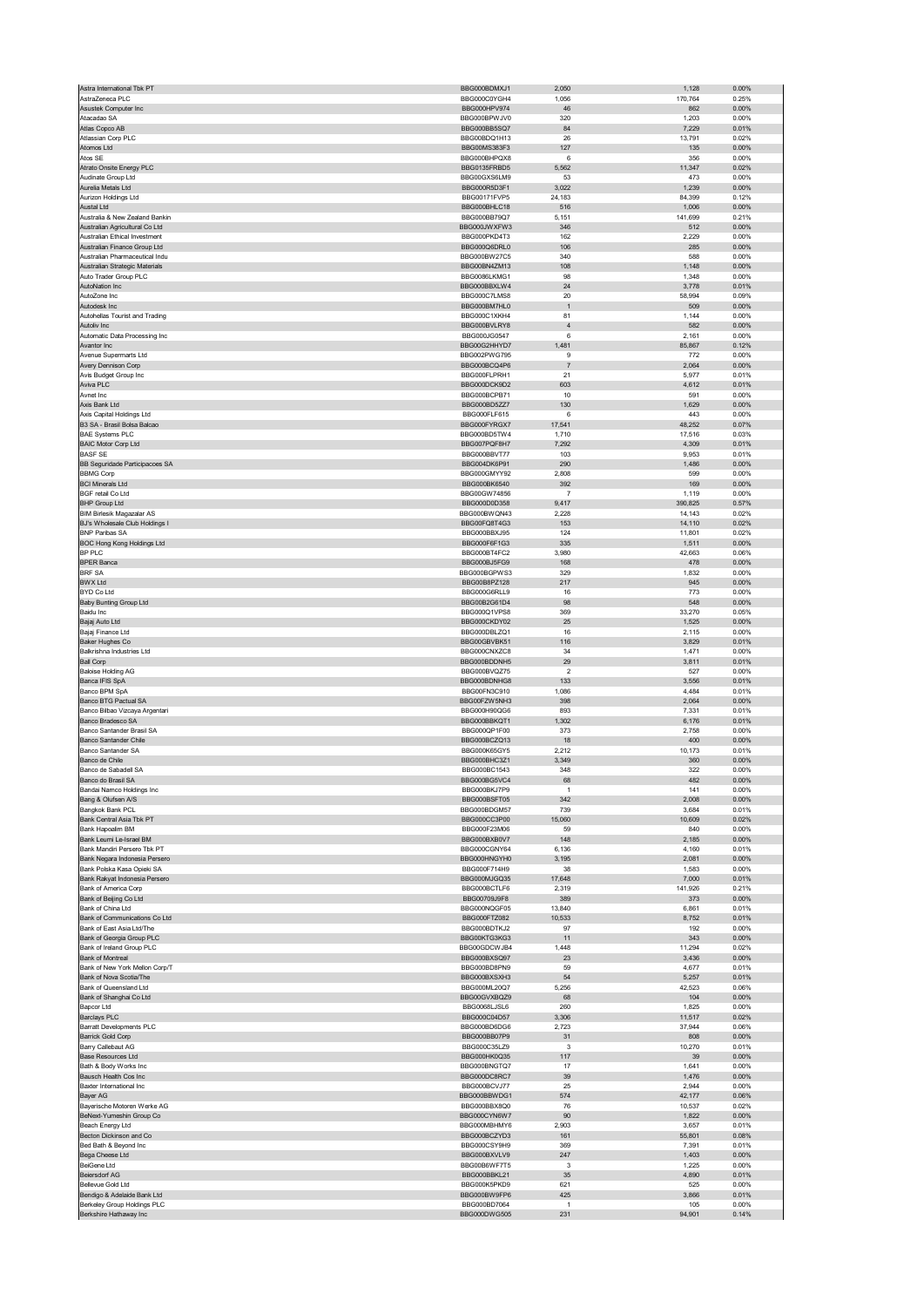| Astra International Tbk PT                                         | BBG000BDMXJ1                 | 2,050               | 1,128            | 0.00%          |
|--------------------------------------------------------------------|------------------------------|---------------------|------------------|----------------|
| AstraZeneca PLC<br>Asustek Computer Inc                            | BBG000C0YGH4<br>BBG000HPV974 | 1,056<br>46         | 170,764<br>862   | 0.25%<br>0.00% |
| Atacadao SA                                                        | BBG000BPWJV0                 | 320                 | 1,203            | 0.00%          |
| Atlas Copco AB                                                     | BBG000BB5SQ7                 | 84                  | 7,229            | 0.01%          |
| Atlassian Corp PLC                                                 | BBG00BDQ1H13                 | 26                  | 13,791           | 0.02%          |
| Atomos Ltd<br>Atos SE                                              | BBG00MS383F3<br>BBG000BHPQX8 | 127<br>6            | 135<br>356       | 0.00%<br>0.00% |
| Atrato Onsite Energy PLC                                           | BBG0135FRBD5                 | 5,562               | 11,347           | 0.02%          |
| Audinate Group Ltd                                                 | BBG00GXS6LM9                 | 53                  | 473              | 0.00%          |
| Aurelia Metals Ltd                                                 | BBG000R5D3F1                 | 3,022               | 1,239            | 0.00%          |
| Aurizon Holdings Ltd                                               | BBG00171FVP5                 | 24,183              | 84,399           | 0.12%          |
| Austal Ltd<br>Australia & New Zealand Bankin                       | BBG000BHLC18<br>BBG000BB79Q7 | 516<br>5,151        | 1,006<br>141,699 | 0.00%<br>0.21% |
| Australian Agricultural Co Ltd                                     | BBG000JWXFW3                 | 346                 | 512              | 0.00%          |
| Australian Ethical Investment                                      | BBG000PKD4T3                 | 162                 | 2,229            | 0.00%          |
| Australian Finance Group Ltd                                       | BBG000Q6DRL0                 | 106                 | 285              | 0.00%          |
| Australian Pharmaceutical Indu<br>Australian Strategic Materials   | BBG000BW27C5<br>BBG00BN4ZM13 | 340<br>108          | 588<br>1,148     | 0.00%<br>0.00% |
| Auto Trader Group PLC                                              | BBG0086LKMG1                 | 98                  | 1,348            | 0.00%          |
| AutoNation Inc                                                     | BBG000BBXLW4                 | 24                  | 3,778            | 0.01%          |
| AutoZone Inc                                                       | BBG000C7LMS8                 | 20                  | 58,994           | 0.09%          |
| Autodesk Inc<br>Autohellas Tourist and Trading                     | BBG000BM7HL0<br>BBG000C1XKH4 | $\mathbf{1}$<br>81  | 509<br>1,144     | 0.00%<br>0.00% |
| Autoliv Inc                                                        | BBG000BVLRY8                 | $\sqrt{4}$          | 582              | 0.00%          |
| Automatic Data Processing Inc                                      | BBG000JG0547                 | 6                   | 2,161            | 0.00%          |
| Avantor Inc                                                        | BBG00G2HHYD7                 | 1,481               | 85,867           | 0.12%          |
| Avenue Supermarts Ltd                                              | BBG002PWG795<br>BBG000BCQ4P6 | 9<br>$\overline{7}$ | 772<br>2,064     | 0.00%<br>0.00% |
| Avery Dennison Corp<br>Avis Budget Group Inc                       | BBG000FLPRH1                 | 21                  | 5,977            | 0.01%          |
| Aviva PLC                                                          | BBG000DCK9D2                 | 603                 | 4,612            | 0.01%          |
| Avnet Inc                                                          | BBG000BCPB71                 | 10                  | 591              | 0.00%          |
| Axis Bank Ltd                                                      | BBG000BD5ZZ7                 | 130<br>6            | 1,629            | 0.00%          |
| Axis Capital Holdings Ltd<br>B3 SA - Brasil Bolsa Balcao           | BBG000FLF615<br>BBG000FYRGX7 | 17,541              | 443<br>48,252    | 0.00%<br>0.07% |
| <b>BAE Systems PLC</b>                                             | BBG000BD5TW4                 | 1,710               | 17,516           | 0.03%          |
| <b>BAIC Motor Corp Ltd</b>                                         | BBG007PQF8H7                 | 7,292               | 4,309            | 0.01%          |
| <b>BASF SE</b>                                                     | BBG000BBVT77                 | 103                 | 9,953            | 0.01%          |
| BB Seguridade Participacoes SA<br><b>BBMG Corp</b>                 | BBG004DK6P91<br>BBG000GMYY92 | 290<br>2,808        | 1,486<br>599     | 0.00%<br>0.00% |
| <b>BCI Minerals Ltd</b>                                            | BBG000BK6540                 | 392                 | 169              | 0.00%          |
| <b>BGF</b> retail Co Ltd                                           | BBG00GW74856                 | -7                  | 1,119            | 0.00%          |
| <b>BHP Group Ltd</b>                                               | BBG000D0D358                 | 9,417               | 390,825          | 0.57%          |
| <b>BIM Birlesik Magazalar AS</b><br>BJ's Wholesale Club Holdings I | BBG000BWQN43<br>BBG00FQ8T4G3 | 2,228<br>153        | 14,143<br>14,110 | 0.02%<br>0.02% |
| <b>BNP Paribas SA</b>                                              | BBG000BBXJ95                 | 124                 | 11,801           | 0.02%          |
| BOC Hong Kong Holdings Ltd                                         | BBG000F6F1G3                 | 335                 | 1,511            | 0.00%          |
| BP PLC                                                             | BBG000BT4FC2                 | 3,980               | 42,663           | 0.06%          |
| <b>BPER Banca</b><br><b>BRF SA</b>                                 | BBG000BJ5FG9                 | 168<br>329          | 478              | 0.00%          |
| <b>BWX Ltd</b>                                                     | BBG000BGPWS3<br>BBG00B8PZ128 | 217                 | 1,832<br>945     | 0.00%<br>0.00% |
| BYD Co Ltd                                                         | BBG000G6RLL9                 | 16                  | 773              | 0.00%          |
| <b>Baby Bunting Group Ltd</b>                                      | BBG00B2G61D4                 | 98                  | 548              | 0.00%          |
| <b>Baidu Inc</b>                                                   | BBG000Q1VPS8<br>BBG000CKDY02 | 369                 | 33,270           | 0.05%<br>0.00% |
| Bajaj Auto Ltd<br>Bajaj Finance Ltd                                | BBG000DBLZQ1                 | 25<br>16            | 1,525<br>2,115   | 0.00%          |
| Baker Hughes Co                                                    | BBG00GBVBK51                 | 116                 | 3,829            | 0.01%          |
| Balkrishna Industries Ltd                                          | BBG000CNXZC8                 | 34                  | 1,471            | 0.00%          |
|                                                                    |                              |                     |                  |                |
| <b>Ball Corp</b>                                                   | BBG000BDDNH5                 | 29                  | 3,811            | 0.01%          |
| <b>Baloise Holding AG</b>                                          | BBG000BVQZ75                 | 2                   | 527              | 0.00%          |
| Banca IFIS SpA<br>Banco BPM SpA                                    | BBG000BDNHG8<br>BBG00FN3C910 | 133<br>1,086        | 3,556<br>4,484   | 0.01%<br>0.01% |
| Banco BTG Pactual SA                                               | BBG00FZW5NH3                 | 398                 | 2,064            | 0.00%          |
| Banco Bilbao Vizcaya Argentari                                     | BBG000H90QG6                 | 893                 | 7,331            | 0.01%          |
| Banco Bradesco SA<br>Banco Santander Brasil SA                     | BBG000BBKQT1                 | 1,302               | 6,176            | 0.01%          |
| <b>Banco Santander Chile</b>                                       | BBG000QP1F00<br>BBG000BCZQ13 | 373<br>18           | 2,758<br>400     | 0.00%<br>0.00% |
| Banco Santander SA                                                 | BBG000K65GY5                 | 2,212               | 10,173           | 0.01%          |
| Banco de Chile                                                     | BBG000BHC3Z1                 | 3,349               | 360              | 0.00%          |
| Banco de Sabadell SA<br>nco do Brasil SA                           | BBG000BC1543<br>RRG000RG5VC  | 348                 | 322              | 0.00%<br>n nn% |
|                                                                    | BBG000BKJ7P9                 | 1                   | 141              | 0.00%          |
| Bandai Namco Holdings Inc<br>Bang & Olufsen A/S                    | BBG000BSFT05                 | 342                 | 2,008            | 0.00%          |
| Bangkok Bank PCL                                                   | BBG000BDGM57                 | 739                 | 3,684            | 0.01%          |
| Bank Central Asia Tbk PT                                           | BBG000CC3P00                 | 15,060              | 10,609           | 0.02%          |
| Bank Hapoalim BM<br>Bank Leumi Le-Israel BM                        | BBG000F23M06<br>BBG000BXB0V7 | 59<br>148           | 840<br>2,185     | 0.00%<br>0.00% |
| Bank Mandiri Persero Tbk PT                                        | BBG000CGNY64                 | 6,136               | 4,160            | 0.01%          |
| Bank Negara Indonesia Persero                                      | BBG000HNGYH0                 | 3,195               | 2,081            | 0.00%          |
| Bank Polska Kasa Opieki SA                                         | BBG000F714H9<br>BBG000MJGQ35 | 38<br>17,648        | 1,583<br>7,000   | 0.00%<br>0.01% |
| Bank Rakyat Indonesia Persero<br>Bank of America Corp              | BBG000BCTLF6                 | 2,319               | 141,926          | 0.21%          |
| Bank of Beijing Co Ltd                                             | BBG00709J9F8                 | 389                 | 373              | 0.00%          |
| Bank of China Ltd                                                  | BBG000NQGF05                 | 13,840              | 6,861            | 0.01%          |
| Bank of Communications Co Ltd<br>Bank of East Asia Ltd/The         | BBG000FTZ082<br>BBG000BDTKJ2 | 10,533<br>97        | 8,752<br>192     | 0.01%<br>0.00% |
| Bank of Georgia Group PLC                                          | BBG00KTG3KG3                 | 11                  | 343              | 0.00%          |
| Bank of Ireland Group PLC                                          | BBG00GDCWJB4                 | 1,448               | 11,294           | 0.02%          |
| Bank of Montreal                                                   | BBG000BXSQ97                 | 23                  | 3,436            | 0.00%          |
| Bank of New York Mellon Corp/T                                     | BBG000BD8PN9                 | 59                  | 4,677            | 0.01%          |
| Bank of Nova Scotia/The<br>Bank of Queensland Ltd                  | BBG000BXSXH3<br>BBG000ML20Q7 | 54<br>5,256         | 5,257<br>42,523  | 0.01%<br>0.06% |
| Bank of Shanghai Co Ltd                                            | BBG00GVXBQZ9                 | 68                  | 104              | 0.00%          |
| Bapcor Ltd                                                         | BBG0068LJSL6                 | 260                 | 1,825            | 0.00%          |
| <b>Barclays PLC</b>                                                | BBG000C04D57                 | 3,306               | 11,517           | 0.02%<br>0.06% |
| Barratt Developments PLC<br>Barrick Gold Corp                      | BBG000BD6DG6<br>BBG000BB07P9 | 2,723<br>31         | 37,944<br>808    | 0.00%          |
| Barry Callebaut AG                                                 | BBG000C35LZ9                 | 3                   | 10,270           | 0.01%          |
| <b>Base Resources Ltd</b>                                          | BBG000HK0Q35                 | 117                 | 39               | 0.00%          |
| Bath & Body Works Inc                                              | BBG000BNGTQ7                 | 17                  | 1,641            | 0.00%          |
| Bausch Health Cos Inc<br>Baxter International Inc                  | BBG000DC8RC7<br>BBG000BCVJ77 | 39<br>25            | 1,476<br>2,944   | 0.00%<br>0.00% |
| Bayer AG                                                           | BBG000BBWDG1                 | 574                 | 42,177           | 0.06%          |
| Bayerische Motoren Werke AG                                        | BBG000BBX8Q0                 | 76                  | 10,537           | 0.02%          |
| BeNext-Yumeshin Group Co                                           | BBG000CYN6W7                 | 90                  | 1,822            | 0.00%          |
| Beach Energy Ltd<br>Becton Dickinson and Co                        | BBG000MBHMY6<br>BBG000BCZYD3 | 2,903<br>161        | 3,657<br>55,801  | 0.01%<br>0.08% |
| Bed Bath & Beyond Inc                                              | BBG000CSY9H9                 | 369                 | 7,391            | 0.01%          |
| Bega Cheese Ltd                                                    | BBG000BXVLV9                 | 247                 | 1,403            | 0.00%          |
| <b>BeiGene Ltd</b>                                                 | BBG00B6WF7T5                 | 3                   | 1,225            | 0.00%          |
| <b>Beiersdorf AG</b><br>Bellevue Gold Ltd                          | BBG000BBKL21<br>BBG000K5PKD9 | 35<br>621           | 4,890<br>525     | 0.01%<br>0.00% |
| Bendigo & Adelaide Bank Ltd                                        | BBG000BW9FP6                 | 425                 | 3,866            | 0.01%          |
| Berkeley Group Holdings PLC<br>Berkshire Hathaway Inc              | BBG000BD7064<br>BBG000DWG505 | $\mathbf{1}$<br>231 | 105<br>94,901    | 0.00%<br>0.14% |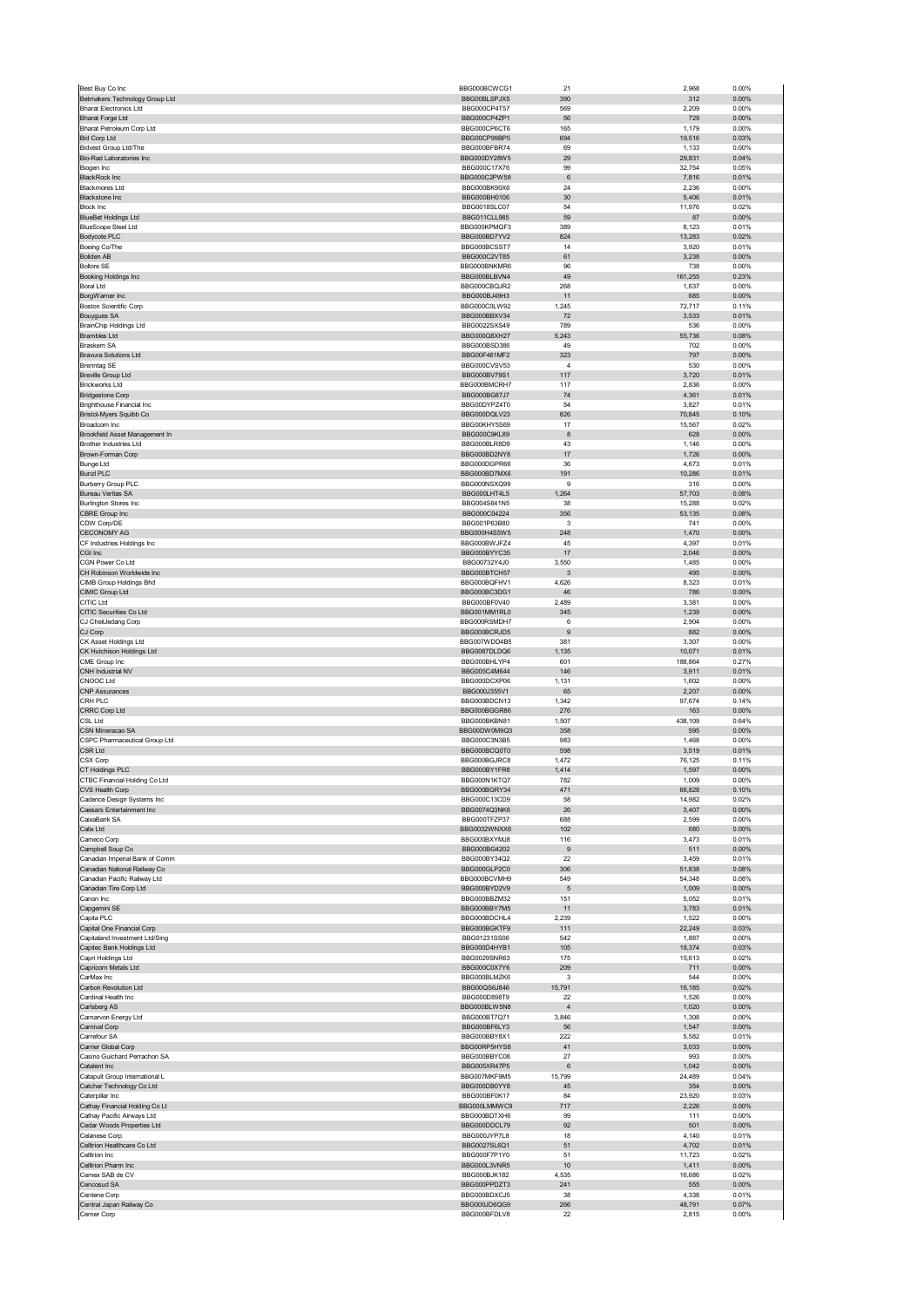| Best Buy Co Inc                                                 | BBG000BCWCG1                        | 21                | 2,968            | 0.00%          |
|-----------------------------------------------------------------|-------------------------------------|-------------------|------------------|----------------|
| Betmakers Technology Group Ltd<br><b>Bharat Electronics Ltd</b> | BBG00BLSPJX5<br>BBG000CP4T57        | 390<br>569        | 312<br>2,209     | 0.00%<br>0.00% |
| <b>Bharat Forge Ltd</b>                                         | BBG000CP4ZP1                        | 56                | 729              | 0.00%          |
| Bharat Petroleum Corp Ltd                                       | BBG000CP6CT6                        | 165               | 1,179            | 0.00%          |
| <b>Bid Corp Ltd</b>                                             | BBG00CP99BP5                        | 694               | 19,516           | 0.03%          |
| <b>Bidvest Group Ltd/The</b><br>Bio-Rad Laboratories Inc        | BBG000BFBR74<br>BBG000DY28W5        | 69<br>29          | 1,133<br>29,831  | 0.00%<br>0.04% |
| Biogen Inc                                                      | BBG000C17X76                        | 99                | 32,754           | 0.05%          |
| <b>BlackRock Inc</b>                                            | BBG000C2PW58                        | 6                 | 7,816            | 0.01%          |
| <b>Blackmores Ltd</b><br><b>Blackstone Inc</b>                  | BBG000BK90X6<br>BBG000BH0106        | 24<br>30          | 2,236<br>5,406   | 0.00%<br>0.01% |
| <b>Block Inc</b>                                                | BBG0018SLC07                        | 54                | 11,976           | 0.02%          |
| <b>BlueBet Holdings Ltd</b>                                     | <b>BBG011CLL985</b>                 | 59                | 87               | 0.00%          |
| BlueScope Steel Ltd                                             | BBG000KPMQF3<br>BBG000BD7YV2        | 389               | 8,123            | 0.01%          |
| Bodycote PLC<br>Boeing Co/The                                   | BBG000BCSST7                        | 824<br>14         | 13,283<br>3,920  | 0.02%<br>0.01% |
| <b>Boliden AB</b>                                               | BBG000C2VT85                        | 61                | 3,238            | 0.00%          |
| <b>Bollore SE</b>                                               | BBG000BNKMR6                        | 96                | 738              | 0.00%          |
| Booking Holdings Inc<br><b>Boral Ltd</b>                        | BBG000BLBVN4<br>BBG000CBQJR2        | 49<br>268         | 161,255<br>1,637 | 0.23%<br>0.00% |
| BorgWarner Inc                                                  | BBG000BJ49H3                        | 11                | 685              | 0.00%          |
| <b>Boston Scientific Corp</b>                                   | BBG000C0LW92                        | 1,245             | 72,717           | 0.11%          |
| <b>Bouygues SA</b>                                              | BBG000BBXV34<br>BBG0022SXS49        | 72<br>789         | 3,533<br>536     | 0.01%<br>0.00% |
| <b>BrainChip Holdings Ltd</b><br><b>Brambles Ltd</b>            | BBG000Q8XH27                        | 5,243             | 55,736           | 0.08%          |
| Braskem SA                                                      | BBG000BSD386                        | 49                | 702              | 0.00%          |
| <b>Bravura Solutions Ltd</b>                                    | BBG00F461MF2                        | 323               | 797              | 0.00%          |
| <b>Brenntag SE</b><br><b>Breville Group Ltd</b>                 | BBG000CVSV53<br>BBG000BV79S1        | $\sqrt{4}$<br>117 | 530<br>3,720     | 0.00%<br>0.01% |
| <b>Brickworks Ltd</b>                                           | BBG000BMCRH7                        | 117               | 2,836            | 0.00%          |
| <b>Bridgestone Corp</b>                                         | BBG000BG87J7                        | 74                | 4,361            | 0.01%          |
| <b>Brighthouse Financial Inc.</b>                               | BBG00DYPZ4T0                        | 54                | 3,827            | 0.01%          |
| Bristol-Myers Squibb Co<br>Broadcom Inc                         | BBG000DQLV23<br>BBG00KHY5S69        | 826<br>17         | 70,845<br>15,567 | 0.10%<br>0.02% |
| Brookfield Asset Management In                                  | BBG000C9KL89                        | 8                 | 628              | 0.00%          |
| <b>Brother Industries Ltd</b>                                   | BBG000BLR8D9                        | 43                | 1,146            | 0.00%          |
| Brown-Forman Corp<br><b>Bunge Ltd</b>                           | BBG000BD2NY8<br>BBG000DGPR66        | 17<br>36          | 1,726<br>4,673   | 0.00%<br>0.01% |
| <b>Bunzl PLC</b>                                                | BBG000BD7MX6                        | 191               | 10,286           | 0.01%          |
| <b>Burberry Group PLC</b>                                       | BBG000NSXQ99                        | 9                 | 316              | 0.00%          |
| <b>Bureau Veritas SA</b><br>Burlington Stores Inc               | BBG000LHT4L5<br>BBG004S641N5        | 1,264<br>38       | 57,703<br>15,288 | 0.08%<br>0.02% |
| CBRE Group Inc                                                  | BBG000C04224                        | 356               | 53,135           | 0.08%          |
| CDW Corp/DE                                                     | BBG001P63B80                        | 3                 | 741              | 0.00%          |
| <b>CECONOMY AG</b>                                              | BBG000H4S5W5                        | 248               | 1,470            | 0.00%          |
| CF Industries Holdings Inc<br>CGI Inc                           | BBG000BWJFZ4<br>BBG000BYYC35        | 45<br>17          | 4,397<br>2,046   | 0.01%<br>0.00% |
| CGN Power Co Ltd                                                | BBG00732Y4J0                        | 3,550             | 1,485            | 0.00%          |
| CH Robinson Worldwide Inc                                       | BBG000BTCH57                        | 3                 | 495              | 0.00%          |
| CIMB Group Holdings Bhd                                         | BBG000BQFHV1                        | 4,626             | 8,323            | 0.01%          |
| CIMIC Group Ltd<br>CITIC Ltd                                    | BBG000BC3DG1<br>BBG000BF0V40        | 46<br>2,489       | 786<br>3,381     | 0.00%<br>0.00% |
| CITIC Securities Co Ltd                                         | BBG001MM1RL0                        | 345               | 1,239            | 0.00%          |
| CJ CheilJedang Corp                                             | BBG000RSMDH7                        | 6                 | 2,904            | 0.00%          |
| CJ Corp<br>CK Asset Holdings Ltd                                | BBG000BCRJD5<br>BBG007WDD4B5        | 9<br>381          | 882<br>3,307     | 0.00%<br>0.00% |
| CK Hutchison Holdings Ltd                                       | BBG0087DLDQ6                        | 1,135             | 10,071           | 0.01%          |
| CME Group Inc                                                   | BBG000BHLYP4                        | 601               | 188,864          | 0.27%          |
| CNH Industrial NV<br>CNOOC Ltd                                  | BBG005C4M644<br>BBG000DCXP06        | 146<br>1,131      | 3,911<br>1,602   | 0.01%<br>0.00% |
|                                                                 |                                     |                   |                  |                |
|                                                                 | BBG000J355V1                        |                   | 2,207            | 0.00%          |
| <b>CNP Assurances</b><br>CRH PLC                                | BBG000BDCN13                        | 65<br>1,342       | 97,674           | 0.14%          |
| CRRC Corp Ltd                                                   | BBG000BGGR86                        | 276               | 163              | 0.00%          |
| <b>CSL Ltd</b>                                                  | BBG000BKBN81                        | 1,507             | 438,109          | 0.64%          |
| CSN Mineracao SA<br>CSPC Pharmaceutical Group Ltd               | BBG00DW0M9Q3<br>BBG000C3N3B5        | 358<br>983        | 595<br>1,468     | 0.00%<br>0.00% |
| CSR Ltd                                                         | BBG000BCQ0T0                        | 598               | 3,519            | 0.01%          |
| CSX Corp                                                        | BBG000BGJRC8                        | 1,472             | 76,125           | 0.11%          |
| CT Holdings PLC                                                 | BBG000BY1FR8<br><b>RRCOOON1KTO7</b> | 1,414<br>782      | 1,597<br>100c    | 0.00%<br>n nn% |
| CTBC Financial Holding Co Ltd<br>CVS Health Corp                | BBG000BGRY34                        | 471               | 66,828           | 0.10%          |
| Cadence Design Systems Inc                                      | BBG000C13CD9                        | 58                | 14,982           | 0.02%          |
| Caesars Entertainment Inc<br>CaixaBank SA                       | BBG0074Q3NK6<br>BBG000TFZP37        | 26                | 3,407            | 0.00%          |
| Calix Ltd                                                       | BBG0032WNXX6                        | 688<br>102        | 2,599<br>680     | 0.00%<br>0.00% |
| Cameco Corp                                                     | BBG000BXYMJ8                        | 116               | 3,473            | 0.01%          |
| Campbell Soup Co                                                | BBG000BG4202                        | $\boldsymbol{9}$  | 511              | 0.00%          |
| Canadian Imperial Bank of Comm<br>Canadian National Railway Co  | BBG000BY34Q2<br>BBG000GLP2C0        | 22<br>306         | 3,459<br>51,838  | 0.01%<br>0.08% |
| Canadian Pacific Railway Ltd                                    | BBG000BCVMH9                        | 549               | 54,348           | 0.08%          |
| Canadian Tire Corp Ltd                                          | BBG000BYD2V9                        | $\sqrt{5}$        | 1,009            | 0.00%          |
| Canon Inc<br>Capgemini SE                                       | BBG000BBZM32<br>BBG000BBY7M5        | 151<br>11         | 5,052<br>3,783   | 0.01%<br>0.01% |
| Capita PLC                                                      | BBG000BDCHL4                        | 2,239             | 1,522            | 0.00%          |
| Capital One Financial Corp                                      | BBG000BGKTF9                        | 111               | 22,249           | 0.03%          |
| Capitaland Investment Ltd/Sing                                  | BBG01231SS06                        | 542               | 1,887            | 0.00%          |
| Capitec Bank Holdings Ltd<br>Capri Holdings Ltd                 | BBG000D4HYB1<br>BBG0029SNR63        | 105<br>175        | 18,374<br>15,613 | 0.03%<br>0.02% |
| Capricorn Metals Ltd                                            | BBG000C0X7Y6                        | 209               | 711              | 0.00%          |
| CarMax Inc                                                      | BBG000BLMZK6                        | 3                 | 544              | 0.00%          |
| Carbon Revolution Ltd<br>Cardinal Health Inc                    | BBG00QS6J846<br>BBG000D898T9        | 15,791<br>22      | 16,185<br>1,526  | 0.02%<br>0.00% |
| Carlsberg AS                                                    | BBG000BLW5N8                        | $\overline{4}$    | 1,020            | 0.00%          |
| Carnarvon Energy Ltd                                            | BBG000BT7Q71                        | 3,846             | 1,308            | 0.00%          |
| Carnival Corp<br>Carrefour SA                                   | BBG000BF6LY3<br>BBG000BBY8X1        | 56<br>222         | 1,547<br>5,582   | 0.00%<br>0.01% |
| Carrier Global Corp                                             | BBG00RP5HYS8                        | 41                | 3,033            | 0.00%          |
| Casino Guichard Perrachon SA                                    | BBG000BBYC08                        | 27                | 993              | 0.00%          |
| Catalent Inc                                                    | BBG005XR47P5                        | 6                 | 1,042            | 0.00%          |
| Catapult Group International L<br>Catcher Technology Co Ltd     | BBG007MKF9M5<br>BBG000DB0YY8        | 15,799<br>45      | 24,489<br>354    | 0.04%<br>0.00% |
| Caterpillar Inc                                                 | BBG000BF0K17                        | 84                | 23,920           | 0.03%          |
| Cathay Financial Holding Co Lt                                  | BBG000LMMWC9                        | $717$             | 2,226            | 0.00%          |
| Cathay Pacific Airways Ltd<br>Cedar Woods Properties Ltd        | BBG000BDTXH6<br>BBG000DDCL79        | 99<br>92          | 111<br>501       | 0.00%<br>0.00% |
| Celanese Corp                                                   | BBG000JYP7L8                        | 18                | 4,140            | 0.01%          |
| Celltrion Healthcare Co Ltd                                     | BBG0027SL6Q1                        | 51                | 4,702            | 0.01%          |
| Celltrion Inc                                                   | BBG000F7P1Y0                        | 51                | 11,723           | 0.02%          |
| Celltrion Pharm Inc<br>Cemex SAB de CV                          | BBG000L3VNR5<br>BBG000BJK182        | 10<br>4,535       | 1,411<br>16,686  | 0.00%<br>0.02% |
| Cencosud SA                                                     | BBG000PPDZT3                        | 241               | 555              | 0.00%          |
| Centene Corp<br>Central Japan Railway Co                        | BBG000BDXCJ5<br>BBG000JD6QG9        | 38<br>266         | 4,338<br>48,791  | 0.01%<br>0.07% |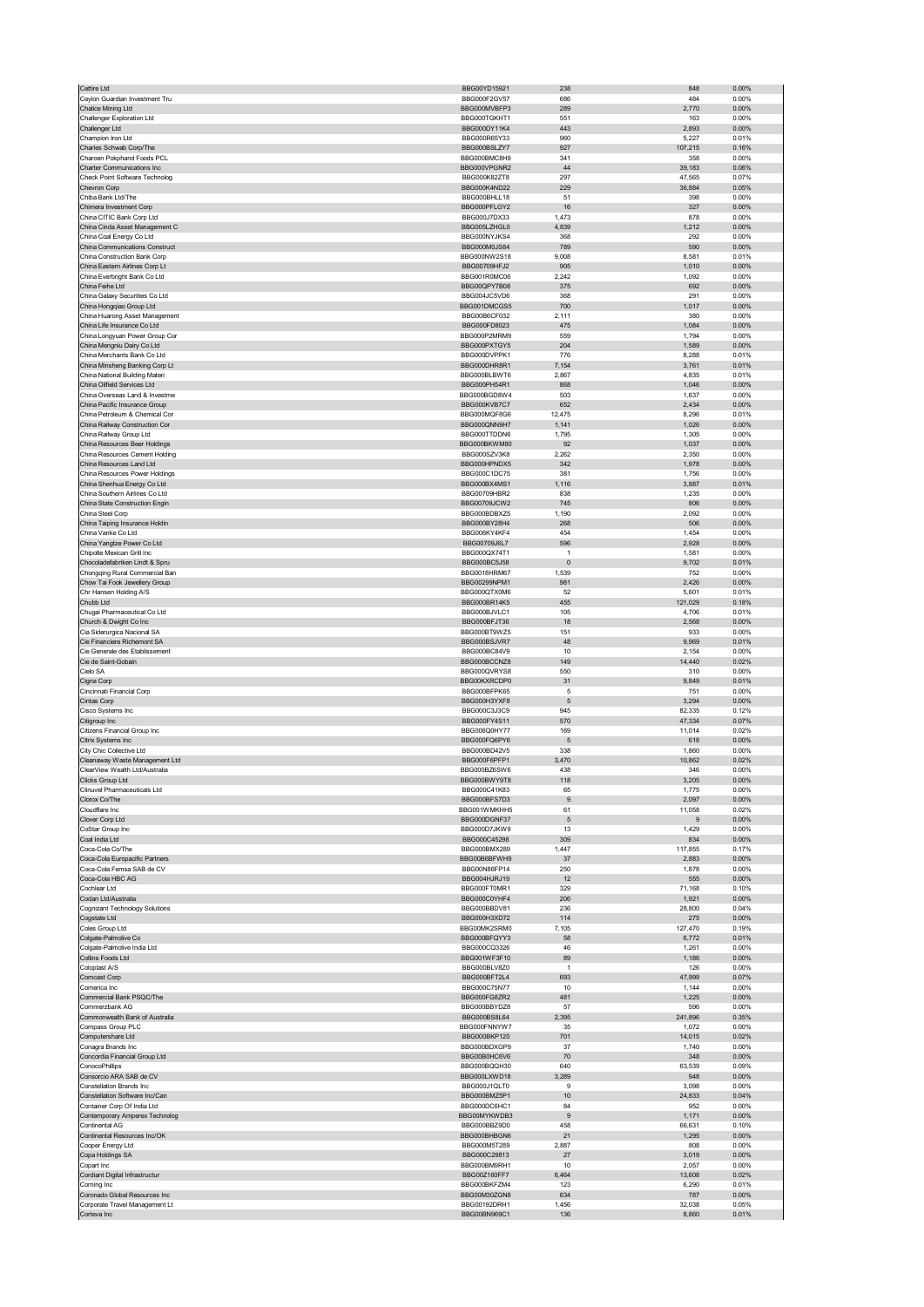| Cettire Ltd                                                      | BBG00YD15921                                 | 238                    | 848              | 0.00%                   |
|------------------------------------------------------------------|----------------------------------------------|------------------------|------------------|-------------------------|
| Ceylon Guardian Investment Tru<br>Chalice Mining Ltd             | BBG000F2GV57                                 | 686<br>289             | 484<br>2,770     | 0.00%<br>$0.00\%$       |
| Challenger Exploration Ltd                                       | BBG000MVBFP3<br>BBG000TGKHT1                 | 551                    | 163              | 0.00%                   |
| Challenger Ltd                                                   | BBG000DY11K4                                 | 443                    | 2,893            | 0.00%                   |
| Champion Iron Ltd                                                | BBG000R65Y33                                 | 960                    | 5,227            | 0.01%                   |
| Charles Schwab Corp/The<br>Charoen Pokphand Foods PCL            | BBG000BSLZY7<br>BBG000BMC8H9                 | 927<br>341             | 107,215<br>358   | 0.16%<br>0.00%          |
| Charter Communications Inc                                       | BBG000VPGNR2                                 | 44                     | 39,183           | 0.06%                   |
| Check Point Software Technolog                                   | BBG000K82ZT8                                 | 297                    | 47,565           | 0.07%                   |
| Chevron Corp                                                     | BBG000K4ND22                                 | 229                    | 36,884           | 0.05%                   |
| Chiba Bank Ltd/The                                               | BBG000BHLL18                                 | 51                     | 398              | 0.00%                   |
| Chimera Investment Corp<br>China CITIC Bank Corp Ltd             | BBG000PFLGY2<br>BBG000J7DX33                 | 16<br>1,473            | 327<br>878       | 0.00%<br>0.00%          |
| China Cinda Asset Management C                                   | BBG005LZHGL0                                 | 4,839                  | 1,212            | 0.00%                   |
| China Coal Energy Co Ltd                                         | BBG000NYJKS4                                 | 368                    | 292              | 0.00%                   |
| China Communications Construct                                   | BBG000M0JS84                                 | 789                    | 590              | 0.00%                   |
| China Construction Bank Corp<br>China Eastern Airlines Corp Lt   | BBG000NW2S18<br>BBG00709HFJ2                 | 9,008<br>905           | 8,581<br>1,010   | 0.01%<br>$0.00\%$       |
| China Everbright Bank Co Ltd                                     | BBG001R0MC06                                 | 2,242                  | 1,092            | 0.00%                   |
| China Feihe Ltd                                                  | BBG00QPY7B08                                 | 375                    | 692              | 0.00%                   |
| China Galaxy Securities Co Ltd                                   | BBG004JC5VD6                                 | 368                    | 291              | 0.00%                   |
| China Hongqiao Group Ltd<br>China Huarong Asset Management       | BBG001DMCGS5<br>BBG00B6CF032                 | 700<br>2,111           | 1,017<br>380     | 0.00%<br>0.00%          |
| China Life Insurance Co Ltd                                      | BBG000FD8023                                 | 475                    | 1,084            | 0.00%                   |
| China Longyuan Power Group Cor                                   | BBG000P2MRM9                                 | 559                    | 1,794            | 0.00%                   |
| China Mengniu Dairy Co Ltd                                       | BBG000PXTGY5                                 | 204                    | 1,589            | 0.00%                   |
| China Merchants Bank Co Ltd                                      | BBG000DVPPK1                                 | 776                    | 8,288            | 0.01%                   |
| China Minsheng Banking Corp Lt<br>China National Building Materi | BBG000DHR8R1<br>BBG000BLBWT6                 | 7.154<br>2,867         | 3,761<br>4,835   | 0.01%<br>0.01%          |
| China Oilfield Services Ltd                                      | BBG000PH54R1                                 | 868                    | 1,046            | 0.00%                   |
| China Overseas Land & Investme                                   | BBG000BGD8W4                                 | 503                    | 1,637            | 0.00%                   |
| China Pacific Insurance Group                                    | BBG000KVB7C7                                 | 652                    | 2,434            | 0.00%                   |
| China Petroleum & Chemical Cor                                   | BBG000MQF8G6                                 | 12,475                 | 8,296            | 0.01%                   |
| China Railway Construction Cor<br>China Railway Group Ltd        | BBG000QNN9H7<br>BBG000TTDDN6                 | 1,141<br>1,795         | 1,026<br>1,305   | 0.00%<br>0.00%          |
| China Resources Beer Holdings                                    | BBG000BKWM80                                 | 92                     | 1,037            | 0.00%                   |
| China Resources Cement Holding                                   | BBG000SZV3K8                                 | 2,262                  | 2,350            | 0.00%                   |
| China Resources Land Ltd                                         | BBG000HPNDX5                                 | 342                    | 1,978            | 0.00%                   |
| China Resources Power Holdings                                   | BBG000C1DC75                                 | 381                    | 1,756            | 0.00%                   |
| China Shenhua Energy Co Ltd<br>China Southern Airlines Co Ltd    | BBG000BX4MS1<br>BBG00709HBR2                 | 1,116<br>838           | 3,887            | 0.01%<br>0.00%          |
| China State Construction Engin                                   | BBG00709JCW2                                 | 745                    | 1,235<br>806     | 0.00%                   |
| China Steel Corp                                                 | BBG000BDBXZ5                                 | 1,190                  | 2,092            | 0.00%                   |
| China Taiping Insurance Holdin                                   | BBG000BY28H4                                 | 268                    | 506              | 0.00%                   |
| China Vanke Co Ltd                                               | BBG006KY4KF4                                 | 454                    | 1,454            | 0.00%                   |
| China Yangtze Power Co Ltd<br>Chipotle Mexican Grill Inc         | BBG00709J6L7<br>BBG000QX74T1                 | 596<br>$\overline{1}$  | 2,928<br>1,581   | 0.00%<br>0.00%          |
| Chocoladefabriken Lindt & Spru                                   | BBG000BC5J58                                 | $\overline{0}$         | 9,702            | 0.01%                   |
| Chongqing Rural Commercial Ban                                   | BBG0018HRM67                                 | 1,539                  | 752              | 0.00%                   |
| Chow Tai Fook Jewellery Group                                    | BBG00299NPM1                                 | 981                    | 2,426            | 0.00%                   |
| Chr Hansen Holding A/S                                           | BBG000QTX0M6                                 | 52                     | 5,601            | 0.01%                   |
| Chubb Ltd<br>Chugai Pharmaceutical Co Ltd                        | BBG000BR14K5<br>BBG000BJVLC1                 | 455<br>105             | 121,029<br>4,706 | 0.18%<br>0.01%          |
| Church & Dwight Co Inc                                           | BBG000BFJT36                                 | 18                     | 2,568            | 0.00%                   |
| Cia Siderurgica Nacional SA                                      | BBG000BT9WZ5                                 | 151                    | 933              | 0.00%                   |
| Cie Financiere Richemont SA                                      | BBG000BSJVR7                                 | 48                     | 9,969            | 0.01%                   |
|                                                                  |                                              |                        |                  |                         |
| Cie Generale des Etablissement                                   | BBG000BC84V9                                 | 10                     | 2.154            | 0.00%                   |
| Cie de Saint-Gobain                                              | BBG000BCCNZ8                                 | 149                    | 14,440           | 0.02%                   |
| Cielo SA                                                         | BBG000QVRYS8                                 | 550                    | 310              | 0.00%                   |
| Cigna Corp<br>Cincinnati Financial Corp                          | BBG00KXRCDP0<br>BBG000BFPK65                 | 31<br>5                | 9,849<br>751     | 0.01%<br>0.00%          |
| Cintas Corp                                                      | BBG000H3YXF8                                 | 5                      | 3,294            | 0.00%                   |
| Cisco Systems Inc                                                | BBG000C3J3C9                                 | 945                    | 82,335           | 0.12%                   |
| Citigroup Inc                                                    | BBG000FY4S11                                 | 570                    | 47,334           | 0.07%                   |
| Citizens Financial Group Inc                                     | BBG006Q0HY77<br>BBG000FQ6PY6                 | 169<br>5               | 11,014           | 0.02%                   |
| Citrix Systems Inc<br>City Chic Collective Ltd                   | BBG000BD42V5                                 | 338                    | 618<br>1,860     | 0.00%<br>0.00%          |
| Cleanaway Waste Management Ltd                                   | BBG000F6PFP1                                 | 3,470                  | 10,862           | 0.02%                   |
| ClearView Wealth Ltd/Australia                                   | BBG000BZ6SW6                                 | 438                    | 346              | 0.00%                   |
| licke Croun Ltd                                                  | RRG000BWY9T8                                 | 118                    | 205              | n nn%                   |
| Clinuvel Pharmaceuticals Ltd<br>Clorox Co/The                    | BBG000C41K83<br>BBG000BFS7D3                 | 65<br>$\boldsymbol{9}$ | 1,775<br>2,097   | 0.00%<br>0.00%          |
| Cloudflare Inc                                                   | BBG001WMKHH5                                 | 61                     | 11,058           | 0.02%                   |
| Clover Corp Ltd                                                  | BBG000DGNF37                                 | $\sqrt{5}$             | 9                | $0.00\%$                |
| CoStar Group Inc                                                 | BBG000D7JKW9                                 | 13                     | 1,429            | 0.00%                   |
| Coal India Ltd<br>Coca-Cola Co/The                               | BBG000C45298                                 | 309                    | 834              | 0.00%                   |
| Coca-Cola Europacific Partners                                   | BBG000BMX289<br>BBG00B6BFWH9                 | 1,447<br>37            | 117,855<br>2,883 | 0.17%<br>0.00%          |
| Coca-Cola Femsa SAB de CV                                        | BBG00N86FP14                                 | 250                    | 1,878            | 0.00%                   |
| Coca-Cola HBC AG                                                 | BBG004HJRJ19                                 | 12                     | 555              | $0.00\%$                |
| Cochlear Ltd                                                     | BBG000FT0MR1                                 | 329                    | 71,168           | 0.10%                   |
| Codan Ltd/Australia<br>Cognizant Technology Solutions            | BBG000C0YHF4<br>BBG000BBDV81                 | 206<br>236             | 1,921<br>28,800  | 0.00%<br>0.04%          |
| Cogstate Ltd                                                     | BBG000H3XD72                                 | 114                    | 275              | 0.00%                   |
| Coles Group Ltd                                                  | BBG00MK2SRM0                                 | 7,105                  | 127,470          | 0.19%                   |
| Colgate-Palmolive Co                                             | BBG000BFOYY3                                 | 58                     | 6,772            | 0.01%                   |
| Colgate-Palmolive India Ltd<br>Collins Foods Ltd                 | BBG000CQ3326                                 | 46                     | 1,261            | 0.00%                   |
| Coloplast A/S                                                    | BBG001WF3F10<br>BBG000BLV8Z0                 | 89<br>$\overline{1}$   | 1,186<br>126     | 0.00%<br>0.00%          |
| Comcast Corp                                                     | BBG000BFT2L4                                 | 693                    | 47,999           | 0.07%                   |
| Comerica Inc                                                     | BBG000C75N77                                 | 10                     | 1,144            | 0.00%                   |
| Commercial Bank PSQC/The                                         | BBG000FG8ZR2                                 | 481                    | 1,225            | 0.00%                   |
| Commerzbank AG<br>Commonwealth Bank of Australia                 | BBG000BBYDZ8<br>BBG000BS8L64                 | 57<br>2,395            | 596<br>241,896   | 0.00%<br>0.35%          |
| Compass Group PLC                                                | BBG000FNNYW7                                 | 35                     | 1,072            | 0.00%                   |
| Computershare Ltd                                                | BBG000BKP120                                 | 701                    | 14,015           | 0.02%                   |
| Conagra Brands Inc                                               | BBG000BDXGP9                                 | 37                     | 1,740            | 0.00%                   |
| Concordia Financial Group Ltd                                    | BBG00B0HC6V6                                 | 70                     | 348              | 0.00%                   |
| ConocoPhillips<br>Consorcio ARA SAB de CV                        | BBG000BQQH30<br>BBG000LXWD18                 | 640<br>3,289           | 63,539<br>948    | 0.09%<br>0.00%          |
| Constellation Brands Inc                                         | BBG000J1QLT0                                 | 9                      | 3,098            | 0.00%                   |
| Constellation Software Inc/Can                                   | BBG000BMZ5P1                                 | $10$                   | 24,833           | 0.04%                   |
| Container Corp Of India Ltd                                      | BBG000DC6HC1                                 | 84                     | 952              | 0.00%                   |
| Contemporary Amperex Technolog                                   | BBG00MYKWDB3                                 | 9                      | 1,171            | 0.00%                   |
| Continental AG<br>Continental Resources Inc/OK                   | BBG000BBZ9D0<br>BBG000BHBGN6                 | 458<br>21              | 66,631<br>1,295  | 0.10%<br>0.00%          |
| Cooper Energy Ltd                                                | BBG000M5T289                                 | 2,887                  | 808              | 0.00%                   |
| Copa Holdings SA                                                 | BBG000C29813                                 | 27                     | 3,019            | 0.00%                   |
| Copart Inc                                                       | BBG000BM9RH1                                 | 10                     | 2,057            | 0.00%                   |
| Cordiant Digital Infrastructur                                   | BBG00Z160FF7                                 | 6,464                  | 13,608           | 0.02%                   |
| Corning Inc                                                      | BBG000BKFZM4                                 | 123                    | 6,290            | 0.01%                   |
| Coronado Global Resources Inc<br>Corporate Travel Management Lt  | BBG00M30ZGN8<br>BBG00192DRH1<br>BBG00BN969C1 | 634<br>1,456<br>136    | 787<br>32,038    | 0.00%<br>0.05%<br>0.01% |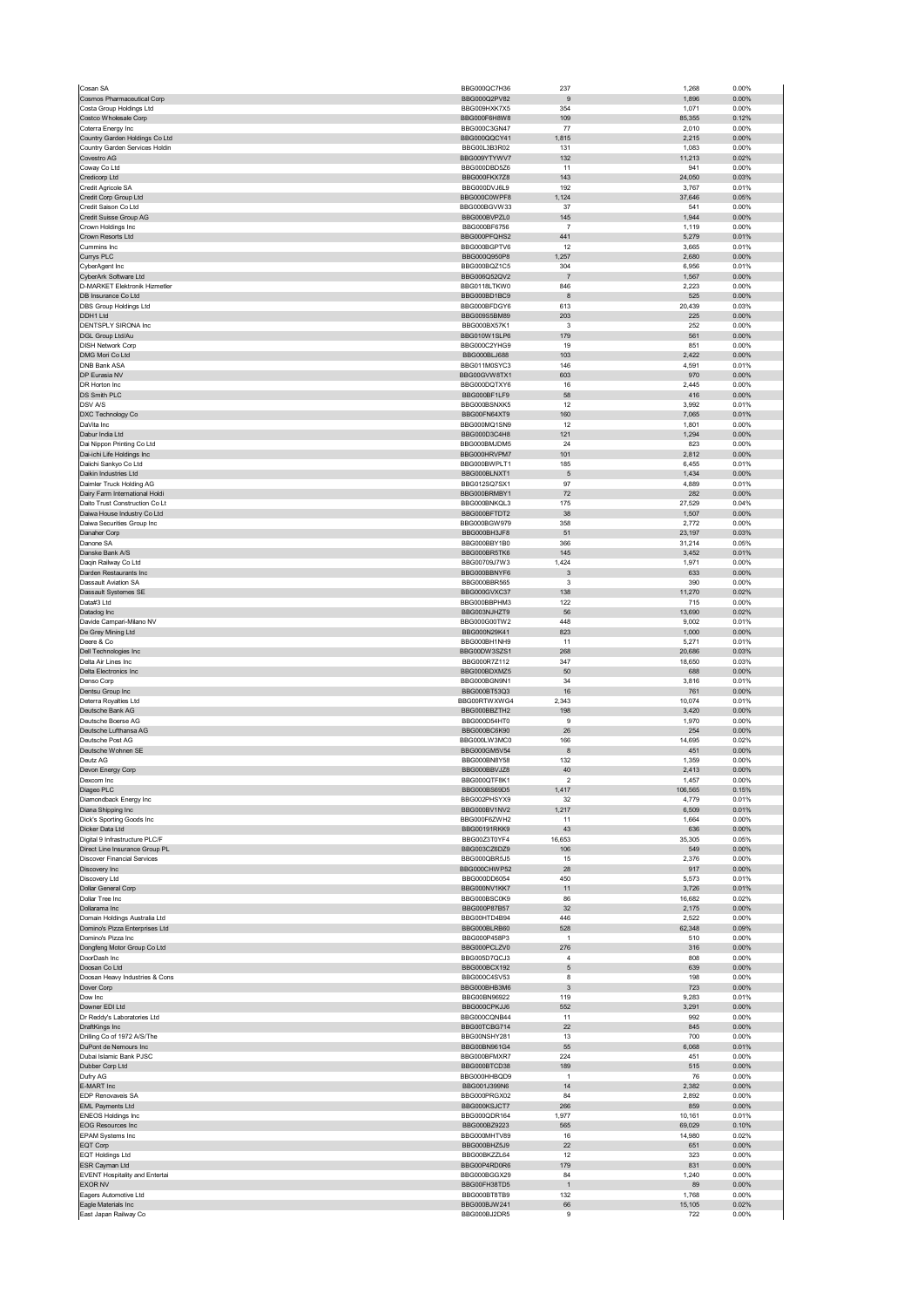|                                                                      | BBG000QC7H36                 | 237                   | 1,268            | 0.00%             |
|----------------------------------------------------------------------|------------------------------|-----------------------|------------------|-------------------|
| Cosmos Pharmaceutical Corp                                           | BBG000Q2PV82                 | 9                     | 1,896            | 0.00%             |
| Costa Group Holdings Ltd<br>Costco Wholesale Corp                    | BBG009HXK7X5<br>BBG000F6H8W8 | 354<br>109            | 1,071<br>85,355  | 0.00%<br>0.12%    |
| Coterra Energy Inc                                                   | BBG000C3GN47                 | 77                    | 2,010            | 0.00%             |
| Country Garden Holdings Co Ltd                                       | BBG000QQCY41                 | 1,815                 | 2,215            | 0.00%             |
| Country Garden Services Holdin                                       | BBG00L3B3R02                 | 131                   | 1,083            | 0.00%             |
| Covestro AG<br>Coway Co Ltd                                          | BBG009YTYWV7<br>BBG000DBD5Z6 | 132<br>11             | 11,213<br>941    | 0.02%<br>0.00%    |
| Credicorp Ltd                                                        | BBG000FKX7Z8                 | 143                   | 24,050           | 0.03%             |
| Credit Agricole SA                                                   | BBG000DVJ6L9                 | 192                   | 3,767            | 0.01%             |
| Credit Corp Group Ltd                                                | BBG000C0WPF8                 | 1,124                 | 37,646           | 0.05%             |
| Credit Saison Co Ltd<br>Credit Suisse Group AG                       | BBG000BGVW33<br>BBG000BVPZL0 | 37<br>145             | 541              | 0.00%<br>0.00%    |
| Crown Holdings Inc                                                   | BBG000BF6756                 | -7                    | 1,944<br>1,119   | 0.00%             |
| Crown Resorts Ltd                                                    | BBG000PFQHS2                 | 441                   | 5,279            | 0.01%             |
| Cummins Inc                                                          | BBG000BGPTV6                 | 12                    | 3,665            | 0.01%             |
| Currys PLC                                                           | BBG000Q950P8<br>BBG000BQZ1C5 | 1,257                 | 2,680            | $0.00\%$          |
| CyberAgent Inc<br>CyberArk Software Ltd                              | BBG006Q52QV2                 | 304<br>$\overline{7}$ | 6,956<br>1,567   | 0.01%<br>0.00%    |
| D-MARKET Elektronik Hizmetler                                        | BBG0118LTKW0                 | 846                   | 2,223            | 0.00%             |
| DB Insurance Co Ltd                                                  | BBG000BD1BC9                 | 8                     | 525              | 0.00%             |
| DBS Group Holdings Ltd                                               | BBG000BFDGY6                 | 613                   | 20,439           | 0.03%             |
| DDH1 Ltd<br>DENTSPLY SIRONA Inc                                      | BBG009S5BM89<br>BBG000BX57K1 | 203<br>3              | 225<br>252       | 0.00%<br>0.00%    |
| DGL Group Ltd/Au                                                     | BBG010W1SLP6                 | 179                   | 561              | 0.00%             |
| <b>DISH Network Corp</b>                                             | BBG000C2YHG9                 | 19                    | 851              | 0.00%             |
| DMG Mori Co Ltd                                                      | BBG000BLJ688                 | 103                   | 2,422            | 0.00%             |
| <b>DNB Bank ASA</b><br>DP Eurasia NV                                 | BBG011M0SYC3<br>BBG00GVW8TX1 | 146<br>603            | 4,591<br>970     | 0.01%<br>$0.00\%$ |
| DR Horton Inc                                                        | BBG000DOTXY6                 | 16                    | 2,445            | 0.00%             |
| DS Smith PLC                                                         | BBG000BF1LF9                 | 58                    | 416              | 0.00%             |
| DSV A/S                                                              | BBG000BSNXK5                 | 12                    | 3,992            | 0.01%             |
| DXC Technology Co                                                    | BBG00FN64XT9                 | 160                   | 7,065            | 0.01%             |
| DaVita Inc<br>Dabur India Ltd                                        | BBG000MQ1SN9<br>BBG000D3C4H8 | 12<br>121             | 1,801            | 0.00%<br>$0.00\%$ |
| Dai Nippon Printing Co Ltd                                           | BBG000BMJDM5                 | 24                    | 1,294<br>823     | 0.00%             |
| Dai-ichi Life Holdings Inc                                           | BBG000HRVPM7                 | 101                   | 2,812            | 0.00%             |
| Daiichi Sankyo Co Ltd                                                | BBG000BWPLT1                 | 185                   | 6,455            | 0.01%             |
| Daikin Industries Ltd                                                | BBG000BLNXT1                 | 5                     | 1,434            | 0.00%             |
| Daimler Truck Holding AG                                             | BBG012SQ7SX1<br>BBG000BRMBY1 | 97                    | 4,889<br>282     | 0.01%<br>0.00%    |
| Dairy Farm International Holdi<br>Daito Trust Construction Co Lt     | BBG000BNKQL3                 | 72<br>175             | 27,529           | 0.04%             |
| Daiwa House Industry Co Ltd                                          | BBG000BFTDT2                 | 38                    | 1,507            | 0.00%             |
| Daiwa Securities Group Inc                                           | BBG000BGW979                 | 358                   | 2,772            | 0.00%             |
| Danaher Corp                                                         | BBG000BH3JF8                 | 51                    | 23,197           | 0.03%             |
| Danone SA                                                            | BBG000BBY1B0                 | 366                   | 31,214           | 0.05%             |
| Danske Bank A/S<br>Daqin Railway Co Ltd                              | BBG000BR5TK6<br>BBG00709J7W3 | 145<br>1,424          | 3,452<br>1,971   | 0.01%<br>0.00%    |
| Darden Restaurants Inc                                               | BBG000BBNYF6                 | 3                     | 633              | $0.00\%$          |
| <b>Dassault Aviation SA</b>                                          | BBG000BBR565                 | 3                     | 390              | 0.00%             |
| Dassault Systemes SE                                                 | BBG000GVXC37                 | 138                   | 11,270           | 0.02%             |
| Data#3 Ltd<br>Datadog Inc                                            | BBG000BBPHM3<br>BBG003NJHZT9 | 122<br>56             | 715<br>13,690    | 0.00%<br>0.02%    |
| Davide Campari-Milano NV                                             | BBG000G00TW2                 | 448                   | 9,002            | 0.01%             |
| De Grey Mining Ltd                                                   | BBG000N29K41                 | 823                   | 1,000            | 0.00%             |
| Deere & Co                                                           | BBG000BH1NH9                 | 11                    | 5,271            | 0.01%             |
| Dell Technologies Inc                                                | BBG00DW3SZS1                 | 268                   | 20,686           | 0.03%             |
| Delta Air Lines Inc<br>Delta Electronics Inc                         | BBG000R7Z112<br>BBG000BDXMZ5 | 347<br>50             | 18,650<br>688    | 0.03%<br>0.00%    |
| Denso Corp                                                           | BBG000BGN9N1                 | 34                    | 3,816            | 0.01%             |
| Dentsu Group Inc                                                     | BBG000BT53Q3                 | 16                    | 761              | 0.00%             |
| Deterra Royalties Ltd                                                | BBG00RTWXWG4                 | 2,343                 | 10,074           | 0.01%             |
| Deutsche Bank AG                                                     | BBG000BBZTH2                 | 198                   | 3,420            | 0.00%             |
| Deutsche Boerse AG<br>Deutsche Lufthansa AG                          | BBG000D54HT0                 | 9<br>26               | 1,970<br>254     | 0.00%<br>0.00%    |
|                                                                      |                              |                       |                  |                   |
|                                                                      | BBG000BC6K90                 |                       |                  |                   |
| Deutsche Post AG<br>Deutsche Wohnen SE                               | BBG000LW3MC0<br>BBG000GM5V54 | 166<br>8              | 14,695<br>451    | 0.02%<br>$0.00\%$ |
| Deutz AG                                                             | BBG000BN8Y58                 | 132                   | 1,359            | 0.00%             |
| Devon Energy Corp                                                    | BBG000BBVJZ8                 | 40                    | 2,413            | 0.00%             |
| Jexcom inc                                                           | RRG000G1F9K1                 | z                     | 1,457            | U.UU%             |
| Diageo PLC                                                           | BBG000BS69D5                 | 1,417                 | 106,565          | 0.15%             |
| Diamondback Energy Inc<br>Diana Shipping Inc                         | BBG002PHSYX9<br>BBG000BV1NV2 | 32<br>1,217           | 4,779<br>6,509   | 0.01%<br>0.01%    |
| Dick's Sporting Goods Inc                                            | BBG000F6ZWH2                 | 11                    | 1,664            | 0.00%             |
| Dicker Data Ltd                                                      | BBG00191RKK9                 | 43                    | 636              | 0.00%             |
| Digital 9 Infrastructure PLC/F                                       | BBG00Z3T0YF4<br>BBG003CZ6DZ9 | 16,653<br>106         | 35,305<br>549    | 0.05%<br>0.00%    |
| Direct Line Insurance Group PL<br><b>Discover Financial Services</b> | BBG000QBR5J5                 | 15                    | 2,376            | 0.00%             |
| Discovery Inc                                                        | BBG000CHWP52                 | 28                    | 917              | 0.00%             |
| Discovery Ltd                                                        | BBG000DD6054                 | 450                   | 5,573            | 0.01%             |
| Dollar General Corp                                                  | BBG000NV1KK7                 | 11                    | 3,726            | 0.01%             |
| Dollar Tree Inc<br>Dollarama Inc                                     | BBG000BSC0K9<br>BBG000P87B57 | 86<br>32              | 16,682<br>2,175  | 0.02%<br>$0.00\%$ |
| Domain Holdings Australia Ltd                                        | BBG00HTD4B94                 | 446                   | 2,522            | 0.00%             |
| Domino's Pizza Enterprises Ltd                                       | BBG000BLRB60                 | 528                   | 62,348           | 0.09%             |
| Domino's Pizza Inc                                                   | BBG000P458P3                 | $\mathbf{1}$          | 510              | 0.00%             |
| Dongfeng Motor Group Co Ltd<br>DoorDash Inc                          | BBG000PCLZV0<br>BBG005D7QCJ3 | 276<br>$\overline{4}$ | 316<br>808       | 0.00%<br>0.00%    |
| Doosan Co Ltd                                                        | BBG000BCX192                 | 5                     | 639              | $0.00\%$          |
| Doosan Heavy Industries & Cons                                       | BBG000C4SV53                 | 8                     | 198              | 0.00%             |
| Dover Corp                                                           | BBG000BHB3M6                 | 3                     | 723              | $0.00\%$          |
| Dow Inc                                                              | BBG00BN96922                 | 119<br>552            | 9,283            | 0.01%<br>0.00%    |
| Downer EDI Ltd<br>Dr Reddy's Laboratories Ltd                        | BBG000CPKJJ6<br>BBG000CQNB44 | 11                    | 3,291<br>992     | 0.00%             |
| DraftKings Inc                                                       | BBG00TCBG714                 | 22                    | 845              | $0.00\%$          |
| Drilling Co of 1972 A/S/The                                          | BBG00NSHY281                 | 13                    | 700              | 0.00%             |
| DuPont de Nemours Inc                                                | BBG00BN961G4                 | 55                    | 6,068            | 0.01%             |
| Dubai Islamic Bank PJSC<br>Dubber Corp Ltd                           | BBG000BFMXR7<br>BBG000BTCD38 | 224<br>189            | 451<br>515       | 0.00%<br>$0.00\%$ |
| Dufry AG                                                             | BBG000HHBQD9                 | $\overline{1}$        | 76               | 0.00%             |
| E-MART Inc                                                           | BBG001J399N6                 | 14                    | 2,382            | 0.00%             |
| EDP Renovaveis SA                                                    | BBG000PRGX02                 | 84                    | 2,892            | 0.00%             |
| <b>EML Payments Ltd</b>                                              | BBG000KSJCT7                 | 266                   | 859              | 0.00%             |
| <b>ENEOS Holdings Inc</b><br><b>EOG Resources Inc</b>                | BBG000QDR164<br>BBG000BZ9223 | 1,977<br>565          | 10,161<br>69,029 | 0.01%<br>0.10%    |
| EPAM Systems Inc                                                     | BBG000MHTV89                 | 16                    | 14,980           | 0.02%             |
| EQT Corp                                                             | BBG000BHZ5J9                 | 22                    | 651              | $0.00\%$          |
| <b>EQT Holdings Ltd</b>                                              | BBG00BKZZL64                 | 12                    | 323              | 0.00%             |
| ESR Cayman Ltd                                                       | BBG00P4RD0R6                 | 179                   | 831              | $0.00\%$          |
| <b>EVENT Hospitality and Entertai</b><br><b>EXOR NV</b>              | BBG000BGGX29<br>BBG00FH38TD5 | 84<br>$\overline{1}$  | 1,240<br>89      | 0.00%<br>$0.00\%$ |
| Eagers Automotive Ltd                                                | BBG000BT8TB9                 | 132                   | 1,768            | 0.00%             |
| Eagle Materials Inc<br>East Japan Railway Co                         | BBG000BJW241<br>BBG000BJ2DR5 | 66<br>9               | 15,105<br>722    | 0.02%<br>0.00%    |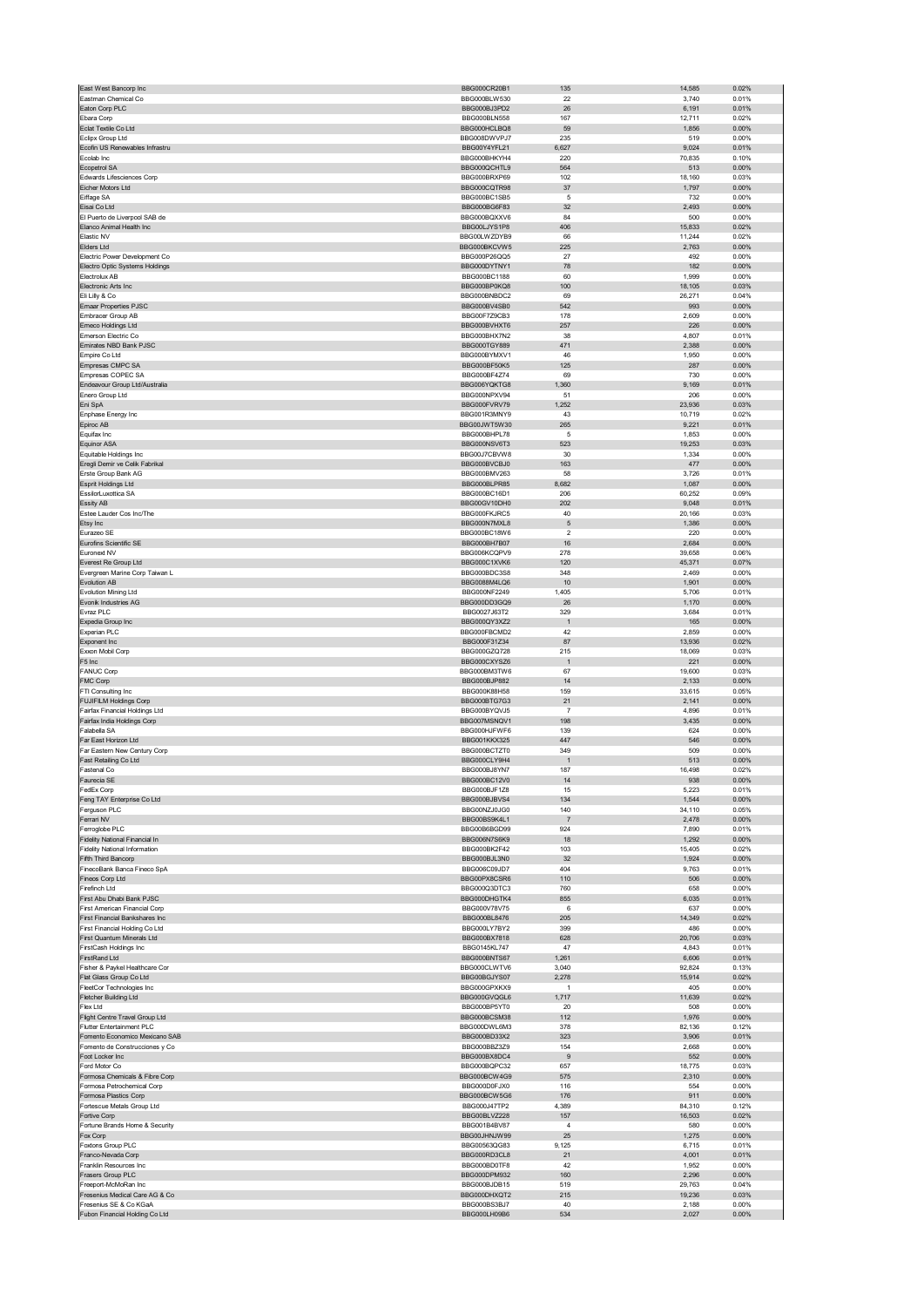| East West Bancorp Inc                                           | BBG000CR20B1                        | 135                   | 14,585          | 0.02%             |
|-----------------------------------------------------------------|-------------------------------------|-----------------------|-----------------|-------------------|
| Eastman Chemical Co<br>Eaton Corp PLC                           | BBG000BLW530<br>BBG000BJ3PD2        | 22<br>26              | 3,740<br>6,191  | 0.01%<br>0.01%    |
| Ebara Corp                                                      | BBG000BLN558                        | 167                   | 12,711          | 0.02%             |
| Eclat Textile Co Ltd                                            | BBG000HCLBQ8                        | 59                    | 1,856           | $0.00\%$          |
| Eclipx Group Ltd                                                | BBG008DWVPJ7                        | 235                   | 519             | 0.00%             |
| Ecofin US Renewables Infrastru<br>Ecolab Inc                    | BBG00Y4YFL21<br>BBG000BHKYH4        | 6,627<br>220          | 9,024<br>70,835 | 0.01%<br>0.10%    |
| Ecopetrol SA                                                    | BBG000QCHTL9                        | 564                   | 513             | $0.00\%$          |
| Edwards Lifesciences Corp                                       | BBG000BRXP69                        | 102                   | 18,160          | 0.03%             |
| Eicher Motors Ltd                                               | BBG000CQTR98                        | 37                    | 1,797           | $0.00\%$          |
| Eiffage SA                                                      | BBG000BC1SB5                        | 5                     | 732             | 0.00%             |
| Eisai Co Ltd<br>El Puerto de Liverpool SAB de                   | BBG000BG6F83<br>BBG000BQXXV6        | 32<br>84              | 2,493<br>500    | 0.00%<br>0.00%    |
| Elanco Animal Health Inc                                        | BBG00LJYS1P8                        | 406                   | 15,833          | 0.02%             |
| Elastic NV                                                      | BBG00LWZDYB9                        | 66                    | 11,244          | 0.02%             |
| Elders Ltd                                                      | BBG000BKCVW5                        | 225                   | 2,763           | 0.00%             |
| Electric Power Development Co<br>Electro Optic Systems Holdings | BBG000P26QQ5<br>BBG000DYTNY1        | 27<br>78              | 492<br>182      | 0.00%<br>$0.00\%$ |
| Electrolux AB                                                   | BBG000BC1188                        | 60                    | 1.999           | 0.00%             |
| Electronic Arts Inc                                             | BBG000BP0KQ8                        | 100                   | 18,105          | 0.03%             |
| Eli Lilly & Co                                                  | BBG000BNBDC2                        | 69                    | 26,271          | 0.04%             |
| <b>Emaar Properties PJSC</b>                                    | BBG000BV4SB0                        | 542<br>178            | 993             | 0.00%<br>0.00%    |
| Embracer Group AB<br>Emeco Holdings Ltd                         | BBG00F7Z9CB3<br>BBG000BVHXT6        | 257                   | 2,609<br>226    | 0.00%             |
| Emerson Electric Co                                             | BBG000BHX7N2                        | 38                    | 4,807           | 0.01%             |
| Emirates NBD Bank PJSC                                          | BBG000TGY889                        | 471                   | 2,388           | 0.00%             |
| Empire Co Ltd                                                   | BBG000BYMXV1                        | 46                    | 1,950           | 0.00%             |
| Empresas CMPC SA                                                | BBG000BF50K5                        | 125                   | 287             | 0.00%             |
| Empresas COPEC SA<br>Endeavour Group Ltd/Australia              | BBG000BF4Z74<br>BBG006YQKTG8        | 69<br>1,360           | 730<br>9,169    | 0.00%<br>0.01%    |
| Enero Group Ltd                                                 | BBG000NPXV94                        | 51                    | 206             | 0.00%             |
| Eni SpA                                                         | BBG000FVRV79                        | 1,252                 | 23,936          | 0.03%             |
| Enphase Energy Inc                                              | BBG001R3MNY9                        | 43                    | 10,719          | 0.02%             |
| Epiroc AB                                                       | BBG00JWT5W30                        | 265                   | 9,221           | 0.01%             |
| Equifax Inc<br><b>Equinor ASA</b>                               | BBG000BHPL78<br>BBG000NSV6T3        | 5<br>523              | 1,853<br>19,253 | 0.00%<br>0.03%    |
| Equitable Holdings Inc                                          | BBG00J7CBVW8                        | 30                    | 1,334           | 0.00%             |
| Eregli Demir ve Celik Fabrikal                                  | BBG000BVCBJ0                        | 163                   | 477             | 0.00%             |
| Erste Group Bank AG                                             | BBG000BMV263                        | 58                    | 3,726           | 0.01%             |
| Esprit Holdings Ltd                                             | BBG000BLPR85                        | 8,682                 | 1,087           | 0.00%             |
| EssilorLuxottica SA                                             | BBG000BC16D1                        | 206                   | 60,252          | 0.09%             |
| Essity AB<br>Estee Lauder Cos Inc/The                           | BBG00GV10DH0<br>BBG000FKJRC5        | 202<br>40             | 9,048<br>20,166 | 0.01%<br>0.03%    |
| Etsy Inc                                                        | BBG000N7MXL8                        | 5                     | 1,386           | 0.00%             |
| Eurazeo SE                                                      | BBG000BC18W6                        | $\overline{2}$        | 220             | 0.00%             |
| Eurofins Scientific SE                                          | BBG000BH7B07                        | 16                    | 2,684           | 0.00%             |
| Euronext NV                                                     | BBG006KCQPV9                        | 278                   | 39,658          | 0.06%             |
| Everest Re Group Ltd                                            | BBG000C1XVK6<br>BBG000BDC3S8        | 120<br>348            | 45,371          | 0.07%             |
| Evergreen Marine Corp Taiwan L<br><b>Evolution AB</b>           | BBG0088M4LQ6                        | 10                    | 2,469<br>1,901  | 0.00%<br>0.00%    |
| Evolution Mining Ltd                                            | BBG000NF2249                        | 1,405                 | 5,706           | 0.01%             |
| Evonik Industries AG                                            | BBG000DD3GQ9                        | 26                    | 1,170           | 0.00%             |
| Evraz PLC                                                       | BBG0027J63T2                        | 329                   | 3,684           | 0.01%             |
| Expedia Group Inc                                               | BBG000QY3XZ2                        | $\overline{1}$        | 165             | $0.00\%$          |
| Experian PLC<br>Exponent Inc                                    | BBG000FBCMD2<br>BBG000F31Z34        | 42<br>87              | 2,859<br>13,936 | 0.00%<br>0.02%    |
| Exxon Mobil Corp                                                | BBG000GZQ728                        | 215                   | 18,069          | 0.03%             |
| F5 Inc                                                          | BBG000CXYSZ6                        | $\overline{1}$        | 221             | 0.00%             |
|                                                                 |                                     |                       |                 |                   |
| <b>FANUC Corp</b>                                               | BBG000BM3TW6                        | 67                    | 19,600          | 0.03%             |
| FMC Corp                                                        | BBG000BJP882                        | 14                    | 2,133           | $0.00\%$          |
| FTI Consulting Inc                                              | BBG000K88H58                        | 159                   | 33,615          | 0.05%             |
| <b>FUJIFILM Holdings Corp</b>                                   | BBG000BTG7G3                        | 21                    | 2,141           | 0.00%             |
| Fairfax Financial Holdings Ltd<br>Fairfax India Holdings Corp   | BBG000BYQVJ5<br>BBG007MSNQV1        | $\overline{7}$<br>198 | 4,896<br>3,435  | 0.01%<br>$0.00\%$ |
| Falabella SA                                                    | BBG000HJFWF6                        | 139                   | 624             | 0.00%             |
| Far East Horizon Ltd                                            | BBG001KKX325                        | 447                   | 546             | 0.00%             |
| Far Eastern New Century Corp                                    | BBG000BCTZT0                        | 349                   | 509             | 0.00%             |
| Fast Retailing Co Ltd                                           | BBG000CLY9H4                        | $\overline{1}$        | 513             | 0.00%             |
| Fastenal Co                                                     | BBG000BJ8YN7<br><b>BBG000BC12V0</b> | 187                   | 16,498<br>938   | 0.02%<br>n nn%    |
| FedEx Corp                                                      | BBG000BJF1Z8                        | 15                    | 5,223           | 0.01%             |
| Feng TAY Enterprise Co Ltd                                      | BBG000BJBVS4                        | 134                   | 1,544           | 0.00%             |
| Ferguson PLC                                                    | BBG00NZJ0JG0                        | 140                   | 34,110          | 0.05%             |
| Ferrari NV                                                      | BBG00BS9K4L1                        | $\overline{7}$        | 2,478           | $0.00\%$          |
| Ferroglobe PLC<br>Fidelity National Financial In                | BBG00B6BGD99<br>BBG006N7S6K9        | 924<br>18             | 7,890<br>1,292  | 0.01%<br>$0.00\%$ |
| <b>Fidelity National Information</b>                            | BBG000BK2F42                        | 103                   | 15,405          | 0.02%             |
| Fifth Third Bancorp                                             | BBG000BJL3N0                        | 32                    | 1,924           | 0.00%             |
| FinecoBank Banca Fineco SpA                                     | BBG006C09JD7                        | 404                   | 9,763           | 0.01%             |
| Fineos Corp Ltd<br>Firefinch Ltd                                | BBG00PX8CSR6<br>BBG000Q3DTC3        | 110<br>760            | 506<br>658      | $0.00\%$<br>0.00% |
| First Abu Dhabi Bank PJSC                                       | BBG000DHGTK4                        | 855                   | 6,035           | 0.01%             |
| First American Financial Corp                                   | BBG000V78V75                        | 6                     | 637             | 0.00%             |
| First Financial Bankshares Inc                                  | BBG000BL8476                        | 205                   | 14,349          | 0.02%             |
| First Financial Holding Co Ltd                                  | BBG000LY7BY2                        | 399                   | 486             | 0.00%             |
| First Quantum Minerals Ltd                                      | BBG000BX7818                        | 628<br>47             | 20,706          | 0.03%             |
| FirstCash Holdings Inc<br>FirstRand Ltd                         | BBG0145KL747<br>BBG000BNTS67        | 1,261                 | 4,843<br>6,606  | 0.01%<br>0.01%    |
| Fisher & Paykel Healthcare Cor                                  | BBG000CLWTV6                        | 3,040                 | 92,824          | 0.13%             |
| Flat Glass Group Co Ltd                                         | BBG00BGJYS07                        | 2,278                 | 15,914          | 0.02%             |
| FleetCor Technologies Inc                                       | BBG000GPXKX9                        | $\overline{1}$        | 405             | 0.00%             |
| Fletcher Building Ltd                                           | BBG000GVQGL6                        | 1,717                 | 11,639          | 0.02%             |
| Flex Ltd<br>Flight Centre Travel Group Ltd                      | BBG000BP5YT0<br>BBG000BCSM38        | 20<br>112             | 508<br>1,976    | 0.00%<br>0.00%    |
| Flutter Entertainment PLC                                       | BBG000DWL6M3                        | 378                   | 82,136          | 0.12%             |
| Fomento Economico Mexicano SAB                                  | BBG000BD33X2                        | 323                   | 3,906           | 0.01%             |
| Fomento de Construcciones y Co                                  | BBG000BBZ3Z9                        | 154                   | 2,668           | 0.00%             |
| Foot Locker Inc                                                 | BBG000BX8DC4                        | 9                     | 552             | 0.00%             |
| Ford Motor Co                                                   | BBG000BQPC32                        | 657                   | 18,775          | 0.03%             |
| Formosa Chemicals & Fibre Corp<br>Formosa Petrochemical Corp    | BBG000BCW4G9<br>BBG000D0FJX0        | 575<br>116            | 2,310<br>554    | 0.00%<br>0.00%    |
| Formosa Plastics Corp                                           | BBG000BCW5G6                        | 176                   | 911             | $0.00\%$          |
| Fortescue Metals Group Ltd                                      | BBG000J47TP2                        | 4,389                 | 84,310          | 0.12%             |
| Fortive Corp                                                    | BBG00BLVZ228                        | 157                   | 16,503          | 0.02%             |
| Fortune Brands Home & Security                                  | BBG001B4BV87                        | $\overline{4}$<br>25  | 580             | 0.00%<br>0.00%    |
| Fox Corp<br>Foxtons Group PLC                                   | BBG00JHNJW99<br>BBG00563QG83        | 9,125                 | 1,275<br>6,715  | 0.01%             |
| Franco-Nevada Corp                                              | BBG000RD3CL8                        | 21                    | 4,001           | 0.01%             |
| Franklin Resources Inc                                          | BBG000BD0TF8                        | 42                    | 1,952           | 0.00%             |
| Frasers Group PLC                                               | BBG000DPM932                        | 160                   | 2,296           | 0.00%             |
| Freeport-McMoRan Inc                                            | BBG000BJDB15                        | 519                   | 29,763          | 0.04%             |
| Fresenius Medical Care AG & Co<br>Fresenius SE & Co KGaA        | BBG000DHXQT2<br>BBG000BS3BJ7        | 215<br>40             | 19,236<br>2,188 | 0.03%<br>0.00%    |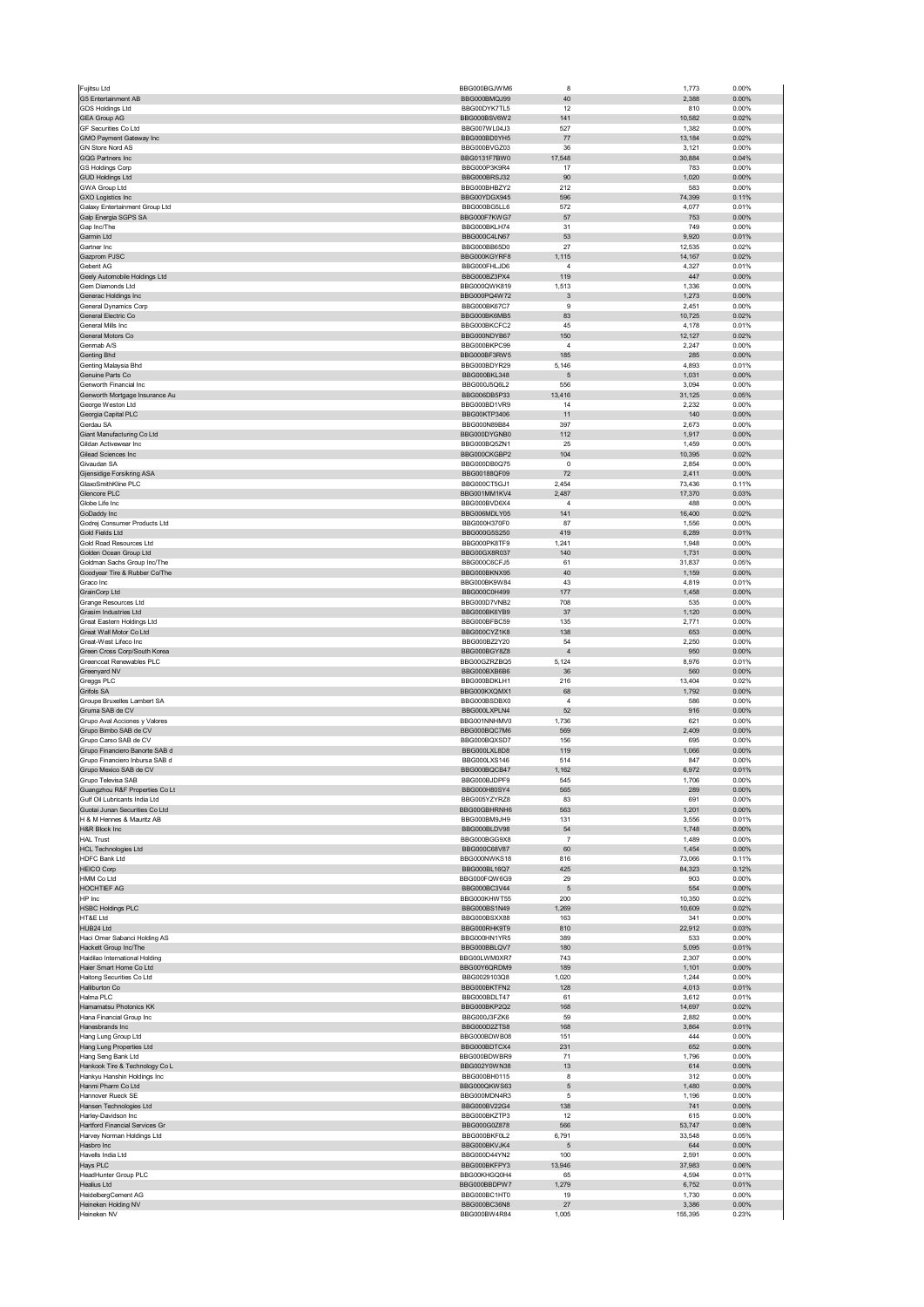| Fujitsu Ltd                                                   | BBG000BGJWM6                 | 8                         | 1,773            | 0.00%             |
|---------------------------------------------------------------|------------------------------|---------------------------|------------------|-------------------|
| G5 Entertainment AB<br><b>GDS Holdings Ltd</b>                | BBG000BMQJ99<br>BBG00DYK7TL5 | 40<br>12                  | 2,388<br>810     | 0.00%<br>0.00%    |
| <b>GEA Group AG</b>                                           | BBG000BSV6W2                 | 141                       | 10,582           | 0.02%             |
| GF Securities Co Ltd                                          | BBG007WL04J3                 | 527                       | 1,382            | 0.00%             |
| GMO Payment Gateway Inc                                       | BBG000BD0YH5                 | 77                        | 13,184           | 0.02%             |
| GN Store Nord AS<br>GQG Partners Inc                          | BBG000BVGZ03<br>BBG0131F7BW0 | 36<br>17,548              | 3,121<br>30,884  | 0.00%<br>0.04%    |
| <b>GS Holdings Corp</b>                                       | BBG000P3K9R4                 | 17                        | 783              | 0.00%             |
| <b>GUD Holdings Ltd</b>                                       | BBG000BRSJ32                 | 90                        | 1,020            | 0.00%             |
| GWA Group Ltd<br><b>GXO Logistics Inc</b>                     | BBG000BHBZY2<br>BBG00YDGX945 | 212<br>596                | 583<br>74,399    | 0.00%<br>0.11%    |
| Galaxy Entertainment Group Ltd                                | BBG000BG5LL6                 | 572                       | 4,077            | 0.01%             |
| Galp Energia SGPS SA                                          | BBG000F7KWG7                 | 57                        | 753              | 0.00%             |
| Gap Inc/The<br>Garmin Ltd                                     | BBG000BKLH74                 | 31                        | 749              | 0.00%             |
| Gartner Inc                                                   | BBG000C4LN67<br>BBG000BB65D0 | 53<br>27                  | 9,920<br>12,535  | 0.01%<br>0.02%    |
| Gazprom PJSC                                                  | BBG000KGYRF8                 | 1,115                     | 14,167           | 0.02%             |
| Geberit AG                                                    | BBG000FHLJD6                 | $\overline{4}$            | 4,327            | 0.01%             |
| Geely Automobile Holdings Ltd<br>Gem Diamonds Ltd             | BBG000BZ3PX4<br>BBG000QWK819 | 119<br>1,513              | 447<br>1,336     | $0.00\%$<br>0.00% |
| Generac Holdings Inc                                          | BBG000PQ4W72                 | $\mathbf{3}$              | 1,273            | 0.00%             |
| General Dynamics Corp                                         | BBG000BK67C7                 | 9                         | 2,451            | 0.00%             |
| General Electric Co<br>General Mills Inc                      | BBG000BK6MB5<br>BBG000BKCFC2 | 83<br>45                  | 10,725           | 0.02%<br>0.01%    |
| General Motors Co                                             | BBG000NDYB67                 | 150                       | 4,178<br>12,127  | 0.02%             |
| Genmab A/S                                                    | BBG000BKPC99                 | 4                         | 2,247            | 0.00%             |
| Genting Bhd                                                   | BBG000BF3RW5                 | 185                       | 285              | 0.00%             |
| Genting Malaysia Bhd<br>Genuine Parts Co                      | BBG000BDYR29<br>BBG000BKL348 | 5,146<br>5                | 4,893<br>1,031   | 0.01%<br>0.00%    |
| Genworth Financial Inc                                        | BBG000J5Q6L2                 | 556                       | 3,094            | 0.00%             |
| Genworth Mortgage Insurance Au                                | BBG006DB5P33                 | 13,416                    | 31,125           | 0.05%             |
| George Weston Ltd                                             | BBG000BD1VR9                 | 14                        | 2,232            | 0.00%             |
| Georgia Capital PLC<br>Gerdau SA                              | BBG00KTP3406<br>BBG000N89B84 | 11<br>397                 | 140<br>2,673     | 0.00%<br>0.00%    |
| Giant Manufacturing Co Ltd                                    | BBG000DYGNB0                 | 112                       | 1,917            | $0.00\%$          |
| Gildan Activewear Inc                                         | BBG000BQ5ZN1                 | 25                        | 1,459            | 0.00%             |
| Gilead Sciences Inc.<br>Givaudan SA                           | BBG000CKGBP2<br>BBG000DB0Q75 | 104<br>0                  | 10,395<br>2,854  | 0.02%<br>0.00%    |
| Gjensidige Forsikring ASA                                     | BBG00188QF09                 | 72                        | 2,411            | 0.00%             |
| GlaxoSmithKline PLC                                           | BBG000CT5GJ1                 | 2,454                     | 73,436           | 0.11%             |
| Glencore PLC<br>Globe Life Inc                                | BBG001MM1KV4<br>BBG000BVD6X4 | 2,487<br>4                | 17,370<br>488    | 0.03%<br>0.00%    |
| GoDaddy Inc                                                   | BBG006MDLY05                 | 141                       | 16,400           | 0.02%             |
| Godrej Consumer Products Ltd                                  | BBG000H370F0                 | 87                        | 1,556            | 0.00%             |
| Gold Fields Ltd                                               | BBG000G5S250                 | 419                       | 6,289            | 0.01%             |
| Gold Road Resources Ltd<br>Golden Ocean Group Ltd             | BBG000PK8TF9<br>BBG00GX8R037 | 1,241<br>140              | 1,948<br>1,731   | 0.00%<br>$0.00\%$ |
| Goldman Sachs Group Inc/The                                   | BBG000C6CFJ5                 | 61                        | 31,837           | 0.05%             |
| Goodyear Tire & Rubber Co/The                                 | BBG000BKNX95                 | 40                        | 1,159            | 0.00%             |
| Graco Inc<br>GrainCorp Ltd                                    | BBG000BK9W84<br>BBG000C0H499 | 43<br>177                 | 4,819<br>1,458   | 0.01%<br>$0.00\%$ |
| Grange Resources Ltd                                          | BBG000D7VNB2                 | 708                       | 535              | 0.00%             |
| Grasim Industries Ltd                                         | BBG000BK6YB9                 | 37                        | 1,120            | $0.00\%$          |
| Great Eastern Holdings Ltd                                    | BBG000BFBC59                 | 135<br>138                | 2,771<br>653     | 0.00%             |
| Great Wall Motor Co Ltd<br>Great-West Lifeco Inc              | BBG000CYZ1K8<br>BBG000BZ2Y20 | 54                        | 2,250            | 0.00%<br>0.00%    |
|                                                               |                              |                           |                  |                   |
| Green Cross Corp/South Korea                                  | BBG000BGY8Z8                 | $\overline{4}$            | 950              | 0.00%             |
| Greencoat Renewables PLC                                      | BBG00GZRZBQ5                 | 5,124                     | 8,976            | 0.01%             |
| Greenyard NV                                                  | BBG000BXB6B6                 | 36                        | 560              | 0.00%             |
| Greggs PLC<br>Grifols SA                                      | BBG000BDKLH1<br>BBG000KXQMX1 | 216<br>68                 | 13,404<br>1,792  | 0.02%<br>0.00%    |
| Groupe Bruxelles Lambert SA                                   | BBG000BSDBX0                 | $\sqrt{4}$                | 586              | 0.00%             |
| Gruma SAB de CV                                               | BBG000LXPLN4                 | 52                        | 916              | 0.00%             |
| Grupo Aval Acciones y Valores                                 | BBG001NNHMV0<br>BBG000BQC7M6 | 1,736<br>569              | 621<br>2,409     | 0.00%<br>0.00%    |
| Grupo Bimbo SAB de CV<br>Grupo Carso SAB de CV                | BBG000BQXSD7                 | 156                       | 695              | 0.00%             |
| Grupo Financiero Banorte SAB d                                | BBG000LXL8D8                 | 119                       | 1,066            | 0.00%             |
| Grupo Financiero Inbursa SAB d                                | BBG000LXS146                 | 514                       | 847              | 0.00%             |
| Grupo Mexico SAB de CV<br>Grupo Televisa SAB                  | BBG000BQCB47<br>BRG000BJDPF9 | 1,162                     | 6,972<br>1706    | 0.01%<br>n nn%    |
| Guangzhou R&F Properties Co Lt                                | BBG000H80SY4                 | 565                       | 289              | 0.00%             |
| Gulf Oil Lubricants India Ltd                                 | BBG005YZYRZ8                 | 83                        | 691              | 0.00%             |
| Guotai Junan Securities Co Ltd<br>H & M Hennes & Mauritz AB   | BBG00GBHRNH6<br>BBG000BM9JH9 | 563<br>131                | 1,201<br>3,556   | 0.00%<br>0.01%    |
| H&R Block Inc                                                 | BBG000BLDV98                 | 54                        | 1,748            | 0.00%             |
| <b>HAL Trust</b>                                              | BBG000BGG9X8                 | $\overline{\mathfrak{c}}$ | 1,489            | 0.00%             |
| <b>HCL Technologies Ltd</b>                                   | BBG000C68V87<br>BBG000NWKS18 | 60<br>816                 | 1,454            | 0.00%<br>0.11%    |
| <b>HDFC Bank Ltd</b><br><b>HEICO Corp</b>                     | BBG000BL16Q7                 | 425                       | 73,066<br>84,323 | 0.12%             |
| HMM Co Ltd                                                    | BBG000FQW6G9                 | 29                        | 903              | 0.00%             |
| HOCHTIEF AG                                                   | BBG000BC3V44<br>BBG000KHWT55 | $\sqrt{5}$<br>200         | 554<br>10,350    | 0.00%<br>0.02%    |
| HP Inc<br><b>HSBC Holdings PLC</b>                            | BBG000BS1N49                 | 1,269                     | 10,609           | 0.02%             |
| HT&E Ltd                                                      | BBG000BSXX88                 | 163                       | 341              | 0.00%             |
| HUB24 Ltd                                                     | BBG000RHK9T9                 | 810                       | 22,912           | 0.03%             |
| Haci Omer Sabanci Holding AS<br>Hackett Group Inc/The         | BBG000HN1YR5<br>BBG000BBLQV7 | 389<br>180                | 533<br>5,095     | 0.00%<br>0.01%    |
| Haidilao International Holding                                | BBG00LWM0XR7                 | 743                       | 2,307            | 0.00%             |
| Haier Smart Home Co Ltd                                       | BBG00Y6QRDM9                 | 189                       | 1,101            | 0.00%             |
| Haitong Securities Co Ltd<br>Halliburton Co                   | BBG0029103Q8<br>BBG000BKTFN2 | 1,020<br>128              | 1,244<br>4,013   | 0.00%<br>0.01%    |
| Halma PLC                                                     | BBG000BDLT47                 | 61                        | 3,612            | 0.01%             |
| Hamamatsu Photonics KK                                        | BBG000BKP2Q2                 | 168                       | 14,697           | 0.02%             |
| Hana Financial Group Inc<br>Hanesbrands Inc                   | BBG000J3FZK6<br>BBG000D2ZTS8 | 59<br>168                 | 2,882<br>3,864   | 0.00%<br>0.01%    |
| Hang Lung Group Ltd                                           | BBG000BDWB08                 | 151                       | 444              | 0.00%             |
| Hang Lung Properties Ltd                                      | BBG000BDTCX4                 | 231                       | 652              | $0.00\%$          |
| Hang Seng Bank Ltd                                            | BBG000BDWBR9                 | 71                        | 1,796            | 0.00%             |
| Hankook Tire & Technology Co L<br>Hankyu Hanshin Holdings Inc | BBG002Y0WN38<br>BBG000BH0115 | 13<br>8                   | 614<br>312       | 0.00%<br>0.00%    |
| Hanmi Pharm Co Ltd                                            | BBG000QKWS63                 | 5                         | 1,480            | $0.00\%$          |
| Hannover Rueck SE                                             | BBG000MDN4R3                 | 5                         | 1,196            | 0.00%             |
| Hansen Technologies Ltd<br>Harley-Davidson Inc                | BBG000BV22G4<br>BBG000BKZTP3 | 138<br>12                 | 741<br>615       | 0.00%<br>0.00%    |
| Hartford Financial Services Gr                                | BBG000G0Z878                 | 566                       | 53,747           | 0.08%             |
| Harvey Norman Holdings Ltd                                    | BBG000BKF0L2                 | 6,791                     | 33,548           | 0.05%             |
| Hasbro Inc                                                    | BBG000BKVJK4                 | 5                         | 644              | 0.00%             |
| Havells India Ltd<br>Hays PLC                                 | BBG000D44YN2<br>BBG000BKFPY3 | 100<br>13,946             | 2,591<br>37,983  | 0.00%<br>0.06%    |
| HeadHunter Group PLC                                          | BBG00KHGQ0H4                 | 65                        | 4,594            | 0.01%             |
| <b>Healius Ltd</b>                                            | BBG000BBDPW7                 | 1,279                     | 6,752            | 0.01%             |
| HeidelbergCement AG<br>Heineken Holding NV                    | BBG000BC1HT0<br>BBG000BC36N8 | 19<br>27                  | 1,730<br>3,386   | 0.00%<br>0.00%    |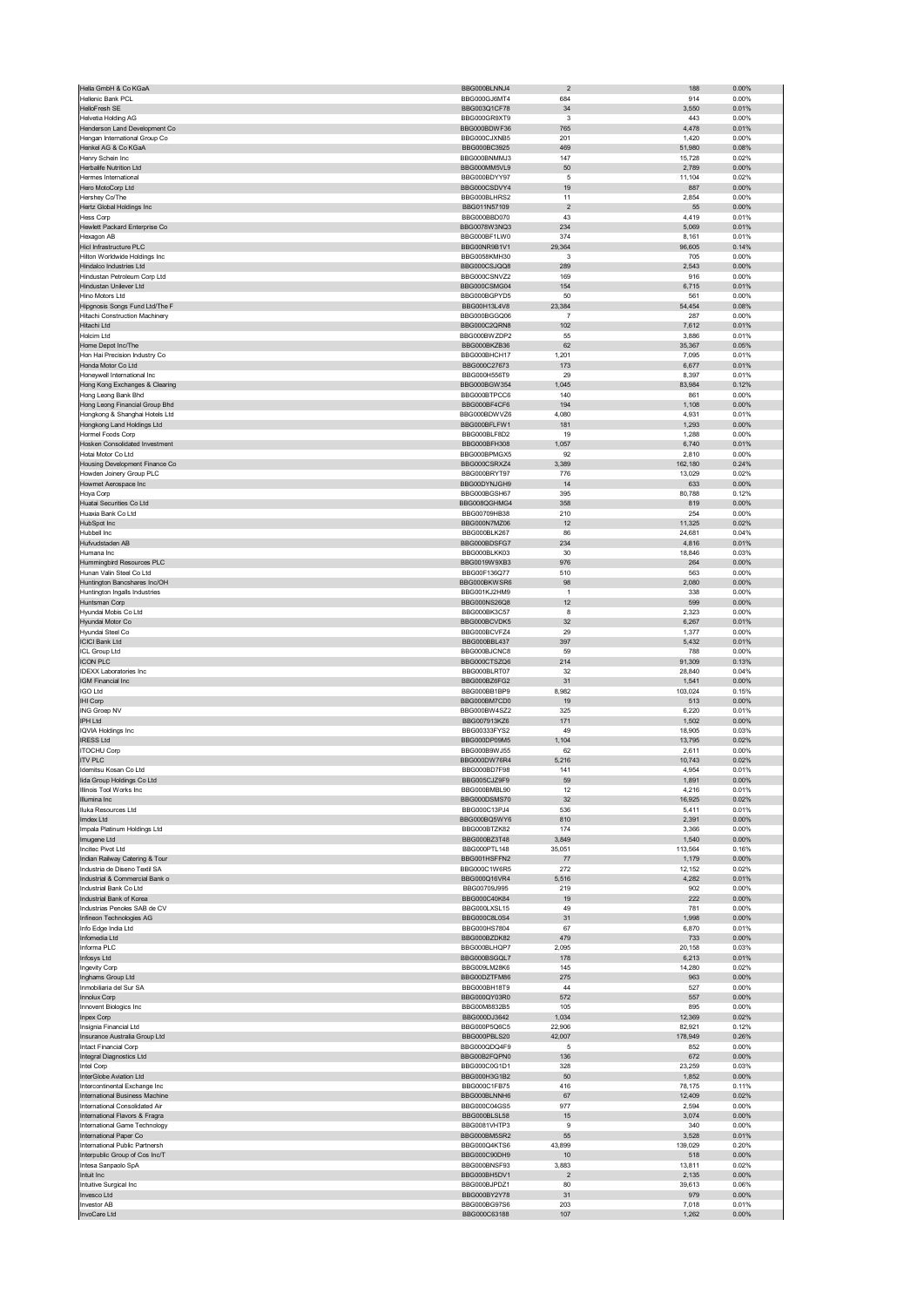| Hellenic Bank PCL                                                | BBG000BLNNJ4                 | $\overline{2}$    | 188              | 0.00%             |
|------------------------------------------------------------------|------------------------------|-------------------|------------------|-------------------|
|                                                                  | BBG000GJ6MT4                 | 684               | 914              | 0.00%             |
| HelloFresh SE                                                    | BBG003Q1CF78                 | 34                | 3,550            | 0.01%             |
| <b>Helvetia Holding AG</b>                                       | BBG000GR9XT9                 | 3                 | 443              | 0.00%             |
| Henderson Land Development Co                                    | BBG000BDWF36                 | 765               | 4,478            | 0.01%             |
| Hengan International Group Co                                    | BBG000CJXNB5                 | 201               | 1,420            | 0.00%             |
| Henkel AG & Co KGaA<br>Henry Schein Inc                          | BBG000BC3925<br>BBG000BNMMJ3 | 469<br>147        | 51,980<br>15,728 | 0.08%<br>0.02%    |
| Herbalife Nutrition Ltd                                          | BBG000MM5VL9                 | 50                | 2,789            | 0.00%             |
| Hermes International                                             | BBG000BDYY97                 | 5                 | 11,104           | 0.02%             |
| Hero MotoCorp Ltd                                                | BBG000CSDVY4                 | 19                | 887              | 0.00%             |
| Hershey Co/The                                                   | BBG000BLHRS2                 | 11                | 2,854            | 0.00%             |
| Hertz Global Holdings Inc                                        | BBG011N57109                 | $\sqrt{2}$        | 55               | 0.00%             |
| <b>Hess Corp</b>                                                 | BBG000BBD070                 | 43                | 4,419            | 0.01%             |
| Hewlett Packard Enterprise Co                                    | BBG0078W3NQ3                 | 234               | 5,069            | 0.01%             |
| Hexagon AB                                                       | BBG000BF1LW0                 | 374               | 8,161            | 0.01%             |
| Hicl Infrastructure PLC                                          | BBG00NR9B1V1                 | 29,364            | 96,605           | 0.14%             |
| Hilton Worldwide Holdings Inc<br>Hindalco Industries Ltd         | BBG0058KMH30<br>BBG000CSJQQ8 | 3<br>289          | 705<br>2,543     | 0.00%<br>0.00%    |
| Hindustan Petroleum Corp Ltd                                     | BBG000CSNVZ2                 | 169               | 916              | 0.00%             |
| Hindustan Unilever Ltd                                           | BBG000CSMG04                 | 154               | 6,715            | 0.01%             |
| Hino Motors Ltd                                                  | BBG000BGPYD5                 | 50                | 561              | 0.00%             |
| Hipgnosis Songs Fund Ltd/The F                                   | BBG00H13L4V8                 | 23,384            | 54,454           | 0.08%             |
| Hitachi Construction Machinery                                   | BBG000BGGQ06                 | 7                 | 287              | 0.00%             |
| Hitachi Ltd                                                      | BBG000C2QRN8                 | 102               | 7,612            | 0.01%             |
| Holcim Ltd                                                       | BBG000BWZDP2                 | 55                | 3,886            | 0.01%             |
| Home Depot Inc/The<br>Hon Hai Precision Industry Co              | BBG000BKZB36<br>BBG000BHCH17 | 62<br>1,201       | 35,367           | 0.05%<br>0.01%    |
| Honda Motor Co Ltd                                               | BBG000C27673                 | 173               | 7,095<br>6,677   | 0.01%             |
| Honeywell International Inc                                      | BBG000H556T9                 | 29                | 8,397            | 0.01%             |
| Hong Kong Exchanges & Clearing                                   | BBG000BGW354                 | 1,045             | 83,984           | 0.12%             |
| Hong Leong Bank Bhd                                              | BBG000BTPCC6                 | 140               | 861              | 0.00%             |
| Hong Leong Financial Group Bhd                                   | BBG000BF4CF6                 | 194               | 1,108            | 0.00%             |
| Hongkong & Shanghai Hotels Ltd                                   | BBG000BDWVZ6                 | 4,080             | 4,931            | 0.01%             |
| Hongkong Land Holdings Ltd                                       | BBG000BFLFW1                 | 181               | 1,293            | 0.00%             |
| Hormel Foods Corp                                                | BBG000BLF8D2                 | 19                | 1,288            | 0.00%             |
| Hosken Consolidated Investment<br>Hotai Motor Co Ltd             | BBG000BFH308<br>BBG000BPMGX5 | 1,057<br>92       | 6,740<br>2,810   | 0.01%<br>0.00%    |
| Housing Development Finance Co                                   | BBG000CSRXZ4                 | 3,389             | 162,180          | 0.24%             |
| Howden Joinery Group PLC                                         | BBG000BRYT97                 | 776               | 13,029           | 0.02%             |
| Howmet Aerospace Inc                                             | BBG00DYNJGH9                 | 14                | 633              | 0.00%             |
| Hoya Corp                                                        | BBG000BGSH67                 | 395               | 80,788           | 0.12%             |
| Huatai Securities Co Ltd                                         | BBG008QGHMG4                 | 358               | 819              | 0.00%             |
| Huaxia Bank Co Ltd                                               | BBG00709HB38                 | 210               | 254              | 0.00%             |
| HubSpot Inc                                                      | BBG000N7MZ06                 | 12                | 11,325           | 0.02%             |
| Hubbell Inc                                                      | BBG000BLK267                 | 86                | 24,681           | 0.04%             |
| Hufvudstaden AB<br>Humana Inc                                    | BBG000BDSFG7<br>BBG000BLKK03 | 234<br>30         | 4,816<br>18,846  | 0.01%<br>0.03%    |
| Hummingbird Resources PLC                                        | BBG0019W9XB3                 | 976               | 264              | $0.00\%$          |
| Hunan Valin Steel Co Ltd                                         | BBG00F136Q77                 | 510               | 563              | 0.00%             |
| Huntington Bancshares Inc/OH                                     | BBG000BKWSR6                 | 98                | 2,080            | 0.00%             |
| Huntington Ingalls Industries                                    | BBG001KJ2HM9                 | $\mathbf{1}$      | 338              | 0.00%             |
| Huntsman Corp                                                    | BBG000NS26Q8                 | 12                | 599              | 0.00%             |
| Hyundai Mobis Co Ltd                                             | BBG000BK3C57                 | 8                 | 2,323            | 0.00%             |
| Hyundai Motor Co                                                 | BBG000BCVDK5                 | 32                | 6,267            | 0.01%             |
| Hyundai Steel Co<br><b>ICICI Bank Ltd</b>                        | BBG000BCVFZ4<br>BBG000BBL437 | 29<br>397         | 1,377<br>5,432   | 0.00%<br>0.01%    |
| ICL Group Ltd                                                    | BBG000BJCNC8                 | 59                | 788              | 0.00%             |
| <b>ICON PLC</b>                                                  | BBG000CTSZQ6                 | 214               | 91,309           | 0.13%             |
| <b>IDEXX Laboratories Inc</b>                                    | BBG000BLRT07                 | 32                | 28,840           | 0.04%             |
| IGM Financial Inc                                                | BBG000BZ6FG2                 | 31                | 1,541            | 0.00%             |
| <b>IGO Ltd</b>                                                   | BBG000BB1BP9                 | 8,982             | 103,024          | 0.15%             |
| IHI Corp                                                         | BBG000BM7CD0                 | 19                | 513              | 0.00%             |
| ING Groep NV                                                     | BBG000BW4SZ2                 | 325               | 6,220            | 0.01%             |
| IPH Ltd                                                          | BBG007913KZ6<br>BBG00333FYS2 | 171               | 1,502            | 0.00%             |
| <b>IQVIA Holdings Inc.</b>                                       |                              | 49                | 18,905<br>13,795 | 0.03%<br>0.02%    |
|                                                                  |                              |                   |                  |                   |
| <b>IRESS Ltd</b>                                                 | BBG000DP09M5                 | 1,104             |                  |                   |
| <b>ITOCHU Corp</b>                                               | BBG000B9WJ55                 | 62                | 2,611            | 0.00%             |
| <b>ITV PLC</b><br>Idemitsu Kosan Co Ltd                          | BBG000DW76R4<br>BBG000BD7F98 | 5,216<br>141      | 10,743<br>4,954  | 0.02%<br>0.01%    |
| lida Group Holdings Co Ltd                                       | BBG005CJZ9E9                 | 59                | 1891             | 0.00%             |
| Illinois Tool Works Inc                                          | BBG000BMBL90                 | 12                | 4,216            | 0.01%             |
| Illumina Inc                                                     | BBG000DSMS70                 | 32                | 16,925           | 0.02%             |
| lluka Resources Ltd                                              | BBG000C13PJ4                 | 536               | 5,411            | 0.01%             |
| Imdex Ltd                                                        | BBG000BQ5WY6                 | 810               | 2,391            | 0.00%             |
| Impala Platinum Holdings Ltd                                     | BBG000BTZK82                 | 174               | 3,366            | 0.00%             |
| Imugene Ltd                                                      | BBG000BZ3T48                 | 3,849             | 1,540            | 0.00%             |
| Incitec Pivot Ltd<br>Indian Railway Catering & Tour              | BBG000PTL148<br>BBG001HSFFN2 | 35,051<br>$77 \,$ | 113,564<br>1,179 | 0.16%<br>0.00%    |
| Industria de Diseno Textil SA                                    | BBG000C1W6R5                 | 272               | 12,152           | 0.02%             |
| Industrial & Commercial Bank o                                   | BBG000Q16VR4                 | 5,516             | 4,282            | 0.01%             |
| Industrial Bank Co Ltd                                           | BBG00709J995                 | 219               | 902              | 0.00%             |
| Industrial Bank of Korea                                         | BBG000C40K84                 | 19                | 222              | 0.00%             |
| Industrias Penoles SAB de CV                                     | BBG000LXSL15                 | 49                | 781              | 0.00%             |
| Infineon Technologies AG                                         | BBG000C8L0S4                 | 31                | 1,998            | 0.00%             |
| Info Edge India Ltd<br>Infomedia Ltd                             | BBG000HS7804<br>BBG000BZDK82 | 67<br>479         | 6,870<br>733     | 0.01%<br>$0.00\%$ |
| Informa PLC                                                      | BBG000BLHQP7                 | 2,095             | 20,158           | 0.03%             |
| Infosys Ltd                                                      | BBG000BSGQL7                 | 178               | 6,213            | 0.01%             |
| ngevity Corp                                                     | BBG009LM28K6                 | 145               | 14,280           | 0.02%             |
| Inghams Group Ltd                                                | BBG00DZTFM86                 | 275               | 963              | $0.00\%$          |
| Inmobiliaria del Sur SA                                          | BBG000BH18T9                 | 44                | 527              | 0.00%             |
| Innolux Corp                                                     | BBG000QY03R0                 | 572               | 557              | 0.00%             |
| Innovent Biologics Inc                                           | BBG00M8832B5                 | 105               | 895              | 0.00%             |
| Inpex Corp<br>Insignia Financial Ltd                             | BBG000DJ3642<br>BBG000P5Q6C5 | 1,034<br>22,906   | 12,369<br>82,921 | 0.02%<br>0.12%    |
| Insurance Australia Group Ltd                                    | BBG000PBLS20                 | 42,007            | 178,949          | 0.26%             |
| Intact Financial Corp                                            | BBG000QDQ4F9                 | 5                 | 852              | 0.00%             |
| Integral Diagnostics Ltd                                         | BBG00B2FQPN0                 | 136               | 672              | $0.00\%$          |
| Intel Corp                                                       | BBG000C0G1D1                 | 328               | 23,259           | 0.03%             |
| InterGlobe Aviation Ltd                                          | BBG000H3G1B2                 | 50                | 1,852            | 0.00%             |
| Intercontinental Exchange Inc                                    | BBG000C1FB75                 | 416               | 78,175           | 0.11%             |
| International Business Machine<br>International Consolidated Air | BBG000BLNNH6                 | 67<br>977         | 12,409           | 0.02%             |
|                                                                  | BBG000C04GS5                 |                   | 2,594            | 0.00%             |
| International Flavors & Fragra<br>International Game Technology  | BBG000BLSL58<br>BBG0081VHTP3 | 15<br>9           | 3,074<br>340     | 0.00%<br>0.00%    |
| International Paper Co                                           | BBG000BM5SR2                 | 55                | 3,528            | 0.01%             |
| International Public Partnersh                                   | BBG000Q4KTS6                 | 43,899            | 139,029          | 0.20%             |
| Interpublic Group of Cos Inc/T                                   | BBG000C90DH9                 | 10                | 518              | $0.00\%$          |
| Intesa Sanpaolo SpA                                              | BBG000BNSF93                 | 3,883             | 13,811           | 0.02%             |
| Intuit Inc                                                       | BBG000BH5DV1                 | $\overline{2}$    | 2,135            | $0.00\%$          |
| Intuitive Surgical Inc                                           | BBG000BJPDZ1                 | 80                | 39,613           | 0.06%             |
| Invesco Ltd<br>Investor AB                                       | BBG000BY2Y78<br>BBG000BG97S6 | 31<br>203         | 979<br>7,018     | 0.00%<br>0.01%    |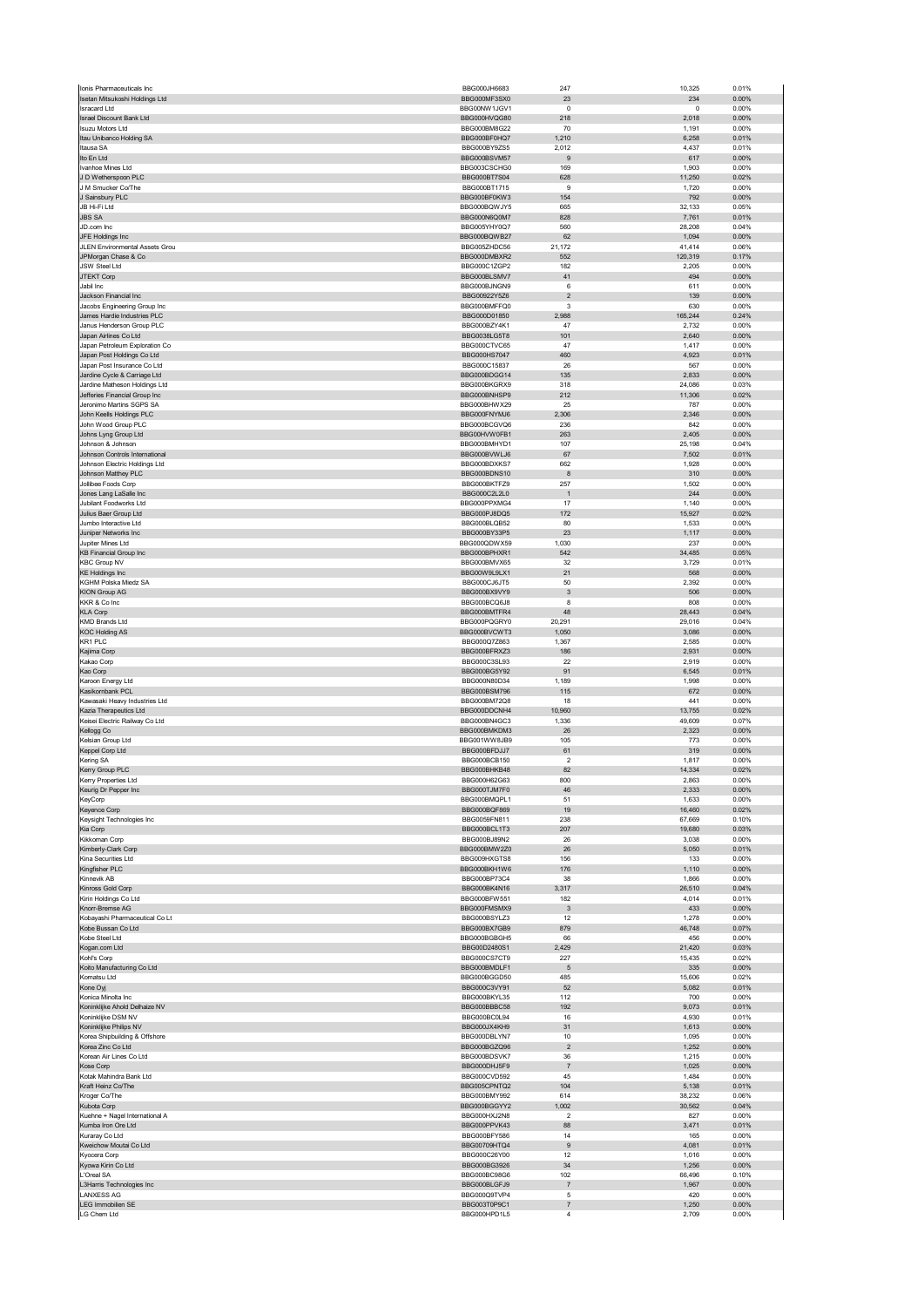| Ionis Pharmaceuticals Inc                                  | BBG000JH6683                        | 247                              | 10,325           | 0.01%          |
|------------------------------------------------------------|-------------------------------------|----------------------------------|------------------|----------------|
| Isetan Mitsukoshi Holdings Ltd                             | BBG000MF3SX0                        | 23                               | 234              | 0.00%          |
| <b>Isracard Ltd</b>                                        | BBG00NW1JGV1                        | $\overline{0}$                   | $\mathbf 0$      | 0.00%          |
| <b>Israel Discount Bank Ltd</b><br><b>Isuzu Motors Ltd</b> | BBG000HVQG80<br>BBG000BM8G22        | 218<br>70                        | 2,018<br>1,191   | 0.00%<br>0.00% |
| Itau Unibanco Holding SA                                   | BBG000BF0HQ7                        | 1,210                            | 6,258            | 0.01%          |
| Itausa SA                                                  | BBG000BY9ZS5                        | 2,012                            | 4,437            | 0.01%          |
| Ito En Ltd                                                 | BBG000BSVM57                        | 9                                | 617              | 0.00%          |
| Ivanhoe Mines Ltd                                          | BBG003CSCHG0                        | 169                              | 1,903            | 0.00%          |
| J D Wetherspoon PLC                                        | BBG000BT7S04                        | 628                              | 11,250           | 0.02%          |
| J M Smucker Co/The                                         | BBG000BT1715                        | 9                                | 1,720            | 0.00%          |
| J Sainsbury PLC                                            | BBG000BF0KW3                        | 154                              | 792              | 0.00%          |
| JB Hi-Fi Ltd                                               | BBG000BQWJY5                        | 665                              | 32,133           | 0.05%          |
| <b>JBS SA</b>                                              | BBG000N6Q0M7                        | 828                              | 7,761            | 0.01%          |
| JD.com Inc<br>JFE Holdings Inc                             | BBG005YHY0Q7<br>BBG000BQWB27        | 560<br>62                        | 28,208<br>1,094  | 0.04%<br>0.00% |
| JLEN Environmental Assets Grou                             | BBG005ZHDC56                        | 21,172                           | 41,414           | 0.06%          |
| JPMorgan Chase & Co                                        | BBG000DMBXR2                        | 552                              | 120,319          | 0.17%          |
| JSW Steel Ltd                                              | BBG000C1ZGP2                        | 182                              | 2,205            | 0.00%          |
| JTEKT Corp                                                 | BBG000BLSMV7                        | 41                               | 494              | 0.00%          |
| Jabil Inc                                                  | BBG000BJNGN9                        | 6                                | 611              | 0.00%          |
| Jackson Financial Inc                                      | BBG00922Y5Z6                        | $\overline{\mathbf{c}}$          | 139              | 0.00%          |
| Jacobs Engineering Group Inc                               | BBG000BMFFQ0                        | 3                                | 630              | 0.00%          |
| James Hardie Industries PLC<br>Janus Henderson Group PLC   | BBG000D01850<br>BBG000BZY4K1        | 2,988<br>47                      | 165,244<br>2,732 | 0.24%<br>0.00% |
| Japan Airlines Co Ltd                                      | BBG0038LG5T8                        | 101                              | 2,640            | 0.00%          |
| Japan Petroleum Exploration Co                             | BBG000CTVC65                        | 47                               | 1,417            | 0.00%          |
| Japan Post Holdings Co Ltd                                 | BBG000HS7047                        | 460                              | 4,923            | 0.01%          |
| Japan Post Insurance Co Ltd                                | BBG000C15837                        | 26                               | 567              | 0.00%          |
| Jardine Cycle & Carriage Ltd                               | BBG000BDGG14                        | 135                              | 2,833            | 0.00%          |
| Jardine Matheson Holdings Ltd                              | BBG000BKGRX9                        | 318                              | 24,086           | 0.03%          |
| Jefferies Financial Group Inc                              | BBG000BNHSP9                        | 212                              | 11,306           | 0.02%          |
| Jeronimo Martins SGPS SA<br>John Keells Holdings PLC       | BBG000BHWX29<br>BBG000FNYM.I6       | 25<br>2,306                      | 787<br>2,346     | 0.00%<br>0.00% |
| John Wood Group PLC                                        | BBG000BCGVQ6                        | 236                              | 842              | 0.00%          |
| Johns Lyng Group Ltd                                       | BBG00HVW0FB1                        | 263                              | 2,405            | 0.00%          |
| Johnson & Johnson                                          | BBG000BMHYD1                        | 107                              | 25,198           | 0.04%          |
| Johnson Controls International                             | BBG000BVWLJ6                        | 67                               | 7,502            | 0.01%          |
| Johnson Electric Holdings Ltd                              | BBG000BDXKS7                        | 662                              | 1,928            | 0.00%          |
| Johnson Matthey PLC                                        | BBG000BDNS10                        | 8                                | 310              | 0.00%          |
| Jollibee Foods Corp                                        | BBG000BKTFZ9                        | 257                              | 1,502            | 0.00%          |
| Jones Lang LaSalle Inc                                     | BBG000C2L2L0                        | $\overline{1}$                   | 244              | 0.00%          |
| Jubilant Foodworks Ltd<br>Julius Baer Group Ltd            | BBG000PPXMG4<br>BBG000PJ8DQ5        | 17<br>172                        | 1,140<br>15,927  | 0.00%<br>0.02% |
| Jumbo Interactive Ltd                                      | BBG000BLQB52                        | 80                               | 1,533            | 0.00%          |
| Juniper Networks Inc                                       | BBG000BY33P5                        | 23                               | 1,117            | 0.00%          |
| Jupiter Mines Ltd                                          | BBG000QDWX59                        | 1,030                            | 237              | 0.00%          |
| <b>KB Financial Group Inc</b>                              | BBG000BPHXR1                        | 542                              | 34,485           | 0.05%          |
| <b>KBC Group NV</b>                                        | BBG000BMVX65                        | 32                               | 3,729            | 0.01%          |
| <b>KE Holdings Inc</b>                                     | BBG00W9L9LX1                        | 21                               | 568              | 0.00%          |
| KGHM Polska Miedz SA                                       | BBG000CJ6JT5                        | 50                               | 2,392            | 0.00%          |
| <b>KION Group AG</b><br>KKR & Co Inc                       | BBG000BX9VY9<br>BBG000BCQ6J8        | 3<br>8                           | 506<br>808       | 0.00%<br>0.00% |
| <b>KLA Corp</b>                                            | BBG000BMTFR4                        | 48                               | 28,443           | 0.04%          |
| <b>KMD Brands Ltd</b>                                      | BBG000PQGRY0                        | 20,291                           | 29,016           | 0.04%          |
| <b>KOC Holding AS</b>                                      | BBG000BVCWT3                        | 1,050                            | 3,086            | 0.00%          |
| KR1 PLC                                                    | BBG000Q7Z863                        | 1,367                            | 2,585            | 0.00%          |
| Kajima Corp                                                | BBG000BFRXZ3                        | 186                              | 2,931            | 0.00%          |
| Kakao Corp                                                 | BBG000C3SL93                        | 22                               | 2,919            | 0.00%<br>0.01% |
|                                                            |                                     |                                  |                  |                |
| Kao Corp                                                   | BBG000BG5Y92                        | 91                               | 6,545            |                |
| Karoon Energy Ltd                                          | BBG000N80D34                        | 1,189                            | 1,998            | 0.00%          |
| Kasikornbank PCL<br>Kawasaki Heavy Industries Ltd          | BBG000BSM796<br>BBG000BM72Q8        | 115<br>18                        | 672<br>441       | 0.00%<br>0.00% |
| Kazia Therapeutics Ltd                                     | BBG000DDCNH4                        | 10,960                           | 13,755           | 0.02%          |
| Keisei Electric Railway Co Ltd                             | BBG000BN4GC3                        | 1,336                            | 49,609           | 0.07%          |
| Kellogg Co                                                 | BBG000BMKDM3                        | 26                               | 2,323            | 0.00%          |
| Kelsian Group Ltd                                          | BBG001WW8JB9                        | 105                              | 773              | 0.00%          |
| Keppel Corp Ltd                                            | BBG000BFDJJ7                        | 61                               | 319              | 0.00%          |
| Kering SA                                                  | BBG000BCB150                        | $\overline{\mathbf{c}}$          | 1,817            | 0.00%          |
| Kerry Group PLC<br>Kerry Properties I td                   | BBG000BHKB48<br><b>BBG000H62G63</b> | 82<br>800                        | 14,334<br>2.863  | 0.02%<br>0.00% |
|                                                            | BBG000TJM7F0                        | 46                               | 2,333            | 0.00%          |
| Keurig Dr Pepper Inc<br>KeyCorp                            | BBG000BMQPL1                        | 51                               | 1,633            | 0.00%          |
| Keyence Corp                                               | BBG000BQF869                        | 19                               | 16,460           | 0.02%          |
| Keysight Technologies Inc                                  | BBG0059FN811                        | 238                              | 67,669           | 0.10%          |
| Kia Corp                                                   | BBG000BCL1T3                        | 207                              | 19,680           | 0.03%          |
| Kikkoman Corp                                              | BBG000BJ89N2                        | 26                               | 3,038            | 0.00%          |
| Kimberly-Clark Corp                                        | BBG000BMW2Z0<br>BBG009HXGTS8        | 26                               | 5,050            | 0.01%          |
| Kina Securities Ltd<br>Kingfisher PLC                      | BBG000BKH1W6                        | 156<br>176                       | 133<br>1,110     | 0.00%<br>0.00% |
| Kinnevik AB                                                | BBG000BP73C4                        | 38                               | 1,866            | 0.00%          |
| Kinross Gold Corp                                          | BBG000BK4N16                        | 3,317                            | 26,510           | 0.04%          |
| Kirin Holdings Co Ltd                                      | BBG000BFW551                        | 182                              | 4,014            | 0.01%          |
| Knorr-Bremse AG                                            | BBG000FMSMX9                        | $\ensuremath{\mathsf{3}}$        | 433              | 0.00%          |
| Kobayashi Pharmaceutical Co Lt                             | BBG000BSYLZ3                        | 12                               | 1,278            | 0.00%          |
| Kobe Bussan Co Ltd                                         | BBG000BX7GB9                        | 879                              | 46,748           | 0.07%          |
| Kobe Steel Ltd                                             | BBG000BGBGH5                        | 66                               | 456              | 0.00%          |
| Kogan.com Ltd<br>Kohľ's Corp                               | BBG00D2480S1<br>BBG000CS7CT9        | 2,429<br>227                     | 21,420<br>15,435 | 0.03%<br>0.02% |
| Koito Manufacturing Co Ltd                                 | BBG000BMDLF1                        | 5                                | 335              | 0.00%          |
| Komatsu Ltd                                                | BBG000BGGD50                        | 485                              | 15,606           | 0.02%          |
| Kone Oyj                                                   | BBG000C3VY91                        | 52                               | 5,082            | 0.01%          |
| Konica Minolta Inc                                         | BBG000BKYL35                        | 112                              | 700              | 0.00%          |
| Koninklijke Ahold Delhaize NV                              | BBG000BBBC58                        | 192                              | 9,073            | 0.01%          |
| Koninklijke DSM NV<br>Koninklijke Philips NV               | BBG000BC0L94<br>BBG000JX4KH9        | 16<br>31                         | 4,930<br>1,613   | 0.01%<br>0.00% |
| Korea Shipbuilding & Offshore                              | BBG000DBLYN7                        | 10                               | 1,095            | 0.00%          |
| Korea Zinc Co Ltd                                          | BBG000BGZQ96                        | $\overline{c}$                   | 1,252            | 0.00%          |
| Korean Air Lines Co Ltd                                    | BBG000BDSVK7                        | 36                               | 1,215            | 0.00%          |
| Kose Corp                                                  | BBG000DHJ5F9                        | $\overline{7}$                   | 1,025            | 0.00%          |
| Kotak Mahindra Bank Ltd                                    | BBG000CVD592                        | 45                               | 1,484            | 0.00%          |
| Kraft Heinz Co/The                                         | BBG005CPNTQ2                        | 104                              | 5,138            | 0.01%          |
| Kroger Co/The<br>Kubota Corp                               | BBG000BMY992<br>BBG000BGGYY2        | 614<br>1,002                     | 38,232<br>30,562 | 0.06%<br>0.04% |
| Kuehne + Nagel International A                             | BBG000HXJ2N8                        | $\overline{2}$                   | 827              | 0.00%          |
| Kumba Iron Ore Ltd                                         | BBG000PPVK43                        | 88                               | 3,471            | 0.01%          |
| Kuraray Co Ltd                                             | BBG000BFY586                        | 14                               | 165              | 0.00%          |
| Kweichow Moutai Co Ltd                                     | BBG00709HTQ4                        | $\boldsymbol{9}$                 | 4,081            | 0.01%          |
| Kyocera Corp                                               | BBG000C26Y00                        | 12                               | 1,016            | 0.00%          |
| Kyowa Kirin Co Ltd<br>L'Oreal SA                           | BBG000BG3926<br>BBG000BC98G6        | 34<br>102                        | 1,256<br>66,496  | 0.00%<br>0.10% |
| L3Harris Technologies Inc                                  | BBG000BLGFJ9                        | $\overline{7}$                   | 1,967            | 0.00%          |
| <b>LANXESS AG</b>                                          | BBG000Q9TVP4                        | 5                                | 420              | 0.00%          |
| <b>LEG Immobilien SE</b><br>LG Chem Ltd                    | BBG003T0P9C1<br>BBG000HPD1L5        | $\overline{7}$<br>$\overline{4}$ | 1,250<br>2,709   | 0.00%<br>0.00% |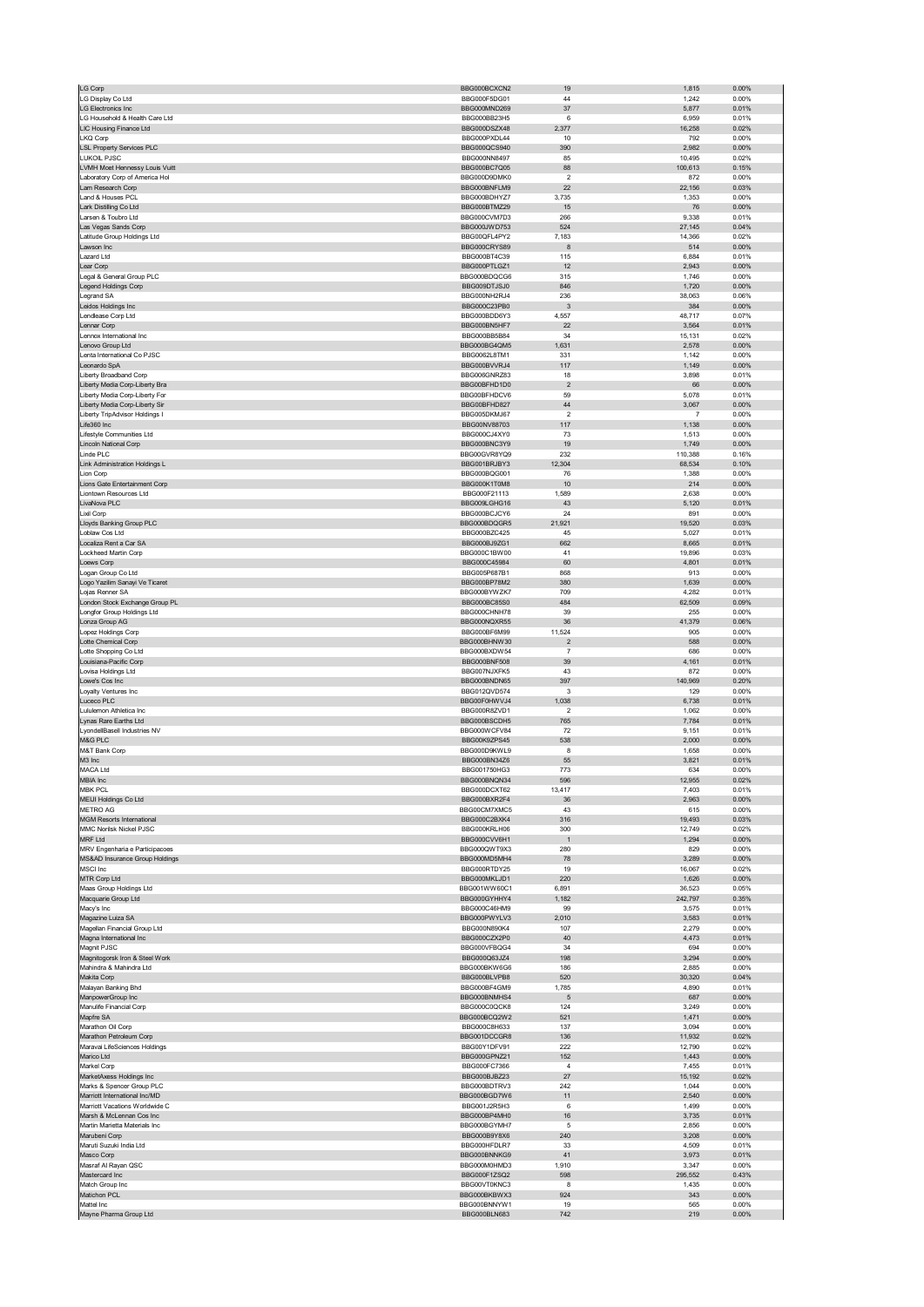| LG Corp                                                     | BBG000BCXCN2                        | 19                      | 1,815            | 0.00%             |
|-------------------------------------------------------------|-------------------------------------|-------------------------|------------------|-------------------|
| LG Display Co Ltd<br><b>LG Electronics Inc</b>              | BBG000F5DG01<br>BBG000MND269        | 44<br>37                | 1,242<br>5,877   | 0.00%<br>0.01%    |
| LG Household & Health Care Ltd                              | BBG000BB23H5                        | 6                       | 6,959            | 0.01%             |
| LIC Housing Finance Ltd                                     | BBG000DSZX48                        | 2,377                   | 16,258           | 0.02%             |
| LKQ Corp                                                    | BBG000PXDL44                        | 10                      | 792              | 0.00%             |
| <b>LSL Property Services PLC</b><br>LUKOIL PJSC             | BBG000QCS940<br>BBG000NN8497        | 390<br>85               | 2,982<br>10,495  | 0.00%<br>0.02%    |
| LVMH Moet Hennessy Louis Vuitt                              | BBG000BC7Q05                        | 88                      | 100,613          | 0.15%             |
| Laboratory Corp of America Hol                              | BBG000D9DMK0                        | $\overline{\mathbf{c}}$ | 872              | 0.00%             |
| Lam Research Corp                                           | BBG000BNFLM9                        | 22                      | 22,156           | 0.03%             |
| Land & Houses PCL                                           | BBG000BDHYZ7                        | 3,735                   | 1,353            | 0.00%             |
| Lark Distilling Co Ltd<br>Larsen & Toubro Ltd               | BBG000BTMZ29<br>BBG000CVM7D3        | 15<br>266               | 76<br>9,338      | 0.00%<br>0.01%    |
| Las Vegas Sands Corp                                        | BBG000JWD753                        | 524                     | 27,145           | 0.04%             |
| Latitude Group Holdings Ltd                                 | BBG00QFL4PY2                        | 7,183                   | 14,366           | 0.02%             |
| Lawson Inc                                                  | BBG000CRYS89                        | 8                       | 514              | 0.00%             |
| Lazard Ltd<br>Lear Corp                                     | BBG000BT4C39<br>BBG000PTLGZ1        | 115<br>12               | 6,884<br>2,943   | 0.01%<br>0.00%    |
| Legal & General Group PLC                                   | BBG000BDOCG6                        | 315                     | 1,746            | 0.00%             |
| Legend Holdings Corp                                        | BBG009DTJSJ0                        | 846                     | 1,720            | 0.00%             |
| egrand SA                                                   | BBG000NH2RJ4                        | 236                     | 38,063           | 0.06%             |
| Leidos Holdings Inc<br>Lendlease Corp Ltd                   | BBG000C23PB0<br>BBG000BDD6Y3        | 3<br>4,557              | 384<br>48,717    | 0.00%<br>0.07%    |
| Lennar Corp                                                 | BBG000BN5HF7                        | 22                      | 3,564            | 0.01%             |
| Lennox International Inc                                    | BBG000BB5B84                        | 34                      | 15,131           | 0.02%             |
| Lenovo Group Ltd                                            | BBG000BG4QM5                        | 1,631                   | 2,578            | 0.00%             |
| Lenta International Co PJSC<br>Leonardo SpA                 | BBG0062L8TM1<br>BBG000BVVRJ4        | 331<br>117              | 1,142<br>1,149   | 0.00%<br>0.00%    |
| Liberty Broadband Corp                                      | BBG006GNRZ83                        | 18                      | 3,898            | 0.01%             |
| Liberty Media Corp-Liberty Bra                              | BBG00BFHD1D0                        | $\overline{\mathbf{c}}$ | 66               | 0.00%             |
| Liberty Media Corp-Liberty For                              | BBG00BFHDCV6                        | 59                      | 5,078            | 0.01%             |
| Liberty Media Corp-Liberty Sir                              | BBG00BFHD827                        | 44                      | 3,067            | 0.00%             |
| Liberty TripAdvisor Holdings I<br>Life360 Inc               | BBG005DKMJ67<br>BBG00NV88703        | $\overline{2}$<br>117   | 7<br>1,138       | 0.00%<br>0.00%    |
| Lifestyle Communities Ltd                                   | BBG000CJ4XY0                        | 73                      | 1,513            | 0.00%             |
| Lincoln National Corp                                       | BBG000BNC3Y9                        | 19                      | 1,749            | 0.00%             |
| Linde PLC                                                   | BBG00GVR8YQ9                        | 232                     | 110,388          | 0.16%             |
| Link Administration Holdings L<br>Lion Corp                 | BBG001BRJBY3<br>BBG000BQG001        | 12,304<br>76            | 68,534<br>1,388  | 0.10%<br>0.00%    |
| Lions Gate Entertainment Corp                               | BBG000K1T0M8                        | 10                      | 214              | 0.00%             |
| Liontown Resources Ltd                                      | BBG000F21113                        | 1,589                   | 2,638            | 0.00%             |
| LivaNova PLC                                                | BBG009LGHG16                        | 43                      | 5,120            | 0.01%             |
| Lixil Corp<br>Lloyds Banking Group PLC                      | BBG000BCJCY6<br>BBG000BDQGR5        | 24<br>21,921            | 891<br>19,520    | 0.00%<br>0.03%    |
| Loblaw Cos Ltd                                              | BBG000BZC425                        | 45                      | 5,027            | 0.01%             |
| Localiza Rent a Car SA                                      | BBG000BJ9ZG1                        | 662                     | 8,665            | 0.01%             |
| Lockheed Martin Corp                                        | BBG000C1BW00                        | 41                      | 19,896           | 0.03%             |
| Loews Corp                                                  | BBG000C45984<br>BBG005P687B1        | 60<br>868               | 4,801<br>913     | 0.01%<br>0.00%    |
| Logan Group Co Ltd<br>Logo Yazilim Sanayi Ve Ticaret        | BBG000BP78M2                        | 380                     | 1,639            | 0.00%             |
| Lojas Renner SA                                             | BBG000BYWZK7                        | 709                     | 4,282            | 0.01%             |
| London Stock Exchange Group PL                              | BBG000BC85S0                        | 484                     | 62,509           | 0.09%             |
| Longfor Group Holdings Ltd                                  | BBG000CHNH78<br>BBG000NQXR55        | 39<br>36                | 255<br>41,379    | 0.00%<br>0.06%    |
| Lonza Group AG<br>Lopez Holdings Corp                       | BBG000BF6M99                        | 11,524                  | 905              | 0.00%             |
| Lotte Chemical Corp                                         | BBG000BHNW30                        | $\sqrt{2}$              | 588              | 0.00%             |
|                                                             |                                     |                         |                  |                   |
| Lotte Shopping Co Ltd                                       | BBG000BXDW54                        | $\overline{7}$          | 686              | 0.00%             |
| Louisiana-Pacific Corp                                      | <b>BBG000BNF508</b>                 | 39                      | 4,161            | 0.01%             |
| Lovisa Holdings Ltd                                         | BBG007NJXFK5                        | 43                      | 872              | 0.00%             |
| Lowe's Cos Inc<br>Loyalty Ventures Inc                      | BBG000BNDN65<br>BBG012QVD574        | 397<br>3                | 140,969<br>129   | 0.20%<br>0.00%    |
| Luceco PLC                                                  | BBG00F0HWVJ4                        | 1,038                   | 6,738            | 0.01%             |
| Lululemon Athletica Inc                                     | BBG000R8ZVD1                        | $\overline{\mathbf{c}}$ | 1,062            | 0.00%             |
| Lynas Rare Earths Ltd                                       | BBG000BSCDH5<br>BBG000WCFV84        | 765                     | 7,784            | 0.01%             |
| LyondellBasell Industries NV<br>M&G PLC                     | BBG00K9ZPS45                        | 72<br>538               | 9,151<br>2,000   | 0.01%<br>0.00%    |
| M&T Bank Corp                                               | BBG000D9KWL9                        | 8                       | 1,658            | 0.00%             |
| M3 Inc                                                      | BBG000BN34Z6                        | 55                      | 3,821            | 0.01%             |
| MACA Ltd<br><b>IRIA</b> Inc                                 | BBG001750HG3<br><b>BRG000BNON34</b> | 773                     | 634<br>955       | 0.00%<br>0.02%    |
| <b>MBK PCL</b>                                              | BBG000DCXT62                        | 13,417                  | 7,403            | 0.01%             |
| MEIJI Holdings Co Ltd                                       | BBG000BXR2F4                        | 36                      | 2,963            | 0.00%             |
| METRO AG                                                    | BBG00CM7XMC5                        | 43                      | 615              | 0.00%             |
| <b>MGM Resorts International</b><br>MMC Norilsk Nickel PJSC | BBG000C2BXK4                        | 316                     | 19,493           | 0.03%             |
| MRF Ltd                                                     | BBG000KRLH06<br>BBG000CVV6H1        | 300<br>$\overline{1}$   | 12,749<br>1,294  | 0.02%<br>0.00%    |
| MRV Engenharia e Participacoes                              | BBG000QWT9X3                        | 280                     | 829              | 0.00%             |
| MS&AD Insurance Group Holdings                              | BBG000MD5MH4                        | 78                      | 3,289            | 0.00%             |
| MSCI Inc<br>MTR Corp Ltd                                    | BBG000RTDY25<br>BBG000MKLJD1        | 19<br>220               | 16,067<br>1,626  | 0.02%<br>$0.00\%$ |
| Maas Group Holdings Ltd                                     | BBG001WW60C1                        | 6,891                   | 36,523           | 0.05%             |
| Macquarie Group Ltd                                         | BBG000GYHHY4                        | 1,182                   | 242,797          | 0.35%             |
| Macy's Inc                                                  | BBG000C46HM9                        | 99                      | 3,575            | 0.01%             |
| Magazine Luiza SA<br>Magellan Financial Group Ltd           | BBG000PWYLV3<br>BBG000N890K4        | 2,010<br>107            | 3,583<br>2,279   | 0.01%<br>0.00%    |
| Magna International Inc                                     | BBG000CZX2P0                        | 40                      | 4,473            | 0.01%             |
| Magnit PJSC                                                 | BBG000VFBQG4                        | 34                      | 694              | 0.00%             |
| Magnitogorsk Iron & Steel Work                              | BBG000Q63JZ4                        | 198                     | 3,294            | 0.00%             |
| Mahindra & Mahindra Ltd<br>Makita Corp                      | BBG000BKW6G6<br>BBG000BLVPB8        | 186<br>520              | 2,885<br>30,320  | 0.00%<br>0.04%    |
| Malayan Banking Bhd                                         | BBG000BF4GM9                        | 1,785                   | 4,890            | 0.01%             |
| ManpowerGroup Inc                                           | BBG000BNMHS4                        | 5                       | 687              | 0.00%             |
| Manulife Financial Corp                                     | BBG000C0QCK8                        | 124                     | 3,249            | 0.00%             |
| Mapfre SA                                                   | BBG000BCQ2W2<br>BBG000C8H633        | 521<br>137              | 1,471<br>3,094   | 0.00%<br>0.00%    |
| Marathon Oil Corp<br>Marathon Petroleum Corp                | BBG001DCCGR8                        | 136                     | 11,932           | 0.02%             |
| Maravai LifeSciences Holdings                               | BBG00Y1DFV91                        | 222                     | 12,790           | 0.02%             |
| Marico Ltd                                                  | BBG000GPNZ21                        | 152                     | 1,443            | 0.00%             |
| Markel Corp                                                 | BBG000FC7366<br>BBG000BJBZ23        | $\sqrt{4}$<br>27        | 7,455            | 0.01%<br>0.02%    |
| MarketAxess Holdings Inc<br>Marks & Spencer Group PLC       | BBG000BDTRV3                        | 242                     | 15,192<br>1,044  | 0.00%             |
| Marriott International Inc/MD                               | BBG000BGD7W6                        | 11                      | 2,540            | $0.00\%$          |
| Marriott Vacations Worldwide C                              | BBG001J2R5H3                        | 6                       | 1,499            | 0.00%             |
| Marsh & McLennan Cos Inc                                    | BBG000BP4MH0                        | 16<br>5                 | 3,735            | 0.01%             |
| Martin Marietta Materials Inc<br>Marubeni Corp              | BBG000BGYMH7<br>BBG000B9Y8X6        | 240                     | 2,856<br>3,208   | 0.00%<br>0.00%    |
| Maruti Suzuki India Ltd                                     | BBG000HFDLR7                        | 33                      | 4,509            | 0.01%             |
| Masco Corp                                                  | BBG000BNNKG9                        | 41                      | 3,973            | 0.01%             |
| Masraf Al Rayan QSC                                         | BBG000M0HMD3                        | 1,910                   | 3,347            | 0.00%             |
| Mastercard Inc<br>Match Group Inc                           | BBG000F1ZSQ2<br>BBG00VT0KNC3        | 598<br>8                | 295,552<br>1,435 | 0.43%<br>0.00%    |
| Matichon PCL                                                | BBG000BKBWX3                        | 924                     | 343              | 0.00%             |
| Mattel Inc<br>Mayne Pharma Group Ltd                        | BBG000BNNYW1<br>BBG000BLN683        | 19<br>742               | 565<br>219       | 0.00%<br>$0.00\%$ |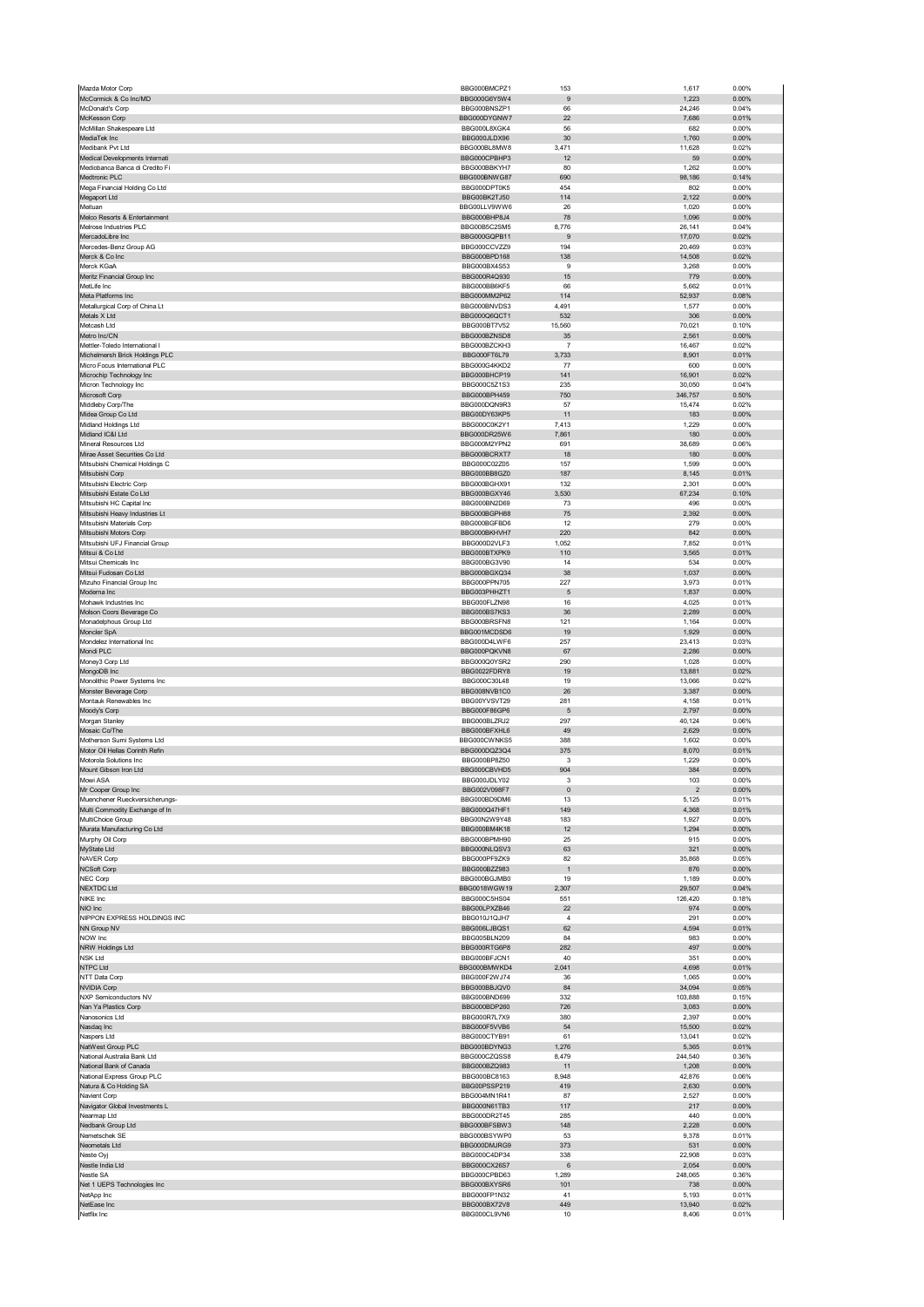| McCormick & Co Inc/MD<br>McDonald's Corp                         | BBG000BMCPZ1                  | 153                  | 1,617            | 0.00%          |
|------------------------------------------------------------------|-------------------------------|----------------------|------------------|----------------|
|                                                                  | BBG000G6Y5W4                  | 9                    | 1,223            | 0.00%          |
|                                                                  | BBG000BNSZP1                  | 66                   | 24,246           | 0.04%          |
| McKesson Corp                                                    | BBG000DYGNW7                  | 22                   | 7,686            | 0.01%          |
| McMillan Shakespeare Ltd                                         | BBG000L8XGK4                  | 56<br>30             | 682              | 0.00%<br>0.00% |
| MediaTek Inc<br>Medibank Pvt Ltd                                 | BBG000JLDX96<br>BBG000BL8MW8  | 3,471                | 1,760<br>11,628  | 0.02%          |
| Medical Developments Internati                                   | BBG000CPBHP3                  | 12                   | 59               | 0.00%          |
| Mediobanca Banca di Credito Fi                                   | BBG000BBKYH7                  | 80                   | 1,262            | 0.00%          |
| Medtronic PLC                                                    | BBG000BNWG87                  | 690                  | 98,186           | 0.14%          |
| Mega Financial Holding Co Ltd                                    | BBG000DPT0K5                  | 454                  | 802              | 0.00%          |
| Megaport Ltd                                                     | BBG00BK2TJ50                  | 114                  | 2,122            | 0.00%          |
| Meituan                                                          | BBG00LLV9WW6                  | 26                   | 1,020            | 0.00%          |
| Melco Resorts & Entertainment                                    | BBG000BHP8J4                  | 78                   | 1,096            | 0.00%          |
| Melrose Industries PLC                                           | BBG00B5C2SM5                  | 8,776                | 26,141           | 0.04%          |
| MercadoLibre Inc                                                 | BBG000GQPB11<br>BBG000CCVZZ9  | 9<br>194             | 17,070<br>20,469 | 0.02%<br>0.03% |
| Mercedes-Benz Group AG<br>Merck & Co Inc                         | BBG000BPD168                  | 138                  | 14,508           | 0.02%          |
| Merck KGaA                                                       | BBG000BX4S53                  | 9                    | 3,268            | 0.00%          |
| Meritz Financial Group Inc                                       | BBG000R4Q930                  | 15                   | 779              | 0.00%          |
| MetLife Inc                                                      | BBG000BB6KF5                  | 66                   | 5,662            | 0.01%          |
| Meta Platforms Inc                                               | BBG000MM2P62                  | 114                  | 52,937           | 0.08%          |
| Metallurgical Corp of China Lt                                   | BBG000BNVDS3                  | 4,491                | 1,577            | 0.00%          |
| Metals X Ltd                                                     | BBG000Q6QCT1                  | 532                  | 306              | 0.00%          |
| Metcash Ltd                                                      | BBG000BT7V52                  | 15,560               | 70,021           | 0.10%          |
| Metro Inc/CN                                                     | BBG000BZNSD8                  | 35                   | 2,561            | 0.00%          |
| Mettler-Toledo International I<br>Michelmersh Brick Holdings PLC | BBG000BZCKH3<br>BBG000FT6L79  | -7<br>3,733          | 16,467<br>8,901  | 0.02%<br>0.01% |
| Micro Focus International PLC                                    | BBG000G4KKD2                  | 77                   | 600              | 0.00%          |
| Microchip Technology Inc                                         | BBG000BHCP19                  | 141                  | 16,901           | 0.02%          |
| Micron Technology Inc                                            | BBG000C5Z1S3                  | 235                  | 30,050           | 0.04%          |
| Microsoft Corp                                                   | BBG000BPH459                  | 750                  | 346,757          | 0.50%          |
| Middleby Corp/The                                                | BBG000DQN9R3                  | 57                   | 15,474           | 0.02%          |
| Midea Group Co Ltd                                               | BBG00DY63KP5                  | 11                   | 183              | 0.00%          |
| Midland Holdings Ltd                                             | BBG000C0K2Y1                  | 7,413                | 1,229            | 0.00%          |
| Midland IC&I Ltd                                                 | BBG000DR25W6                  | 7,861                | 180              | 0.00%          |
| Mineral Resources Ltd<br>Mirae Asset Securities Co Ltd           | BBG000M2YPN2<br>BBG000BCRXT7  | 691<br>18            | 38,689<br>180    | 0.06%<br>0.00% |
| Mitsubishi Chemical Holdings C                                   | BBG000C02Z05                  | 157                  | 1,599            | 0.00%          |
| Mitsubishi Corp                                                  | BBG000BB8GZ0                  | 187                  | 8,145            | 0.01%          |
| Mitsubishi Electric Corp                                         | BBG000BGHX91                  | 132                  | 2,301            | 0.00%          |
| Mitsubishi Estate Co Ltd                                         | BBG000BGXY46                  | 3,530                | 67,234           | 0.10%          |
| Mitsubishi HC Capital Inc                                        | BBG000BN2D69                  | 73                   | 496              | 0.00%          |
| Mitsubishi Heavy Industries Lt                                   | BBG000BGPH88                  | 75                   | 2,392            | 0.00%          |
| Mitsubishi Materials Corp                                        | BBG000BGFBD6                  | 12                   | 279              | 0.00%          |
| Mitsubishi Motors Corp                                           | BBG000BKHVH7                  | 220                  | 842              | 0.00%          |
| Mitsubishi UFJ Financial Group                                   | BBG000D2VLF3                  | 1,052                | 7,852            | 0.01%          |
| Mitsui & Co Ltd<br>Mitsui Chemicals Inc                          | BBG000BTXPK9                  | 110                  | 3,565<br>534     | 0.01%<br>0.00% |
| Mitsui Fudosan Co Ltd                                            | BBG000BG3V90<br>BBG000BGXQ34  | 14<br>38             | 1,037            | 0.00%          |
| Mizuho Financial Group Inc                                       | BBG000PPN705                  | 227                  | 3,973            | 0.01%          |
| Moderna Inc                                                      | BBG003PHHZT1                  | 5                    | 1,837            | 0.00%          |
| Mohawk Industries Inc                                            | BBG000FLZN98                  | 16                   | 4,025            | 0.01%          |
| Molson Coors Beverage Co                                         | BBG000BS7KS3                  | 36                   | 2,289            | 0.00%          |
| Monadelphous Group Ltd                                           | BBG000BRSFN8                  | 121                  | 1,164            | 0.00%          |
| Moncler SpA                                                      | BBG001MCDSD6                  | 19                   | 1,929            | 0.00%          |
| Mondelez International Inc<br>Mondi PLC                          | BBG000D4LWF6<br>BBG000PQKVN8  | 257<br>67            | 23,413<br>2,286  | 0.03%<br>0.00% |
| Money3 Corp Ltd                                                  | BBG000Q0YSR2                  | 290                  | 1,028            | 0.00%          |
| MongoDB Inc                                                      | BBG0022FDRY8                  | 19                   | 13,881           | 0.02%          |
| Monolithic Power Systems Inc                                     | BBG000C30L48                  | 19                   | 13,066           | 0.02%          |
| Monster Beverage Corp                                            | BBG008NVB1C0                  | 26                   | 3,387            | 0.00%          |
| Montauk Renewables Inc                                           | BBG00YVSVT29                  | 281                  | 4,158            | 0.01%          |
| Moody's Corp                                                     | BBG000F86GP6                  | 5                    | 2,797            | 0.00%          |
| Morgan Stanley                                                   | BBG000BLZRJ2                  | 297                  | 40,124           | 0.06%          |
|                                                                  |                               |                      | 2,629            | 0.00%          |
| Mosaic Co/The                                                    | BBG000BFXHL6                  | 49                   |                  |                |
| Motherson Sumi Systems Ltd                                       | BBG000CWNKS5                  | 388                  | 1,602            | 0.00%          |
| Motor Oil Hellas Corinth Refin                                   | BBG000DQZ3Q4                  | 375                  | 8,070            | 0.01%          |
| Motorola Solutions Inc                                           | BBG000BP8Z50                  | 3                    | 1,229            | 0.00%          |
| Mount Gibson Iron Ltd<br>Mowi ASA                                | BBG000CBVHD5<br>BBG000.IDLY02 | 904                  | 384<br>103       | 0.00%<br>0.00% |
| Mr Cooper Group Inc                                              | BBG002V098F7                  | $\pmb{0}$            | $\sqrt{2}$       | 0.00%          |
| Muenchener Rueckversicherungs-                                   | BBG000BD9DM6                  | 13                   | 5,125            | 0.01%          |
| Multi Commodity Exchange of In                                   | BBG000Q47HF1                  | 149                  | 4,368            | 0.01%          |
| MultiChoice Group                                                | BBG00N2W9Y48                  | 183                  | 1,927            | 0.00%          |
| Murata Manufacturing Co Ltd                                      | BBG000BM4K18                  | 12                   | 1,294            | 0.00%          |
| Murphy Oil Corp                                                  | BBG000BPMH90                  | 25                   | 915              | 0.00%          |
| MyState Ltd                                                      | BBG000NLQSV3                  | 63                   | 321              | 0.00%          |
| NAVER Corp<br>NCSoft Corp                                        | BBG000PF9ZK9<br>BBG000BZZ983  | 82<br>$\overline{1}$ | 35,868<br>876    | 0.05%<br>0.00% |
| NEC Corp                                                         | BBG000BGJMB0                  | 19                   | 1,189            | 0.00%          |
| <b>NEXTDC Ltd</b>                                                | BBG0018WGW19                  | 2,307                | 29,507           | 0.04%          |
| NIKE Inc                                                         | BBG000C5HS04                  | 551                  | 126,420          | 0.18%          |
| NIO Inc                                                          | BBG00LPXZB46                  | 22                   | 974              | 0.00%          |
| NIPPON EXPRESS HOLDINGS INC                                      | BBG010J1QJH7                  | $\overline{4}$       | 291              | 0.00%          |
| NN Group NV                                                      | BBG006LJBQS1                  | 62                   | 4,594            | 0.01%          |
| NOW Inc<br>NRW Holdings Ltd                                      | BBG005BLN209<br>BBG000RTG6P8  | 84<br>282            | 983<br>497       | 0.00%<br>0.00% |
| <b>NSK Ltd</b>                                                   | BBG000BFJCN1                  | 40                   | 351              | 0.00%          |
| NTPC Ltd                                                         | BBG000BMWKD4                  | 2,041                | 4,698            | 0.01%          |
| NTT Data Corp                                                    | BBG000F2WJ74                  | 36                   | 1,065            | 0.00%          |
| <b>NVIDIA Corp</b>                                               | BBG000BBJQV0                  | 84                   | 34,094           | 0.05%          |
| NXP Semiconductors NV                                            | BBG000BND699                  | 332                  | 103,888          | 0.15%          |
| Nan Ya Plastics Corp                                             | BBG000BDP260                  | 726                  | 3,083            | 0.00%          |
| Nanosonics Ltd                                                   | BBG000R7L7X9<br>BBG000F5VVB6  | 380<br>54            | 2,397<br>15,500  | 0.00%<br>0.02% |
| Nasdaq Inc                                                       |                               | 61                   |                  | 0.02%          |
| Naspers Ltd<br>NatWest Group PLC                                 | BBG000CTYB91<br>BBG000BDYNG3  | 1,276                | 13,041<br>5,365  | 0.01%          |
| National Australia Bank Ltd                                      | BBG000CZQSS8                  | 8,479                | 244,540          | 0.36%          |
| National Bank of Canada                                          | BBG000BZQ983                  | 11                   | 1,208            | 0.00%          |
| National Express Group PLC                                       | BBG000BC8163                  | 8,948                | 42,876           | 0.06%          |
| Natura & Co Holding SA                                           | BBG00PSSP219                  | 419                  | 2,630            | 0.00%          |
| Navient Corp                                                     | BBG004MN1R41                  | 87                   | 2,527            | 0.00%          |
| Navigator Global Investments L                                   | BBG000N61TB3                  | 117<br>285           | 217              | 0.00%          |
| Nearmap Ltd<br>Nedbank Group Ltd                                 | BBG000DR2T45<br>BBG000BFSBW3  | 148                  | 440<br>2,228     | 0.00%<br>0.00% |
| Nemetschek SE                                                    | BBG000BSYWP0                  | 53                   | 9,378            | 0.01%          |
| Neometals Ltd                                                    | BBG000DMJRG9                  | 373                  | 531              | 0.00%          |
| Neste Oyj                                                        | BBG000C4DP34                  | 338                  | 22,908           | 0.03%          |
| Nestle India Ltd                                                 | BBG000CX26S7                  | 6                    | 2,054            | 0.00%          |
| Nestle SA                                                        | BBG000CPBD63                  | 1,289                | 248,065          | 0.36%          |
| Net 1 UEPS Technologies Inc                                      | BBG000BXYSR6                  | 101                  | 738              | 0.00%          |
| NetApp Inc<br>NetEase Inc                                        | BBG000FP1N32<br>BBG000BX72V8  | 41<br>449            | 5,193<br>13,940  | 0.01%<br>0.02% |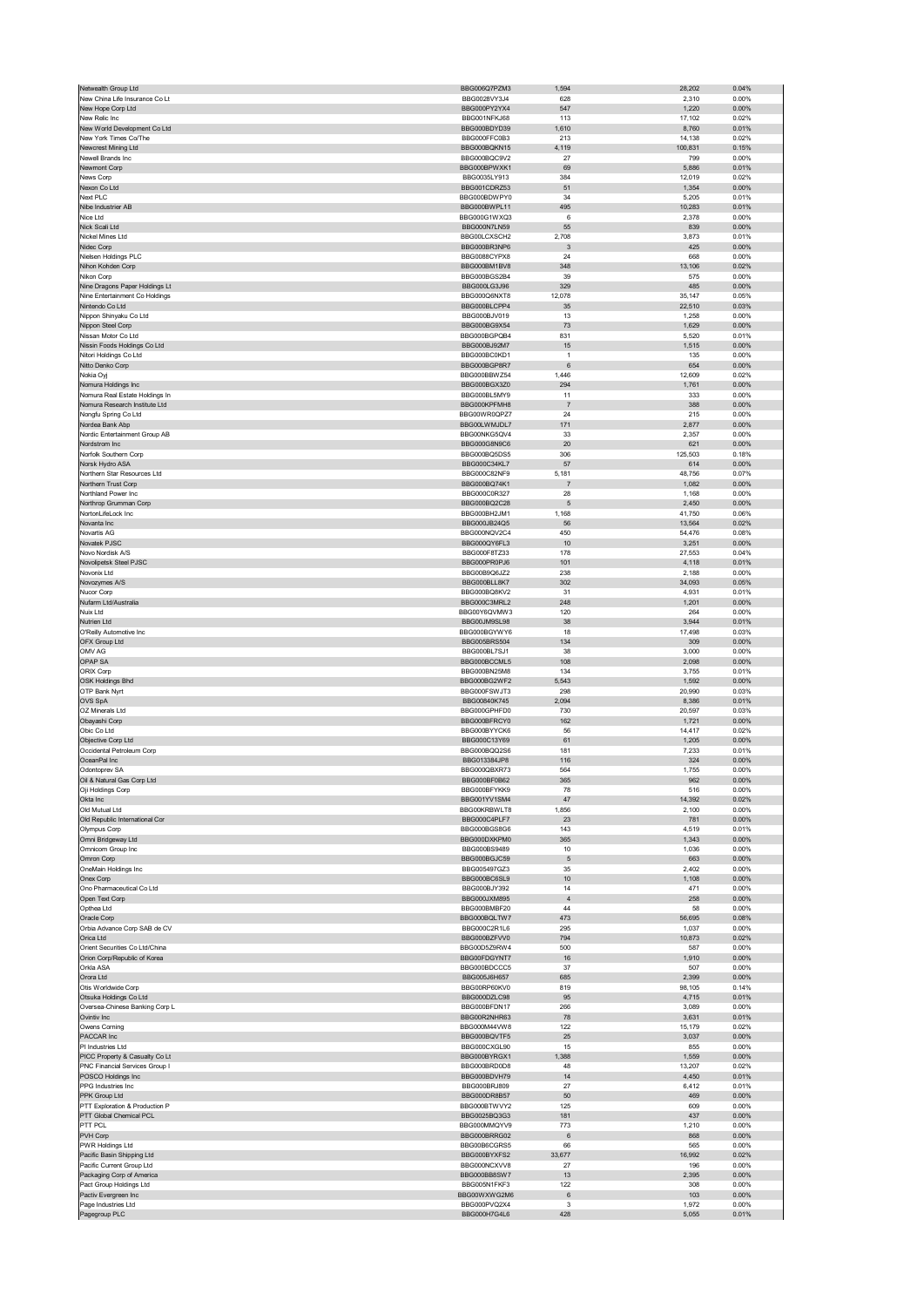| Netwealth Group Ltd                                              | BBG006Q7PZM3                 | 1,594            | 28,202            | 0.04%          |
|------------------------------------------------------------------|------------------------------|------------------|-------------------|----------------|
| New China Life Insurance Co Lt                                   | BBG0028VY3J4                 | 628              | 2,310             | 0.00%          |
| New Hope Corp Ltd                                                | BBG000PY2YX4                 | 547              | 1,220             | 0.00%          |
| New Relic Inc                                                    | BBG001NFKJ68                 | 113              | 17,102            | 0.02%          |
| New World Development Co Ltd                                     | BBG000BDYD39                 | 1,610            | 8,760             | 0.01%          |
| New York Times Co/The<br>Newcrest Mining Ltd                     | BBG000FFC0B3<br>BBG000BQKN15 | 213<br>4,119     | 14,138<br>100,831 | 0.02%<br>0.15% |
| Newell Brands Inc                                                | BBG000BQC9V2                 | 27               | 799               | 0.00%          |
| Newmont Corp                                                     | BBG000BPWXK1                 | 69               | 5,886             | 0.01%          |
| News Corp                                                        | BBG0035LY913                 | 384              | 12,019            | 0.02%          |
| Nexon Co Ltd                                                     | BBG001CDRZ53                 | 51               | 1,354             | 0.00%          |
| Next PLC                                                         | BBG000BDWPY0                 | 34               | 5,205             | 0.01%          |
| Nibe Industrier AB                                               | BBG000BWPL11                 | 495              | 10,283            | 0.01%          |
| Nice Ltd                                                         | BBG000G1WXQ3                 | 6                | 2,378             | 0.00%          |
| Nick Scali Ltd                                                   | BBG000N7LN59                 | 55               | 839               | 0.00%          |
| Nickel Mines Ltd                                                 | BBG00LCXSCH2<br>BBG000BR3NP6 | 2,708<br>3       | 3,873<br>425      | 0.01%<br>0.00% |
| Nidec Corp<br>Nielsen Holdings PLC                               | BBG0088CYPX8                 | 24               | 668               | 0.00%          |
| Nihon Kohden Corp                                                | BBG000BM1BV8                 | 348              | 13,106            | 0.02%          |
| Nikon Corp                                                       | BBG000BGS2B4                 | 39               | 575               | 0.00%          |
| Nine Dragons Paper Holdings Lt                                   | BBG000LG3J96                 | 329              | 485               | 0.00%          |
| Nine Entertainment Co Holdings                                   | BBG000Q6NXT8                 | 12,078           | 35,147            | 0.05%          |
| Nintendo Co Ltd                                                  | BBG000BLCPP4                 | 35               | 22,510            | 0.03%          |
| Nippon Shinyaku Co Ltd                                           | BBG000BJV019                 | 13               | 1,258             | 0.00%          |
| Nippon Steel Corp<br>Nissan Motor Co Ltd                         | BBG000BG9X54<br>BBG000BGPQB4 | 73<br>831        | 1,629<br>5,520    | 0.00%<br>0.01% |
| Nissin Foods Holdings Co Ltd                                     | BBG000BJ92M7                 | 15               | 1,515             | 0.00%          |
| Nitori Holdings Co Ltd                                           | BBG000BC0KD1                 | $\mathbf{1}$     | 135               | 0.00%          |
| Nitto Denko Corp                                                 | BBG000BGP8R7                 | 6                | 654               | 0.00%          |
| Nokia Oyj                                                        | BBG000BBWZ54                 | 1,446            | 12,609            | 0.02%          |
| Nomura Holdings Inc                                              | BBG000BGX3Z0                 | 294              | 1,761             | 0.00%          |
| Nomura Real Estate Holdings In                                   | BBG000BL5MY9                 | 11               | 333               | 0.00%          |
| Nomura Research Institute Ltd                                    | BBG000KPFMH8                 | $\overline{7}$   | 388               | 0.00%          |
| Nongfu Spring Co Ltd<br>Nordea Bank Abp                          | BBG00WR0QPZ7<br>BBG00LWMJDL7 | 24<br>171        | 215<br>2,877      | 0.00%<br>0.00% |
| Nordic Entertainment Group AB                                    | BBG00NKG5QV4                 | 33               | 2,357             | 0.00%          |
| Nordstrom Inc                                                    | BBG000G8N9C6                 | 20               | 621               | 0.00%          |
| Norfolk Southern Corp                                            | BBG000BQ5DS5                 | 306              | 125,503           | 0.18%          |
| Norsk Hydro ASA                                                  | BBG000C34KL7                 | 57               | 614               | 0.00%          |
| Northern Star Resources Ltd                                      | BBG000C82NF9                 | 5,181            | 48,756            | 0.07%          |
| Northern Trust Corp                                              | BBG000BQ74K1                 | 7                | 1,082             | 0.00%          |
| Northland Power Inc                                              | BBG000C0R327                 | 28               | 1,168             | 0.00%          |
| Northrop Grumman Corp<br>NortonLifeLock Inc                      | BBG000BQ2C28<br>BBG000BH2JM1 | 5<br>1,168       | 2,450<br>41,750   | 0.00%<br>0.06% |
| Novanta Inc                                                      | BBG000JB24Q5                 | 56               | 13,564            | 0.02%          |
| Novartis AG                                                      | BBG000NQV2C4                 | 450              | 54,476            | 0.08%          |
| Novatek PJSC                                                     | BBG000QY6FL3                 | 10               | 3,251             | 0.00%          |
| Novo Nordisk A/S                                                 | BBG000F8TZ33                 | 178              | 27,553            | 0.04%          |
| Novolipetsk Steel PJSC                                           | BBG000PR0PJ6                 | 101              | 4,118             | 0.01%          |
| Novonix Ltd                                                      | BBG00B9Q6JZ2                 | 238              | 2,188             | 0.00%          |
| Novozymes A/S                                                    | BBG000BLL8K7                 | 302              | 34,093            | 0.05%          |
| Nucor Corp<br>Nufarm Ltd/Australia                               | BBG000BQ8KV2                 | 31<br>248        | 4,931<br>1,201    | 0.01%<br>0.00% |
| Nuix Ltd                                                         | BBG000C3MRL2<br>BBG00Y6QVMW3 | 120              | 264               | 0.00%          |
| Nutrien Ltd                                                      | BBG00JM9SL98                 | 38               | 3,944             | 0.01%          |
| O'Reilly Automotive Inc                                          | BBG000BGYWY6                 | 18               | 17,498            | 0.03%          |
| OFX Group Ltd                                                    | BBG005BRS504                 | 134              | 309               | 0.00%          |
| OMV AG                                                           | BBG000BL7SJ1                 | 38               | 3,000             | 0.00%          |
| OPAP SA                                                          | BBG000BCCML5                 | 108              | 2,098             | 0.00%          |
| ORIX Corp                                                        | BBG000BN25M8                 | 134              | 3,755             | 0.01%          |
|                                                                  |                              |                  |                   |                |
| <b>OSK Holdings Bhd</b>                                          | BBG000BG2WF2                 | 5,543            | 1,592             | 0.00%          |
| OTP Bank Nyrt                                                    | BBG000FSWJT3                 | 298              | 20,990            | 0.03%          |
| <b>OVS SpA</b>                                                   | BBG00840K745                 | 2,094            | 8,386             | 0.01%          |
| OZ Minerals Ltd                                                  | BBG000GPHFD0<br>BBG000BFRCY0 | 730<br>162       | 20,597            | 0.03%<br>0.00% |
| Obayashi Corp<br>Obic Co Ltd                                     | BBG000BYYCK6                 | 56               | 1,721<br>14,417   | 0.02%          |
| Objective Corp Ltd                                               | BBG000C13Y69                 | 61               | 1,205             | 0.00%          |
| Occidental Petroleum Corp                                        | BBG000BQQ2S6                 | 181              | 7,233             | 0.01%          |
| OceanPal Inc                                                     | BBG013384JP8                 | 116              | 324               | 0.00%          |
| Odontoprev SA                                                    | BBG000QBXR73                 | 564              | 1,755             | 0.00%          |
| Dil & Natural Gas Co                                             |                              |                  |                   | 0.00%          |
| Oji Holdings Corp                                                | BBG000BFYKK9                 | 78               | 516               | 0.00%          |
| Okta Inc<br>Old Mutual Ltd                                       | BBG001YV1SM4                 | 47               | 14,392            | 0.02%          |
| Old Republic International Cor                                   | BBG00KRBWLT8<br>BBG000C4PLF7 | 1,856<br>23      | 2,100<br>781      | 0.00%<br>0.00% |
| Olympus Corp                                                     | BBG000BGS8G6                 | 143              | 4,519             | 0.01%          |
| Omni Bridgeway Ltd                                               | BBG000DXKPM0                 | 365              | 1,343             | 0.00%          |
| Omnicom Group Inc                                                | BBG000BS9489                 | 10               | 1,036             | 0.00%          |
| Omron Corp                                                       | BBG000BGJC59                 | 5                | 663               | 0.00%          |
| OneMain Holdings Inc                                             | BBG005497GZ3                 | 35               | 2,402             | 0.00%          |
| Onex Corp                                                        | BBG000BC6SL9                 | 10               | 1,108<br>471      | 0.00%          |
| Ono Pharmaceutical Co Ltd<br>Open Text Corp                      | BBG000BJY392<br>BBG000JXM895 | 14<br>$\sqrt{4}$ | 258               | 0.00%<br>0.00% |
| Opthea Ltd                                                       | BBG000BMBF20                 | 44               | 58                | 0.00%          |
| Oracle Corp                                                      | BBG000BQLTW7                 | 473              | 56,695            | 0.08%          |
| Orbia Advance Corp SAB de CV                                     | BBG000C2R1L6                 | 295              | 1,037             | 0.00%          |
| Orica Ltd                                                        | BBG000BZFVV0                 | 794              | 10,873            | 0.02%          |
| Orient Securities Co Ltd/China                                   | BBG00D5Z9RW4                 | 500              | 587               | 0.00%          |
| Orion Corp/Republic of Korea<br>Orkla ASA                        | BBG00FDGYNT7                 | 16<br>37         | 1,910             | 0.00%<br>0.00% |
| Orora Ltd                                                        | BBG000BDCCC5<br>BBG005J6H657 | 685              | 507<br>2,399      | 0.00%          |
| Otis Worldwide Corp                                              | BBG00RP60KV0                 | 819              | 98,105            | 0.14%          |
| Otsuka Holdings Co Ltd                                           | BBG000DZLC98                 | 95               | 4,715             | 0.01%          |
| Oversea-Chinese Banking Corp L                                   | BBG000BFDN17                 | 266              | 3,089             | 0.00%          |
| Ovintiv Inc                                                      | BBG00R2NHR63                 | 78               | 3,631             | 0.01%          |
| Owens Corning                                                    | BBG000M44VW8                 | 122              | 15,179            | 0.02%          |
| PACCAR Inc                                                       | BBG000BQVTF5<br>BBG000CXGL90 | 25               | 3,037             | 0.00%          |
| PI Industries Ltd                                                |                              | 15               | 855               | 0.00%          |
| PICC Property & Casualty Co Lt<br>PNC Financial Services Group I | BBG000BYRGX1<br>BBG000BRD0D8 | 1,388<br>48      | 1,559<br>13,207   | 0.00%<br>0.02% |
| POSCO Holdings Inc                                               | BBG000BDVH79                 | 14               | 4,450             | 0.01%          |
| PPG Industries Inc                                               | BBG000BRJ809                 | 27               | 6,412             | 0.01%          |
| PPK Group Ltd                                                    | BBG000DR8B57                 | 50               | 469               | 0.00%          |
| PTT Exploration & Production P                                   | BBG000BTWVY2                 | 125              | 609               | 0.00%          |
| PTT Global Chemical PCL                                          | BBG0025BQ3G3                 | 181              | 437               | 0.00%          |
| PTT PCL                                                          | BBG000MMQYV9                 | 773              | 1,210             | 0.00%          |
| PVH Corp                                                         | BBG000BRRG02                 | 6                | 868               | 0.00%          |
| PWR Holdings Ltd<br>Pacific Basin Shipping Ltd                   | BBG00B6CGRS5<br>BBG000BYXFS2 | 66<br>33,677     | 565<br>16,992     | 0.00%<br>0.02% |
| Pacific Current Group Ltd                                        | BBG000NCXVV8                 | 27               | 196               | 0.00%          |
| Packaging Corp of America                                        | BBG000BB8SW7                 | 13               | 2,395             | 0.00%          |
| Pact Group Holdings Ltd                                          | BBG005N1FKF3                 | 122              | 308               | 0.00%          |
| Pactiv Evergreen Inc                                             | BBG00WXWG2M6                 | 6                | 103               | 0.00%          |
| Page Industries Ltd<br>Pagegroup PLC                             | BBG000PVQ2X4<br>BBG000H7G4L6 | 3<br>428         | 1,972<br>5,055    | 0.00%<br>0.01% |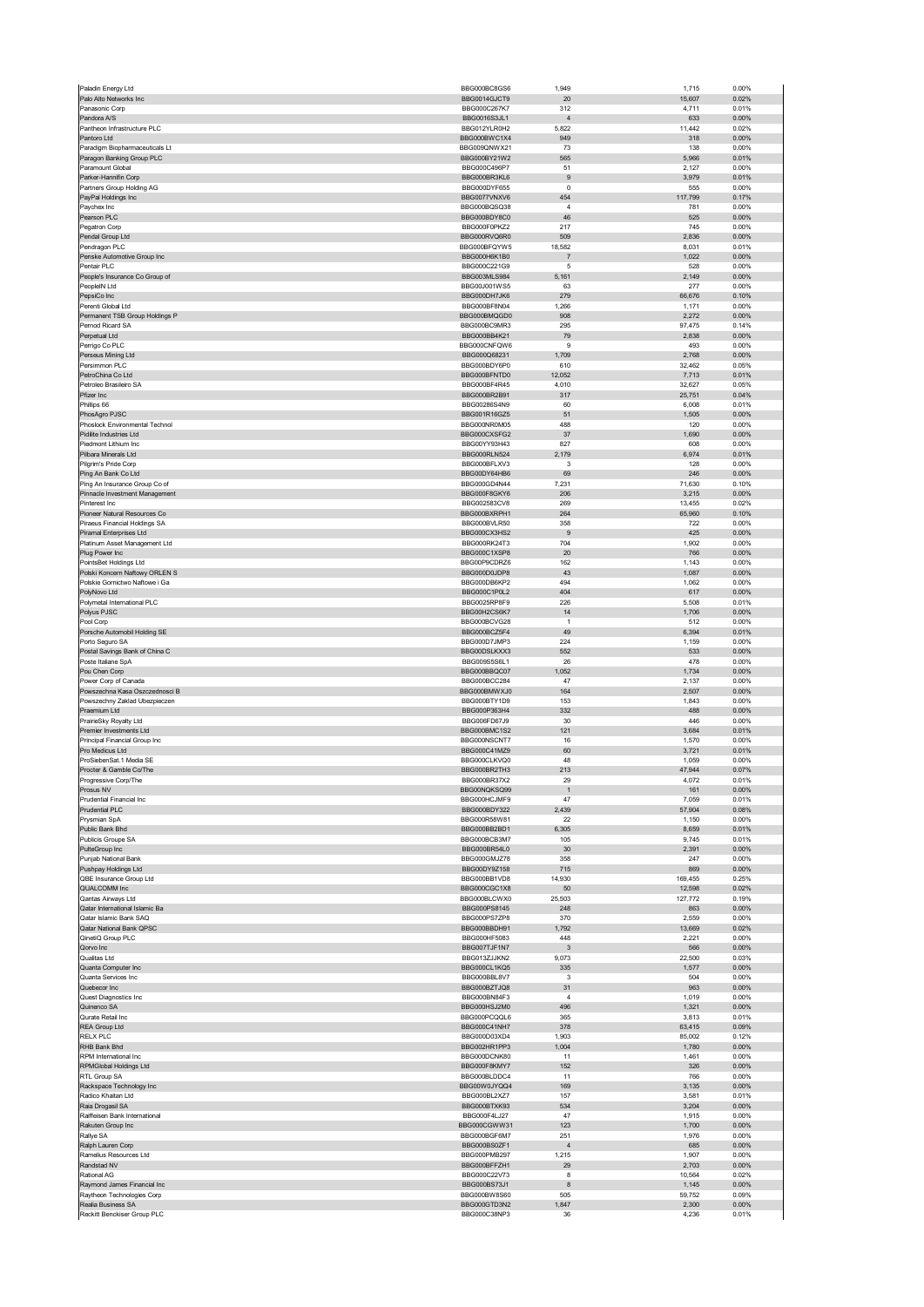| Paladin Energy Ltd                                          | BBG000BC8GS6                 | 1,949                | 1,715            | 0.00%          |
|-------------------------------------------------------------|------------------------------|----------------------|------------------|----------------|
| Palo Alto Networks Inc<br>Panasonic Corp                    | BBG0014GJCT9<br>BBG000C267K7 | 20<br>312            | 15,607<br>4,711  | 0.02%<br>0.01% |
| Pandora A/S                                                 | BBG0016S3JL1                 | $\overline{4}$       | 633              | 0.00%          |
| Pantheon Infrastructure PLC                                 | BBG012YLR0H2                 | 5,822                | 11,442           | 0.02%          |
| Pantoro Ltd                                                 | BBG000BWC1X4                 | 949                  | 318              | 0.00%          |
| Paradigm Biopharmaceuticals Lt<br>Paragon Banking Group PLC | BBG009QNWX21<br>BBG000BY21W2 | 73<br>565            | 138<br>5,966     | 0.00%<br>0.01% |
| Paramount Global                                            | BBG000C496P7                 | 51                   | 2,127            | 0.00%          |
| Parker-Hannifin Corp                                        | BBG000BR3KL6                 | 9                    | 3,979            | 0.01%          |
| Partners Group Holding AG                                   | BBG000DYF655                 | $\overline{0}$       | 555              | 0.00%          |
| PayPal Holdings Inc                                         | BBG0077VNXV6                 | 454                  | 117,799          | 0.17%          |
| Paychex Inc<br>Pearson PLC                                  | BBG000BQSQ38<br>BBG000BDY8C0 | $\overline{4}$<br>46 | 781<br>525       | 0.00%<br>0.00% |
| Pegatron Corp                                               | BBG000F0PKZ2                 | 217                  | 745              | 0.00%          |
| Pendal Group Ltd                                            | BBG000RVO6R0                 | 509                  | 2,836            | 0.00%          |
| Pendragon PLC                                               | BBG000BFQYW5                 | 18,582               | 8,031            | 0.01%          |
| Penske Automotive Group Inc<br>Pentair PLC                  | BBG000H6K1B0<br>BBG000C221G9 | 7<br>5               | 1,022<br>528     | 0.00%<br>0.00% |
| People's Insurance Co Group of                              | BBG003MLS984                 | 5,161                | 2,149            | 0.00%          |
| PeopleIN Ltd                                                | BBG00J001WS5                 | 63                   | 277              | 0.00%          |
| PepsiCo Inc                                                 | BBG000DH7JK6                 | 279                  | 66,676           | 0.10%          |
| Perenti Global Ltd                                          | BBG000BF8N04                 | 1,266                | 1,171            | 0.00%          |
| Permanent TSB Group Holdings P<br>Pernod Ricard SA          | BBG000BMQGD0<br>BBG000BC9MR3 | 908<br>295           | 2,272<br>97,475  | 0.00%<br>0.14% |
| Perpetual Ltd                                               | BBG000BB4K21                 | 79                   | 2,838            | 0.00%          |
| Perrigo Co PLC                                              | BBG000CNFQW6                 | 9                    | 493              | 0.00%          |
| Perseus Mining Ltd                                          | BBG000Q68231                 | 1,709                | 2,768            | 0.00%          |
| Persimmon PLC                                               | BBG000BDY6P0                 | 610                  | 32,462           | 0.05%          |
| PetroChina Co Ltd<br>Petroleo Brasileiro SA                 | BBG000BFNTD0<br>BBG000BF4R45 | 12,052<br>4,010      | 7,713<br>32,627  | 0.01%<br>0.05% |
| Pfizer Inc                                                  | BBG000BR2B91                 | 317                  | 25,751           | 0.04%          |
| Phillips 66                                                 | BBG00286S4N9                 | 60                   | 6,008            | 0.01%          |
| PhosAgro PJSC                                               | BBG001R16GZ5                 | 51                   | 1,505            | 0.00%          |
| Phoslock Environmental Technol                              | BBG000NR0M05                 | 488                  | 120              | 0.00%          |
| Pidilite Industries Ltd<br>Piedmont Lithium Inc             | BBG000CXSFG2<br>BBG00YY93H43 | 37<br>827            | 1,690<br>608     | 0.00%<br>0.00% |
| Pilbara Minerals Ltd                                        | BBG000RLN524                 | 2,179                | 6,974            | 0.01%          |
| Pilgrim's Pride Corp                                        | BBG000BFLXV3                 | 3                    | 128              | 0.00%          |
| Ping An Bank Co Ltd                                         | BBG00DY64HB6                 | 69                   | 246              | 0.00%          |
| Ping An Insurance Group Co of                               | BBG000GD4N44                 | 7,231                | 71,630           | 0.10%          |
| Pinnacle Investment Management                              | BBG000F8GKY6                 | 206                  | 3,215            | 0.00%          |
| Pinterest Inc<br>Pioneer Natural Resources Co               | BBG002583CV8<br>BBG000BXRPH1 | 269<br>264           | 13,455<br>65,960 | 0.02%<br>0.10% |
| Piraeus Financial Holdings SA                               | BBG000BVLR50                 | 358                  | 722              | 0.00%          |
| Piramal Enterprises Ltd                                     | BBG000CX3HS2                 | 9                    | 425              | 0.00%          |
| Platinum Asset Management Ltd                               | BBG000RK24T3                 | 704                  | 1,902            | 0.00%          |
| Plug Power Inc                                              | BBG000C1XSP8                 | 20                   | 766              | 0.00%          |
| PointsBet Holdings Ltd<br>Polski Koncern Naftowy ORLEN S    | BBG00P9CDRZ6<br>BBG000D0JDP8 | 162<br>43            | 1,143<br>1,087   | 0.00%<br>0.00% |
| Polskie Gornictwo Naftowe i Ga                              | BBG000DB6KP2                 | 494                  | 1,062            | 0.00%          |
| PolyNovo Ltd                                                | BBG000C1P0L2                 | 404                  | 617              | 0.00%          |
| Polymetal International PLC                                 | BBG0025RP8F9                 | 226                  | 5,508            | 0.01%          |
| Polyus PJSC                                                 | BBG00H2CS6K7                 | 14                   | 1,706            | 0.00%          |
| Pool Corp<br>Porsche Automobil Holding SE                   | BBG000BCVG28<br>BBG000BCZ5F4 | $\overline{1}$<br>49 | 512<br>6,394     | 0.00%<br>0.01% |
| Porto Seguro SA                                             | BBG000D7JMP3                 | 224                  | 1,159            | 0.00%          |
| Postal Savings Bank of China C                              | BBG00DSLKXX3                 | 552                  | 533              | 0.00%          |
|                                                             |                              |                      |                  |                |
| Poste Italiane SpA                                          | BBG009S5S6L1                 | 26                   | 478              | 0.00%          |
| Pou Chen Corp                                               | BBG000BBQC07                 | 1,052                | 1,734            | 0.00%          |
| Power Corp of Canada                                        | BBG000BCC284                 | 47                   | 2,137            | 0.00%          |
| Powszechna Kasa Oszczednosci B                              | BBG000BMWXJ0                 | 164                  | 2,507            | 0.00%          |
| Powszechny Zaklad Ubezpieczen<br>Praemium Ltd               | BBG000BTY1D9<br>BBG000P363H4 | 153<br>332           | 1,843<br>488     | 0.00%<br>0.00% |
| PrairieSky Royalty Ltd                                      | BBG006FD67J9                 | 30                   | 446              | 0.00%          |
| Premier Investments Ltd                                     | BBG000BMC1S2                 | 121                  | 3,684            | 0.01%          |
| Principal Financial Group Inc                               | BBG000NSCNT7                 | 16                   | 1,570            | 0.00%          |
| Pro Medicus Ltd                                             | BBG000C41MZ9                 | 60                   | 3,721            | 0.01%          |
| ProSiebenSat.1 Media SE<br>Procter & Gamble Co/The          | BBG000CLKVQ0<br>BBG000BR2TH3 | 48<br>213            | 1,059<br>47,944  | 0.00%<br>0.07% |
| ssive Corp/The<br>Progr                                     | BBG000BR37X2                 |                      | 4,072            | 0.01%          |
| Prosus NV                                                   | BBG00NQKSQ99                 | $\mathbf{1}$         | 161              | 0.00%          |
| Prudential Financial Inc                                    | BBG000HCJMF9                 | 47                   | 7,059            | 0.01%          |
| Prudential PLC                                              | BBG000BDY322                 | 2,439                | 57,904           | 0.08%          |
| Prysmian SpA<br>Public Bank Bhd                             | BBG000R58W81<br>BBG000BB2BD1 | 22                   | 1,150<br>8,659   | 0.00%<br>0.01% |
| Publicis Groupe SA                                          | BBG000BCB3M7                 | 6,305<br>105         | 9,745            | 0.01%          |
| PulteGroup Inc                                              | BBG000BR54L0                 | 30                   | 2,391            | 0.00%          |
| Punjab National Bank                                        | BBG000GMJZ78                 | 358                  | 247              | 0.00%          |
| Pushpay Holdings Ltd<br>QBE Insurance Group Ltd             | BBG00DY9Z158<br>BBG000BB1VD8 | 715<br>14,930        | 869<br>169,455   | 0.00%<br>0.25% |
| <b>QUALCOMM Inc</b>                                         | BBG000CGC1X8                 | 50                   | 12,598           | 0.02%          |
| Qantas Airways Ltd                                          | BBG000BLCWX0                 | 25,503               | 127,772          | 0.19%          |
| Qatar International Islamic Ba                              | BBG000PS8145                 | 248                  | 863              | 0.00%          |
| Qatar Islamic Bank SAQ                                      | BBG000PS7ZP8                 | 370                  | 2,559            | 0.00%          |
| Qatar National Bank QPSC                                    | BBG000BBDH91<br>BBG000HF5083 | 1,792                | 13,669           | 0.02%          |
| QinetiQ Group PLC<br>Qorvo Inc                              | BBG007TJF1N7                 | 448<br>$\mathbf{3}$  | 2,221<br>566     | 0.00%<br>0.00% |
| Qualitas Ltd                                                | BBG013ZJJKN2                 | 9,073                | 22,500           | 0.03%          |
| Quanta Computer Inc                                         | BBG000CL1KQ5                 | 335                  | 1,577            | 0.00%          |
| Quanta Services Inc                                         | BBG000BBL8V7                 | 3                    | 504              | 0.00%          |
| Quebecor Inc<br>Quest Diagnostics Inc                       | BBG000BZTJQ8<br>BBG000BN84F3 | 31<br>$\overline{4}$ | 963<br>1,019     | 0.00%<br>0.00% |
| Quinenco SA                                                 | BBG000HSJ2M0                 | 496                  | 1,321            | 0.00%          |
| Qurate Retail Inc                                           | BBG000PCQQL6                 | 365                  | 3,813            | 0.01%          |
| REA Group Ltd                                               | BBG000C41NH7                 | 378                  | 63,415           | 0.09%          |
| <b>RELX PLC</b>                                             | BBG000D03XD4                 | 1,903                | 85,002           | 0.12%          |
| RHB Bank Bhd<br>RPM International Inc                       | BBG002HR1PP3<br>BBG000DCNK80 | 1,004<br>11          | 1,780<br>1,461   | 0.00%<br>0.00% |
| RPMGlobal Holdings Ltd                                      | BBG000F8KMY7                 | 152                  | 326              | 0.00%          |
| RTL Group SA                                                | BBG000BLDDC4                 | 11                   | 766              | 0.00%          |
| Rackspace Technology Inc                                    | BBG00W0JYQQ4                 | 169                  | 3,135            | 0.00%          |
| Radico Khaitan Ltd                                          | BBG000BL2XZ7                 | 157                  | 3,581            | 0.01%          |
| Raia Drogasil SA<br>Raiffeisen Bank International           | BBG000BTXK93<br>BBG000F4LJ27 | 534<br>47            | 3,204<br>1,915   | 0.00%<br>0.00% |
| Rakuten Group Inc                                           | BBG000CGWW31                 | 123                  | 1,700            | 0.00%          |
| Rallye SA                                                   | BBG000BGF6M7                 | 251                  | 1,976            | 0.00%          |
| Ralph Lauren Corp                                           | BBG000BS0ZF1                 | $\overline{4}$       | 685              | 0.00%          |
| Ramelius Resources Ltd                                      | BBG000PMB297                 | 1,215                | 1,907            | 0.00%          |
| Randstad NV<br>Rational AG                                  | BBG000BFFZH1<br>BBG000C22V73 | 29<br>8              | 2,703<br>10,564  | 0.00%<br>0.02% |
| Raymond James Financial Inc                                 | BBG000BS73J1                 | 8                    | 1,145            | 0.00%          |
| Raytheon Technologies Corp                                  | BBG000BW8S60                 | 505                  | 59,752           | 0.09%          |
| Realia Business SA<br>Reckitt Benckiser Group PLC           | BBG000GTD3N2<br>BBG000C38NP3 | 1,847<br>36          | 2,300<br>4,236   | 0.00%<br>0.01% |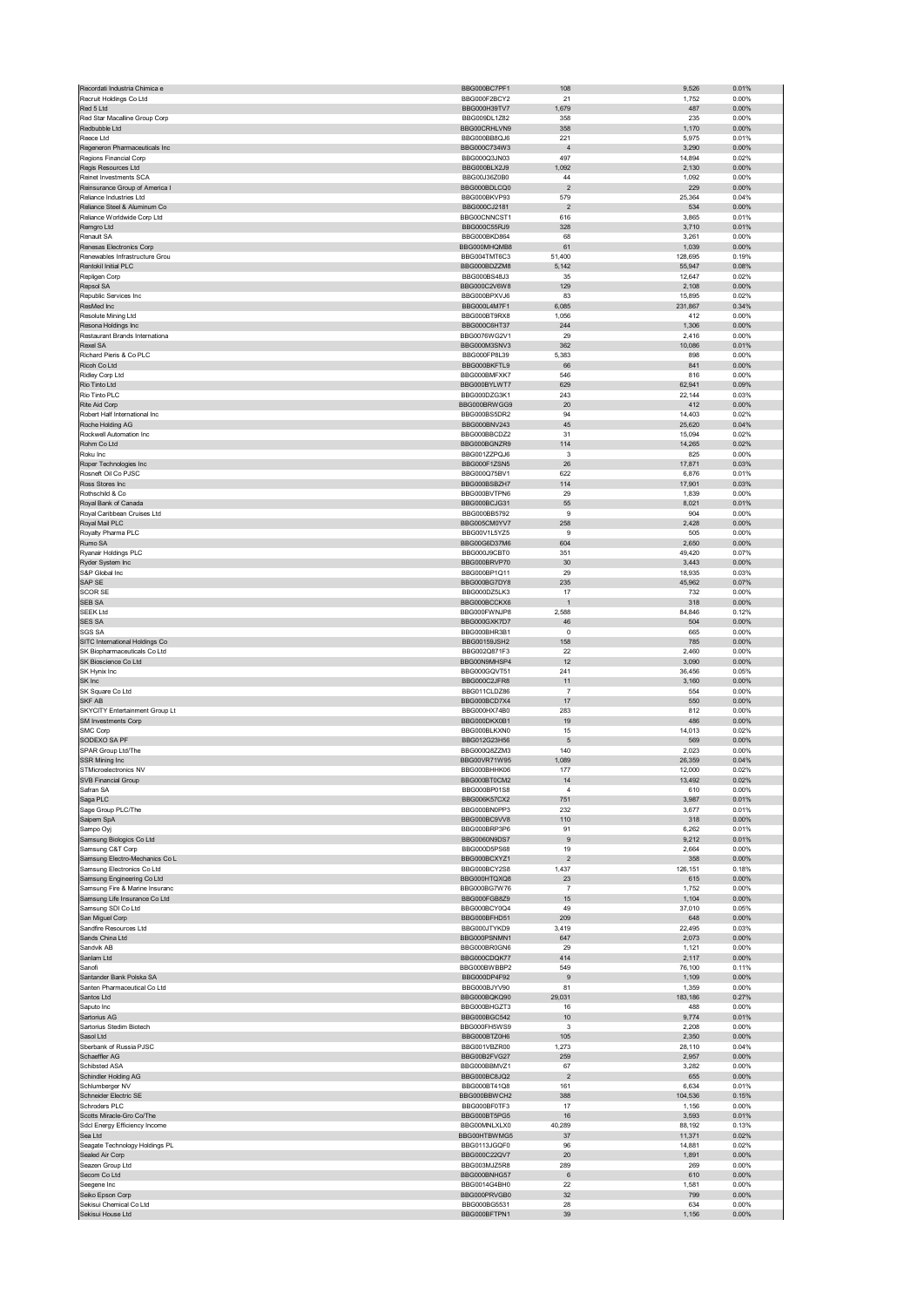| Recordati Industria Chimica e                                    | BBG000BC7PF1                 | 108                   | 9,526            | 0.01%             |
|------------------------------------------------------------------|------------------------------|-----------------------|------------------|-------------------|
| Recruit Holdings Co Ltd                                          | BBG000F2BCY2                 | 21                    | 1,752            | 0.00%             |
| Red 5 Ltd                                                        | BBG000H39TV7                 | 1,679                 | 487              | 0.00%             |
| Red Star Macalline Group Corp                                    | BBG009DL1Z82                 | 358                   | 235              | 0.00%             |
| Redbubble Ltd                                                    | BBG00CRHLVN9                 | 358                   | 1,170            | 0.00%             |
| Reece Ltd                                                        | BBG000BB8QJ6<br>BBG000C734W3 | 221<br>$\overline{4}$ | 5,975<br>3,290   | 0.01%<br>0.00%    |
| Regeneron Pharmaceuticals Inc<br>Regions Financial Corp          | BBG000Q3JN03                 | 497                   | 14,894           | 0.02%             |
| Regis Resources Ltd                                              | BBG000BLX2J9                 | 1,092                 | 2,130            | 0.00%             |
| Reinet Investments SCA                                           | BBG00J36Z0B0                 | 44                    | 1,092            | 0.00%             |
| Reinsurance Group of America I                                   | BBG000BDLCQ0                 | $\overline{2}$        | 229              | 0.00%             |
| Reliance Industries Ltd                                          | BBG000BKVP93                 | 579                   | 25,364           | 0.04%             |
| Reliance Steel & Aluminum Co                                     | BBG000CJ2181                 | $\overline{2}$        | 534              | 0.00%             |
| Reliance Worldwide Corp Ltd                                      | BBG00CNNCST1                 | 616                   | 3,865            | 0.01%             |
| Remgro Ltd                                                       | BBG000C55RJ9                 | 328                   | 3,710            | 0.01%             |
| Renault SA                                                       | BBG000BKD864<br>BBG000MHQMB8 | 68                    | 3,261            | 0.00%             |
| Renesas Electronics Corp<br>Renewables Infrastructure Grou       | BBG004TMT6C3                 | 61<br>51,400          | 1,039<br>128,695 | 0.00%<br>0.19%    |
| Rentokil Initial PLC                                             | BBG000BDZZM8                 | 5,142                 | 55,947           | 0.08%             |
| Repligen Corp                                                    | BBG000BS48J3                 | 35                    | 12,647           | 0.02%             |
| Repsol SA                                                        | BBG000C2V6W8                 | 129                   | 2,108            | 0.00%             |
| Republic Services Inc                                            | BBG000BPXVJ6                 | 83                    | 15,895           | 0.02%             |
| ResMed Inc                                                       | BBG000L4M7F1                 | 6,085                 | 231,867          | 0.34%             |
| Resolute Mining Ltd                                              | BBG000BT9RX8                 | 1,056                 | 412              | 0.00%             |
| Resona Holdings Inc                                              | BBG000C6HT37                 | 244                   | 1,306            | 0.00%             |
| Restaurant Brands Internationa                                   | BBG0076WG2V1                 | 29                    | 2,416            | 0.00%             |
| <b>Rexel SA</b>                                                  | BBG000M3SNV3                 | 362                   | 10,086           | 0.01%             |
| Richard Pieris & Co PLC<br>Ricoh Co Ltd                          | BBG000FP8L39                 | 5,383                 | 898              | 0.00%<br>0.00%    |
| Ridley Corp Ltd                                                  | BBG000BKFTL9<br>BBG000BMFXK7 | 66<br>546             | 841<br>816       | 0.00%             |
| Rio Tinto Ltd                                                    | BBG000BYLWT7                 | 629                   | 62,941           | 0.09%             |
| Rio Tinto PLC                                                    | BBG000DZG3K1                 | 243                   | 22,144           | 0.03%             |
| Rite Aid Corp                                                    | BBG000BRWGG9                 | 20                    | 412              | 0.00%             |
| Robert Half International Inc                                    | BBG000BS5DR2                 | 94                    | 14,403           | 0.02%             |
| Roche Holding AG                                                 | BBG000BNV243                 | 45                    | 25,620           | 0.04%             |
| Rockwell Automation Inc                                          | BBG000BBCDZ2                 | 31                    | 15,094           | 0.02%             |
| Rohm Co Ltd                                                      | BBG000BGNZR9                 | 114                   | 14,265           | 0.02%             |
| Roku Inc                                                         | BBG001ZZPQJ6                 | 3                     | 825              | 0.00%             |
| Roper Technologies Inc                                           | BBG000F1ZSN5                 | 26                    | 17,871           | 0.03%             |
| Rosneft Oil Co PJSC                                              | BBG000Q75BV1                 | 622                   | 6,876            | 0.01%             |
| Ross Stores Inc                                                  | BBG000BSBZH7                 | 114                   | 17,901           | 0.03%             |
| Rothschild & Co<br>Royal Bank of Canada                          | BBG000BVTPN6<br>BBG000BCJG31 | 29<br>55              | 1,839<br>8,021   | 0.00%<br>0.01%    |
| Royal Caribbean Cruises Ltd                                      | BBG000BB5792                 | 9                     | 904              | 0.00%             |
| Royal Mail PLC                                                   | BBG005CM0YV7                 | 258                   | 2,428            | 0.00%             |
| Royalty Pharma PLC                                               | BBG00V1L5YZ5                 | 9                     | 505              | 0.00%             |
| Rumo SA                                                          | BBG00G6D37M6                 | 604                   | 2,650            | 0.00%             |
| Ryanair Holdings PLC                                             | BBG000J9CBT0                 | 351                   | 49,420           | 0.07%             |
| Ryder System Inc                                                 | BBG000BRVP70                 | 30                    | 3,443            | 0.00%             |
| S&P Global Inc                                                   | BBG000BP1Q11                 | 29                    | 18,935           | 0.03%             |
| SAP SE                                                           | BBG000BG7DY8                 | 235                   | 45,962           | 0.07%             |
| <b>SCOR SE</b>                                                   | BBG000DZ5LK3                 | 17                    | 732              | 0.00%             |
| SEB SA                                                           | BBG000BCCKX6                 | -1                    | 318              | $0.00\%$          |
| <b>SEEK Ltd</b>                                                  | BBG000FWNJP8                 | 2,588                 | 84,846           | 0.12%             |
| <b>SES SA</b><br><b>SGS SA</b>                                   | BBG000GXK7D7<br>BBG000BHR3B1 | 46<br>0               | 504<br>665       | $0.00\%$<br>0.00% |
| SITC International Holdings Co                                   | BBG00159JSH2                 | 158                   | 785              | 0.00%             |
| SK Biopharmaceuticals Co Ltd                                     | BBG002Q871F3                 | 22                    | 2,460            | 0.00%             |
| SK Bioscience Co Ltd                                             | BBG00N9MHSP4                 | 12                    | 3,090            | 0.00%             |
| SK Hynix Inc                                                     | BBG000GQVT51                 | 241                   | 36,456           | 0.05%             |
| SK Inc                                                           | BBG000C2JFR8                 | 11                    | 3,160            | 0.00%             |
| SK Square Co Ltd                                                 | BBG011CLDZ86                 | $\overline{7}$        | 554              | 0.00%             |
| SKF AB                                                           | BBG000BCD7X4                 | 17                    | 550              | 0.00%             |
| SKYCITY Entertainment Group Lt                                   | BBG000HX74B0                 | 283                   | 812              | 0.00%             |
| SM Investments Corp                                              | BBG000DKX0B1                 | 19                    | 486              | 0.00%             |
| SMC Corp                                                         | BBG000BLKXN0                 | 15                    | 14,013           | 0.02%             |
| SODEXO SA PF<br>SPAR Group Ltd/The                               | BBG012G23H56<br>BBG000Q8ZZM3 | 5<br>140              | 569<br>2,023     | 0.00%<br>0.00%    |
| SSR Mining Inc                                                   | BBG00VR71W95                 | 1,089                 | 26,359           | 0.04%             |
| STMicroelectronics NV                                            | BBG000BHHK06                 |                       | 12,000           | 0.02%             |
|                                                                  |                              | 177                   |                  |                   |
|                                                                  |                              |                       | 3 4 9 2          |                   |
| SVB Finan<br>Safran SA                                           | BBG000BT0CM2                 |                       |                  | 0.029             |
| Saga PLC                                                         | BBG000BP01S8<br>BBG006K57CX2 | 4<br>751              | 610<br>3,987     | 0.00%<br>0.01%    |
| Sage Group PLC/The                                               | BBG000BN0PP3                 | 232                   | 3,677            | 0.01%             |
| Saipem SpA                                                       | BBG000BC9VV8                 | 110                   | 318              | 0.00%             |
| Sampo Oyj                                                        | BBG000BRP3P6                 | 91                    | 6,262            | 0.01%             |
| Samsung Biologics Co Ltd                                         | BBG0060N9DS7                 | 9                     | 9,212            | 0.01%             |
| Samsung C&T Corp                                                 | BBG000D5PS68                 | 19                    | 2,664            | 0.00%             |
| Samsung Electro-Mechanics Co L                                   | BBG000BCXYZ1                 | $\overline{2}$        | 358              | 0.00%             |
| Samsung Electronics Co Ltd                                       | BBG000BCY2S8<br>BBG000HTQXQ8 | 1,437                 | 126,151          | 0.18%<br>0.00%    |
| Samsung Engineering Co Ltd<br>Samsung Fire & Marine Insuranc     | BBG000BG7W76                 | 23<br>$\overline{7}$  | 615<br>1,752     | 0.00%             |
| Samsung Life Insurance Co Ltd                                    | BBG000FGB8Z9                 | 15                    | 1,104            | 0.00%             |
| Samsung SDI Co Ltd                                               | BBG000BCY0Q4                 | 49                    | 37,010           | 0.05%             |
| San Miguel Corp                                                  | BBG000BFHD51                 | 209                   | 648              | 0.00%             |
| Sandfire Resources Ltd                                           | BBG000JTYKD9                 | 3,419                 | 22,495           | 0.03%             |
| Sands China Ltd                                                  | BBG000PSNMN1                 | 647                   | 2,073            | $0.00\%$          |
| Sandvik AB                                                       | BBG000BR0GN6                 | 29                    | 1,121            | 0.00%             |
| Sanlam Ltd<br>Sanofi                                             | BBG000CDQK77<br>BBG000BWBBP2 | 414<br>549            | 2,117<br>76,100  | $0.00\%$<br>0.11% |
| Santander Bank Polska SA                                         | BBG000DP4F92                 | 9                     | 1,109            | 0.00%             |
| Santen Pharmaceutical Co Ltd                                     | BBG000BJYV90                 | 81                    | 1,359            | 0.00%             |
| Santos Ltd                                                       | BBG000BQKQ90                 | 29,031                | 183,186          | 0.27%             |
| Saputo Inc                                                       | BBG000BHGZT3                 | 16                    | 488              | 0.00%             |
| Sartorius AG                                                     | BBG000BGC542                 | 10                    | 9,774            | 0.01%             |
| Sartorius Stedim Biotech                                         | BBG000FH5WS9                 | 3                     | 2,208            | 0.00%             |
| Sasol Ltd                                                        | BBG000BTZ0H6                 | 105                   | 2,350            | $0.00\%$          |
| Sberbank of Russia PJSC                                          | BBG001VBZR00                 | 1,273                 | 28,110           | 0.04%             |
| Schaeffler AG                                                    | BBG00B2FVG27                 | 259                   | 2,957            | 0.00%             |
| Schibsted ASA<br>Schindler Holding AG                            | BBG000BBMVZ1<br>BBG000BC8JQ2 | 67<br>$\overline{c}$  | 3,282<br>655     | 0.00%<br>0.00%    |
| Schlumberger NV                                                  | BBG000BT41Q8                 | 161                   | 6,634            | 0.01%             |
| Schneider Electric SE                                            | BBG000BBWCH2                 | 388                   | 104,536          | 0.15%             |
| Schroders PLC                                                    | BBG000BF0TF3                 | 17                    | 1,156            | 0.00%             |
| Scotts Miracle-Gro Co/The                                        | BBG000BT5PG5                 | 16                    | 3,593            | 0.01%             |
| Sdcl Energy Efficiency Income                                    | BBG00MNLXLX0                 | 40,289                | 88,192           | 0.13%             |
| Sea Ltd                                                          | BBG00HTBWMG5                 | 37                    | 11,371           | 0.02%             |
| Seagate Technology Holdings PL                                   | BBG0113JGQF0                 | 96                    | 14,881           | 0.02%             |
| Sealed Air Corp                                                  | BBG000C22QV7                 | 20                    | 1,891            | $0.00\%$          |
| Seazen Group Ltd                                                 | BBG003MJZ5R8                 | 289<br>6              | 269              | 0.00%             |
| Secom Co Ltd                                                     | BBG000BNHG57<br>BBG0014G4BH0 | 22                    | 610              | 0.00%<br>0.00%    |
| Seegene Inc                                                      | BBG000PRVGB0                 | 32                    | 1,581<br>799     | $0.00\%$          |
| Seiko Epson Corp<br>Sekisui Chemical Co Ltd<br>Sekisui House Ltd | BBG000BG5531<br>BBG000BFTPN1 | 28<br>39              | 634<br>1,156     | 0.00%<br>0.00%    |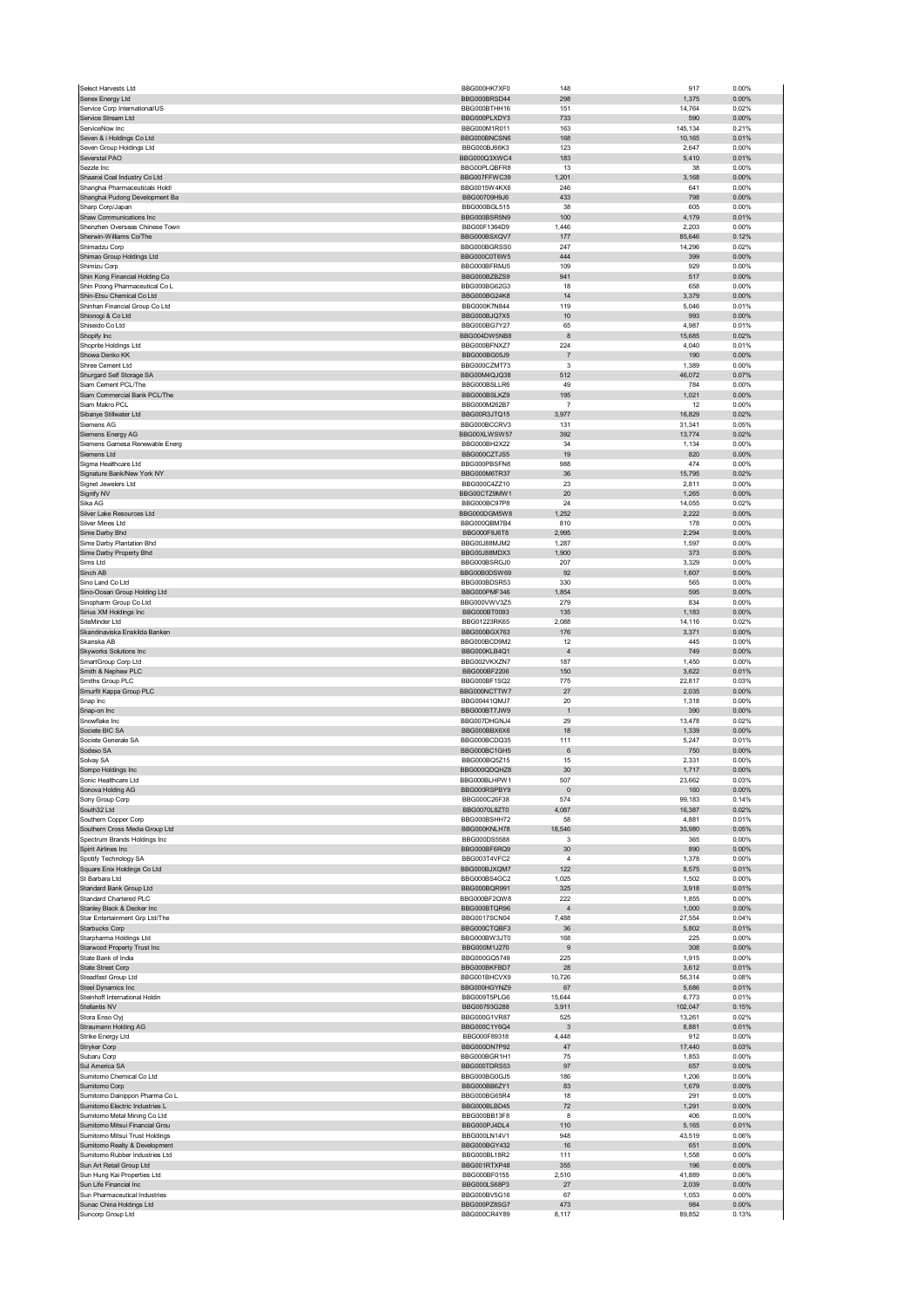| Select Harvests Ltd                                              | BBG000HK7XF0                 | 148            | 917               | 0.00%          |
|------------------------------------------------------------------|------------------------------|----------------|-------------------|----------------|
| Senex Energy Ltd                                                 | BBG000BRSD44                 | 298            | 1,375             | 0.00%          |
| Service Corp International/US                                    | BBG000BTHH16                 | 151            | 14,764            | 0.02%          |
| Service Stream Ltd<br>ServiceNow Inc                             | BBG000PLXDY3<br>BBG000M1R011 | 733<br>163     | 590<br>145,134    | 0.00%<br>0.21% |
| Seven & i Holdings Co Ltd                                        | BBG000BNCSN6                 | 168            | 10,165            | 0.01%          |
| Seven Group Holdings Ltd                                         | BBG000BJ66K3                 | 123            | 2,647             | 0.00%          |
| Severstal PAO                                                    | BBG000Q3XWC4                 | 183            | 5,410             | 0.01%          |
| Sezzle Inc                                                       | BBG00PLQBFR8                 | 13             | 38                | 0.00%          |
| Shaanxi Coal Industry Co Ltd                                     | BBG007FFWC39                 | 1,201          | 3,168             | 0.00%          |
| Shanghai Pharmaceuticals Holdi                                   | BBG0015W4KX6                 | 246            | 641               | 0.00%          |
| Shanghai Pudong Development Ba<br>Sharp Corp/Japan               | BBG00709H9J6<br>BBG000BGL515 | 433<br>38      | 798<br>605        | 0.00%<br>0.00% |
| Shaw Communications Inc                                          | BBG000BSR5N9                 | 100            | 4,179             | 0.01%          |
| Shenzhen Overseas Chinese Town                                   | BBG00F1364D9                 | 1,446          | 2,203             | 0.00%          |
| Sherwin-Williams Co/The                                          | BBG000BSXQV7                 | 177            | 85,646            | 0.12%          |
| Shimadzu Corp                                                    | BBG000BGRSS0                 | 247            | 14,296            | 0.02%          |
| Shimao Group Holdings Ltd                                        | BBG000C0T6W5                 | 444            | 399               | 0.00%          |
| Shimizu Corp                                                     | BBG000BFRMJ5                 | 109            | 929               | 0.00%          |
| Shin Kong Financial Holding Co                                   | BBG000BZBZS9                 | 941            | 517               | 0.00%          |
| Shin Poong Pharmaceutical Co L                                   | BBG000BG62G3<br>BBG000BG24K8 | 18             | 658               | 0.00%          |
| Shin-Etsu Chemical Co Ltd<br>Shinhan Financial Group Co Ltd      | BBG000K7N844                 | 14<br>119      | 3,379<br>5,046    | 0.00%<br>0.01% |
| Shionogi & Co Ltd                                                | BBG000BJQ7X5                 | 10             | 993               | 0.00%          |
| Shiseido Co Ltd                                                  | BBG000BG7Y27                 | 65             | 4,987             | 0.01%          |
| Shopify Inc                                                      | BBG004DW5NB8                 | 8              | 15,685            | 0.02%          |
| Shoprite Holdings Ltd                                            | BBG000BFNXZ7                 | 224            | 4,040             | 0.01%          |
| Showa Denko KK                                                   | BBG000BG05J9                 | $\overline{7}$ | 190               | 0.00%          |
| Shree Cement Ltd                                                 | BBG000CZMT73                 | 3              | 1,389             | 0.00%          |
| Shurgard Self Storage SA<br>Siam Cement PCL/The                  | BBG00M4QJQ38<br>BBG000BSLLR6 | 512<br>49      | 46,072<br>784     | 0.07%<br>0.00% |
| Siam Commercial Bank PCL/The                                     | BBG000BSLKZ9                 | 195            | 1,021             | 0.00%          |
| Siam Makro PCL                                                   | BBG000M262B7                 | $\overline{7}$ | 12                | 0.00%          |
| Sibanye Stillwater Ltd                                           | BBG00R3JTQ15                 | 3,977          | 16,829            | 0.02%          |
| Siemens AG                                                       | BBG000BCCRV3                 | 131            | 31,341            | 0.05%          |
| Siemens Energy AG                                                | BBG00XLWSW57                 | 392            | 13,774            | 0.02%          |
| Siemens Gamesa Renewable Energ                                   | BBG000BH2X22                 | 34             | 1,134             | 0.00%          |
| Siemens Ltd                                                      | BBG000CZTJS5                 | 19             | 820               | 0.00%          |
| Sigma Healthcare Ltd                                             | BBG000PBSFN8                 | 988            | 474               | 0.00%          |
| Signature Bank/New York NY<br>Signet Jewelers Ltd                | BBG000M6TR37<br>BBG000C4ZZ10 | 36<br>23       | 15,795<br>2,811   | 0.02%<br>0.00% |
| Signify NV                                                       | BBG00CTZ9MW1                 | 20             | 1,265             | 0.00%          |
| Sika AG                                                          | BBG000BC97P8                 | 24             | 14,055            | 0.02%          |
| Silver Lake Resources Ltd                                        | BBG000DGM5W8                 | 1,252          | 2,222             | 0.00%          |
| Silver Mines Ltd                                                 | BBG000QBM7B4                 | 810            | 178               | 0.00%          |
| Sime Darby Bhd                                                   | BBG000F9J6T8                 | 2.995          | 2,294             | 0.00%          |
| Sime Darby Plantation Bhd                                        | BBG00J88MJM2                 | 1,287          | 1,597             | 0.00%          |
| Sime Darby Property Bhd                                          | BBG00J88MDX3                 | 1,900          | 373               | 0.00%          |
| Sims Ltd<br>Sinch AB                                             | BBG000BSRGJ0<br>BBG00B0DSW69 | 207<br>92      | 3,329<br>1,607    | 0.00%<br>0.00% |
| Sino Land Co Ltd                                                 | BBG000BDSR53                 | 330            | 565               | 0.00%          |
| Sino-Ocean Group Holding Ltd                                     | BBG000PMF346                 | 1,854          | 595               | 0.00%          |
| Sinopharm Group Co Ltd                                           | BBG000VWV3Z5                 | 279            | 834               | 0.00%          |
| Sirius XM Holdings Inc                                           | BBG000BT0093                 | 135            | 1,183             | 0.00%          |
| SiteMinder Ltd                                                   | BBG01223RK65                 | 2,088          | 14,116            | 0.02%          |
| Skandinaviska Enskilda Banken                                    | BBG000BGX763                 | 176            | 3,371             | 0.00%          |
| Skanska AB                                                       | BBG000BCD9M2                 | 12             | 445               | 0.00%          |
|                                                                  |                              |                |                   |                |
| <b>Skyworks Solutions Inc</b>                                    | BBG000KLB4Q1                 | $\overline{4}$ | 749               | 0.00%          |
| SmartGroup Corp Ltd                                              | BBG002VKXZN7                 | 187            | 1,450             | 0.00%          |
| Smith & Nephew PLC                                               | BBG000BF2206                 | 150            | 3,622             | 0.01%          |
| Smiths Group PLC<br>Smurfit Kappa Group PLC                      | BBG000BF1SQ2<br>BBG000NCTTW7 | 775<br>27      | 22,817<br>2,035   | 0.03%<br>0.00% |
| Snap Inc                                                         | BBG00441QMJ7                 | 20             | 1,318             | 0.00%          |
| Snap-on Inc                                                      | BBG000BT7JW9                 | $\overline{1}$ | 390               | 0.00%          |
| Snowflake Inc                                                    | BBG007DHGNJ4                 | 29             | 13,478            | 0.02%          |
| Societe BIC SA                                                   | BBG000BBX6X6                 | 18             | 1,339             | 0.00%          |
| Societe Generale SA                                              | BBG000BCDQ35                 | 111            | 5,247             | 0.01%          |
| Sodexo SA                                                        | BBG000BC1GH5                 | 6              | 750               | 0.00%          |
| Solvay SA<br>Sompo Holdings Inc                                  | BBG000BQ5Z15<br>BBG000QDQHZ8 | 15<br>30       | 2,331<br>1,717    | 0.00%<br>0.00% |
| Sonic Healthcare Ltd                                             | BBG000BLHPW1                 | 507            | 23.662            | 0.03%          |
| Sonova Holding AG                                                | BBG000RSPBY9                 | $\mathbf 0$    | 160               | 0.00%          |
| Sony Group Corp                                                  | BBG000C26F38                 | 574            | 99,183            | 0.14%          |
| South32 Ltd                                                      | BBG0070L8ZT0                 | 4,087          | 16,387            | 0.02%          |
| Southern Copper Corp                                             | BBG000BSHH72                 | 58             | 4,881             | 0.01%          |
| Southern Cross Media Group Ltd                                   | BBG000KNLH78                 | 18,546         | 35,980            | 0.05%          |
| Spectrum Brands Holdings Inc<br>Spirit Airlines Inc              | BBG000DS5588<br>BBG000BF6RQ9 | 3<br>30        | 365<br>890        | 0.00%<br>0.00% |
| Spotify Technology SA                                            | BBG003T4VFC2                 | $\overline{4}$ | 1,378             | 0.00%          |
| Square Enix Holdings Co Ltd                                      | BBG000BJXQM7                 | 122            | 8,575             | 0.01%          |
| St Barbara Ltd                                                   | BBG000BS4GC2                 | 1,025          | 1,502             | 0.00%          |
| Standard Bank Group Ltd                                          | BBG000BQR991                 | 325            | 3,918             | 0.01%          |
| Standard Chartered PLC                                           | BBG000BF2QW8                 | 222            | 1,855             | 0.00%          |
| Stanley Black & Decker Inc                                       | BBG000BTQR96                 | $\overline{4}$ | 1,000             | 0.00%          |
| Star Entertainment Grp Ltd/The                                   | BBG0017SCN04<br>BBG000CTQBF3 | 7,488<br>36    | 27,554            | 0.04%<br>0.01% |
| Starbucks Corp<br>Starpharma Holdings Ltd                        | BBG000BW3JT0                 | 168            | 5,802<br>225      | 0.00%          |
| Starwood Property Trust Inc                                      | BBG000M1J270                 | 9              | 308               | 0.00%          |
| State Bank of India                                              | BBG000GQ5749                 | 225            | 1,915             | 0.00%          |
| State Street Corp                                                | BBG000BKFBD7                 | 28             | 3,612             | 0.01%          |
| Steadfast Group Ltd                                              | BBG001BHCVX9                 | 10,726         | 56,314            | 0.08%          |
| Steel Dynamics Inc                                               | BBG000HGYNZ9                 | 67             | 5,686             | 0.01%          |
| Steinhoff International Holdin                                   | BBG009T5PLG6                 | 15,644         | 6,773             | 0.01%          |
| Stellantis NV<br>Stora Enso Oyj                                  | BBG00793G288<br>BBG000G1VR87 | 3,911<br>525   | 102,047<br>13,261 | 0.15%<br>0.02% |
| Straumann Holding AG                                             | BBG000C1Y6Q4                 | 3              | 8,881             | 0.01%          |
| Strike Energy Ltd                                                | BBG000F89318                 | 4,448          | 912               | 0.00%          |
| Stryker Corp                                                     | BBG000DN7P92                 | 47             | 17,440            | 0.03%          |
| Subaru Corp                                                      | BBG000BGR1H1                 | 75             | 1,853             | 0.00%          |
| Sul America SA                                                   | BBG000TDRS53                 | 97             | 657               | 0.00%          |
| Sumitomo Chemical Co Ltd                                         | BBG000BG0GJ5                 | 186            | 1,206             | 0.00%          |
| Sumitomo Corp                                                    | BBG000BB6ZY1                 | 83             | 1,679             | 0.00%          |
| Sumitomo Dainippon Pharma Co L<br>Sumitomo Electric Industries L | BBG000BG65R4<br>BBG000BLBD45 | 18<br>$72\,$   | 291<br>1,291      | 0.00%<br>0.00% |
| Sumitomo Metal Mining Co Ltd                                     | BBG000BB13F8                 | 8              | 406               | 0.00%          |
| Sumitomo Mitsui Financial Grou                                   | BBG000PJ4DL4                 | 110            | 5,165             | 0.01%          |
| Sumitomo Mitsui Trust Holdings                                   | BBG000LN14V1                 | 948            | 43,519            | 0.06%          |
| Sumitomo Realty & Development                                    | BBG000BGY432                 | 16             | 651               | 0.00%          |
| Sumitomo Rubber Industries Ltd                                   | BBG000BL18R2                 | 111            | 1,558             | 0.00%          |
| Sun Art Retail Group Ltd                                         | BBG001RTXP48                 | 355            | 196               | 0.00%          |
| Sun Hung Kai Properties Ltd                                      | BBG000BF0155<br>BBG000LS68P3 | 2,510          | 41,889            | 0.06%          |
| Sun Life Financial Inc<br>Sun Pharmaceutical Industries          | BBG000BV5G16                 | 27<br>67       | 2,039<br>1,053    | 0.00%<br>0.00% |
| Sunac China Holdings Ltd<br>Suncorp Group Ltd                    | BBG000PZ8SG7<br>BBG000CR4Y89 | 473<br>8,117   | 984<br>89,852     | 0.00%<br>0.13% |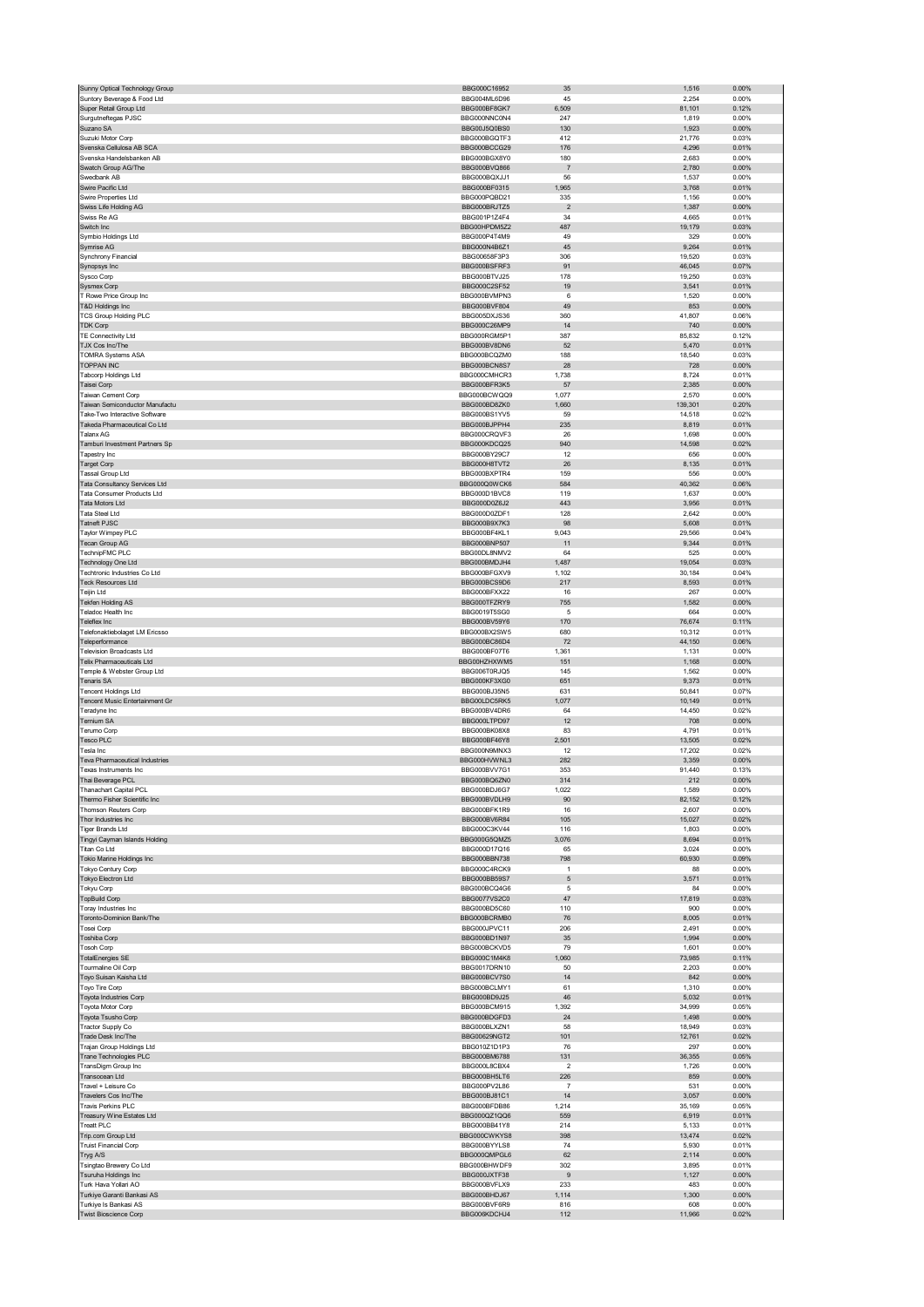| Sunny Optical Technology Group                 | BBG000C16952                 | 35                        | 1,516           | 0.00%             |
|------------------------------------------------|------------------------------|---------------------------|-----------------|-------------------|
| Suntory Beverage & Food Ltd                    | BBG004ML6D96                 | 45                        | 2,254           | 0.00%             |
| Super Retail Group Ltd                         | BBG000BF8GK7                 | 6,509                     | 81,101          | 0.12%             |
| Surgutneftegas PJSC                            | BBG000NNC0N4                 | 247                       | 1,819           | 0.00%             |
| Suzano SA                                      | BBG00J5Q0BS0                 | 130                       | 1,923           | 0.00%             |
| Suzuki Motor Corp                              | BBG000BGQTF3                 | 412                       | 21,776          | 0.03%             |
| Svenska Cellulosa AB SCA                       | BBG000BCCG29                 | 176                       | 4,296           | 0.01%             |
| Svenska Handelsbanken AB                       | BBG000BGX8Y0<br>BBG000BVQ866 | 180                       | 2,683           | 0.00%             |
| Swatch Group AG/The<br>Swedbank AB             |                              | $\overline{\mathfrak{c}}$ | 2,780           | 0.00%             |
| Swire Pacific Ltd                              | BBG000BQXJJ1<br>BBG000BF0315 | 56<br>1,965               | 1,537           | 0.00%<br>0.01%    |
| Swire Properties Ltd                           | BBG000PQBD21                 | 335                       | 3,768<br>1,156  | 0.00%             |
| Swiss Life Holding AG                          | BBG000BRJTZ5                 | $\sqrt{2}$                | 1,387           | 0.00%             |
| Swiss Re AG                                    | BBG001P1Z4F4                 | 34                        | 4,665           | 0.01%             |
| Switch Inc                                     | BBG00HPDM5Z2                 | 487                       | 19,179          | 0.03%             |
| Symbio Holdings Ltd                            | BBG000P4T4M9                 | 49                        | 329             | 0.00%             |
| Symrise AG                                     | BBG000N4B6Z1                 | 45                        | 9,264           | 0.01%             |
| Synchrony Financial                            | BBG00658F3P3                 | 306                       | 19,520          | 0.03%             |
| Synopsys Inc                                   | BBG000BSFRF3                 | 91                        | 46,045          | 0.07%             |
| Sysco Corp                                     | BBG000BTVJ25                 | 178                       | 19,250          | 0.03%             |
| <b>Sysmex Corp</b>                             | BBG000C2SF52                 | 19                        | 3,541           | 0.01%             |
| T Rowe Price Group Inc                         | BBG000BVMPN3                 | 6                         | 1,520           | 0.00%             |
| T&D Holdings Inc                               | BBG000BVF804                 | 49                        | 853             | 0.00%             |
| TCS Group Holding PLC                          | BBG005DXJS36                 | 360                       | 41,807          | 0.06%             |
| <b>TDK Corp</b>                                | BBG000C26MP9                 | 14                        | 740             | $0.00\%$          |
| TE Connectivity Ltd                            | BBG000RGM5P1                 | 387                       | 85,832          | 0.12%             |
| TJX Cos Inc/The                                | BBG000BV8DN6                 | 52                        | 5,470           | 0.01%             |
| <b>TOMRA Systems ASA</b>                       | BBG000BCQZM0                 | 188                       | 18,540          | 0.03%             |
| <b>TOPPAN INC</b>                              | BBG000BCN8S7                 | 28                        | 728             | 0.00%             |
| Tabcorp Holdings Ltd                           | BBG000CMHCR3                 | 1,738                     | 8,724           | 0.01%             |
| Taisei Corp                                    | BBG000BFR3K5                 | 57                        | 2,385           | 0.00%             |
| <b>Taiwan Cement Corp</b>                      | BBG000BCWQQ9                 | 1,077                     | 2,570           | 0.00%             |
| Taiwan Semiconductor Manufactu                 | BBG000BD8ZK0                 | 1,660                     | 139,301         | 0.20%             |
| Take-Two Interactive Software                  | BBG000BS1YV5                 | 59                        | 14,518          | 0.02%             |
| Takeda Pharmaceutical Co Ltd                   | BBG000BJPPH4                 | 235                       | 8,819           | 0.01%             |
| Talanx AG                                      | BBG000CRQVF3                 | 26                        | 1,698           | 0.00%             |
| Tamburi Investment Partners Sp                 | BBG000KDCQ25                 | 940                       | 14,598          | 0.02%             |
| Tapestry Inc                                   | BBG000BY29C7                 | 12                        | 656             | 0.00%             |
| Target Corp                                    | BBG000H8TVT2                 | 26                        | 8,135           | 0.01%             |
| <b>Tassal Group Ltd</b>                        | BBG000BXPTR4                 | 159                       | 556             | 0.00%             |
| Tata Consultancy Services Ltd                  | BBG000Q0WCK6                 | 584                       | 40,362          | 0.06%             |
| Tata Consumer Products Ltd                     | BBG000D1BVC8                 | 119                       | 1,637           | 0.00%             |
| Tata Motors Ltd                                | BBG000D0Z6J2                 | 443                       | 3,956           | 0.01%             |
| <b>Tata Steel Ltd</b>                          | BBG000D0ZDF1                 | 128                       | 2,642           | 0.00%             |
| Tatneft PJSC                                   | BBG000B9X7K3                 | 98                        | 5,608           | 0.01%             |
| Taylor Wimpey PLC                              | BBG000BF4KL1                 | 9,043                     | 29,566          | 0.04%             |
| Tecan Group AG                                 | BBG000BNP507                 | 11                        | 9,344           | 0.01%             |
| TechnipFMC PLC                                 | BBG00DL8NMV2                 | 64                        | 525             | 0.00%             |
| Technology One Ltd                             | BBG000BMDJH4                 | 1,487                     | 19,054          | 0.03%             |
| Techtronic Industries Co Ltd                   | BBG000BFGXV9                 | 1,102                     | 30,184          | 0.04%             |
| <b>Teck Resources Ltd</b>                      | BBG000BCS9D6                 | 217                       | 8,593           | 0.01%             |
| Teijin Ltd<br>Tekfen Holding AS                | BBG000BFXX22<br>BBG000TFZRY9 | 16<br>755                 | 267<br>1,582    | 0.00%<br>0.00%    |
| Teladoc Health Inc                             | BBG0019T5SG0                 | 5                         | 664             | 0.00%             |
| Teleflex Inc                                   | BBG000BV59Y6                 | 170                       | 76,674          | 0.11%             |
| <b>Telefonaktiebolaget LM Ericsso</b>          | BBG000BX2SW5                 | 680                       | 10,312          | 0.01%             |
| Teleperformance                                | BBG000BC86D4                 | 72                        | 44,150          | 0.06%             |
|                                                |                              |                           |                 |                   |
|                                                |                              |                           |                 |                   |
| <b>Television Broadcasts Ltd</b>               | BBG000BF07T6                 | 1,361                     | 1,131           | 0.00%             |
| Telix Pharmaceuticals Ltd                      | BBG00HZHXWM5                 | 151                       | 1,168           | 0.00%             |
| Temple & Webster Group Ltd                     | BBG006T0RJQ5                 | 145                       | 1,562           | 0.00%             |
| Tenaris SA                                     | BBG000KF3XG0                 | 651                       | 9,373           | 0.01%             |
| Tencent Holdings Ltd                           | BBG000BJ35N5<br>BBG00LDC5RK5 | 631                       | 50,841          | 0.07%             |
| Tencent Music Entertainment Gr                 |                              | 1,077                     | 10,149          | 0.01%             |
| Teradyne Inc                                   | BBG000BV4DR6                 | 64                        | 14,450          | 0.02%             |
| <b>Ternium SA</b><br>Terumo Corp               | BBG000LTPD97<br>BBG000BK08X8 | 12<br>83                  | 708<br>4,791    | 0.00%<br>0.01%    |
| Tesco PLC                                      | BBG000BF46Y8                 | 2,501                     | 13,505          | 0.02%             |
| Tesla Inc                                      | BBG000N9MNX3                 | 12                        |                 | 0.02%             |
| Teva Pharmaceutical Industries                 | BBG000HVWNL3                 | 282                       | 17,202<br>3,359 | 0.00%             |
| Texas Instruments Inc                          | BBG000BVV7G1                 | 353                       | 91,440          | 0.13%             |
| Thai Beverage PCI                              | BBG000BO67N0                 | 314                       | 212             | 0.00%             |
| Thanachart Capital PCL                         | BBG000BDJ6G7                 | 1,022                     | 1,589           | 0.00%             |
| Thermo Fisher Scientific Inc                   | BBG000BVDLH9                 | 90                        | 82,152          | 0.12%             |
| Thomson Reuters Corp                           | BBG000BFK1R9                 | 16                        | 2,607           | 0.00%             |
| Thor Industries Inc                            | BBG000BV6R84                 | 105                       | 15,027          | 0.02%             |
| Tiger Brands Ltd                               | BBG000C3KV44                 | 116                       | 1,803           | 0.00%             |
| Tingyi Cayman Islands Holding                  | BBG000G5QMZ5                 | 3,076                     | 8,694           | 0.01%             |
| Titan Co Ltd                                   | BBG000D17Q16                 | 65                        | 3,024           | 0.00%             |
| Tokio Marine Holdings Inc                      | BBG000BBN738                 | 798                       | 60,930          | 0.09%             |
| Tokyo Century Corp                             | BBG000C4RCK9                 | 1                         | 88              | 0.00%             |
| Tokyo Electron Ltd                             | BBG000BB59S7                 | 5                         | 3,571           | 0.01%             |
| <b>Tokyu Corp</b>                              | BBG000BCQ4G6                 | 5                         | 84              | 0.00%             |
| <b>TopBuild Corp</b>                           | BBG0077VS2C0<br>BBG000BD5C60 | 47<br>110                 | 17,819<br>900   | 0.03%<br>0.00%    |
| Toray Industries Inc                           | BBG000BCRMB0                 | 76                        |                 |                   |
| Toronto-Dominion Bank/The                      | BBG000JPVC11                 |                           | 8,005           | 0.01%             |
| Tosei Corp                                     |                              | 206                       | 2,491           | 0.00%             |
| Toshiba Corp                                   | BBG000BD1N97<br>BBG000BCKVD5 | 35<br>79                  | 1,994           | $0.00\%$<br>0.00% |
| <b>Tosoh Corp</b>                              | BBG000C1M4K8                 |                           | 1,601<br>73,985 |                   |
| <b>TotalEnergies SE</b>                        |                              | 1,060                     |                 | 0.11%             |
| Tourmaline Oil Corp<br>Toyo Suisan Kaisha Ltd  | BBG0017DRN10<br>BBG000BCV7S0 | 50<br>14                  | 2,203<br>842    | 0.00%<br>$0.00\%$ |
| Toyo Tire Corp                                 | BBG000BCLMY1                 | 61                        | 1,310           | 0.00%             |
| Toyota Industries Corp                         | BBG000BD9J25                 | 46                        | 5,032           | 0.01%             |
| Toyota Motor Corp                              | BBG000BCM915                 | 1,392                     | 34,999          | 0.05%             |
| Toyota Tsusho Corp                             | BBG000BDGFD3                 | 24                        | 1,498           | $0.00\%$          |
| Tractor Supply Co                              | BBG000BLXZN1                 | 58                        | 18,949          | 0.03%             |
| Trade Desk Inc/The                             | BBG00629NGT2                 | 101                       | 12,761          | 0.02%             |
| Trajan Group Holdings Ltd                      | BBG010Z1D1P3                 | 76                        | 297             | 0.00%             |
| Trane Technologies PLC                         | BBG000BM6788                 | 131                       | 36,355          | 0.05%             |
| TransDigm Group Inc                            | BBG000L8CBX4                 | $\mathbf 2$               | 1,726           | 0.00%             |
| Transocean Ltd                                 | BBG000BH5LT6                 | 226                       | 859             | 0.00%             |
| Travel + Leisure Co                            | BBG000PV2L86                 | 7                         | 531             | 0.00%             |
| Travelers Cos Inc/The                          | BBG000BJ81C1                 | 14                        | 3,057           | 0.00%             |
| <b>Travis Perkins PLC</b>                      | BBG000BFDB86                 | 1,214                     | 35,169          | 0.05%             |
| Treasury Wine Estates Ltd                      | BBG000QZ1QQ6                 | 559                       | 6,919           | 0.01%             |
| Treatt PLC                                     | BBG000BB41Y8                 | 214                       | 5,133           | 0.01%             |
| Trip.com Group Ltd                             | BBG000CWKYS8                 | 398                       | 13,474          | 0.02%             |
| <b>Truist Financial Corp</b>                   | BBG000BYYLS8                 | 74                        | 5,930           | 0.01%             |
| Tryg A/S                                       | BBG000QMPGL6                 | 62                        | 2,114           | 0.00%             |
| Tsingtao Brewery Co Ltd                        | BBG000BHWDF9                 | 302                       | 3,895           | 0.01%             |
| Tsuruha Holdings Inc                           | BBG000JXTF38                 | 9                         | 1,127           | $0.00\%$          |
| Turk Hava Yollari AO                           | BBG000BVFLX9                 | 233                       | 483             | 0.00%             |
| Turkiye Garanti Bankasi AS                     | BBG000BHDJ67                 | 1,114                     | 1,300           | 0.00%             |
| Turkiye Is Bankasi AS<br>Twist Bioscience Corp | BBG000BVF6R9<br>BBG006KDCHJ4 | 816<br>112                | 608<br>11,966   | 0.00%<br>0.02%    |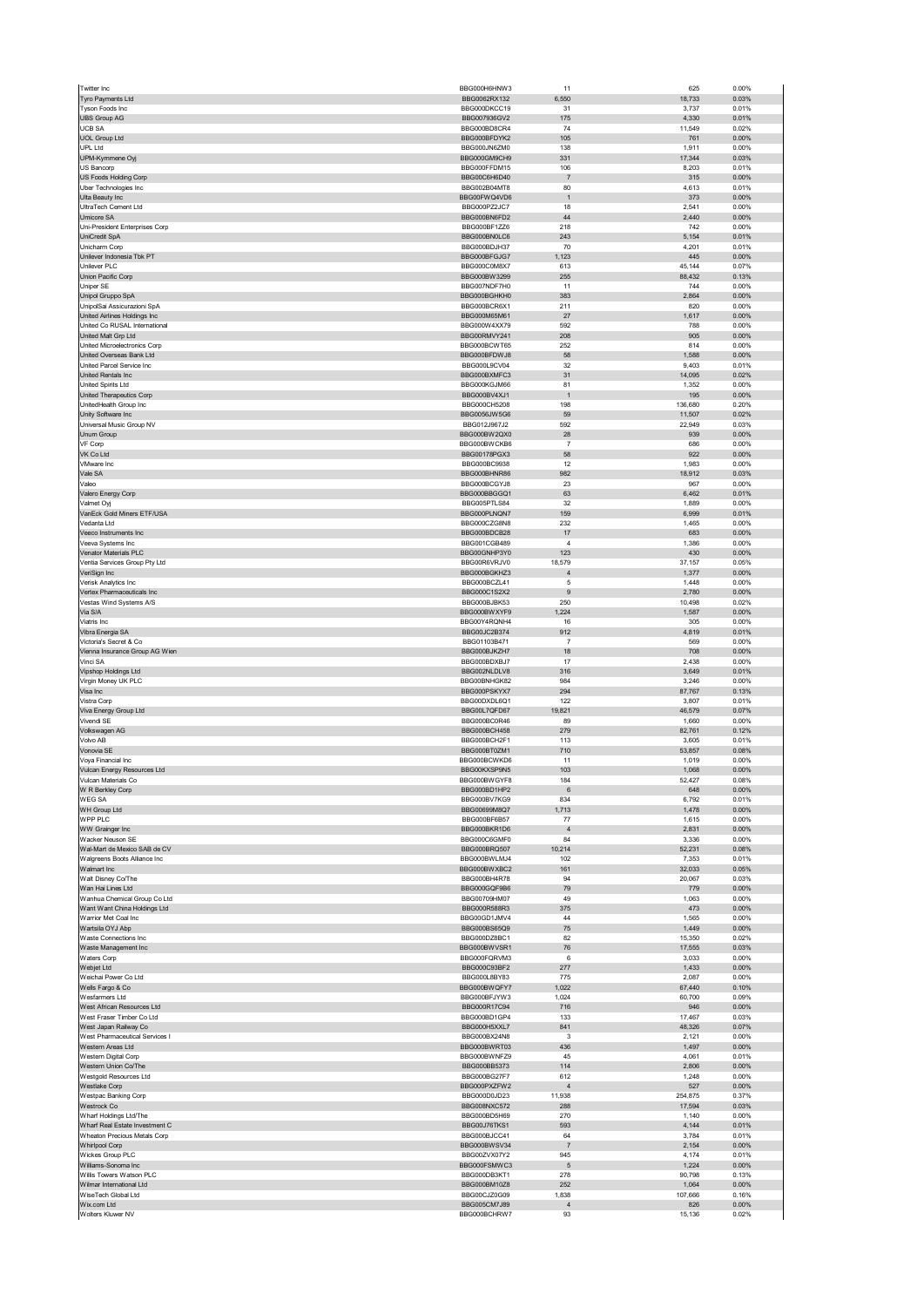| Twitter Inc                                              | BBG000H6HNW3                                 | 11                            | 625              | 0.00%                   |
|----------------------------------------------------------|----------------------------------------------|-------------------------------|------------------|-------------------------|
| Tyro Payments Ltd<br>Tyson Foods Inc                     | BBG0062RX132<br>BBG000DKCC19                 | 6,550<br>31                   | 18,733<br>3,737  | 0.03%<br>0.01%          |
| <b>UBS Group AG</b>                                      | BBG007936GV2                                 | 175                           | 4,330            | 0.01%                   |
| <b>UCB SA</b>                                            | BBG000BD8CR4                                 | 74                            | 11,549           | 0.02%                   |
| <b>UOL Group Ltd</b><br><b>UPL Ltd</b>                   | BBG000BFDYK2<br>BBG000JN6ZM0                 | 105<br>138                    | 761<br>1,911     | 0.00%<br>0.00%          |
| UPM-Kymmene Oyj                                          | BBG000GM9CH9                                 | 331                           | 17,344           | 0.03%                   |
| US Bancorp                                               | BBG000FFDM15                                 | 106                           | 8,203            | 0.01%                   |
| US Foods Holding Corp<br>Uber Technologies Inc           | BBG00C6H6D40<br>BBG002B04MT8                 | $\overline{7}$<br>80          | 315<br>4,613     | 0.00%<br>0.01%          |
| Ulta Beauty Inc                                          | BBG00FWQ4VD6                                 | $\overline{1}$                | 373              | 0.00%                   |
| UltraTech Cement Ltd                                     | BBG000PZ2JC7                                 | 18                            | 2,541            | 0.00%                   |
| <b>Umicore SA</b><br>Uni-President Enterprises Corp      | BBG000BN6FD2<br>BBG000BF1ZZ6                 | 44<br>218                     | 2,440<br>742     | 0.00%<br>0.00%          |
| UniCredit SpA                                            | BBG000BN0LC6                                 | 243                           | 5,154            | 0.01%                   |
| Unicharm Corp                                            | BBG000BDJH37                                 | 70                            | 4,201            | 0.01%                   |
| Unilever Indonesia Tbk PT<br>Unilever PLC                | BBG000BFGJG7<br>BBG000C0M8X7                 | 1,123<br>613                  | 445<br>45,144    | 0.00%<br>0.07%          |
| Union Pacific Corp                                       | BBG000BW3299                                 | 255                           | 88,432           | 0.13%                   |
| Uniper SE                                                | BBG007NDF7H0                                 | 11                            | 744              | 0.00%                   |
| Unipol Gruppo SpA<br>UnipolSai Assicurazioni SpA         | BBG000BGHKH0<br>BBG000BCR6X1                 | 383<br>211                    | 2,864<br>820     | 0.00%<br>0.00%          |
| United Airlines Holdings Inc                             | BBG000M65M61                                 | 27                            | 1,617            | 0.00%                   |
| United Co RUSAL International                            | BBG000W4XX79                                 | 592                           | 788              | 0.00%                   |
| United Malt Grp Ltd<br>United Microelectronics Corp      | BBG00RMVY241<br>BBG000BCWT65                 | 208<br>252                    | 905<br>814       | 0.00%<br>0.00%          |
| United Overseas Bank Ltd                                 | BBG000BFDWJ8                                 | 58                            | 1,588            | 0.00%                   |
| United Parcel Service Inc                                | BBG000L9CV04                                 | 32                            | 9,403            | 0.01%                   |
| United Rentals Inc<br><b>United Spirits Ltd</b>          | BBG000BXMFC3<br>BBG000KGJM66                 | 31<br>81                      | 14,095<br>1,352  | 0.02%<br>0.00%          |
| United Therapeutics Corp                                 | BBG000BV4XJ1                                 | 1                             | 195              | 0.00%                   |
| UnitedHealth Group Inc                                   | BBG000CH5208                                 | 198                           | 136,680          | 0.20%                   |
| Unity Software Inc<br>Universal Music Group NV           | BBG0056JW5G6<br>BBG012J967J2                 | 59<br>592                     | 11,507<br>22,949 | 0.02%<br>0.03%          |
| <b>Unum Group</b>                                        | BBG000BW2QX0                                 | 28                            | 939              | 0.00%                   |
| VF Corp                                                  | BBG000BWCKB6                                 | $\overline{7}$                | 686              | 0.00%                   |
| VK Co Ltd<br>VMware Inc                                  | BBG00178PGX3<br>BBG000BC9938                 | 58<br>12                      | 922<br>1,983     | 0.00%<br>0.00%          |
| Vale SA                                                  | BBG000BHNR86                                 | 982                           | 18,912           | 0.03%                   |
| Valeo                                                    | BBG000BCGYJ8                                 | 23                            | 967              | 0.00%                   |
| Valero Energy Corp<br>Valmet Oyj                         | BBG000BBGGQ1<br>BBG005PTLS84                 | 63<br>32                      | 6,462<br>1,889   | 0.01%<br>0.00%          |
| VanEck Gold Miners ETF/USA                               | BBG000PLNQN7                                 | 159                           | 6,999            | 0.01%                   |
| Vedanta Ltd                                              | BBG000CZG8N8                                 | 232                           | 1,465            | 0.00%                   |
| Veeco Instruments Inc                                    | BBG000BDCB28                                 | 17                            | 683              | 0.00%                   |
| Veeva Systems Inc<br>Venator Materials PLC               | BBG001CGB489<br>BBG00GNHP3Y0                 | $\overline{4}$<br>123         | 1,386<br>430     | 0.00%<br>0.00%          |
| Ventia Services Group Pty Ltd                            | BBG00R6VRJV0                                 | 18,579                        | 37,157           | 0.05%                   |
| VeriSign Inc                                             | BBG000BGKHZ3                                 | $\overline{4}$                | 1,377            | 0.00%                   |
| Verisk Analytics Inc<br>Vertex Pharmaceuticals Inc       | BBG000BCZL41<br>BBG000C1S2X2                 | 5<br>9                        | 1,448<br>2,780   | 0.00%<br>0.00%          |
| Vestas Wind Systems A/S                                  | BBG000BJBK53                                 | 250                           | 10,498           | 0.02%                   |
| Via S/A                                                  | BBG000BWXYF9                                 | 1,224                         | 1,587            | 0.00%                   |
| Viatris Inc<br>Vibra Energia SA                          | BBG00Y4RQNH4<br>BBG00JC2B374                 | 16<br>912                     | 305<br>4,819     | 0.00%<br>0.01%          |
| Victoria's Secret & Co                                   | BBG01103B471                                 | $\overline{7}$                | 569              | 0.00%                   |
| Vienna Insurance Group AG Wien                           | BBG000BJKZH7                                 | 18                            | 708              | 0.00%                   |
| Vinci SA                                                 | BBG000BDXBJ7<br>BBG002NLDLV8                 | 17<br>316                     | 2,438<br>3,649   | 0.00%<br>0.01%          |
| Vipshop Holdings Ltd<br>Virgin Money UK PLC              | BBG00BNHGK82                                 | 984                           | 3,246            | 0.00%                   |
| Visa Inc                                                 | BBG000PSKYX7                                 | 294                           | 87,767           | 0.13%                   |
| Vistra Corp                                              | BBG00DXDL6Q1                                 | 122                           | 3,807            | 0.01%                   |
| Viva Energy Group Ltd<br>Vivendi SE                      | BBG00L7QFD67<br>BBG000BC0R46                 | 19,821<br>89                  | 46,579<br>1,660  | 0.07%<br>0.00%          |
| Volkswagen AG                                            | BBG000BCH458                                 | 279                           | 82,761           | 0.12%                   |
| Volvo AB                                                 | BBG000BCH2F1                                 | 113                           | 3,605            | 0.01%                   |
| Vonovia SE<br>Voya Financial Inc                         | BBG000BT0ZM1<br>BBG000BCWKD6                 | 710<br>11                     | 53,857<br>1,019  | 0.08%<br>0.00%          |
| Vulcan Energy Resources Ltd                              | BBG00KXSP9N5                                 | 103                           | 1,068            | 0.00%                   |
| /ulcan Materials Co                                      | <b>BRG000BWGYES</b>                          | 184                           | 52427            | 0.08%                   |
| W R Berkley Corp<br>WEG SA                               | BBG000BD1HP2<br>BBG000BV7KG9                 | 6<br>834                      | 648<br>6,792     | 0.00%<br>0.01%          |
| WH Group Ltd                                             | BBG00699M8Q7                                 | 1,713                         | 1,478            | 0.00%                   |
| WPP PLC                                                  | BBG000BF6B57                                 | 77                            | 1,615            |                         |
| WW Grainger Inc<br>Wacker Neuson SE                      |                                              |                               |                  | 0.00%                   |
| Wal-Mart de Mexico SAB de CV                             | BBG000BKR1D6                                 | $\overline{4}$                | 2,831            | 0.00%                   |
|                                                          | BBG000C6GMF0<br>BBG000BRQ507                 | 84<br>10,214                  | 3,336<br>52,231  | 0.00%<br>0.08%          |
| Walgreens Boots Alliance Inc                             | BBG000BWLMJ4                                 | 102                           | 7,353            | 0.01%                   |
| Walmart Inc                                              | BBG000BWXBC2                                 | 161                           | 32,033           | 0.05%                   |
| Walt Disney Co/The<br>Wan Hai Lines Ltd                  | BBG000BH4R78<br>BBG000GQF9B6                 | 94<br>79                      | 20,067<br>779    | 0.03%<br>0.00%          |
| Wanhua Chemical Group Co Ltd                             | BBG00709HM07                                 | 49                            | 1,063            | 0.00%                   |
| Want Want China Holdings Ltd                             | BBG000R588R3                                 | 375                           | 473              | 0.00%                   |
| Warrior Met Coal Inc<br>Wartsila OYJ Abp                 | BBG00GD1JMV4<br>BBG000BS65Q9                 | 44<br>75                      | 1,565<br>1,449   | 0.00%<br>0.00%          |
| Waste Connections Inc                                    | BBG000DZ8BC1                                 | 82                            | 15,350           | 0.02%                   |
| Waste Management Inc<br>Waters Corp                      | BBG000BWVSR1<br>BBG000FQRVM3                 | 76<br>6                       | 17,555<br>3,033  | 0.03%<br>0.00%          |
| Webjet Ltd                                               | BBG000C93BF2                                 | 277                           | 1,433            | 0.00%                   |
| Weichai Power Co Ltd                                     | BBG000L8BY83                                 | 775                           | 2,087            | 0.00%                   |
| Wells Fargo & Co<br>Wesfarmers Ltd                       | BBG000BWQFY7<br>BBG000BFJYW3                 | 1,022<br>1,024                | 67,440<br>60,700 | 0.10%<br>0.09%          |
| West African Resources Ltd                               | BBG000R17C94                                 | 716                           | 946              | 0.00%                   |
| West Fraser Timber Co Ltd                                | BBG000BD1GP4                                 | 133                           | 17,467           | 0.03%                   |
| West Japan Railway Co                                    | BBG000H5XXL7                                 | 841                           | 48,326           | 0.07%                   |
| West Pharmaceutical Services I<br>Western Areas Ltd      | BBG000BX24N8<br>BBG000BWRT03                 | 3<br>436                      | 2,121<br>1,497   | 0.00%<br>0.00%          |
| Western Digital Corp                                     | BBG000BWNFZ9                                 | 45                            | 4,061            | 0.01%                   |
| Western Union Co/The                                     | BBG000BB5373                                 | 114                           | 2,806            | 0.00%                   |
| Westgold Resources Ltd<br><b>Westlake Corp</b>           | BBG000BG27F7<br>BBG000PXZFW2                 | 612<br>$\overline{4}$         | 1,248<br>527     | 0.00%<br>0.00%          |
| Westpac Banking Corp                                     | BBG000D0JD23                                 | 11,938                        | 254,875          | 0.37%                   |
| Westrock Co                                              | BBG008NXC572                                 | 288                           | 17,594           | 0.03%                   |
| Wharf Holdings Ltd/The<br>Wharf Real Estate Investment C | BBG000BD5H69<br>BBG00J76TKS1                 | 270<br>593                    | 1,140<br>4,144   | 0.00%<br>0.01%          |
| Wheaton Precious Metals Corp                             | BBG000BJCC41                                 | 64                            | 3,784            | 0.01%                   |
| <b>Whirlpool Corp</b>                                    | BBG000BWSV34                                 | $\overline{7}$                | 2,154            | 0.00%                   |
| Wickes Group PLC<br>Williams-Sonoma Inc                  | BBG00ZVX07Y2<br>BBG000FSMWC3                 | 945<br>5                      | 4,174<br>1,224   | 0.01%<br>0.00%          |
| Willis Towers Watson PLC                                 | BBG000DB3KT1                                 | 278                           | 90,798           | 0.13%                   |
| Wilmar International Ltd                                 | BBG000BM10Z8                                 | 252                           | 1,064            | 0.00%                   |
| WiseTech Global Ltd<br>Wix.com Ltd<br>Wolters Kluwer NV  | BBG00CJZ0G09<br>BBG005CM7J89<br>BBG000BCHRW7 | 1,838<br>$\overline{4}$<br>93 | 107,666<br>826   | 0.16%<br>0.00%<br>0.02% |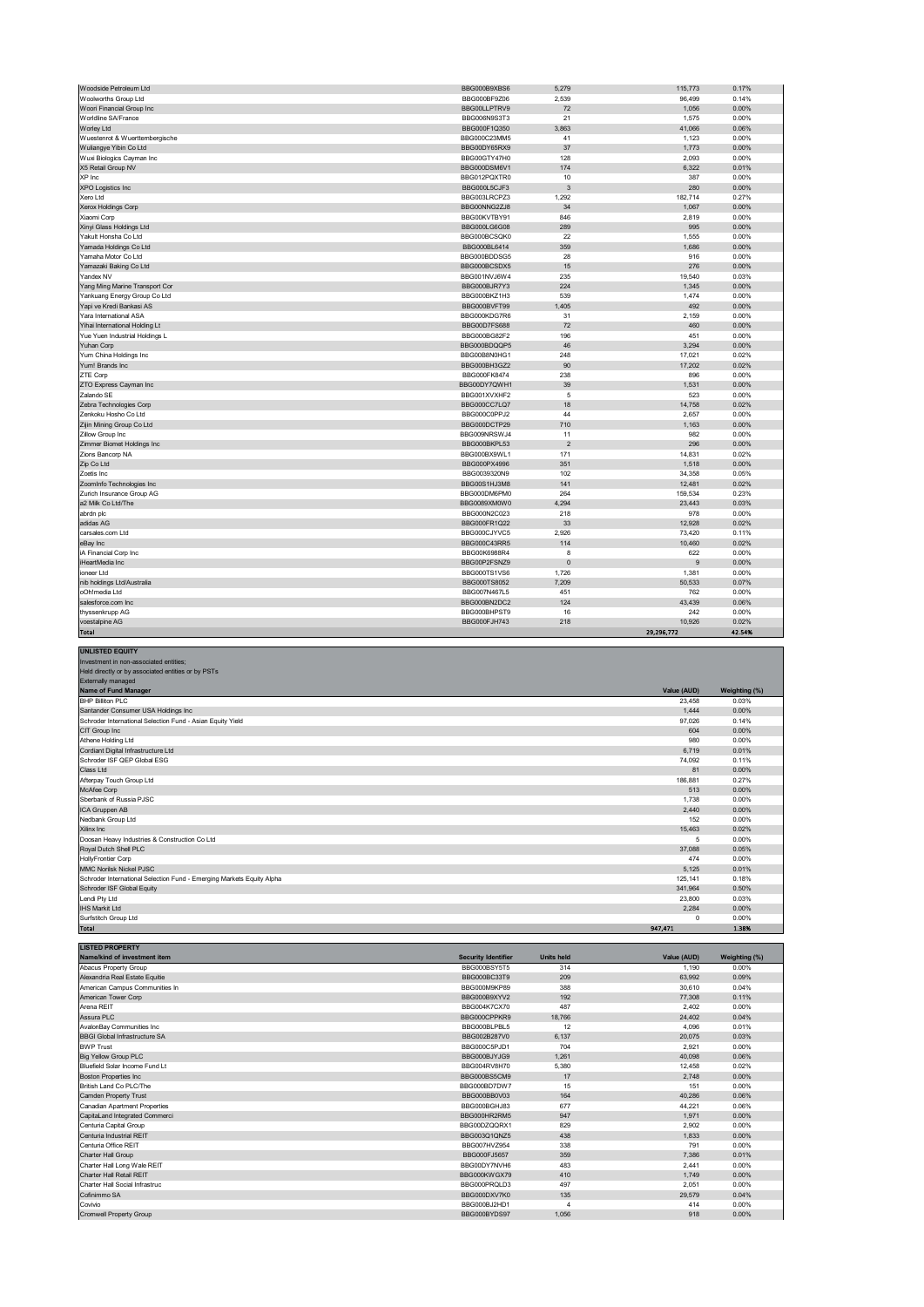| Total                          |                     |                | 29,296,772 | 42.54% |  |
|--------------------------------|---------------------|----------------|------------|--------|--|
| voestalpine AG                 | <b>BBG000FJH743</b> | 218            | 10,926     | 0.02%  |  |
| thyssenkrupp AG                | BBG000BHPST9        | 16             | 242        | 0.00%  |  |
| salesforce.com Inc             | BBG000BN2DC2        | 124            | 43,439     | 0.06%  |  |
| oOh!media Ltd                  | BBG007N467L5        | 451            | 762        | 0.00%  |  |
| nib holdings Ltd/Australia     | BBG000TS8052        | 7,209          | 50,533     | 0.07%  |  |
| ioneer Ltd                     | BBG000TS1VS6        | 1,726          | 1,381      | 0.00%  |  |
| HeartMedia Inc                 | BBG00P2FSNZ9        | $\pmb{0}$      | 9          | 0.00%  |  |
| iA Financial Corp Inc          | BBG00K6988R4        | 8              | 622        | 0.00%  |  |
| eBay Inc                       | BBG000C43RR5        | 114            | 10,460     | 0.02%  |  |
| carsales.com Ltd               | BBG000CJYVC5        | 2.926          | 73,420     | 0.11%  |  |
| adidas AG                      | BBG000FR1Q22        | 33             | 12,928     | 0.02%  |  |
| abrdn plc                      | BBG000N2C023        | 218            | 978        | 0.00%  |  |
| a2 Milk Co Ltd/The             | BBG0089XM0W0        | 4,294          | 23,443     | 0.03%  |  |
| Zurich Insurance Group AG      | BBG000DM6PM0        | 264            | 159,534    | 0.23%  |  |
| ZoomInfo Technologies Inc      | BBG00S1HJ3M8        | 141            | 12,481     | 0.02%  |  |
| Zoetis Inc                     | BBG0039320N9        | 102            | 34,358     | 0.05%  |  |
| Zip Co Ltd                     | BBG000PX4996        | 351            | 1,518      | 0.00%  |  |
| Zions Bancorp NA               | BBG000BX9WL1        | 171            | 14,831     | 0.02%  |  |
| Zimmer Biomet Holdings Inc     | BBG000BKPL53        | $\overline{2}$ | 296        | 0.00%  |  |
| Zillow Group Inc               | BBG009NRSWJ4        | 11             | 982        | 0.00%  |  |
| Zijin Mining Group Co Ltd      | BBG000DCTP29        | 710            | 1,163      | 0.00%  |  |
| Zenkoku Hosho Co Ltd           | BBG000C0PPJ2        | 44             | 2,657      | 0.00%  |  |
| Zebra Technologies Corp        | BBG000CC7LQ7        | 18             | 14,758     | 0.02%  |  |
| Zalando SE                     | BBG001XVXHF2        | 5              | 523        | 0.00%  |  |
| ZTO Express Cayman Inc         | BBG00DY7QWH1        | 39             | 1,531      | 0.00%  |  |
| ZTE Corp                       | BBG000FK8474        | 238            | 896        | 0.00%  |  |
| Yum! Brands Inc                | BBG000BH3GZ2        | 90             | 17.202     | 0.02%  |  |
| Yum China Holdings Inc         | BBG00B8N0HG1        | 248            | 17,021     | 0.02%  |  |
| Yuhan Corp                     | BBG000BDQQP5        | 46             | 3,294      | 0.00%  |  |
| Yue Yuen Industrial Holdings L | BBG000BG82F2        | 196            | 451        | 0.00%  |  |
| Yihai International Holding Lt | BBG00D7FS688        | 72             | 460        | 0.00%  |  |
| Yara International ASA         | BBG000KDG7R6        | 31             | 2,159      | 0.00%  |  |
| Yapi ve Kredi Bankasi AS       | BBG000BVFT99        | 1,405          | 492        | 0.00%  |  |
| Yankuang Energy Group Co Ltd   | BBG000BKZ1H3        | 539            | 1,474      | 0.00%  |  |
| Yang Ming Marine Transport Cor | BBG000BJR7Y3        | 224            | 1,345      | 0.00%  |  |
| Yandex NV                      | BBG001NVJ6W4        | 235            | 19,540     | 0.03%  |  |
| Yamazaki Baking Co Ltd         | BBG000BCSDX5        | 15             | 276        | 0.00%  |  |
| Yamaha Motor Co Ltd            | BBG000BDDSG5        | 28             | 916        | 0.00%  |  |
| Yamada Holdings Co Ltd         | BBG000BL6414        | 359            | 1.686      | 0.00%  |  |
| Yakult Honsha Co Ltd           | BBG000BCSQK0        | 22             | 1,555      | 0.00%  |  |
| Xinyi Glass Holdings Ltd       | BBG000LG6G08        | 289            | 995        | 0.00%  |  |
| Xiaomi Corp                    | BBG00KVTBY91        | 846            | 2,819      | 0.00%  |  |
| Xerox Holdings Corp            | BBG00NNG2ZJ8        | 34             | 1,067      | 0.00%  |  |
| Xero Ltd                       | BBG003LRCPZ3        | 1,292          | 182,714    | 0.27%  |  |
| <b>XPO Logistics Inc</b>       | BBG000L5CJF3        | 3              | 280        | 0.00%  |  |
| XP Inc                         | BBG012PQXTR0        | 10             | 387        | 0.00%  |  |
| X5 Retail Group NV             | BBG000DSM6V1        | 174            | 6,322      | 0.01%  |  |
| Wuxi Biologics Cayman Inc      | BBG00GTY47H0        | 128            | 2,093      | 0.00%  |  |
| Wuliangye Yibin Co Ltd         | BBG00DY65RX9        | 37             | 1,773      | 0.00%  |  |
| Wuestenrot & Wuerttembergische | BBG000C23MM5        | 41             | 1,123      | 0.00%  |  |
| Worley Ltd                     | BBG000F1Q350        | 3.863          | 41,066     | 0.06%  |  |
| Worldline SA/France            | BBG006N9S3T3        | 21             | 1,575      | 0.00%  |  |
| Woori Financial Group Inc      | BBG00LLPTRV9        | 72             | 1,056      | 0.00%  |  |
| Woolworths Group Ltd           | BBG000BF9Z06        | 2,539          | 96,499     | 0.14%  |  |
| <i>N</i> oodside Petroleum Ltd | BBG000B9XBS6        | 5,279          | 115,773    | 0.17%  |  |

| <b>UNLISTED EQUITY</b>                                                |             |               |
|-----------------------------------------------------------------------|-------------|---------------|
| Investment in non-associated entities:                                |             |               |
| Held directly or by associated entities or by PSTs                    |             |               |
| Externally managed                                                    |             |               |
| Name of Fund Manager                                                  | Value (AUD) | Weighting (%) |
| <b>BHP Billiton PLC</b>                                               | 23,458      | 0.03%         |
| Santander Consumer USA Holdings Inc                                   | 1,444       | 0.00%         |
| Schroder International Selection Fund - Asian Equity Yield            | 97,026      | 0.14%         |
| CIT Group Inc                                                         | 604         | 0.00%         |
| Athene Holding Ltd                                                    | 980         | 0.00%         |
| Cordiant Digital Infrastructure Ltd                                   | 6.719       | 0.01%         |
| Schroder ISF QEP Global ESG                                           | 74,092      | 0.11%         |
| Class Ltd                                                             | 81          | 0.00%         |
| Afterpay Touch Group Ltd                                              | 186,881     | 0.27%         |
| McAfee Corp                                                           | 513         | 0.00%         |
| Sberbank of Russia PJSC                                               | 1.738       | 0.00%         |
| ICA Gruppen AB                                                        | 2.440       | 0.00%         |
| Nedbank Group Ltd                                                     | 152         | 0.00%         |
| Xilinx Inc                                                            | 15,463      | 0.02%         |
| Doosan Heavy Industries & Construction Co Ltd                         | 5           | 0.00%         |
| Royal Dutch Shell PLC                                                 | 37,088      | 0.05%         |
| <b>HollyFrontier Corp</b>                                             | 474         | 0.00%         |
| <b>MMC Norilsk Nickel PJSC</b>                                        | 5,125       | 0.01%         |
| Schroder International Selection Fund - Emerging Markets Equity Alpha | 125.141     | 0.18%         |
| Schroder ISF Global Equity                                            | 341,964     | 0.50%         |
| Lendi Pty Ltd                                                         | 23,800      | 0.03%         |
| <b>IHS Markit Ltd</b>                                                 | 2,284       | 0.00%         |
| Surfstitch Group Ltd                                                  | $\mathbf 0$ | 0.00%         |
| <b>Total</b>                                                          | 947,471     | 1.38%         |

| <b>LISTED PROPERTY</b>               |                            |                   |             |               |
|--------------------------------------|----------------------------|-------------------|-------------|---------------|
| Name/kind of investment item         | <b>Security Identifier</b> | <b>Units held</b> | Value (AUD) | Weighting (%) |
| <b>Abacus Property Group</b>         | BBG000BSY5T5               | 314               | 1.190       | 0.00%         |
| Alexandria Real Estate Equitie       | BBG000BC33T9               | 209               | 63,992      | 0.09%         |
| American Campus Communities In       | BBG000M9KP89               | 388               | 30,610      | 0.04%         |
| American Tower Corp                  | BBG000B9XYV2               | 192               | 77,308      | 0.11%         |
| Arena REIT                           | BBG004K7CX70               | 487               | 2.402       | 0.00%         |
| Assura PLC                           | BBG000CPPKR9               | 18.766            | 24,402      | 0.04%         |
| AvalonBay Communities Inc            | BBG000BLPBL5               | 12                | 4.096       | 0.01%         |
| <b>BBGI Global Infrastructure SA</b> | BBG002B287V0               | 6.137             | 20,075      | 0.03%         |
| <b>BWP Trust</b>                     | BBG000C5PJD1               | 704               | 2.921       | 0.00%         |
| <b>Big Yellow Group PLC</b>          | BBG000BJYJG9               | 1.261             | 40.098      | 0.06%         |
| Bluefield Solar Income Fund Lt       | BBG004RV8H70               | 5.380             | 12.458      | 0.02%         |
| <b>Boston Properties Inc</b>         | BBG000BS5CM9               | 17                | 2.748       | 0.00%         |
| British Land Co PLC/The              | BBG000BD7DW7               | 15                | 151         | 0.00%         |
| Camden Property Trust                | BBG000BB0V03               | 164               | 40,286      | 0.06%         |
| Canadian Apartment Properties        | BBG000BGHJ83               | 677               | 44.221      | 0.06%         |
| CapitaLand Integrated Commerci       | BBG000HR2RM5               | 947               | 1.971       | 0.00%         |
| Centuria Capital Group               | BBG00DZQQRX1               | 829               | 2.902       | 0.00%         |
| Centuria Industrial REIT             | BBG003Q1QNZ5               | 438               | 1.833       | 0.00%         |
| Centuria Office REIT                 | BBG007HVZ954               | 338               | 791         | 0.00%         |
| <b>Charter Hall Group</b>            | BBG000FJ5657               | 359               | 7.386       | 0.01%         |
| Charter Hall Long Wale REIT          | BBG00DY7NVH6               | 483               | 2.441       | 0.00%         |
| Charter Hall Retail REIT             | BBG000KWGX79               | 410               | 1.749       | 0.00%         |
| Charter Hall Social Infrastruc       | BBG000PROLD3               | 497               | 2,051       | 0.00%         |
| Cofinimmo SA                         | BBG000DXV7K0               | 135               | 29,579      | 0.04%         |
| Covivio                              | BBG000BJ2HD1               | $\overline{4}$    | 414         | 0.00%         |
| Cromwell Property Group              | BBG000BYDS97               | 1.056             | 918         | 0.00%         |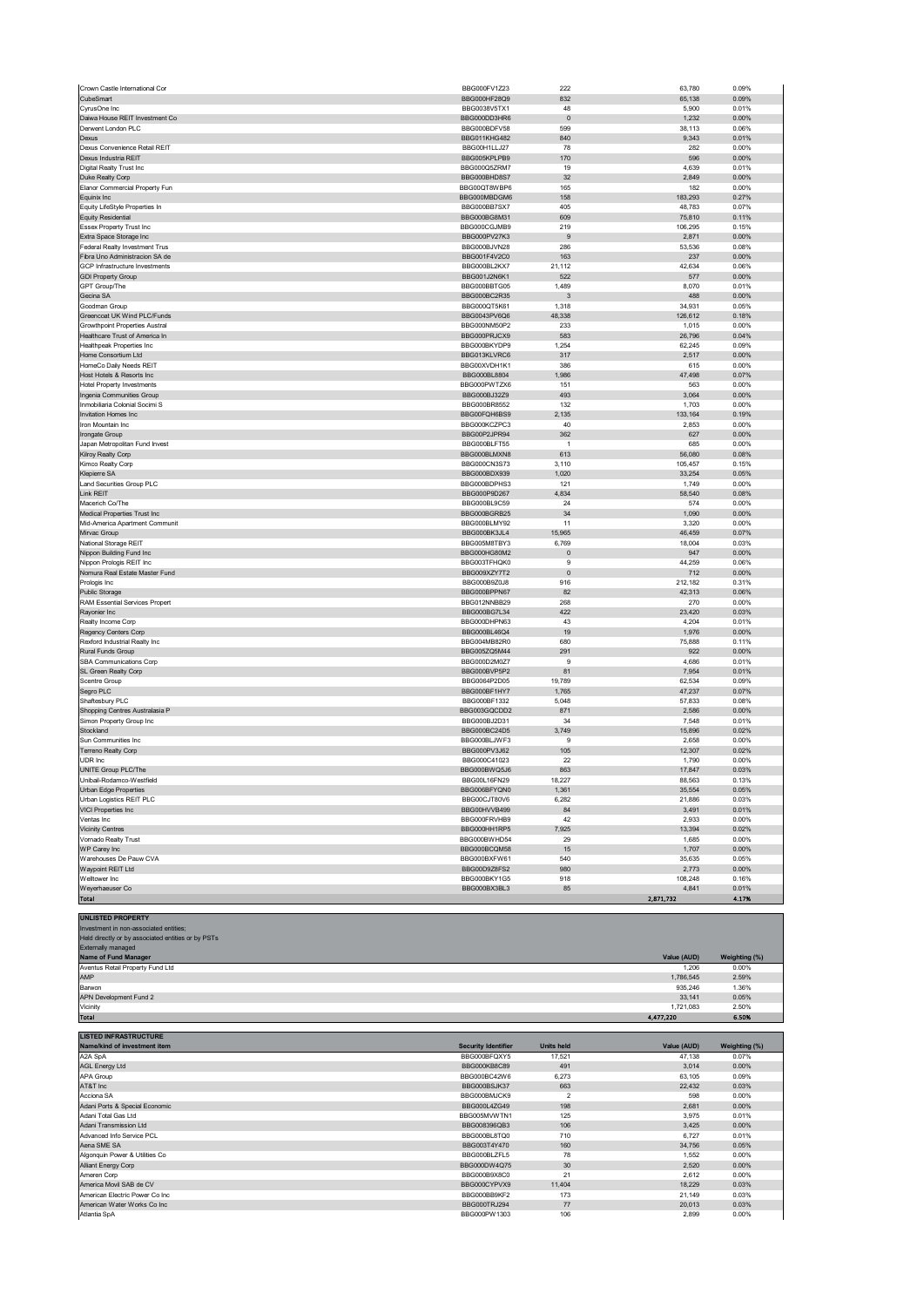| Crown Castle International Cor        | BBG000FV1Z23        | 222            | 63,780    | 0.09% |
|---------------------------------------|---------------------|----------------|-----------|-------|
| CubeSmart                             | BBG000HF28Q9        | 832            | 65,138    | 0.09% |
| CyrusOne Inc                          | BBG0038V5TX1        | 48             | 5,900     | 0.01% |
| Daiwa House REIT Investment Co        | BBG000DD3HR6        | $\pmb{0}$      | 1,232     | 0.00% |
| Derwent London PLC                    | BBG000BDFV58        | 599            | 38,113    | 0.06% |
| Dexus                                 | <b>BBG011KHG482</b> | 840            | 9,343     | 0.01% |
| Dexus Convenience Retail REIT         | BBG00H1LLJ27        | 78             |           | 0.00% |
|                                       |                     |                | 282       |       |
| Dexus Industria REIT                  | BBG005KPLPB9        | 170            | 596       | 0.00% |
| Digital Realty Trust Inc              | BBG000Q57RM7        | 19             | 4,639     | 0.01% |
| Duke Realty Corp                      | BBG000BHD8S7        | 32             | 2,849     | 0.00% |
| Elanor Commercial Property Fun        | BBG00QT8WBP6        | 165            | 182       | 0.00% |
| Equinix Inc                           | BBG000MBDGM6        | 158            | 183,293   | 0.27% |
| Equity LifeStyle Properties In        | BBG000BB7SX7        | 405            | 48,783    | 0.07% |
|                                       | BBG000BG8M31        | 609            | 75,810    | 0.11% |
| <b>Equity Residential</b>             |                     |                |           |       |
| Essex Property Trust Inc              | BBG000CGJMB9        | 219            | 106,295   | 0.15% |
| Extra Space Storage Inc               | BBG000PV27K3        | 9              | 2,871     | 0.00% |
| Federal Realty Investment Trus        | BBG000BJVN28        | 286            | 53,536    | 0.08% |
| Fibra Uno Administracion SA de        | BBG001F4V2C0        | 163            | 237       | 0.00% |
| GCP Infrastructure Investments        | BBG000BL2KX7        | 21,112         | 42,634    | 0.06% |
| <b>GDI Property Group</b>             | BBG001J2N6K1        | 522            | 577       | 0.00% |
| GPT Group/The                         | BBG000BBTG05        | 1,489          | 8,070     | 0.01% |
|                                       |                     |                |           |       |
| Gecina SA                             | BBG000BC2R35        | 3              | 488       | 0.00% |
| Goodman Group                         | BBG000QT5K61        | 1,318          | 34,931    | 0.05% |
| Greencoat UK Wind PLC/Funds           | BBG0043PV6Q6        | 48,338         | 126,612   | 0.18% |
| <b>Growthpoint Properties Austral</b> | BBG000NM50P2        | 233            | 1,015     | 0.00% |
| Healthcare Trust of America In        | BBG000PRJCX9        | 583            | 26,796    | 0.04% |
| <b>Healthpeak Properties Inc</b>      | BBG000BKYDP9        | 1,254          | 62,245    | 0.09% |
| Home Consortium Ltd                   | BBG013KLVRC6        | 317            | 2,517     | 0.00% |
|                                       |                     |                |           |       |
| HomeCo Daily Needs REIT               | BBG00XVDH1K1        | 386            | 615       | 0.00% |
| Host Hotels & Resorts Inc             | BBG000BL8804        | 1,986          | 47,498    | 0.07% |
| <b>Hotel Property Investments</b>     | BBG000PWTZX6        | 151            | 563       | 0.00% |
| Ingenia Communities Group             | BBG000BJ32Z9        | 493            | 3,064     | 0.00% |
| Inmobiliaria Colonial Socimi S        | BBG000BR8552        | 132            | 1,703     | 0.00% |
| Invitation Homes Inc                  | BBG00FQH6BS9        | 2,135          | 133,164   | 0.19% |
| Iron Mountain Inc.                    | BBG000KCZPC3        | 40             | 2,853     | 0.00% |
|                                       |                     |                |           |       |
| Irongate Group                        | BBG00P2JPR94        | 362            | 627       | 0.00% |
| Japan Metropolitan Fund Invest        | BBG000BLFT55        | $\overline{1}$ | 685       | 0.00% |
| Kilroy Realty Corp                    | BBG000BLMXN8        | 613            | 56,080    | 0.08% |
| Kimco Realty Corp                     | BBG000CN3S73        | 3,110          | 105,457   | 0.15% |
| Klepierre SA                          | BBG000BDX939        | 1,020          | 33,254    | 0.05% |
| Land Securities Group PLC             | BBG000BDPHS3        | 121            | 1,749     | 0.00% |
| Link REIT                             |                     | 4,834          | 58,540    |       |
|                                       | BBG000P9D267        |                |           | 0.08% |
| Macerich Co/The                       | BBG000BL9C59        | 24             | 574       | 0.00% |
| Medical Properties Trust Inc          | BBG000BGRB25        | 34             | 1,090     | 0.00% |
| Mid-America Apartment Communit        | BBG000BLMY92        | 11             | 3,320     | 0.00% |
| Mirvac Group                          | BBG000BK3JL4        | 15,965         | 46,459    | 0.07% |
| National Storage REIT                 | BBG005M8TBY3        | 6,769          | 18,004    | 0.03% |
| Nippon Building Fund Inc              | BBG000HG80M2        | $\pmb{0}$      | 947       | 0.00% |
|                                       |                     |                |           |       |
| Nippon Prologis REIT Inc              | BBG003TFHQK0        | 9              | 44,259    | 0.06% |
| Nomura Real Estate Master Fund        | BBG009XZY7T2        | $\pmb{0}$      | 712       | 0.00% |
| Prologis Inc                          | BBG000B9Z0J8        | 916            | 212,182   | 0.31% |
| Public Storage                        | BBG000BPPN67        | 82             | 42,313    | 0.06% |
| RAM Essential Services Propert        | BBG012NNBB29        | 268            | 270       | 0.00% |
| Rayonier Inc                          | BBG000BG7L34        | 422            | 23,420    | 0.03% |
| Realty Income Corp                    | BBG000DHPN63        | 43             | 4,204     | 0.01% |
| Regency Centers Corp                  | BBG000BL46Q4        | 19             | 1,976     | 0.00% |
|                                       |                     |                |           |       |
| Rexford Industrial Realty Inc         | BBG004MB82R0        | 680            | 75,888    | 0.11% |
| Rural Funds Group                     | BBG005ZQ5M44        | 291            | 922       | 0.00% |
| SBA Communications Corp               | BBG000D2M0Z7        | 9              | 4,686     | 0.01% |
| SL Green Realty Corp                  | BBG000BVP5P2        | 81             | 7,954     | 0.01% |
| Scentre Group                         | BBG0064P2D05        | 19,789         | 62,534    | 0.09% |
| Segro PLC                             | BBG000BF1HY7        | 1,765          | 47,237    | 0.07% |
| Shaftesbury PLC                       | BBG000BF1332        | 5,048          | 57,833    | 0.08% |
|                                       | BBG003GQCDD2        | 871            | 2,586     | 0.00% |
| Shopping Centres Australasia P        |                     |                |           |       |
| Simon Property Group Inc              | BBG000BJ2D31        | 34             | 7,548     | 0.01% |
| Stockland                             | BBG000BC24D5        | 3,749          | 15,896    | 0.02% |
| Sun Communities Inc                   | BBG000BLJWF3        | 9              | 2,658     | 0.00% |
| Terreno Realty Corp                   | BBG000PV3J62        | 105            | 12,307    | 0.02% |
| UDR Inc                               | BBG000C41023        | 22             | 1,790     | 0.00% |
| UNITE Group PLC/The                   | BBG000BWQ5J6        | 863            | 17,847    | 0.03% |
| Unibail-Rodamco-Westfield             | BBG00L16FN29        | 18,227         | 88,563    | 0.13% |
| Urban Edge Properties                 | BBG006BFYQN0        | 1,361          | 35,554    | 0.05% |
| Urban Logistics REIT PLC              |                     | 6,282          |           |       |
|                                       | BBG00CJT80V6        |                | 21,886    | 0.03% |
| VICI Properties Inc                   | BBG00HVVB499        | 84             | 3,491     | 0.01% |
| Ventas Inc                            | BBG000FRVHB9        | 42             | 2,933     | 0.00% |
| <b>Vicinity Centres</b>               | BBG000HH1RP5        | 7,925          | 13,394    | 0.02% |
| Vornado Realty Trust                  | BBG000BWHD54        | 29             | 1,685     | 0.00% |
| WP Carey Inc                          |                     | 15             | 1,707     | 0.00% |
|                                       |                     |                | 35,635    |       |
|                                       | BBG000BCQM58        |                |           |       |
| Warehouses De Pauw CVA                | BBG000BXFW61        | 540            |           | 0.05% |
| Waypoint REIT Ltd                     | BBG00D9Z8FS2        | 980            | 2,773     | 0.00% |
| Welltower Inc                         | BBG000BKY1G5        | 918            | 108,248   | 0.16% |
| Weyerhaeuser Co                       | BBG000BX3BL3        | 85             | 4,841     | 0.01% |
| Total                                 |                     |                | 2,871,732 | 4.17% |
|                                       |                     |                |           |       |
| <b>UNLISTED PROPERTY</b>              |                     |                |           |       |

| Investment in non-associated entities;             |             |               |
|----------------------------------------------------|-------------|---------------|
| Held directly or by associated entities or by PSTs |             |               |
| Externally managed                                 |             |               |
| Name of Fund Manager                               | Value (AUD) | Weighting (%) |
| Aventus Retail Property Fund Ltd                   | 1.206       | 0.00%         |
| AMP                                                | 1.786.545   | 2.59%         |
| Barwon                                             | 935.246     | 1.36%         |
| APN Development Fund 2                             | 33.141      | 0.05%         |
| Vicinity                                           | 1.721.083   | 2.50%         |
| <b>Total</b>                                       | 4,477,220   | 6.50%         |

| <b>LISTED INFRASTRUCTURE</b>    |                            |                   |             |               |
|---------------------------------|----------------------------|-------------------|-------------|---------------|
| Name/kind of investment item    | <b>Security Identifier</b> | <b>Units held</b> | Value (AUD) | Weighting (%) |
| A2A SpA                         | BBG000BFQXY5               | 17,521            | 47,138      | 0.07%         |
| <b>AGL Energy Ltd</b>           | BBG000KB8C89               | 491               | 3,014       | 0.00%         |
| APA Group                       | BBG000BC42W6               | 6,273             | 63,105      | 0.09%         |
| AT&T Inc                        | BBG000BSJK37               | 663               | 22,432      | 0.03%         |
| Acciona SA                      | BBG000BMJCK9               | $\overline{2}$    | 598         | 0.00%         |
| Adani Ports & Special Economic  | BBG000L4ZG49               | 198               | 2,681       | 0.00%         |
| Adani Total Gas Ltd             | BBG005MVWTN1               | 125               | 3,975       | 0.01%         |
| Adani Transmission Ltd          | BBG008396QB3               | 106               | 3,425       | 0.00%         |
| Advanced Info Service PCL       | BBG000BL8TQ0               | 710               | 6,727       | 0.01%         |
| Aena SME SA                     | BBG003T4Y470               | 160               | 34,756      | 0.05%         |
| Algonquin Power & Utilities Co  | BBG000BLZFL5               | 78                | 1,552       | 0.00%         |
| Alliant Energy Corp             | BBG000DW4Q75               | 30                | 2,520       | 0.00%         |
| Ameren Corp                     | BBG000B9X8C0               | 21                | 2,612       | 0.00%         |
| America Movil SAB de CV         | BBG000CYPVX9               | 11,404            | 18,229      | 0.03%         |
| American Electric Power Co Inc. | BBG000BB9KF2               | 173               | 21,149      | 0.03%         |
| American Water Works Co Inc     | BBG000TRJ294               | 77                | 20,013      | 0.03%         |
| Atlantia SpA                    | BBG000PW1303               | 106               | 2.899       | 0.00%         |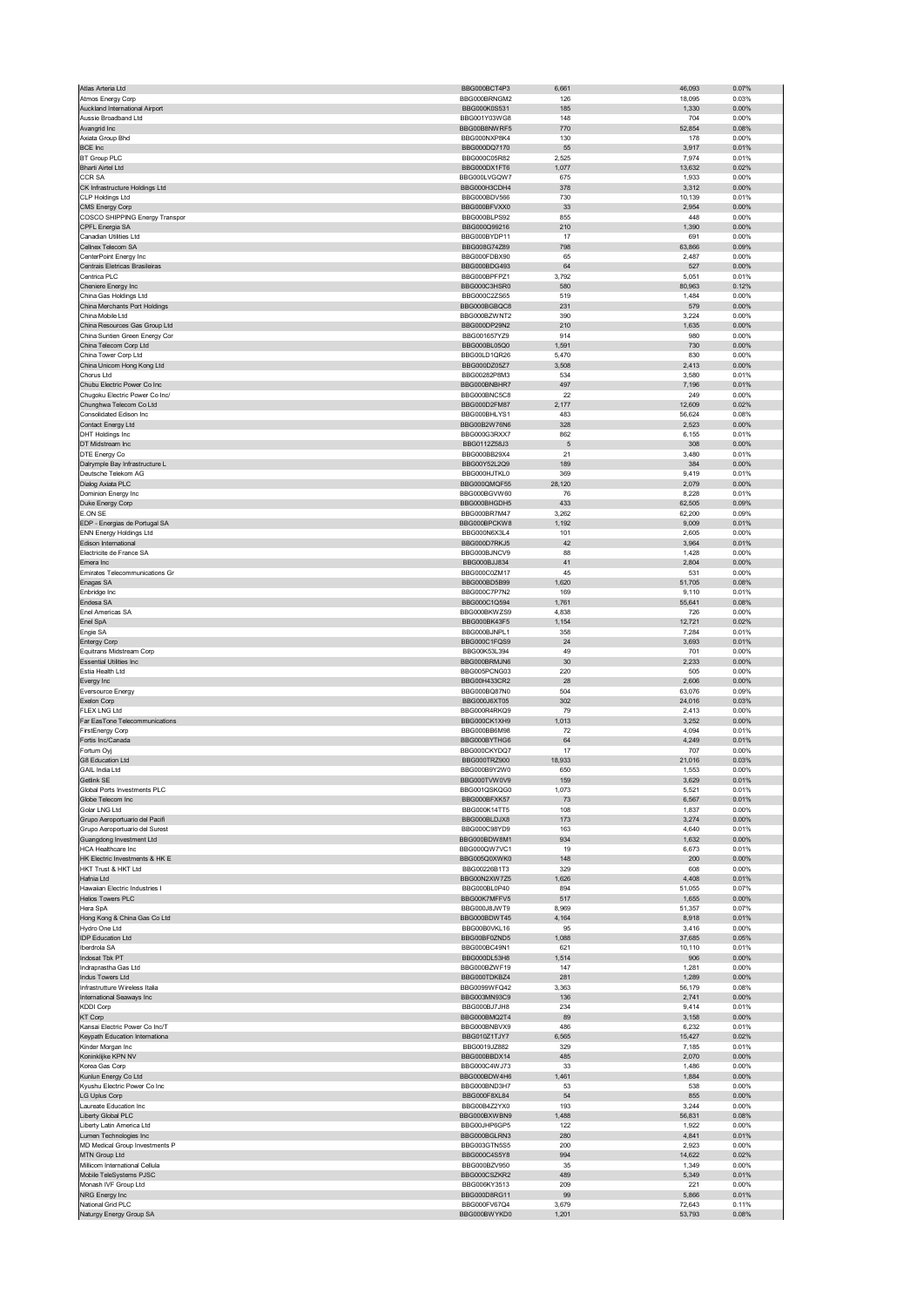| Atlas Arteria Ltd                                                | BBG000BCT4P3                 | 6,661          | 46,093           | 0.07%          |
|------------------------------------------------------------------|------------------------------|----------------|------------------|----------------|
| Atmos Energy Corp                                                | BBG000BRNGM2                 | 126            | 18,095           | 0.03%          |
| Auckland International Airport                                   | BBG000K0S531                 | 185            | 1,330            | 0.00%          |
| Aussie Broadband Ltd                                             | BBG001Y03WG8                 | 148            | 704              | 0.00%          |
| Avangrid Inc                                                     | BBG00B8NWRF5                 | 770            | 52,854           | 0.08%          |
| Axiata Group Bhd                                                 | BBG000NXP8K4                 | 130            | 178              | 0.00%          |
| <b>BCE Inc</b>                                                   | BBG000DQ7170                 | 55             | 3,917            | 0.01%          |
| <b>BT Group PLC</b><br><b>Bharti Airtel Ltd</b>                  | BBG000C05R82<br>BBG000DX1FT6 | 2,525<br>1,077 | 7,974<br>13,632  | 0.01%<br>0.02% |
| <b>CCR SA</b>                                                    | BBG000LVGQW7                 | 675            | 1,933            | 0.00%          |
| CK Infrastructure Holdings Ltd                                   | BBG000H3CDH4                 | 378            | 3,312            | 0.00%          |
| <b>CLP Holdings Ltd</b>                                          | BBG000BDV566                 | 730            | 10,139           | 0.01%          |
| CMS Energy Corp                                                  | BBG000BFVXX0                 | 33             | 2,954            | 0.00%          |
| COSCO SHIPPING Energy Transpor                                   | BBG000BLPS92                 | 855            | 448              | 0.00%          |
| CPFL Energia SA                                                  | BBG000Q99216                 | 210            | 1,390            | 0.00%          |
| Canadian Utilities Ltd                                           | BBG000BYDP11                 | 17             | 691              | 0.00%          |
| Cellnex Telecom SA                                               | BBG008G74Z89                 | 798            | 63,866           | 0.09%          |
| CenterPoint Energy Inc                                           | BBG000FDBX90                 | 65             | 2,487            | 0.00%          |
| Centrais Eletricas Brasileiras                                   | BBG000BDG493                 | 64             | 527              | 0.00%          |
| Centrica PLC                                                     | BBG000BPFPZ1                 | 3,792          | 5,051            | 0.01%          |
| Cheniere Energy Inc                                              | BBG000C3HSR0                 | 580            | 80,963           | 0.12%          |
| China Gas Holdings Ltd                                           | BBG000C2ZS65                 | 519            | 1,484            | 0.00%          |
| China Merchants Port Holdings                                    | BBG000BGBQC8                 | 231<br>390     | 579              | 0.00%          |
| China Mobile Ltd<br>China Resources Gas Group Ltd                | BBG000BZWNT2<br>BBG000DP29N2 | 210            | 3,224<br>1,635   | 0.00%<br>0.00% |
| China Suntien Green Energy Cor                                   | BBG001657YZ9                 | 914            | 980              | 0.00%          |
| China Telecom Corp Ltd                                           | BBG000BL05Q0                 | 1,591          | 730              | 0.00%          |
| China Tower Corp Ltd                                             | BBG00LD1QR26                 | 5,470          | 830              | 0.00%          |
| China Unicom Hong Kong Ltd                                       | BBG000DZ05Z7                 | 3,508          | 2,413            | 0.00%          |
| Chorus Ltd                                                       | BBG00282P8M3                 | 534            | 3,580            | 0.01%          |
| Chubu Electric Power Co Inc                                      | BBG000BNBHR7                 | 497            | 7,196            | 0.01%          |
| Chugoku Electric Power Co Inc/                                   | BBG000BNC5C8                 | 22             | 249              | 0.00%          |
| Chunghwa Telecom Co Ltd                                          | BBG000D2FM87                 | 2,177          | 12,609           | 0.02%          |
| Consolidated Edison Inc                                          | BBG000BHLYS1                 | 483            | 56,624           | 0.08%          |
| Contact Energy Ltd                                               | BBG00B2W76N6                 | 328            | 2,523            | 0.00%          |
| <b>DHT Holdings Inc</b>                                          | BBG000G3RXX7                 | 862            | 6,155            | 0.01%          |
| DT Midstream Inc                                                 | BBG0112Z58J3                 | 5              | 308              | 0.00%          |
| DTE Energy Co                                                    | BBG000BB29X4                 | 21             | 3,480            | 0.01%          |
| Dalrymple Bay Infrastructure L<br>Deutsche Telekom AG            | BBG00Y52L2Q9<br>BBG000HJTKL0 | 189<br>369     | 384              | 0.00%          |
|                                                                  | BBG000QMQF55                 |                | 9,419            | 0.01%          |
| Dialog Axiata PLC<br>Dominion Energy Inc                         | BBG000BGVW60                 | 28,120<br>76   | 2,079<br>8,228   | 0.00%<br>0.01% |
| Duke Energy Corp                                                 | BBG000BHGDH5                 | 433            | 62,505           | 0.09%          |
| E.ON SE                                                          | BBG000BR7M47                 | 3,262          | 62,200           | 0.09%          |
| EDP - Energias de Portugal SA                                    | BBG000BPCKW8                 | 1,192          | 9,009            | 0.01%          |
| <b>ENN Energy Holdings Ltd</b>                                   | BBG000N6X3L4                 | 101            | 2,605            | 0.00%          |
| Edison International                                             | BBG000D7RKJ5                 | 42             | 3,964            | 0.01%          |
| Electricite de France SA                                         | BBG000BJNCV9                 | 88             | 1,428            | 0.00%          |
| Emera Inc                                                        | BBG000BJJ834                 | 41             | 2,804            | 0.00%          |
| Emirates Telecommunications Gr                                   | BBG000C0ZM17                 | 45             | 531              | 0.00%          |
| Enagas SA                                                        | BBG000BD5B99                 | 1,620          | 51,705           | 0.08%          |
| Enbridge Inc                                                     | BBG000C7P7N2                 | 169            | 9,110            | 0.01%          |
| Endesa SA                                                        | BBG000C1Q594                 | 1,761          | 55,641           | 0.08%          |
| Enel Americas SA                                                 | BBG000BKWZS9                 | 4,838          | 726              | 0.00%          |
| Enel SpA                                                         | BBG000BK43F5                 | 1,154          | 12,721           | 0.02%          |
| Engie SA                                                         | BBG000BJNPL1                 | 358            | 7,284            | 0.01%          |
| <b>Entergy Corp</b>                                              | BBG000C1FQS9                 | 24             | 3,693            | 0.01%          |
| Equitrans Midstream Corp<br><b>Essential Utilities Inc</b>       | BBG00K53L394<br>BBG000BRMJN6 | 49<br>30       | 701<br>2,233     | 0.00%<br>0.00% |
| Estia Health Ltd                                                 | BBG005PCNG03                 | 220            | 505              | 0.00%          |
| Evergy Inc                                                       | BBG00H433CR2                 | 28             | 2,606            | 0.00%          |
| Eversource Energy                                                | BBG000BQ87N0                 | 504            | 63,076           | 0.09%          |
| Exelon Corp                                                      | BBG000J6XT05                 | 302            | 24,016           | 0.03%          |
| <b>FLEX LNG Ltd</b>                                              | BBG000R4RKQ9                 | 79             | 2,413            | 0.00%          |
| Far EasTone Telecommunications                                   | BBG000CK1XH9                 | 1,013          | 3,252            | 0.00%          |
| <b>FirstEnergy Corp</b>                                          | BBG000BB6M98                 | 72             | 4,094            | 0.01%          |
| Fortis Inc/Canada                                                | BBG000BYTHG6                 | 64             | 4,249            | 0.01%          |
| Fortum Oyj                                                       | BBG000CKYDQ7                 | 17             | 707              | 0.00%          |
| G8 Education Ltd                                                 | BBG000TRZ900                 | 18,933         | 21,016           | 0.03%          |
| GAIL India Ltd                                                   | BBG000B9Y2W0                 | 650            | 1,553            | 0.00%          |
| <b>GEIINK SE</b>                                                 | <b>RRGOOD I AMADAR</b>       | 159            | 3,629            | <b>U.UT%</b>   |
| Global Ports Investments PLC                                     | BBG001QSKQG0                 | 1,073          | 5,521            | 0.01%          |
| Globe Telecom Inc                                                | BBG000BFXK57                 | 73             | 6,567            | 0.01%          |
| Golar LNG Ltd                                                    | BBG000K14TT5<br>BBG000BLDJX8 | 108<br>173     | 1,837<br>3,274   | 0.00%<br>0.00% |
| Grupo Aeroportuario del Pacifi<br>Grupo Aeroportuario del Surest | BBG000C98YD9                 | 163            | 4,640            | 0.01%          |
| Guangdong Investment Ltd                                         | BBG000BDW8M1                 | 934            | 1,632            | 0.00%          |
| HCA Healthcare Inc                                               | BBG000QW7VC1                 | 19             | 6,673            | 0.01%          |
| HK Electric Investments & HK E                                   | BBG005Q0XWK0                 |                | 200              | 0.00%          |
| HKT Trust & HKT Ltd                                              | BBG00226B1T3                 | 148            |                  |                |
| Hafnia Ltd                                                       |                              | 329            | 608              | 0.00%          |
| Hawaiian Electric Industries I                                   | BBG00N2XW7Z5                 | 1,626          | 4,408            | 0.01%          |
|                                                                  | BBG000BL0P40                 | 894            | 51,055           | 0.07%          |
| <b>Helios Towers PLC</b>                                         | BBG00K7MFFV5                 | 517            | 1,655            | 0.00%          |
| Hera SpA                                                         | BBG000J8JWT9                 | 8,969          | 51,357           | 0.07%          |
| Hong Kong & China Gas Co Ltd                                     | BBG000BDWT45                 | 4,164          | 8,918            | 0.01%          |
| Hydro One Ltd                                                    | BBG00B0VKL16                 | 95             | 3,416            | 0.00%          |
| <b>IDP Education Ltd</b>                                         | BBG00BF0ZND5                 | 1,088          | 37,685           | 0.05%          |
| Iberdrola SA                                                     | BBG000BC49N1                 | 621            | 10,110           | 0.01%          |
| Indosat Tbk PT<br>Indraprastha Gas Ltd                           | BBG000DL53H8<br>BBG000BZWF19 | 1,514<br>147   | 906<br>1,281     | 0.00%<br>0.00% |
| Indus Towers Ltd                                                 | BBG000TDKBZ4                 | 281            | 1,289            | 0.00%          |
| Infrastrutture Wireless Italia                                   | BBG0099WFQ42                 | 3,363          | 56,179           | 0.08%          |
| International Seaways Inc                                        | BBG003MN93C9                 | 136            | 2,741            | 0.00%          |
| <b>KDDI Corp</b>                                                 | BBG000BJ7JH8                 | 234            | 9,414            | 0.01%          |
| KT Corp                                                          | BBG000BMQ2T4                 | 89             | 3,158            | 0.00%          |
| Kansai Electric Power Co Inc/T                                   | BBG000BNBVX9                 | 486            | 6,232            | 0.01%          |
| Keypath Education Internationa                                   | BBG010Z1TJY7                 | 6,565          | 15,427           | 0.02%          |
| Kinder Morgan Inc                                                | BBG0019JZ882                 | 329            | 7,185            | 0.01%          |
| Koninklijke KPN NV                                               | BBG000BBDX14                 | 485            | 2,070            | 0.00%          |
| Korea Gas Corp                                                   | BBG000C4WJ73                 | 33             | 1,486            | 0.00%          |
| Kunlun Energy Co Ltd                                             | BBG000BDW4H6                 | 1,461          | 1,884            | 0.00%          |
| Kyushu Electric Power Co Inc                                     | BBG000BND3H7                 | 53             | 538              | 0.00%          |
| LG Uplus Corp                                                    | BBG000F8XL84                 | 54             | 855              | 0.00%          |
| Laureate Education Inc<br>Liberty Global PLC                     | BBG00B4Z2YX0<br>BBG000BXWBN9 | 193<br>1,488   | 3,244<br>56,831  | 0.00%<br>0.08% |
| Liberty Latin America Ltd                                        | BBG00JHP6GP5                 | 122            | 1,922            | 0.00%          |
| Lumen Technologies Inc                                           | BBG000BGLRN3                 | 280            | 4,841            | 0.01%          |
| MD Medical Group Investments P                                   | BBG003GTN5S5                 | 200            | 2,923            | 0.00%          |
| MTN Group Ltd                                                    | BBG000C4S5Y8                 | 994            | 14,622           | 0.02%          |
| Millicom International Cellula                                   | BBG000BZV950                 | 35             | 1,349            | 0.00%          |
| Mobile TeleSystems PJSC                                          | BBG000CSZKR2                 | 489            | 5,349            | 0.01%          |
| Monash IVF Group Ltd                                             | BBG006KY3513                 | 209            | 221              | 0.00%          |
| NRG Energy Inc                                                   | BBG000D8RG11                 | 99             | 5,866            | 0.01%          |
| National Grid PLC<br>Naturgy Energy Group SA                     | BBG000FV67Q4<br>BBG000BWYKD0 | 3,679<br>1,201 | 72.643<br>53,793 | 0.11%<br>0.08% |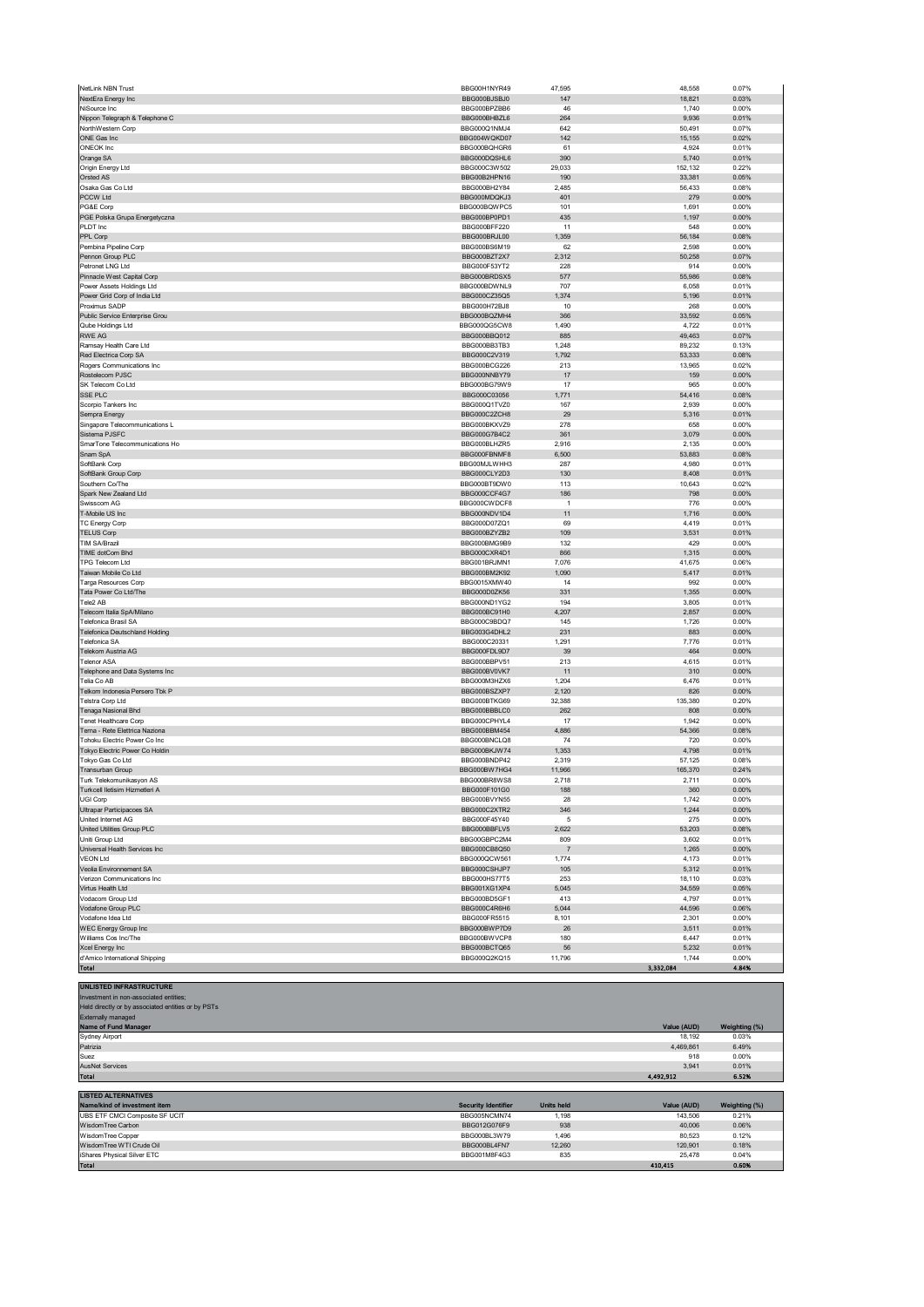| NiSource Inc.                                                                                                                                                                                             | BBG000BJSBJ0                 | 147               | 18,821            | 0.03%          |
|-----------------------------------------------------------------------------------------------------------------------------------------------------------------------------------------------------------|------------------------------|-------------------|-------------------|----------------|
|                                                                                                                                                                                                           | BBG000BPZBB6                 | 46                | 1,740             | 0.00%          |
| Nippon Telegraph & Telephone C                                                                                                                                                                            | BBG000BHBZL6                 | 264               | 9,936             | 0.01%          |
| NorthWestern Corp                                                                                                                                                                                         | BBG000Q1NMJ4                 | 642               | 50,491            | 0.07%          |
| ONE Gas Inc                                                                                                                                                                                               | BBG004WQKD07                 | 142               | 15,155            | 0.02%          |
| ONEOK Inc                                                                                                                                                                                                 | BBG000BQHGR6                 | 61                | 4,924             | 0.01%          |
| Orange SA                                                                                                                                                                                                 | BBG000DQSHL6                 | 390               | 5,740             | 0.01%          |
| Origin Energy Ltd                                                                                                                                                                                         | BBG000C3W502                 | 29,033            | 152,132           | 0.22%          |
| Orsted AS                                                                                                                                                                                                 | BBG00B2HPN16                 | 190               | 33,381            | 0.05%          |
| Osaka Gas Co Ltd                                                                                                                                                                                          | BBG000BH2Y84                 | 2,485             | 56,433            | 0.08%          |
| PCCW Ltd                                                                                                                                                                                                  | BBG000MDQKJ3                 | 401               | 279               | 0.00%          |
| PG&E Corp                                                                                                                                                                                                 | BBG000BQWPC5                 | 101               | 1,691             | 0.00%          |
| PGE Polska Grupa Energetyczna                                                                                                                                                                             | BBG000BP0PD1                 | 435               | 1,197             | 0.00%          |
| PLDT Inc                                                                                                                                                                                                  | BBG000BFF220                 | 11                | 548               | 0.00%          |
| PPL Corp                                                                                                                                                                                                  | BBG000BRJL00                 | 1,359             | 56,184            | 0.08%          |
| Pembina Pipeline Corp                                                                                                                                                                                     | BBG000BS6M19                 | 62                | 2,598             | 0.00%          |
| Pennon Group PLC                                                                                                                                                                                          | BBG000BZT2X7                 | 2,312             | 50,258            | 0.07%          |
| Petronet LNG Ltd                                                                                                                                                                                          | BBG000F53YT2                 | 228               | 914               | 0.00%          |
| Pinnacle West Capital Corp                                                                                                                                                                                | BBG000BRDSX5                 | 577               | 55,986            | 0.08%          |
| Power Assets Holdings Ltd                                                                                                                                                                                 | BBG000BDWNL9                 | 707               | 6,058             | 0.01%          |
| Power Grid Corp of India Ltd                                                                                                                                                                              | BBG000CZ35Q5                 | 1,374             | 5,196             | 0.01%          |
| Proximus SADP                                                                                                                                                                                             | BBG000H72BJ8                 | 10                | 268               | 0.00%          |
| Public Service Enterprise Grou                                                                                                                                                                            | BBG000BQZMH4                 | 366               | 33,592            | 0.05%          |
| Qube Holdings Ltd                                                                                                                                                                                         | BBG000QG5CW8                 | 1,490             | 4,722             | 0.01%          |
|                                                                                                                                                                                                           |                              |                   |                   |                |
| RWE AG                                                                                                                                                                                                    | BBG000BBQ012                 | 885               | 49,463            | 0.07%          |
| Ramsay Health Care Ltd                                                                                                                                                                                    | BBG000BB3TB3                 | 1,248             | 89,232            | 0.13%          |
| Red Electrica Corp SA                                                                                                                                                                                     | BBG000C2V319                 | 1,792             | 53,333            | 0.08%          |
| Rogers Communications Inc                                                                                                                                                                                 | BBG000BCG226                 | 213               | 13,965            | 0.02%          |
| Rostelecom PJSC                                                                                                                                                                                           | BBG000NNBY79                 | 17                | 159               | 0.00%          |
| SK Telecom Co Ltd                                                                                                                                                                                         | BBG000BG79W9                 | 17                | 965               | 0.00%          |
| SSE PLC                                                                                                                                                                                                   | BBG000C03056                 | 1,771             | 54,416            | 0.08%          |
| Scorpio Tankers Inc                                                                                                                                                                                       | BBG000Q1TVZ0                 | 167               | 2,939             | 0.00%          |
| Sempra Energy                                                                                                                                                                                             | BBG000C2ZCH8                 | 29                | 5,316             | 0.01%          |
| Singapore Telecommunications L                                                                                                                                                                            | BBG000BKXVZ9                 | 278               | 658               | 0.00%          |
| Sistema PJSFC                                                                                                                                                                                             | BBG000G7B4C2                 | 361               | 3,079             | 0.00%          |
| SmarTone Telecommunications Ho                                                                                                                                                                            | BBG000BLHZR5                 | 2,916             | 2,135             | 0.00%          |
| Snam SpA                                                                                                                                                                                                  | BBG000FBNMF8                 | 6,500             | 53,883            | 0.08%          |
| SoftBank Corp                                                                                                                                                                                             | BBG00MJLWHH3                 | 287               | 4,980             | 0.01%          |
| SoftBank Group Corp                                                                                                                                                                                       | BBG000CLY2D3                 | 130               | 8,408             | 0.01%          |
| Southern Co/The                                                                                                                                                                                           | BBG000BT9DW0                 | 113               | 10,643            | 0.02%          |
| Spark New Zealand Ltd                                                                                                                                                                                     | BBG000CCF4G7                 | 186               | 798               | 0.00%          |
| Swisscom AG                                                                                                                                                                                               | BBG000CWDCF8                 | $\overline{1}$    | 776               | 0.00%          |
| T-Mobile US Inc.                                                                                                                                                                                          | BBG000NDV1D4                 | 11                | 1,716             | 0.00%          |
| TC Energy Corp                                                                                                                                                                                            | BBG000D07ZQ1                 | 69                | 4,419             | 0.01%          |
| <b>TELUS Corp</b>                                                                                                                                                                                         | BBG000BZYZB2                 | 109               | 3,531             | 0.01%          |
| TIM SA/Brazil                                                                                                                                                                                             | BBG000BMG9B9                 | 132               | 429               | 0.00%          |
| TIME dotCom Bhd                                                                                                                                                                                           | BBG000CXR4D1                 | 866               |                   | 0.00%          |
| <b>TPG Telecom Ltd</b>                                                                                                                                                                                    |                              |                   | 1,315             |                |
|                                                                                                                                                                                                           | BBG001BRJMN1                 | 7,076             | 41,675            | 0.06%          |
| Taiwan Mobile Co Ltd                                                                                                                                                                                      | BBG000BM2K92                 | 1,090             | 5,417             | 0.01%          |
| Targa Resources Corp                                                                                                                                                                                      | BBG0015XMW40                 | 14                | 992               | 0.00%          |
| Tata Power Co Ltd/The                                                                                                                                                                                     | BBG000D0ZK56                 | 331               | 1,355             | 0.00%          |
| Tele2 AB                                                                                                                                                                                                  | BBG000ND1YG2                 | 194               | 3,805             | 0.01%          |
| Telecom Italia SpA/Milano                                                                                                                                                                                 | BBG000BC91H0                 | 4,207             | 2,857             | 0.00%          |
| Telefonica Brasil SA                                                                                                                                                                                      | BBG000C9BDQ7                 | 145               | 1,726             | 0.00%          |
| Telefonica Deutschland Holding                                                                                                                                                                            | BBG003G4DHL2                 | 231               | 883               | 0.00%          |
| Telefonica SA                                                                                                                                                                                             | BBG000C20331                 | 1,291             | 7,776             | 0.01%          |
| Telekom Austria AG                                                                                                                                                                                        | BBG000FDL9D7                 | 39                | 464               | 0.00%          |
| <b>Telenor ASA</b>                                                                                                                                                                                        | BBG000BBPV51                 | 213               | 4,615             | 0.01%          |
| Telephone and Data Systems Inc                                                                                                                                                                            | BBG000BV0VK7                 | 11                | 310               | 0.00%          |
| Telia Co AB                                                                                                                                                                                               | BBG000M3HZX6                 | 1.204             | 6,476             | 0.01%          |
| Telkom Indonesia Persero Tbk P                                                                                                                                                                            | BBG000BSZXP7                 | 2,120             | 826               | 0.00%          |
|                                                                                                                                                                                                           | BBG000BTKG69                 | 32,388            | 135,380           | 0.20%          |
| Telstra Corp Ltd                                                                                                                                                                                          |                              |                   |                   | 0.00%          |
|                                                                                                                                                                                                           |                              |                   |                   |                |
| Tenaga Nasional Bhd                                                                                                                                                                                       | BBG000BBBLC0<br>BBG000CPHYL4 | 262               | 808               |                |
| Tenet Healthcare Corp                                                                                                                                                                                     |                              | 17                | 1,942             | 0.00%          |
| Terna - Rete Elettrica Naziona                                                                                                                                                                            | BBG000BBM454                 | 4,886             | 54,366            | 0.08%          |
| Tohoku Electric Power Co Inc                                                                                                                                                                              | BBG000BNCLQ8                 | 74                | 720               | 0.00%          |
| Tokyo Electric Power Co Holdin                                                                                                                                                                            | BBG000BKJW74<br>BBG000BNDP42 | 1,353             | 4,798             | 0.01%          |
|                                                                                                                                                                                                           |                              | 2,319             | 57,125            | 0.08%          |
|                                                                                                                                                                                                           | BBG000BW7HG4                 | 11,966            | 165,370           | 0.24%          |
| Tokyo Gas Co Ltd<br>Transurban Group<br>Turk Telekomunikasyon AS                                                                                                                                          | BBG000BR8WS8                 | 2,718             | 2,711             | 0.00%          |
| Turkcell lletisim Hizmetleri A                                                                                                                                                                            | BBG000F101G0                 | 188               | 360               | 0.00%          |
| UGI Corp                                                                                                                                                                                                  | BBG000BVYN55                 | 28                | 1,742             | 0.00%          |
| Ultrapar Participacoes SA                                                                                                                                                                                 | BBG000C2XTR2                 | 346               | 1,244             | 0.00%          |
| United Internet AG                                                                                                                                                                                        | BBG000F45Y40                 | 5                 | 275               | 0.00%          |
|                                                                                                                                                                                                           | BBG000BBFLV5                 | 2,622             | 53,203            | 0.08%          |
|                                                                                                                                                                                                           | BBG00GBPC2M4                 | 809               | 3,602             | 0.01%          |
| Universal Health Services Inc                                                                                                                                                                             | BBG000CB8Q50                 | $\overline{7}$    | 1,265             | 0.00%          |
|                                                                                                                                                                                                           | BBG000QCW561                 | 1,774             | 4,173             | 0.01%          |
| Veolia Environnement SA                                                                                                                                                                                   | BBG000CSHJP7                 | 105               | 5,312             | 0.01%          |
| Verizon Communications Inc.                                                                                                                                                                               | BBG000HS77T5                 | 253               | 18,110            | 0.03%          |
| Virtus Health Ltd                                                                                                                                                                                         | BBG001XG1XP4                 | 5,045             | 34,559            | 0.05%          |
| Vodacom Group Ltd                                                                                                                                                                                         | BBG000BD5GF1                 | 413               | 4,797             | 0.01%          |
| Vodafone Group PLC                                                                                                                                                                                        | BBG000C4R6H6                 | 5,044             | 44,596            | 0.06%          |
| Vodafone Idea Ltd                                                                                                                                                                                         | BBG000FR5515                 | 8,101             | 2,301             | 0.00%          |
|                                                                                                                                                                                                           | BBG000BWP7D9                 | 26                | 3,511             | 0.01%          |
|                                                                                                                                                                                                           | BBG000BWVCP8                 | 180               | 6,447             | 0.01%          |
| Xcel Energy Inc                                                                                                                                                                                           | BBG000BCTQ65                 | 56                | 5,232             | 0.01%          |
| d'Amico International Shipping                                                                                                                                                                            | BBG000Q2KQ15                 | 11,796            | 1,744             | 0.00%          |
| Total                                                                                                                                                                                                     |                              |                   | 3,332,084         | 4.84%          |
|                                                                                                                                                                                                           |                              |                   |                   |                |
| UNLISTED INFRASTRUCTURE                                                                                                                                                                                   |                              |                   |                   |                |
| Investment in non-associated entities;                                                                                                                                                                    |                              |                   |                   |                |
|                                                                                                                                                                                                           |                              |                   |                   |                |
|                                                                                                                                                                                                           |                              |                   |                   |                |
|                                                                                                                                                                                                           |                              |                   |                   |                |
| Name of Fund Manager                                                                                                                                                                                      |                              |                   | Value (AUD)       | Weighting (%)  |
| Sydney Airport                                                                                                                                                                                            |                              |                   | 18,192            | 0.03%          |
| Patrizia                                                                                                                                                                                                  |                              |                   | 4,469,861         | 6.49%          |
| Suez                                                                                                                                                                                                      |                              |                   | 918               | 0.00%          |
| <b>AusNet Services</b>                                                                                                                                                                                    |                              |                   | 3,941             | 0.01%          |
| Total                                                                                                                                                                                                     |                              |                   | 4,492,912         | 6.52%          |
|                                                                                                                                                                                                           |                              |                   |                   |                |
| United Utilities Group PLC<br>Uniti Group Ltd<br><b>VEON Ltd</b><br><b>WEC Energy Group Inc</b><br>Held directly or by associated entities or by PSTs<br>Externally managed<br><b>LISTED ALTERNATIVES</b> |                              |                   |                   |                |
| Name/kind of investment item                                                                                                                                                                              | <b>Security Identifier</b>   | <b>Units held</b> | Value (AUD)       | Weighting (%)  |
| Williams Cos Inc/The<br>UBS ETF CMCI Composite SF UCIT                                                                                                                                                    | BBG005NCMN74                 | 1,198             | 143,506           | 0.21%          |
| WisdomTree Carbon                                                                                                                                                                                         | BBG012G076F9                 | 938               | 40,006            | 0.06%          |
| WisdomTree Copper                                                                                                                                                                                         | BBG000BL3W79                 | 1,496             | 80,523            | 0.12%          |
| WisdomTree WTI Crude Oil                                                                                                                                                                                  | BBG000BL4FN7                 | 12,260            | 120,901           | 0.18%          |
| iShares Physical Silver ETC<br>Total                                                                                                                                                                      | BBG001M8F4G3                 | 835               | 25,478<br>410,415 | 0.04%<br>0.60% |

NetLink NBN Trust BBG00H1NYR49 47,595 48,558 0.07%